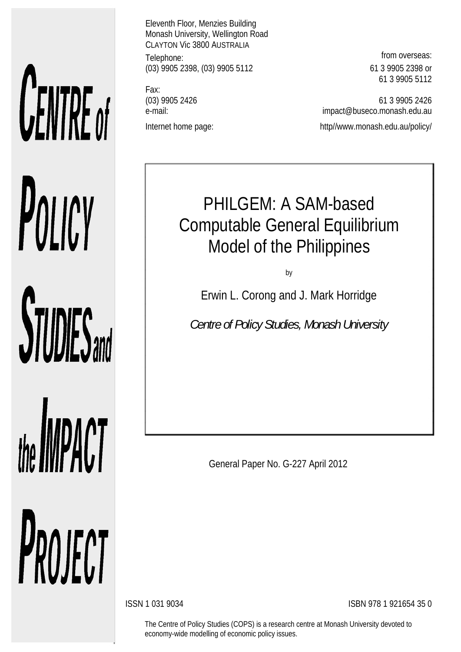# **CENTRE** of POLICY **STUDIES**

# the **IMPACT**

PROJECT

Eleventh Floor, Menzies Building Monash University, Wellington Road CLAYTON Vic 3800 AUSTRALIA Telephone: **from overseas: from overseas:** (03) 9905 2398, (03) 9905 5112 61 3 9905 2398 or

Fax:

61 3 9905 5112

(03) 9905 2426 61 3 9905 2426 e-mail: impact@buseco.monash.edu.au Internet home page: http://www.monash.edu.au/policy/

# PHILGEM: A SAM-based Computable General Equilibrium Model of the Philippines

by

Erwin L. Corong and J. Mark Horridge

*Centre of Policy Studies, Monash University*

General Paper No. G-227 April 2012

ISSN 1 031 9034 ISBN 978 1 921654 35 0

The Centre of Policy Studies (COPS) is a research centre at Monash University devoted to economy-wide modelling of economic policy issues.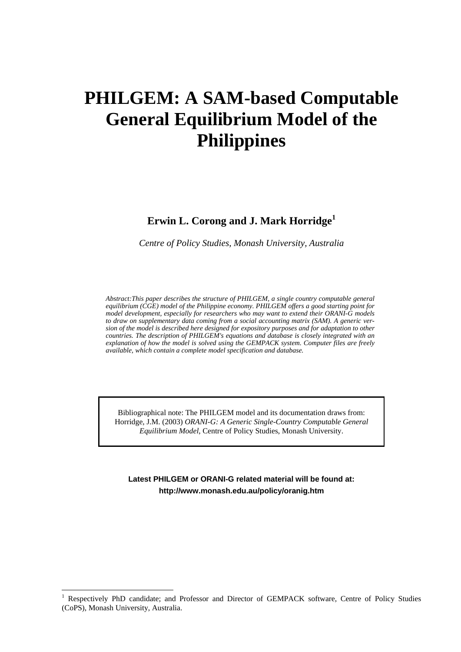## **PHILGEM: A SAM-based Computable General Equilibrium Model of the Philippines**

### **Erwin L. Corong and J. Mark Horridge<sup>1</sup>**

*Centre of Policy Studies, Monash University, Australia*

*Abstract:This paper describes the structure of PHILGEM, a single country computable general equilibrium (CGE) model of the Philippine economy. PHILGEM offers a good starting point for model development, especially for researchers who may want to extend their ORANI-G models to draw on supplementary data coming from a social accounting matrix (SAM). A generic version of the model is described here designed for expository purposes and for adaptation to other countries. The description of PHILGEM's equations and database is closely integrated with an explanation of how the model is solved using the GEMPACK system. Computer files are freely available, which contain a complete model specification and database.*

Bibliographical note: The PHILGEM model and its documentation draws from: Horridge, J.M. (2003) *ORANI-G: A Generic Single-Country Computable General Equilibrium Model*, Centre of Policy Studies, Monash University.

**Latest PHILGEM or ORANI-G related material will be found at: http://www.monash.edu.au/policy/oranig.htm**

l

<sup>1</sup> Respectively PhD candidate; and Professor and Director of GEMPACK software, Centre of Policy Studies (CoPS), Monash University, Australia.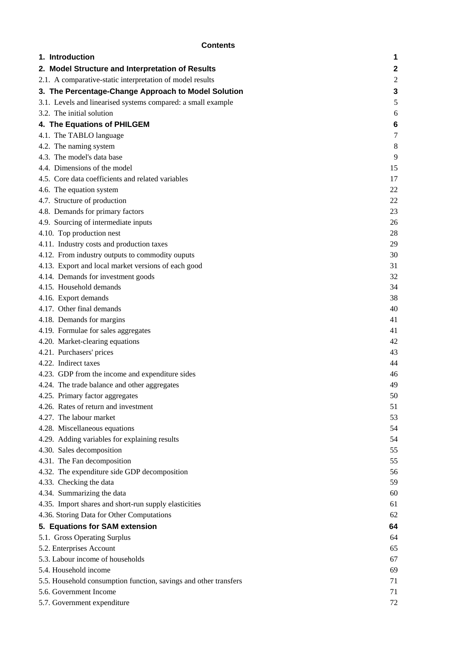|--|

| <b>Contents</b>                                                  |    |  |  |  |  |  |
|------------------------------------------------------------------|----|--|--|--|--|--|
| 1. Introduction                                                  | 1  |  |  |  |  |  |
| 2. Model Structure and Interpretation of Results                 | 2  |  |  |  |  |  |
| 2.1. A comparative-static interpretation of model results        |    |  |  |  |  |  |
| 3. The Percentage-Change Approach to Model Solution              | 3  |  |  |  |  |  |
| 3.1. Levels and linearised systems compared: a small example     | 5  |  |  |  |  |  |
| 3.2. The initial solution                                        | 6  |  |  |  |  |  |
| 4. The Equations of PHILGEM                                      | 6  |  |  |  |  |  |
| 4.1. The TABLO language                                          | 7  |  |  |  |  |  |
| 4.2. The naming system                                           | 8  |  |  |  |  |  |
| 4.3. The model's data base                                       | 9  |  |  |  |  |  |
| 4.4. Dimensions of the model                                     | 15 |  |  |  |  |  |
| 4.5. Core data coefficients and related variables                | 17 |  |  |  |  |  |
| 4.6. The equation system                                         | 22 |  |  |  |  |  |
| 4.7. Structure of production                                     | 22 |  |  |  |  |  |
| 4.8. Demands for primary factors                                 | 23 |  |  |  |  |  |
| 4.9. Sourcing of intermediate inputs                             | 26 |  |  |  |  |  |
| 4.10. Top production nest                                        | 28 |  |  |  |  |  |
| 4.11. Industry costs and production taxes                        | 29 |  |  |  |  |  |
| 4.12. From industry outputs to commodity ouputs                  | 30 |  |  |  |  |  |
| 4.13. Export and local market versions of each good              | 31 |  |  |  |  |  |
| 4.14. Demands for investment goods                               | 32 |  |  |  |  |  |
| 4.15. Household demands                                          | 34 |  |  |  |  |  |
| 4.16. Export demands                                             | 38 |  |  |  |  |  |
| 4.17. Other final demands                                        | 40 |  |  |  |  |  |
| 4.18. Demands for margins                                        | 41 |  |  |  |  |  |
| 4.19. Formulae for sales aggregates                              | 41 |  |  |  |  |  |
| 4.20. Market-clearing equations                                  | 42 |  |  |  |  |  |
| 4.21. Purchasers' prices                                         | 43 |  |  |  |  |  |
| 4.22. Indirect taxes                                             | 44 |  |  |  |  |  |
| 4.23. GDP from the income and expenditure sides                  | 46 |  |  |  |  |  |
| 4.24. The trade balance and other aggregates                     | 49 |  |  |  |  |  |
| 4.25. Primary factor aggregates                                  | 50 |  |  |  |  |  |
| 4.26. Rates of return and investment                             | 51 |  |  |  |  |  |
| 4.27. The labour market                                          | 53 |  |  |  |  |  |
| 4.28. Miscellaneous equations                                    | 54 |  |  |  |  |  |
| 4.29. Adding variables for explaining results                    | 54 |  |  |  |  |  |
| 4.30. Sales decomposition                                        | 55 |  |  |  |  |  |
| 4.31. The Fan decomposition                                      | 55 |  |  |  |  |  |
| 4.32. The expenditure side GDP decomposition                     | 56 |  |  |  |  |  |
| 4.33. Checking the data                                          | 59 |  |  |  |  |  |
| 4.34. Summarizing the data                                       | 60 |  |  |  |  |  |
| 4.35. Import shares and short-run supply elasticities            | 61 |  |  |  |  |  |
| 4.36. Storing Data for Other Computations                        | 62 |  |  |  |  |  |
| 5. Equations for SAM extension                                   | 64 |  |  |  |  |  |
| 5.1. Gross Operating Surplus                                     | 64 |  |  |  |  |  |
| 5.2. Enterprises Account                                         | 65 |  |  |  |  |  |
| 5.3. Labour income of households                                 | 67 |  |  |  |  |  |
| 5.4. Household income                                            | 69 |  |  |  |  |  |
| 5.5. Household consumption function, savings and other transfers | 71 |  |  |  |  |  |
| 5.6. Government Income                                           | 71 |  |  |  |  |  |
| 5.7. Government expenditure                                      | 72 |  |  |  |  |  |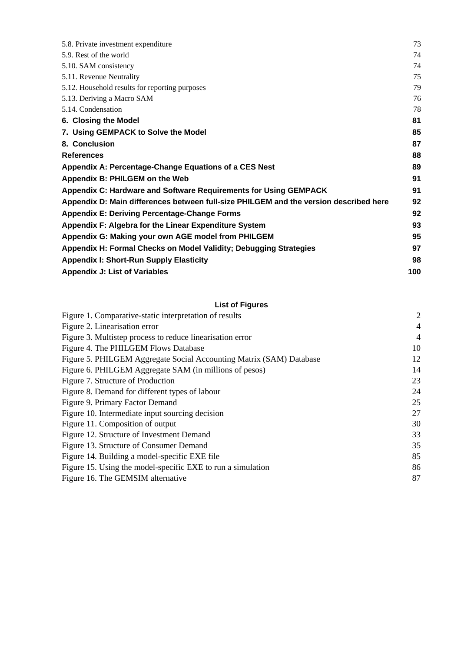| 5.8. Private investment expenditure                                                   |    |  |  |  |  |  |
|---------------------------------------------------------------------------------------|----|--|--|--|--|--|
| 5.9. Rest of the world                                                                |    |  |  |  |  |  |
| 5.10. SAM consistency                                                                 |    |  |  |  |  |  |
| 5.11. Revenue Neutrality                                                              | 75 |  |  |  |  |  |
| 5.12. Household results for reporting purposes                                        | 79 |  |  |  |  |  |
| 5.13. Deriving a Macro SAM                                                            | 76 |  |  |  |  |  |
| 5.14. Condensation                                                                    | 78 |  |  |  |  |  |
| 6. Closing the Model                                                                  | 81 |  |  |  |  |  |
| 7. Using GEMPACK to Solve the Model                                                   | 85 |  |  |  |  |  |
| 8. Conclusion                                                                         | 87 |  |  |  |  |  |
| <b>References</b>                                                                     | 88 |  |  |  |  |  |
| Appendix A: Percentage-Change Equations of a CES Nest                                 |    |  |  |  |  |  |
| Appendix B: PHILGEM on the Web                                                        | 91 |  |  |  |  |  |
| Appendix C: Hardware and Software Requirements for Using GEMPACK                      | 91 |  |  |  |  |  |
| Appendix D: Main differences between full-size PHILGEM and the version described here | 92 |  |  |  |  |  |
| <b>Appendix E: Deriving Percentage-Change Forms</b>                                   | 92 |  |  |  |  |  |
| Appendix F: Algebra for the Linear Expenditure System                                 |    |  |  |  |  |  |
| Appendix G: Making your own AGE model from PHILGEM                                    |    |  |  |  |  |  |
| Appendix H: Formal Checks on Model Validity; Debugging Strategies                     |    |  |  |  |  |  |
| <b>Appendix I: Short-Run Supply Elasticity</b>                                        |    |  |  |  |  |  |
| <b>Appendix J: List of Variables</b>                                                  |    |  |  |  |  |  |

### **List of Figures**

| Figure 1. Comparative-static interpretation of results              | $\overline{c}$ |
|---------------------------------------------------------------------|----------------|
| Figure 2. Linearisation error                                       | $\overline{4}$ |
| Figure 3. Multistep process to reduce linearisation error           | 4              |
| Figure 4. The PHILGEM Flows Database                                | 10             |
| Figure 5. PHILGEM Aggregate Social Accounting Matrix (SAM) Database | 12             |
| Figure 6. PHILGEM Aggregate SAM (in millions of pesos)              | 14             |
| Figure 7. Structure of Production                                   | 23             |
| Figure 8. Demand for different types of labour                      | 24             |
| Figure 9. Primary Factor Demand                                     | 25             |
| Figure 10. Intermediate input sourcing decision                     | 27             |
| Figure 11. Composition of output                                    | 30             |
| Figure 12. Structure of Investment Demand                           | 33             |
| Figure 13. Structure of Consumer Demand                             | 35             |
| Figure 14. Building a model-specific EXE file                       | 85             |
| Figure 15. Using the model-specific EXE to run a simulation         | 86             |
| Figure 16. The GEMSIM alternative                                   | 87             |
|                                                                     |                |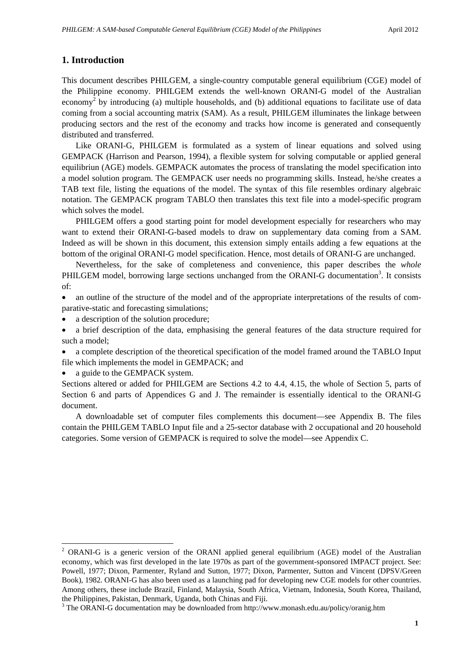### **1. Introduction**

This document describes PHILGEM, a single-country computable general equilibrium (CGE) model of the Philippine economy. PHILGEM extends the well-known ORANI-G model of the Australian economy<sup>2</sup> by introducing (a) multiple households, and (b) additional equations to facilitate use of data coming from a social accounting matrix (SAM). As a result, PHILGEM illuminates the linkage between producing sectors and the rest of the economy and tracks how income is generated and consequently distributed and transferred.

Like ORANI-G, PHILGEM is formulated as a system of linear equations and solved using GEMPACK (Harrison and Pearson, 1994), a flexible system for solving computable or applied general equilibriun (AGE) models. GEMPACK automates the process of translating the model specification into a model solution program. The GEMPACK user needs no programming skills. Instead, he/she creates a TAB text file, listing the equations of the model. The syntax of this file resembles ordinary algebraic notation. The GEMPACK program TABLO then translates this text file into a model-specific program which solves the model.

PHILGEM offers a good starting point for model development especially for researchers who may want to extend their ORANI-G-based models to draw on supplementary data coming from a SAM. Indeed as will be shown in this document, this extension simply entails adding a few equations at the bottom of the original ORANI-G model specification. Hence, most details of ORANI-G are unchanged.

Nevertheless, for the sake of completeness and convenience, this paper describes the *whole* PHILGEM model, borrowing large sections unchanged from the ORANI-G documentation<sup>3</sup>. It consists of:

• an outline of the structure of the model and of the appropriate interpretations of the results of comparative-static and forecasting simulations;

- a description of the solution procedure;
- a brief description of the data, emphasising the general features of the data structure required for such a model;
- a complete description of the theoretical specification of the model framed around the TABLO Input file which implements the model in GEMPACK; and

a guide to the GEMPACK system.

1

Sections altered or added for PHILGEM are Sections 4.2 to 4.4, 4.15, the whole of Section 5, parts of Section 6 and parts of Appendices G and J. The remainder is essentially identical to the ORANI-G document.

A downloadable set of computer files complements this document—see Appendix B. The files contain the PHILGEM TABLO Input file and a 25-sector database with 2 occupational and 20 household categories. Some version of GEMPACK is required to solve the model—see Appendix C.

<sup>&</sup>lt;sup>2</sup> ORANI-G is a generic version of the ORANI applied general equilibrium (AGE) model of the Australian economy, which was first developed in the late 1970s as part of the government-sponsored IMPACT project. See: Powell, 1977; Dixon, Parmenter, Ryland and Sutton, 1977; Dixon, Parmenter, Sutton and Vincent (DPSV/Green Book), 1982. ORANI-G has also been used as a launching pad for developing new CGE models for other countries. Among others, these include Brazil, Finland, Malaysia, South Africa, Vietnam, Indonesia, South Korea, Thailand, the Philippines, Pakistan, Denmark, Uganda, both Chinas and Fiji.

<sup>&</sup>lt;sup>3</sup> The ORANI-G documentation may be downloaded from http://www.monash.edu.au/policy/oranig.htm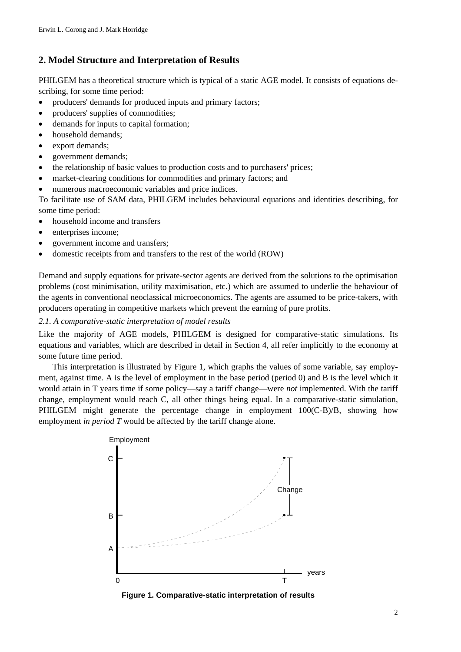### **2. Model Structure and Interpretation of Results**

PHILGEM has a theoretical structure which is typical of a static AGE model. It consists of equations describing, for some time period:

- producers' demands for produced inputs and primary factors;
- producers' supplies of commodities;
- demands for inputs to capital formation;
- household demands;
- export demands:
- government demands;
- the relationship of basic values to production costs and to purchasers' prices;
- market-clearing conditions for commodities and primary factors; and
- numerous macroeconomic variables and price indices.

To facilitate use of SAM data, PHILGEM includes behavioural equations and identities describing, for some time period:

- household income and transfers
- enterprises income;
- government income and transfers;
- domestic receipts from and transfers to the rest of the world (ROW)

Demand and supply equations for private-sector agents are derived from the solutions to the optimisation problems (cost minimisation, utility maximisation, etc.) which are assumed to underlie the behaviour of the agents in conventional neoclassical microeconomics. The agents are assumed to be price-takers, with producers operating in competitive markets which prevent the earning of pure profits.

*2.1. A comparative-static interpretation of model results*

Like the majority of AGE models, PHILGEM is designed for comparative-static simulations. Its equations and variables, which are described in detail in Section 4, all refer implicitly to the economy at some future time period.

This interpretation is illustrated by Figure 1, which graphs the values of some variable, say employment, against time. A is the level of employment in the base period (period 0) and B is the level which it would attain in T years time if some policy—say a tariff change—were *not* implemented. With the tariff change, employment would reach C, all other things being equal. In a comparative-static simulation, PHILGEM might generate the percentage change in employment 100(C-B)/B, showing how employment *in period T* would be affected by the tariff change alone.



**Figure 1. Comparative-static interpretation of results**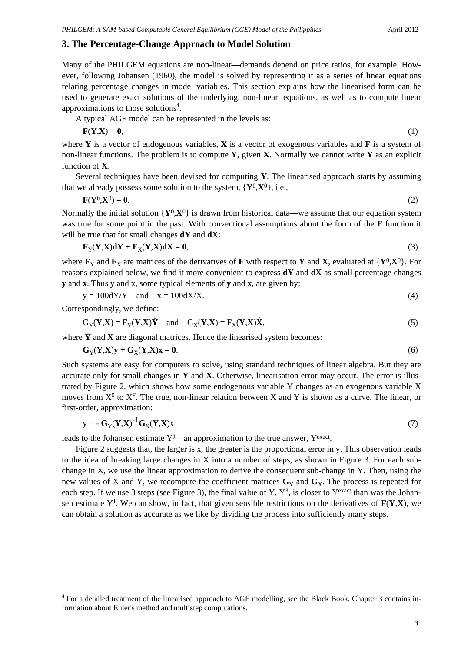### **3. The Percentage-Change Approach to Model Solution**

Many of the PHILGEM equations are non-linear—demands depend on price ratios, for example. However, following Johansen (1960), the model is solved by representing it as a series of linear equations relating percentage changes in model variables. This section explains how the linearised form can be used to generate exact solutions of the underlying, non-linear, equations, as well as to compute linear approximations to those solutions<sup>4</sup>.

A typical AGE model can be represented in the levels as:

$$
\mathbf{F}(\mathbf{Y}, \mathbf{X}) = \mathbf{0},\tag{1}
$$

where **Y** is a vector of endogenous variables, **X** is a vector of exogenous variables and **F** is a system of non-linear functions. The problem is to compute **Y**, given **X**. Normally we cannot write **Y** as an explicit function of **X**.

Several techniques have been devised for computing **Y**. The linearised approach starts by assuming that we already possess some solution to the system,  $\{Y^0, X^0\}$ , i.e.,

$$
\mathbf{F}(\mathbf{Y}^0,\mathbf{X}^0)=\mathbf{0}.\tag{2}
$$

Normally the initial solution  $\{Y^0, X^0\}$  is drawn from historical data—we assume that our equation system was true for some point in the past. With conventional assumptions about the form of the **F** function it will be true that for small changes **dY** and **dX**:

$$
\mathbf{F}_{\mathbf{Y}}(\mathbf{Y}, \mathbf{X})\mathbf{d}\mathbf{Y} + \mathbf{F}_{\mathbf{X}}(\mathbf{Y}, \mathbf{X})\mathbf{d}\mathbf{X} = \mathbf{0},\tag{3}
$$

where  $\mathbf{F}_Y$  and  $\mathbf{F}_X$  are matrices of the derivatives of **F** with respect to **Y** and **X**, evaluated at {**Y**<sup>0</sup>,**X**<sup>0</sup>}. For reasons explained below, we find it more convenient to express **dY** and **dX** as small percentage changes **y** and **x**. Thus y and x, some typical elements of **y** and **x**, are given by:

$$
y = 100 \frac{dY}{Y} \quad \text{and} \quad x = 100 \frac{dX}{X}.
$$

Correspondingly, we define:

-

$$
G_Y(Y, X) = F_Y(Y, X)\hat{Y} \text{ and } G_X(Y, X) = F_X(Y, X)\hat{X},
$$
\n(5)

where  $\hat{Y}$  and  $\hat{X}$  are diagonal matrices. Hence the linearised system becomes:

$$
G_Y(Y,X)y + G_X(Y,X)x = 0.
$$
\n(6)

Such systems are easy for computers to solve, using standard techniques of linear algebra. But they are accurate only for small changes in **Y** and **X**. Otherwise, linearisation error may occur. The error is illustrated by Figure 2, which shows how some endogenous variable Y changes as an exogenous variable X moves from  $X^0$  to  $X^F$ . The true, non-linear relation between X and Y is shown as a curve. The linear, or first-order, approximation:

$$
y = -G_Y(Y, X)^{-1}G_X(Y, X)x
$$
\n(7)

leads to the Johansen estimate  $Y<sup>J</sup>$ —an approximation to the true answer,  $Y<sup>exact</sup>$ .

Figure 2 suggests that, the larger is x, the greater is the proportional error in y. This observation leads to the idea of breaking large changes in X into a number of steps, as shown in Figure 3. For each subchange in X, we use the linear approximation to derive the consequent sub-change in Y. Then, using the new values of X and Y, we recompute the coefficient matrices  $\mathbf{G}_Y$  and  $\mathbf{G}_X$ . The process is repeated for each step. If we use 3 steps (see Figure 3), the final value of Y,  $Y^3$ , is closer to Yexact than was the Johansen estimate  $Y^J$ . We can show, in fact, that given sensible restrictions on the derivatives of  $F(Y,X)$ , we can obtain a solution as accurate as we like by dividing the process into sufficiently many steps.

<sup>&</sup>lt;sup>4</sup> For a detailed treatment of the linearised approach to AGE modelling, see the Black Book. Chapter 3 contains information about Euler's method and multistep computations.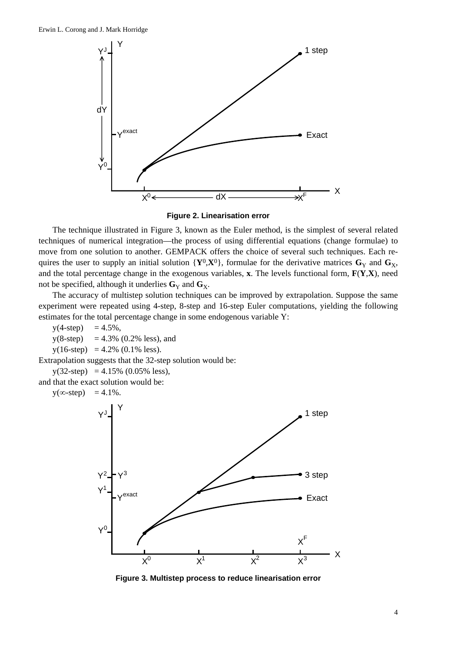



The technique illustrated in Figure 3, known as the Euler method, is the simplest of several related techniques of numerical integration—the process of using differential equations (change formulae) to move from one solution to another. GEMPACK offers the choice of several such techniques. Each requires the user to supply an initial solution  $\{Y^0, X^0\}$ , formulae for the derivative matrices  $G_Y$  and  $G_X$ , and the total percentage change in the exogenous variables, **x**. The levels functional form, **F**(**Y**,**X**), need not be specified, although it underlies  $\mathbf{G}_Y$  and  $\mathbf{G}_X$ .

The accuracy of multistep solution techniques can be improved by extrapolation. Suppose the same experiment were repeated using 4-step, 8-step and 16-step Euler computations, yielding the following estimates for the total percentage change in some endogenous variable Y:

 $y(4-step) = 4.5\%,$ 

 $y(8\text{-step}) = 4.3\% (0.2\% \text{ less}), \text{and}$ 

 $y(16\text{-step}) = 4.2\% (0.1\% \text{ less}).$ 

Extrapolation suggests that the 32-step solution would be:

 $y(32\text{-step}) = 4.15\% (0.05\% \text{ less}),$ 

and that the exact solution would be:

 $y(\infty\text{-step}) = 4.1\%$ .



**Figure 3. Multistep process to reduce linearisation error**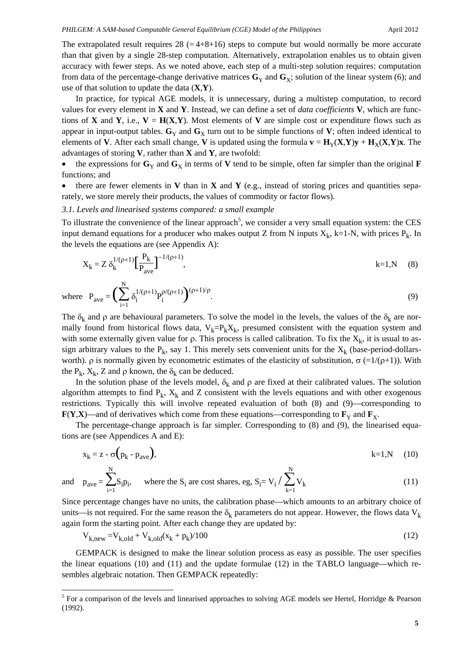The extrapolated result requires  $28$  (=4+8+16) steps to compute but would normally be more accurate than that given by a single 28-step computation. Alternatively, extrapolation enables us to obtain given accuracy with fewer steps. As we noted above, each step of a multi-step solution requires: computation from data of the percentage-change derivative matrices  $\mathbf{G}_Y$  and  $\mathbf{G}_X$ ; solution of the linear system (6); and use of that solution to update the data (**X**,**Y**).

In practice, for typical AGE models, it is unnecessary, during a multistep computation, to record values for every element in **X** and **Y**. Instead, we can define a set of *data coefficients* **V**, which are functions of **X** and **Y**, i.e.,  $V = H(X,Y)$ . Most elements of **V** are simple cost or expenditure flows such as appear in input-output tables.  $\mathbf{G}_Y$  and  $\mathbf{G}_Y$  turn out to be simple functions of  $\mathbf{V}$ ; often indeed identical to elements of **V**. After each small change, **V** is updated using the formula  $\mathbf{v} = \mathbf{H}_{Y}(\mathbf{X}, \mathbf{Y})\mathbf{y} + \mathbf{H}_{X}(\mathbf{X}, \mathbf{Y})\mathbf{x}$ . The advantages of storing **V**, rather than **X** and **Y**, are twofold:

the expressions for  $\mathbf{G}_Y$  and  $\mathbf{G}_X$  in terms of **V** tend to be simple, often far simpler than the original **F** functions; and

there are fewer elements in **V** than in **X** and **Y** (e.g., instead of storing prices and quantities separately, we store merely their products, the values of commodity or factor flows).

### *3.1. Levels and linearised systems compared: a small example*

To illustrate the convenience of the linear approach<sup>5</sup>, we consider a very small equation system: the CES input demand equations for a producer who makes output Z from N inputs  $X_k$ , k=1-N, with prices  $P_k$ . In the levels the equations are (see Appendix A):

$$
X_k = Z \delta_k^{1/(\rho+1)} \left[ \frac{P_k}{P_{ave}} \right]^{-1/(\rho+1)}, \tag{8}
$$

where  $P_{\text{ave}} = \left(\sum_{i=1}^{N} \right)$ N  $\sum_{i=1}^{n} \delta_i^{1/(\rho+1)} P_i^{\rho/(\rho+1)} \bigg)^{(\rho+1)/\rho}$ .  $(9)$ 

The  $\delta_k$  and  $\rho$  are behavioural parameters. To solve the model in the levels, the values of the  $\delta_k$  are normally found from historical flows data,  $V_k= P_k X_k$ , presumed consistent with the equation system and with some externally given value for  $\rho$ . This process is called calibration. To fix the  $X_k$ , it is usual to assign arbitrary values to the  $P_k$ , say 1. This merely sets convenient units for the  $X_k$  (base-period-dollarsworth).  $ρ$  is normally given by econometric estimates of the elasticity of substitution,  $σ$  (=1/( $ρ+1$ )). With the  $P_k$ ,  $X_k$ , Z and  $\rho$  known, the  $\delta_k$  can be deduced.

In the solution phase of the levels model,  $\delta_k$  and  $\rho$  are fixed at their calibrated values. The solution algorithm attempts to find  $P_k$ ,  $X_k$  and Z consistent with the levels equations and with other exogenous restrictions. Typically this will involve repeated evaluation of both (8) and (9)—corresponding to **F(Y,X)—and of derivatives which come from these equations—corresponding to**  $\mathbf{F}_{\mathbf{Y}}$  **and**  $\mathbf{F}_{\mathbf{X}}$ **.** 

The percentage-change approach is far simpler. Corresponding to (8) and (9), the linearised equations are (see Appendices A and E):

$$
x_k = z - \sigma(p_k - p_{ave}), \qquad k = 1, N \qquad (10)
$$

and 
$$
p_{ave} = \sum_{i=1}^{N} S_i p_i
$$
, where the  $S_i$  are cost shares, e.g.,  $S_i = V_i / \sum_{k=1}^{N} V_k$  (11)

Since percentage changes have no units, the calibration phase—which amounts to an arbitrary choice of units—is not required. For the same reason the  $\delta_k$  parameters do not appear. However, the flows data  $V_k$ again form the starting point. After each change they are updated by:

$$
V_{k, new} = V_{k, old} + V_{k, old}(x_k + p_k)/100
$$
\n(12)

GEMPACK is designed to make the linear solution process as easy as possible. The user specifies the linear equations (10) and (11) and the update formulae (12) in the TABLO language—which resembles algebraic notation. Then GEMPACK repeatedly:

-

<sup>&</sup>lt;sup>5</sup> For a comparison of the levels and linearised approaches to solving AGE models see Hertel, Horridge & Pearson (1992).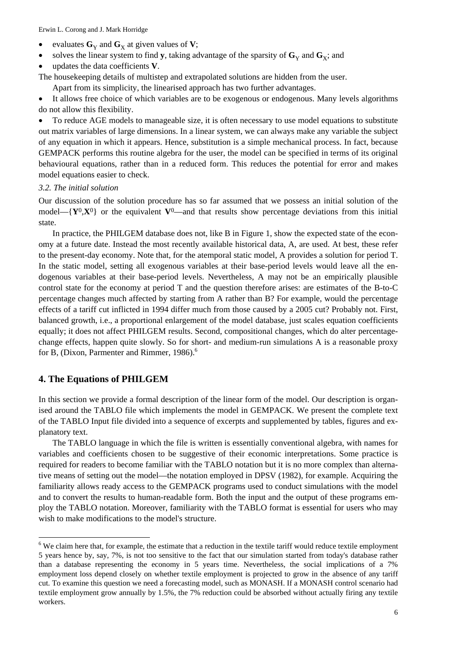Erwin L. Corong and J. Mark Horridge

- evaluates  $\mathbf{G}_Y$  and  $\mathbf{G}_X$  at given values of **V**;
- solves the linear system to find **y**, taking advantage of the sparsity of  $\mathbf{G}_y$  and  $\mathbf{G}_x$ ; and
- updates the data coefficients **V**.

The housekeeping details of multistep and extrapolated solutions are hidden from the user.

Apart from its simplicity, the linearised approach has two further advantages.

• It allows free choice of which variables are to be exogenous or endogenous. Many levels algorithms do not allow this flexibility.

• To reduce AGE models to manageable size, it is often necessary to use model equations to substitute out matrix variables of large dimensions. In a linear system, we can always make any variable the subject of any equation in which it appears. Hence, substitution is a simple mechanical process. In fact, because GEMPACK performs this routine algebra for the user, the model can be specified in terms of its original behavioural equations, rather than in a reduced form. This reduces the potential for error and makes model equations easier to check.

### *3.2. The initial solution*

Our discussion of the solution procedure has so far assumed that we possess an initial solution of the model— ${Y^0, X^0}$  or the equivalent  $V^0$ —and that results show percentage deviations from this initial state.

In practice, the PHILGEM database does not, like B in Figure 1, show the expected state of the economy at a future date. Instead the most recently available historical data, A, are used. At best, these refer to the present-day economy. Note that, for the atemporal static model, A provides a solution for period T. In the static model, setting all exogenous variables at their base-period levels would leave all the endogenous variables at their base-period levels. Nevertheless, A may not be an empirically plausible control state for the economy at period T and the question therefore arises: are estimates of the B-to-C percentage changes much affected by starting from A rather than B? For example, would the percentage effects of a tariff cut inflicted in 1994 differ much from those caused by a 2005 cut? Probably not. First, balanced growth, i.e., a proportional enlargement of the model database, just scales equation coefficients equally; it does not affect PHILGEM results. Second, compositional changes, which do alter percentagechange effects, happen quite slowly. So for short- and medium-run simulations A is a reasonable proxy for B, (Dixon, Parmenter and Rimmer, 1986).<sup>6</sup>

### **4. The Equations of PHILGEM**

l

In this section we provide a formal description of the linear form of the model. Our description is organised around the TABLO file which implements the model in GEMPACK. We present the complete text of the TABLO Input file divided into a sequence of excerpts and supplemented by tables, figures and explanatory text.

The TABLO language in which the file is written is essentially conventional algebra, with names for variables and coefficients chosen to be suggestive of their economic interpretations. Some practice is required for readers to become familiar with the TABLO notation but it is no more complex than alternative means of setting out the model—the notation employed in DPSV (1982), for example. Acquiring the familiarity allows ready access to the GEMPACK programs used to conduct simulations with the model and to convert the results to human-readable form. Both the input and the output of these programs employ the TABLO notation. Moreover, familiarity with the TABLO format is essential for users who may wish to make modifications to the model's structure.

 $6$  We claim here that, for example, the estimate that a reduction in the textile tariff would reduce textile employment 5 years hence by, say, 7%, is not too sensitive to the fact that our simulation started from today's database rather than a database representing the economy in 5 years time. Nevertheless, the social implications of a 7% employment loss depend closely on whether textile employment is projected to grow in the absence of any tariff cut. To examine this question we need a forecasting model, such as MONASH. If a MONASH control scenario had textile employment grow annually by 1.5%, the 7% reduction could be absorbed without actually firing any textile workers.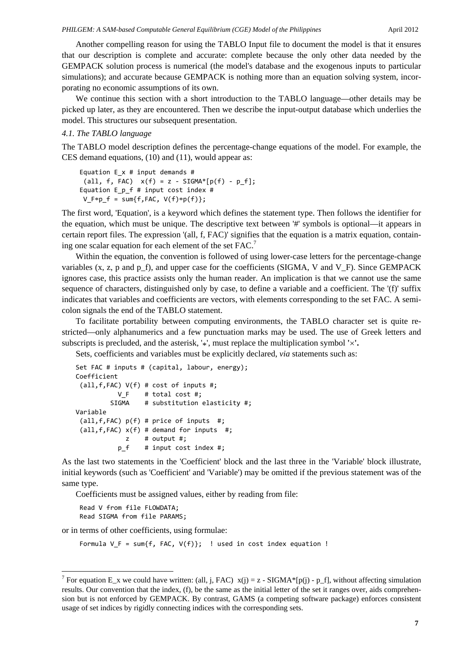Another compelling reason for using the TABLO Input file to document the model is that it ensures that our description is complete and accurate: complete because the only other data needed by the GEMPACK solution process is numerical (the model's database and the exogenous inputs to particular simulations); and accurate because GEMPACK is nothing more than an equation solving system, incorporating no economic assumptions of its own.

We continue this section with a short introduction to the TABLO language—other details may be picked up later, as they are encountered. Then we describe the input-output database which underlies the model. This structures our subsequent presentation.

### *4.1. The TABLO language*

The TABLO model description defines the percentage-change equations of the model. For example, the CES demand equations, (10) and (11), would appear as:

```
Equation E x # input demands #
all, f, FAC) x(f) = z - SIGMA*[p(f) - p_f];Equation E_p_f # input cost index #
V_F * p_f = sum\{f, FAC, V(f) * p(f)\};
```
The first word, 'Equation', is a keyword which defines the statement type. Then follows the identifier for the equation, which must be unique. The descriptive text between '#' symbols is optional—it appears in certain report files. The expression '(all, f, FAC)' signifies that the equation is a matrix equation, containing one scalar equation for each element of the set  $FAC$ .

Within the equation, the convention is followed of using lower-case letters for the percentage-change variables  $(x, z, p, q)$  and p<sub>f</sub>), and upper case for the coefficients (SIGMA, V and V<sub>F</sub>). Since GEMPACK ignores case, this practice assists only the human reader. An implication is that we cannot use the same sequence of characters, distinguished only by case, to define a variable and a coefficient. The '(f)' suffix indicates that variables and coefficients are vectors, with elements corresponding to the set FAC. A semicolon signals the end of the TABLO statement.

To facilitate portability between computing environments, the TABLO character set is quite restricted—only alphanumerics and a few punctuation marks may be used. The use of Greek letters and subscripts is precluded, and the asterisk, '\*', must replace the multiplication symbol **'**×**'.**

Sets, coefficients and variables must be explicitly declared, *via* statements such as:

```
Set FAC # inputs # (capital, labour, energy);
Coefficient
 (all,f,FAC) V(f) # cost of inputs #;
           V F # total cost #;
         SIGMA # substitution elasticity #;
Variable
 (all, f, FAC) p(f) # price of inputs #;(a11, f, FAC) x(f) # demand for inputs #;
             z # output #;
                      p_f    # input cost index #;
```
As the last two statements in the 'Coefficient' block and the last three in the 'Variable' block illustrate, initial keywords (such as 'Coefficient' and 'Variable') may be omitted if the previous statement was of the same type.

Coefficients must be assigned values, either by reading from file:

```
Read V from file FLOWDATA;
Read SIGMA from file PARAMS;
```
-

or in terms of other coefficients, using formulae:

Formula  $V_F = sum\{f, FAC, V(f)\};$  ! used in cost index equation !

<sup>&</sup>lt;sup>7</sup> For equation E\_x we could have written: (all, j, FAC)  $x(j) = z - SIGMA*[p(j) - p_f]$ , without affecting simulation results. Our convention that the index, (f), be the same as the initial letter of the set it ranges over, aids comprehension but is not enforced by GEMPACK. By contrast, GAMS (a competing software package) enforces consistent usage of set indices by rigidly connecting indices with the corresponding sets.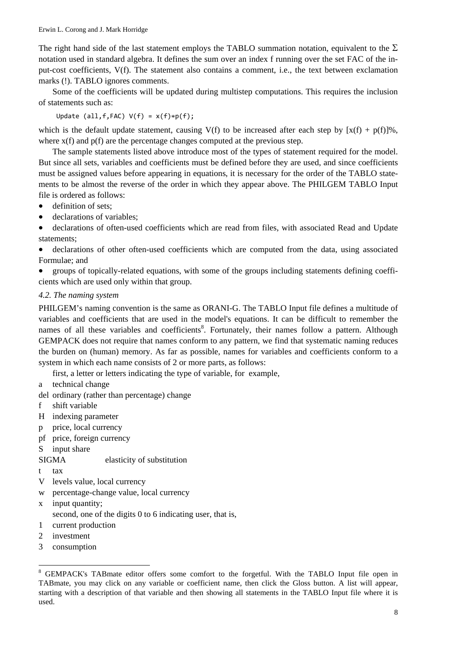The right hand side of the last statement employs the TABLO summation notation, equivalent to the  $\Sigma$ notation used in standard algebra. It defines the sum over an index f running over the set FAC of the input-cost coefficients, V(f). The statement also contains a comment, i.e., the text between exclamation marks (!). TABLO ignores comments.

Some of the coefficients will be updated during multistep computations. This requires the inclusion of statements such as:

Update (all,  $f$ , FAC)  $V(f) = x(f) * p(f)$ ;

which is the default update statement, causing V(f) to be increased after each step by  $[x(f) + p(f)]\%$ , where  $x(f)$  and  $p(f)$  are the percentage changes computed at the previous step.

The sample statements listed above introduce most of the types of statement required for the model. But since all sets, variables and coefficients must be defined before they are used, and since coefficients must be assigned values before appearing in equations, it is necessary for the order of the TABLO statements to be almost the reverse of the order in which they appear above. The PHILGEM TABLO Input file is ordered as follows:

- definition of sets:
- declarations of variables:

• declarations of often-used coefficients which are read from files, with associated Read and Update statements;

• declarations of other often-used coefficients which are computed from the data, using associated Formulae; and

• groups of topically-related equations, with some of the groups including statements defining coefficients which are used only within that group.

### *4.2. The naming system*

PHILGEM's naming convention is the same as ORANI-G. The TABLO Input file defines a multitude of variables and coefficients that are used in the model's equations. It can be difficult to remember the names of all these variables and coefficients<sup>8</sup>. Fortunately, their names follow a pattern. Although GEMPACK does not require that names conform to any pattern, we find that systematic naming reduces the burden on (human) memory. As far as possible, names for variables and coefficients conform to a system in which each name consists of 2 or more parts, as follows:

first, a letter or letters indicating the type of variable, for example,

- a technical change
- del ordinary (rather than percentage) change
- f shift variable
- H indexing parameter
- p price, local currency
- pf price, foreign currency

### S input share

- SIGMA elasticity of substitution
- t tax

l

- V levels value, local currency
- w percentage-change value, local currency
- x input quantity;
- second, one of the digits 0 to 6 indicating user, that is,
- 1 current production
- 2 investment
- 3 consumption

<sup>&</sup>lt;sup>8</sup> GEMPACK's TABmate editor offers some comfort to the forgetful. With the TABLO Input file open in TABmate, you may click on any variable or coefficient name, then click the Gloss button. A list will appear, starting with a description of that variable and then showing all statements in the TABLO Input file where it is used.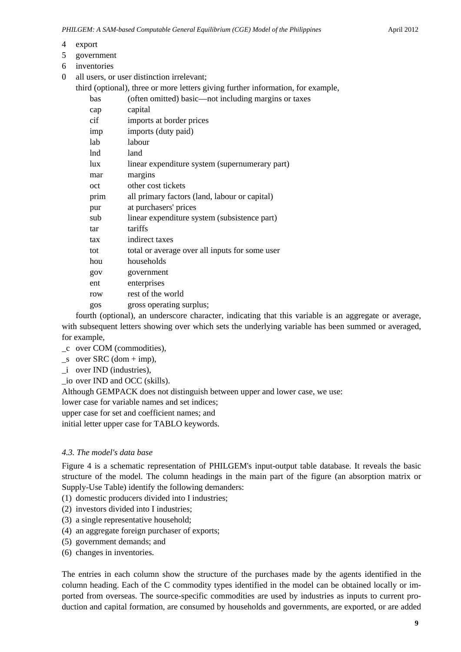- 4 export
- 5 government
- 6 inventories

0 all users, or user distinction irrelevant;

third (optional), three or more letters giving further information, for example,

| bas  | (often omitted) basic—not including margins or taxes |
|------|------------------------------------------------------|
| cap  | capital                                              |
| cif  | imports at border prices                             |
| imp  | imports (duty paid)                                  |
| lab  | labour                                               |
| lnd  | land                                                 |
| lux  | linear expenditure system (supernumerary part)       |
| mar  | margins                                              |
| oct  | other cost tickets                                   |
| prim | all primary factors (land, labour or capital)        |
| pur  | at purchasers' prices                                |
| sub  | linear expenditure system (subsistence part)         |
| tar  | tariffs                                              |
| tax  | indirect taxes                                       |
| tot  | total or average over all inputs for some user       |
| hou  | households                                           |
| gov  | government                                           |
| ent  | enterprises                                          |
| row  | rest of the world                                    |
| gos  | gross operating surplus;                             |
|      |                                                      |

fourth (optional), an underscore character, indicating that this variable is an aggregate or average, with subsequent letters showing over which sets the underlying variable has been summed or averaged, for example,

- \_c over COM (commodities),
- $\_\text{S}$  over SRC (dom + imp),
- \_i over IND (industries),
- io over IND and OCC (skills).

Although GEMPACK does not distinguish between upper and lower case, we use:

lower case for variable names and set indices;

upper case for set and coefficient names; and

initial letter upper case for TABLO keywords.

### *4.3. The model's data base*

Figure 4 is a schematic representation of PHILGEM's input-output table database. It reveals the basic structure of the model. The column headings in the main part of the figure (an absorption matrix or Supply-Use Table) identify the following demanders:

(1) domestic producers divided into I industries;

- (2) investors divided into I industries;
- (3) a single representative household;
- (4) an aggregate foreign purchaser of exports;
- (5) government demands; and
- (6) changes in inventories.

The entries in each column show the structure of the purchases made by the agents identified in the column heading. Each of the C commodity types identified in the model can be obtained locally or imported from overseas. The source-specific commodities are used by industries as inputs to current production and capital formation, are consumed by households and governments, are exported, or are added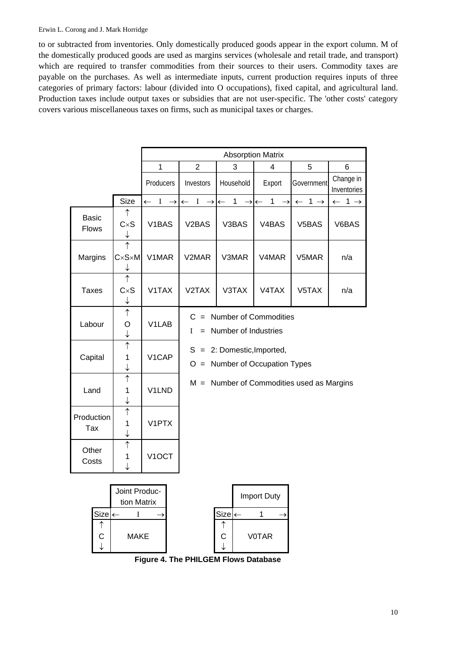### Erwin L. Corong and J. Mark Horridge

to or subtracted from inventories. Only domestically produced goods appear in the export column. M of the domestically produced goods are used as margins services (wholesale and retail trade, and transport) which are required to transfer commodities from their sources to their users. Commodity taxes are payable on the purchases. As well as intermediate inputs, current production requires inputs of three categories of primary factors: labour (divided into O occupations), fixed capital, and agricultural land. Production taxes include output taxes or subsidies that are not user-specific. The 'other costs' category covers various miscellaneous taxes on firms, such as municipal taxes or charges.

|                              |                                                  |                                 | <b>Absorption Matrix</b>                                          |                                            |                                             |                                             |                            |  |
|------------------------------|--------------------------------------------------|---------------------------------|-------------------------------------------------------------------|--------------------------------------------|---------------------------------------------|---------------------------------------------|----------------------------|--|
|                              |                                                  | $\mathbf{1}$                    | $\overline{2}$<br>3                                               |                                            | 4                                           | 5                                           | 6                          |  |
|                              |                                                  | Producers                       | Investors                                                         | Household                                  | Export                                      | Government                                  | Change in<br>Inventories   |  |
|                              | Size                                             | $I \rightarrow$<br>$\leftarrow$ | $I \rightarrow$                                                   | $\mathbf{1}$<br>$\rightarrow$ $\leftarrow$ | $\rightarrow \leftarrow$ 1<br>$\rightarrow$ | $\leftarrow 1 \rightarrow$                  | $\leftarrow 1 \rightarrow$ |  |
| <b>Basic</b><br><b>Flows</b> | ↑<br>CxS<br>↓                                    | V1BAS                           | V <sub>2</sub> BAS                                                | V3BAS                                      | V <sub>4</sub> BAS                          | V5BAS                                       | V6BAS                      |  |
| Margins                      | $\uparrow$<br>$C \times S \times M$<br>↓         | V1MAR                           | V2MAR                                                             | V3MAR                                      | V4MAR                                       | V5MAR                                       | n/a                        |  |
| <b>Taxes</b>                 | $\uparrow$<br>CxS<br>↓                           | V1TAX                           | V2TAX                                                             | V3TAX                                      | V4TAX                                       | V5TAX                                       | n/a                        |  |
| Labour                       | $\uparrow$<br>O<br>↓                             | V1LAB                           | $C =$ Number of Commodities<br>= Number of Industries<br>L        |                                            |                                             |                                             |                            |  |
| Capital                      | $\uparrow$<br>1<br>↓                             | V1CAP                           | $S = 2$ : Domestic, Imported,<br>$O =$ Number of Occupation Types |                                            |                                             |                                             |                            |  |
| Land                         | $\uparrow$<br>1<br>↓                             | V1LND                           |                                                                   |                                            |                                             | $M =$ Number of Commodities used as Margins |                            |  |
| Production<br>Tax            | $\uparrow$<br>1<br>↓                             | V1PTX                           |                                                                   |                                            |                                             |                                             |                            |  |
| Other<br>Costs               | $\uparrow$<br>1<br>J                             | V <sub>1</sub> OCT              |                                                                   |                                            |                                             |                                             |                            |  |
| $Size \leftarrow$<br>↑<br>С  | Joint Produc-<br>tion Matrix<br>I<br><b>MAKE</b> |                                 |                                                                   | $Size \leftarrow$<br>↑<br>С                | <b>Import Duty</b><br>1<br><b>VOTAR</b>     |                                             |                            |  |

**Figure 4. The PHILGEM Flows Database**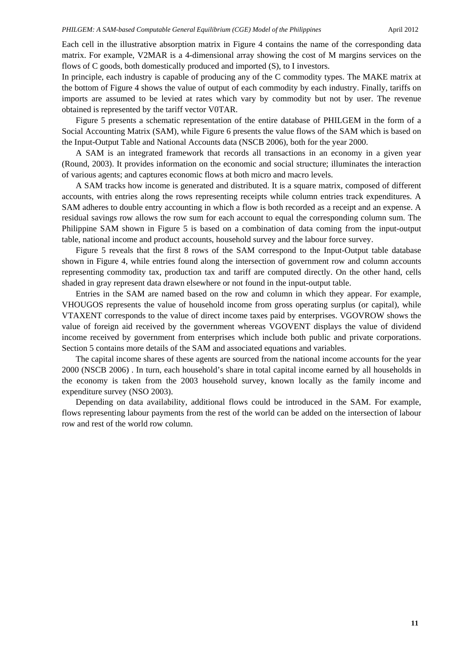Each cell in the illustrative absorption matrix in Figure 4 contains the name of the corresponding data matrix. For example, V2MAR is a 4-dimensional array showing the cost of M margins services on the flows of C goods, both domestically produced and imported (S), to I investors.

In principle, each industry is capable of producing any of the C commodity types. The MAKE matrix at the bottom of Figure 4 shows the value of output of each commodity by each industry. Finally, tariffs on imports are assumed to be levied at rates which vary by commodity but not by user. The revenue obtained is represented by the tariff vector V0TAR.

Figure 5 presents a schematic representation of the entire database of PHILGEM in the form of a Social Accounting Matrix (SAM), while Figure 6 presents the value flows of the SAM which is based on the Input-Output Table and National Accounts data (NSCB 2006), both for the year 2000.

A SAM is an integrated framework that records all transactions in an economy in a given year (Round, 2003). It provides information on the economic and social structure; illuminates the interaction of various agents; and captures economic flows at both micro and macro levels.

A SAM tracks how income is generated and distributed. It is a square matrix, composed of different accounts, with entries along the rows representing receipts while column entries track expenditures. A SAM adheres to double entry accounting in which a flow is both recorded as a receipt and an expense. A residual savings row allows the row sum for each account to equal the corresponding column sum. The Philippine SAM shown in Figure 5 is based on a combination of data coming from the input-output table, national income and product accounts, household survey and the labour force survey.

Figure 5 reveals that the first 8 rows of the SAM correspond to the Input-Output table database shown in Figure 4, while entries found along the intersection of government row and column accounts representing commodity tax, production tax and tariff are computed directly. On the other hand, cells shaded in gray represent data drawn elsewhere or not found in the input-output table.

Entries in the SAM are named based on the row and column in which they appear. For example, VHOUGOS represents the value of household income from gross operating surplus (or capital), while VTAXENT corresponds to the value of direct income taxes paid by enterprises. VGOVROW shows the value of foreign aid received by the government whereas VGOVENT displays the value of dividend income received by government from enterprises which include both public and private corporations. Section 5 contains more details of the SAM and associated equations and variables.

The capital income shares of these agents are sourced from the national income accounts for the year 2000 (NSCB 2006) . In turn, each household's share in total capital income earned by all households in the economy is taken from the 2003 household survey, known locally as the family income and expenditure survey (NSO 2003).

Depending on data availability, additional flows could be introduced in the SAM. For example, flows representing labour payments from the rest of the world can be added on the intersection of labour row and rest of the world row column.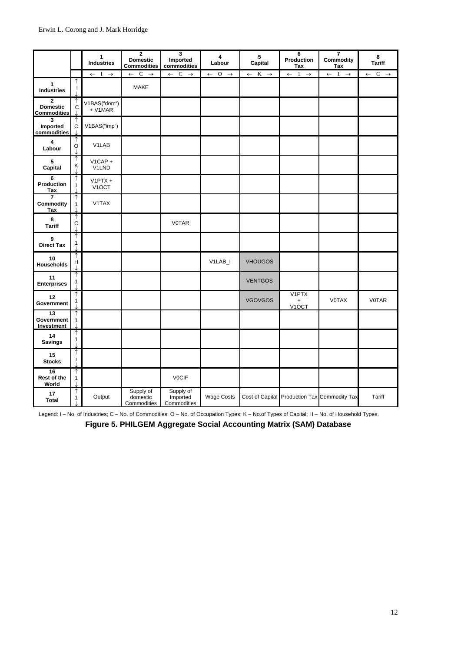|                                                       |                           | 1<br><b>Industries</b>           | $\mathbf{2}$<br><b>Domestic</b><br><b>Commodities</b> | 3<br>Imported<br>commodities         | $\overline{\mathbf{4}}$<br>Labour               | 5<br>Capital                    | 6<br>Production<br>Tax                        | $\overline{7}$<br>Commodity<br>Tax            | 8<br><b>Tariff</b>              |
|-------------------------------------------------------|---------------------------|----------------------------------|-------------------------------------------------------|--------------------------------------|-------------------------------------------------|---------------------------------|-----------------------------------------------|-----------------------------------------------|---------------------------------|
|                                                       |                           | $\leftarrow$ I $\rightarrow$     | $\leftarrow$ C $\rightarrow$                          | $\leftarrow$ C $\rightarrow$         | $\overline{O}$<br>$\rightarrow$<br>$\leftarrow$ | $K \rightarrow$<br>$\leftarrow$ | $\mathbf{1}$<br>$\rightarrow$<br>$\leftarrow$ | <sup>1</sup><br>$\rightarrow$<br>$\leftarrow$ | $C \rightarrow$<br>$\leftarrow$ |
| $\mathbf{1}$<br><b>Industries</b>                     | 1                         |                                  | MAKE                                                  |                                      |                                                 |                                 |                                               |                                               |                                 |
| $\mathbf{2}$<br><b>Domestic</b><br><b>Commodities</b> | $\mathsf c$               | V1BAS("dom")<br>$+ V1 MAR$       |                                                       |                                      |                                                 |                                 |                                               |                                               |                                 |
| $\overline{\mathbf{3}}$<br>Imported<br>commodities    | ↑<br>$\ddot{c}$           | V1BAS("imp")                     |                                                       |                                      |                                                 |                                 |                                               |                                               |                                 |
| $\overline{\mathbf{4}}$<br>Labour                     | ↑<br>O                    | V1LAB                            |                                                       |                                      |                                                 |                                 |                                               |                                               |                                 |
| 5<br>Capital                                          | ↑<br>Κ                    | $V1CAP +$<br>V1LND               |                                                       |                                      |                                                 |                                 |                                               |                                               |                                 |
| 6<br>Production<br>Tax                                | 1                         | $V1$ PTX +<br>V <sub>1</sub> OCT |                                                       |                                      |                                                 |                                 |                                               |                                               |                                 |
| $\overline{7}$<br>Commodity<br>Tax                    | 1<br>$\mathbf{1}$         | V1TAX                            |                                                       |                                      |                                                 |                                 |                                               |                                               |                                 |
| 8<br><b>Tariff</b>                                    | ↑<br>$\ddot{c}$           |                                  |                                                       | <b>VOTAR</b>                         |                                                 |                                 |                                               |                                               |                                 |
| 9<br><b>Direct Tax</b>                                | ↑<br>$\mathbf{1}$         |                                  |                                                       |                                      |                                                 |                                 |                                               |                                               |                                 |
| 10<br><b>Households</b>                               | $\boldsymbol{\mathsf{H}}$ |                                  |                                                       |                                      | V1LAB_I                                         | <b>VHOUGOS</b>                  |                                               |                                               |                                 |
| 11<br><b>Enterprises</b>                              | 1                         |                                  |                                                       |                                      |                                                 | <b>VENTGOS</b>                  |                                               |                                               |                                 |
| 12<br>Government                                      | ↑<br>$\mathbf{1}$         |                                  |                                                       |                                      |                                                 | <b>VGOVGOS</b>                  | V1PTX<br>$\ddot{}$<br>V <sub>1</sub> OCT      | <b>VOTAX</b>                                  | <b>VOTAR</b>                    |
| 13<br>Government<br>Investment                        | ↑<br>$\mathbf{1}$         |                                  |                                                       |                                      |                                                 |                                 |                                               |                                               |                                 |
| 14<br><b>Savings</b>                                  | 1                         |                                  |                                                       |                                      |                                                 |                                 |                                               |                                               |                                 |
| 15<br><b>Stocks</b>                                   |                           |                                  |                                                       |                                      |                                                 |                                 |                                               |                                               |                                 |
| 16<br>Rest of the<br>World                            | ↑<br>$\mathbf{1}$         |                                  |                                                       | <b>VOCIF</b>                         |                                                 |                                 |                                               |                                               |                                 |
| 17<br><b>Total</b>                                    | 1<br>$\mathbf{1}$         | Output                           | Supply of<br>domestic<br>Commodities                  | Supply of<br>Imported<br>Commodities | <b>Wage Costs</b>                               |                                 |                                               | Cost of Capital Production Tax Commodity Tax  | Tariff                          |

Legend: I – No. of Industries; C – No. of Commodities; O – No. of Occupation Types; K – No.of Types of Capital; H – No. of Household Types.

**Figure 5. PHILGEM Aggregate Social Accounting Matrix (SAM) Database**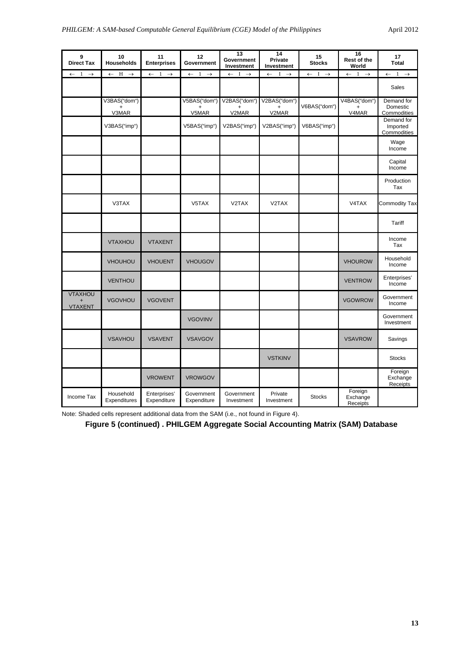| 9<br><b>Direct Tax</b>                          | 10<br><b>Households</b>            | 11<br><b>Enterprises</b>                        | 12<br>Government                | 13<br>Government<br>Investment  | 14<br>Private<br>Investment                   | 15<br><b>Stocks</b>          | 16<br>Rest of the<br>World         | 17<br><b>Total</b>                    |
|-------------------------------------------------|------------------------------------|-------------------------------------------------|---------------------------------|---------------------------------|-----------------------------------------------|------------------------------|------------------------------------|---------------------------------------|
| $\overline{1}$<br>$\rightarrow$<br>$\leftarrow$ | H<br>$\leftarrow$<br>$\rightarrow$ | $\leftarrow$<br>$\overline{1}$<br>$\rightarrow$ | $\leftarrow$ 1<br>$\rightarrow$ | $\leftarrow$ I<br>$\rightarrow$ | $\mathbf{I}$<br>$\leftarrow$<br>$\rightarrow$ | $\leftarrow$ I $\rightarrow$ | 1<br>$\leftarrow$<br>$\rightarrow$ | $1 \rightarrow$<br>$\leftarrow$       |
|                                                 |                                    |                                                 |                                 |                                 |                                               |                              |                                    | Sales                                 |
|                                                 | V3BAS("dom")<br>V3MAR              |                                                 | V5BAS("dom")<br>V5MAR           | V2BAS("dom")<br>V2MAR           | V2BAS("dom")<br>V2MAR                         | V6BAS("dom")                 | V4BAS("dom")<br>V4MAR              | Demand for<br>Domestic<br>Commodities |
|                                                 | V3BAS("imp")                       |                                                 | V5BAS("imp")                    | V2BAS("imp")                    | V2BAS("imp")                                  | V6BAS("imp")                 |                                    | Demand for<br>Imported<br>Commodities |
|                                                 |                                    |                                                 |                                 |                                 |                                               |                              |                                    | Wage<br>Income                        |
|                                                 |                                    |                                                 |                                 |                                 |                                               |                              |                                    | Capital<br>Income                     |
|                                                 |                                    |                                                 |                                 |                                 |                                               |                              |                                    | Production<br>Tax                     |
|                                                 | V3TAX                              |                                                 | V5TAX                           | V2TAX                           | V2TAX                                         |                              | V4TAX                              | Commodity Tax                         |
|                                                 |                                    |                                                 |                                 |                                 |                                               |                              |                                    | Tariff                                |
|                                                 | <b>VTAXHOU</b>                     | <b>VTAXENT</b>                                  |                                 |                                 |                                               |                              |                                    | Income<br>Tax                         |
|                                                 | <b>VHOUHOU</b>                     | <b>VHOUENT</b>                                  | <b>VHOUGOV</b>                  |                                 |                                               |                              | <b>VHOUROW</b>                     | Household<br>Income                   |
|                                                 | <b>VENTHOU</b>                     |                                                 |                                 |                                 |                                               |                              | <b>VENTROW</b>                     | Enterprises'<br>Income                |
| <b>VTAXHOU</b><br><b>VTAXENT</b>                | <b>VGOVHOU</b>                     | <b>VGOVENT</b>                                  |                                 |                                 |                                               |                              | <b>VGOWROW</b>                     | Government<br>Income                  |
|                                                 |                                    |                                                 | <b>VGOVINV</b>                  |                                 |                                               |                              |                                    | Government<br>Investment              |
|                                                 | <b>VSAVHOU</b>                     | <b>VSAVENT</b>                                  | <b>VSAVGOV</b>                  |                                 |                                               |                              | <b>VSAVROW</b>                     | Savings                               |
|                                                 |                                    |                                                 |                                 |                                 | <b>VSTKINV</b>                                |                              |                                    | <b>Stocks</b>                         |
|                                                 |                                    | <b>VROWENT</b>                                  | <b>VROWGOV</b>                  |                                 |                                               |                              |                                    | Foreign<br>Exchange<br>Receipts       |
| Income Tax                                      | Household<br>Expenditures          | Enterprises'<br>Expenditure                     | Government<br>Expenditure       | Government<br>Investment        | Private<br>Investment                         | <b>Stocks</b>                | Foreign<br>Exchange<br>Receipts    |                                       |

Note: Shaded cells represent additional data from the SAM (i.e., not found in Figure 4).

**Figure 5 (continued) . PHILGEM Aggregate Social Accounting Matrix (SAM) Database**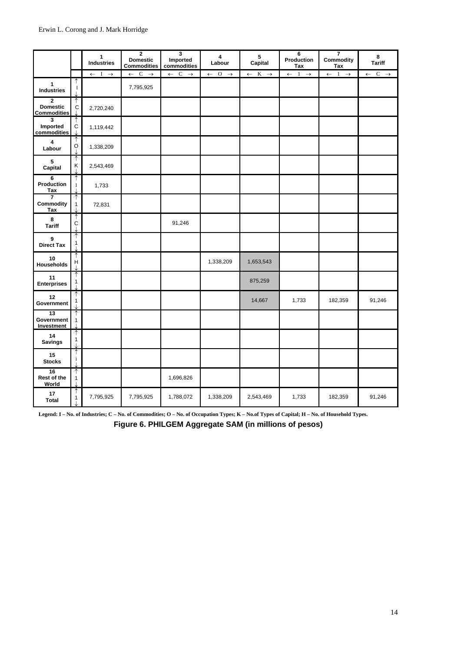|                                                       |                   | $\mathbf{1}$<br><b>Industries</b> | $\mathbf{2}$<br><b>Domestic</b><br><b>Commodities</b> | 3<br>Imported<br>commodities | 4<br>Labour                  | 5<br>Capital                    | 6<br>Production<br>Tax                          | 7<br>Commodity<br>Tax                           | 8<br><b>Tariff</b>              |
|-------------------------------------------------------|-------------------|-----------------------------------|-------------------------------------------------------|------------------------------|------------------------------|---------------------------------|-------------------------------------------------|-------------------------------------------------|---------------------------------|
|                                                       |                   | $I \rightarrow$<br>$\leftarrow$   | $\leftarrow$ C<br>$\rightarrow$                       | $\leftarrow$ C $\rightarrow$ | $\leftarrow$ 0 $\rightarrow$ | $K \rightarrow$<br>$\leftarrow$ | $\overline{1}$<br>$\rightarrow$<br>$\leftarrow$ | $\overline{1}$<br>$\rightarrow$<br>$\leftarrow$ | $C \rightarrow$<br>$\leftarrow$ |
| $\mathbf{1}$<br><b>Industries</b>                     |                   |                                   | 7,795,925                                             |                              |                              |                                 |                                                 |                                                 |                                 |
| $\mathbf{2}$<br><b>Domestic</b><br><b>Commodities</b> | $\mathsf C$       | 2,720,240                         |                                                       |                              |                              |                                 |                                                 |                                                 |                                 |
| $\overline{\mathbf{3}}$<br>Imported<br>commodities    | $\mathsf C$       | 1,119,442                         |                                                       |                              |                              |                                 |                                                 |                                                 |                                 |
| $\overline{\mathbf{4}}$<br>Labour                     | ↑<br>$\mathsf O$  | 1,338,209                         |                                                       |                              |                              |                                 |                                                 |                                                 |                                 |
| 5<br>Capital                                          | ↑<br>Κ            | 2,543,469                         |                                                       |                              |                              |                                 |                                                 |                                                 |                                 |
| 6<br>Production<br>Tax                                | ↑<br>$\mathbf{1}$ | 1,733                             |                                                       |                              |                              |                                 |                                                 |                                                 |                                 |
| $\overline{7}$<br>Commodity<br>Tax                    | $\mathbf{1}$      | 72,831                            |                                                       |                              |                              |                                 |                                                 |                                                 |                                 |
| 8<br><b>Tariff</b>                                    | $\ddot{c}$        |                                   |                                                       | 91,246                       |                              |                                 |                                                 |                                                 |                                 |
| 9<br><b>Direct Tax</b>                                | ↑<br>$\mathbf{1}$ |                                   |                                                       |                              |                              |                                 |                                                 |                                                 |                                 |
| 10<br>Households                                      | $\sf H$           |                                   |                                                       |                              | 1,338,209                    | 1,653,543                       |                                                 |                                                 |                                 |
| 11<br><b>Enterprises</b>                              | $\mathbf{1}$      |                                   |                                                       |                              |                              | 875,259                         |                                                 |                                                 |                                 |
| 12<br>Government                                      | ↑<br>$\mathbf{1}$ |                                   |                                                       |                              |                              | 14,667                          | 1,733                                           | 182,359                                         | 91,246                          |
| $\overline{13}$<br>Government<br>Investment           | ↑<br>$\mathbf{1}$ |                                   |                                                       |                              |                              |                                 |                                                 |                                                 |                                 |
| 14<br><b>Savings</b>                                  | 1                 |                                   |                                                       |                              |                              |                                 |                                                 |                                                 |                                 |
| 15<br><b>Stocks</b>                                   | i.                |                                   |                                                       |                              |                              |                                 |                                                 |                                                 |                                 |
| 16<br>Rest of the<br>World                            | ↑<br>$\mathbf{1}$ |                                   |                                                       | 1,696,826                    |                              |                                 |                                                 |                                                 |                                 |
| 17<br><b>Total</b>                                    | 1                 | 7,795,925                         | 7,795,925                                             | 1,788,072                    | 1,338,209                    | 2,543,469                       | 1,733                                           | 182,359                                         | 91,246                          |

**Legend: I – No. of Industries; C – No. of Commodities; O – No. of Occupation Types; K – No.of Types of Capital; H – No. of Household Types.**

**Figure 6. PHILGEM Aggregate SAM (in millions of pesos)**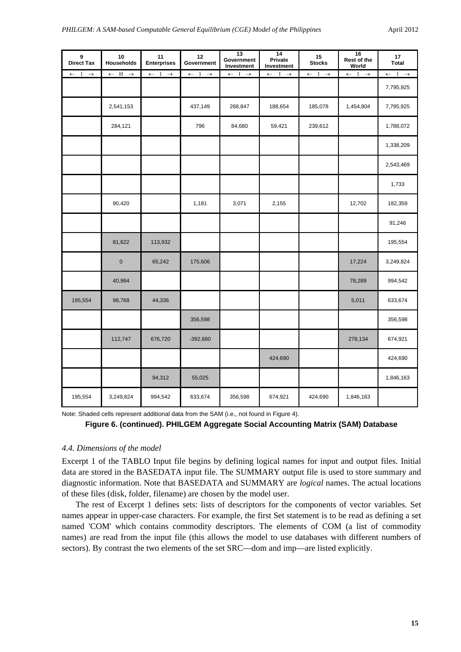| 9<br><b>Direct Tax</b>       | 10<br>Households             | 11<br><b>Enterprises</b>                | 12<br>Government             | 13<br>Government<br>Investment | 14<br>Private<br>Investment  | 15<br><b>Stocks</b>          | 16<br>Rest of the<br>World   | 17<br><b>Total</b>           |
|------------------------------|------------------------------|-----------------------------------------|------------------------------|--------------------------------|------------------------------|------------------------------|------------------------------|------------------------------|
| $\leftarrow$ 1 $\rightarrow$ | $\leftarrow$ H $\rightarrow$ | $\overline{\leftarrow}$ 1 $\rightarrow$ | $\leftarrow$ 1 $\rightarrow$ | $\leftarrow$ I $\rightarrow$   | $\leftarrow$ I $\rightarrow$ | $\leftarrow$ I $\rightarrow$ | $\leftarrow$ 1 $\rightarrow$ | $\leftarrow$ 1 $\rightarrow$ |
|                              |                              |                                         |                              |                                |                              |                              |                              | 7,795,925                    |
|                              | 2,541,153                    |                                         | 437,149                      | 268,847                        | 188,654                      | 185,078                      | 1,454,804                    | 7,795,925                    |
|                              | 284,121                      |                                         | 796                          | 84,680                         | 59,421                       | 239,612                      |                              | 1,788,072                    |
|                              |                              |                                         |                              |                                |                              |                              |                              | 1,338,209                    |
|                              |                              |                                         |                              |                                |                              |                              |                              | 2,543,469                    |
|                              |                              |                                         |                              |                                |                              |                              |                              | 1,733                        |
|                              | 90,420                       |                                         | 1,181                        | 3,071                          | 2,155                        |                              | 12,702                       | 182,359                      |
|                              |                              |                                         |                              |                                |                              |                              |                              | 91,246                       |
|                              | 81,622                       | 113,932                                 |                              |                                |                              |                              |                              | 195,554                      |
|                              | $\pmb{0}$                    | 65,242                                  | 175,606                      |                                |                              |                              | 17,224                       | 3,249,824                    |
|                              | 40,994                       |                                         |                              |                                |                              |                              | 78,289                       | 994,542                      |
| 195,554                      | 98,768                       | 44,336                                  |                              |                                |                              |                              | 5,011                        | 633,674                      |
|                              |                              |                                         | 356,598                      |                                |                              |                              |                              | 356,598                      |
|                              | 112,747                      | 676,720                                 | $-392,680$                   |                                |                              |                              | 278,134                      | 674,921                      |
|                              |                              |                                         |                              |                                | 424,690                      |                              |                              | 424,690                      |
|                              |                              | 94,312                                  | 55,025                       |                                |                              |                              |                              | 1,846,163                    |
| 195,554                      | 3,249,824                    | 994,542                                 | 633,674                      | 356,598                        | 674,921                      | 424,690                      | 1,846,163                    |                              |

Note: Shaded cells represent additional data from the SAM (i.e., not found in Figure 4).

### **Figure 6. (continued). PHILGEM Aggregate Social Accounting Matrix (SAM) Database**

### *4.4. Dimensions of the model*

Excerpt 1 of the TABLO Input file begins by defining logical names for input and output files. Initial data are stored in the BASEDATA input file. The SUMMARY output file is used to store summary and diagnostic information. Note that BASEDATA and SUMMARY are *logical* names. The actual locations of these files (disk, folder, filename) are chosen by the model user.

The rest of Excerpt 1 defines sets: lists of descriptors for the components of vector variables. Set names appear in upper-case characters. For example, the first Set statement is to be read as defining a set named 'COM' which contains commodity descriptors. The elements of COM (a list of commodity names) are read from the input file (this allows the model to use databases with different numbers of sectors). By contrast the two elements of the set SRC—dom and imp—are listed explicitly.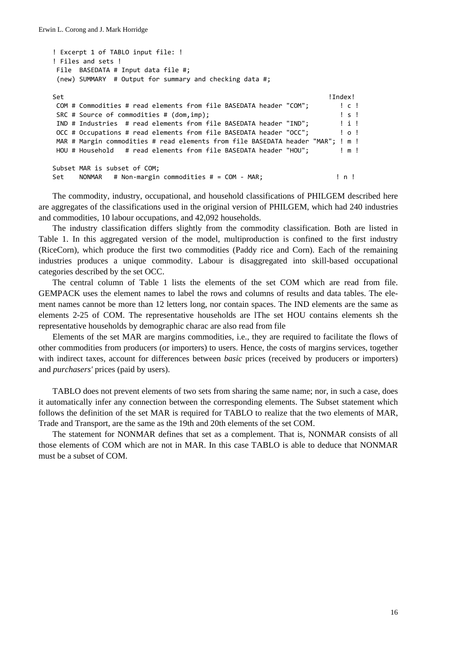```
! Excerpt 1 of TABLO input file: !
! Files and sets !
File  BASEDATA # Input data file #;
(new) SUMMARY  # Output for summary and checking data #;
Set                                                                     !Index!
COM # Commodities # read elements from file BASEDATA header "COM";        ! c !
SRC # Source of commodities # (dom,imp);                                  ! s !
IND # Industries  # read elements from file BASEDATA header "IND";        ! i !
OCC # Occupations # read elements from file BASEDATA header "OCC";        ! o !
MAR # Margin commodities # read elements from file BASEDATA header "MAR"; ! m !
HOU # Household   # read elements from file BASEDATA header "HOU";        ! m !
Subset MAR is subset of COM;
Set    NONMAR   # Non‐margin commodities # = COM ‐ MAR;                   ! n !
```
The commodity, industry, occupational, and household classifications of PHILGEM described here are aggregates of the classifications used in the original version of PHILGEM, which had 240 industries and commodities, 10 labour occupations, and 42,092 households.

The industry classification differs slightly from the commodity classification. Both are listed in Table 1. In this aggregated version of the model, multiproduction is confined to the first industry (RiceCorn), which produce the first two commodities (Paddy rice and Corn). Each of the remaining industries produces a unique commodity. Labour is disaggregated into skill-based occupational categories described by the set OCC.

The central column of Table 1 lists the elements of the set COM which are read from file. GEMPACK uses the element names to label the rows and columns of results and data tables. The element names cannot be more than 12 letters long, nor contain spaces. The IND elements are the same as elements 2-25 of COM. The representative households are lThe set HOU contains elements sh the representative households by demographic charac are also read from file

Elements of the set MAR are margins commodities, i.e., they are required to facilitate the flows of other commodities from producers (or importers) to users. Hence, the costs of margins services, together with indirect taxes, account for differences between *basic* prices (received by producers or importers) and *purchasers'* prices (paid by users).

TABLO does not prevent elements of two sets from sharing the same name; nor, in such a case, does it automatically infer any connection between the corresponding elements. The Subset statement which follows the definition of the set MAR is required for TABLO to realize that the two elements of MAR, Trade and Transport, are the same as the 19th and 20th elements of the set COM.

The statement for NONMAR defines that set as a complement. That is, NONMAR consists of all those elements of COM which are not in MAR. In this case TABLO is able to deduce that NONMAR must be a subset of COM.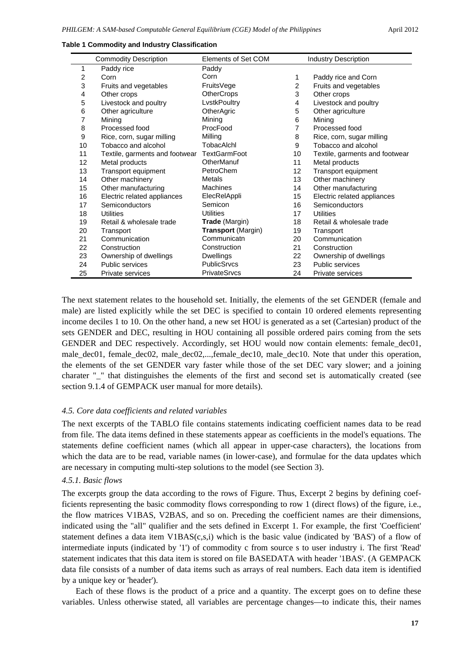|                | <b>Commodity Description</b>   | <b>Elements of Set COM</b> |                | <b>Industry Description</b>    |
|----------------|--------------------------------|----------------------------|----------------|--------------------------------|
| 1              | Paddy rice                     | Paddy                      |                |                                |
| $\overline{2}$ | Corn                           | Corn                       | 1              | Paddy rice and Corn            |
| 3              | Fruits and vegetables          | FruitsVege                 | $\overline{2}$ | Fruits and vegetables          |
| 4              | Other crops                    | <b>OtherCrops</b>          | 3              | Other crops                    |
| 5              | Livestock and poultry          | LvstkPoultry               | 4              | Livestock and poultry          |
| 6              | Other agriculture              | OtherAgric                 | 5              | Other agriculture              |
| 7              | Mining                         | Mining                     | 6              | Mining                         |
| 8              | Processed food                 | ProcFood                   | $\overline{7}$ | Processed food                 |
| 9              | Rice, corn, sugar milling      | Milling                    | 8              | Rice, corn, sugar milling      |
| 10             | Tobacco and alcohol            | TobacAlchl                 | 9              | Tobacco and alcohol            |
| 11             | Textile, garments and footwear | <b>TextGarmFoot</b>        | 10             | Textile, garments and footwear |
| 12             | Metal products                 | OtherManuf                 | 11             | Metal products                 |
| 13             | Transport equipment            | PetroChem                  | 12             | Transport equipment            |
| 14             | Other machinery                | Metals                     | 13             | Other machinery                |
| 15             | Other manufacturing            | <b>Machines</b>            | 14             | Other manufacturing            |
| 16             | Electric related appliances    | ElecRelAppli               | 15             | Electric related appliances    |
| 17             | Semiconductors                 | Semicon                    | 16             | Semiconductors                 |
| 18             | Utilities                      | <b>Utilities</b>           | 17             | <b>Utilities</b>               |
| 19             | Retail & wholesale trade       | Trade (Margin)             | 18             | Retail & wholesale trade       |
| 20             | Transport                      | Transport (Margin)         | 19             | Transport                      |
| 21             | Communication                  | Communicatn                | 20             | Communication                  |
| 22             | Construction                   | Construction               | 21             | Construction                   |
| 23             | Ownership of dwellings         | <b>Dwellings</b>           | 22             | Ownership of dwellings         |
| 24             | Public services                | <b>PublicSrvcs</b>         | 23             | <b>Public services</b>         |
| 25             | Private services               | <b>PrivateSrvcs</b>        | 24             | <b>Private services</b>        |

**Table 1 Commodity and Industry Classification**

The next statement relates to the household set. Initially, the elements of the set GENDER (female and male) are listed explicitly while the set DEC is specified to contain 10 ordered elements representing income deciles 1 to 10. On the other hand, a new set HOU is generated as a set (Cartesian) product of the sets GENDER and DEC, resulting in HOU containing all possible ordered pairs coming from the sets GENDER and DEC respectively. Accordingly, set HOU would now contain elements: female dec01, male  $dec01$ , female  $dec02$ , male  $dec02$ ,...,female  $dec10$ , male  $dec10$ . Note that under this operation, the elements of the set GENDER vary faster while those of the set DEC vary slower; and a joining charater "\_" that distinguishes the elements of the first and second set is automatically created (see section 9.1.4 of GEMPACK user manual for more details).

### *4.5. Core data coefficients and related variables*

The next excerpts of the TABLO file contains statements indicating coefficient names data to be read from file. The data items defined in these statements appear as coefficients in the model's equations. The statements define coefficient names (which all appear in upper-case characters), the locations from which the data are to be read, variable names (in lower-case), and formulae for the data updates which are necessary in computing multi-step solutions to the model (see Section 3).

### *4.5.1. Basic flows*

The excerpts group the data according to the rows of Figure. Thus, Excerpt 2 begins by defining coefficients representing the basic commodity flows corresponding to row 1 (direct flows) of the figure, i.e., the flow matrices V1BAS, V2BAS, and so on. Preceding the coefficient names are their dimensions, indicated using the "all" qualifier and the sets defined in Excerpt 1. For example, the first 'Coefficient' statement defines a data item V1BAS(c,s,i) which is the basic value (indicated by 'BAS') of a flow of intermediate inputs (indicated by '1') of commodity c from source s to user industry i. The first 'Read' statement indicates that this data item is stored on file BASEDATA with header '1BAS'. (A GEMPACK data file consists of a number of data items such as arrays of real numbers. Each data item is identified by a unique key or 'header').

Each of these flows is the product of a price and a quantity. The excerpt goes on to define these variables. Unless otherwise stated, all variables are percentage changes—to indicate this, their names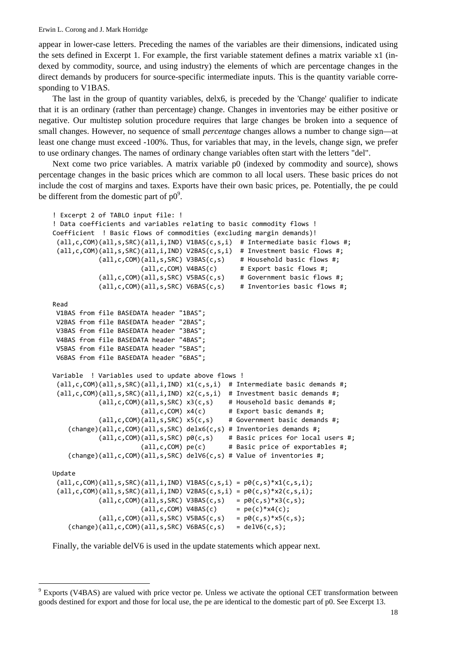appear in lower-case letters. Preceding the names of the variables are their dimensions, indicated using the sets defined in Excerpt 1. For example, the first variable statement defines a matrix variable x1 (indexed by commodity, source, and using industry) the elements of which are percentage changes in the direct demands by producers for source-specific intermediate inputs. This is the quantity variable corresponding to V1BAS.

The last in the group of quantity variables, delx6, is preceded by the 'Change' qualifier to indicate that it is an ordinary (rather than percentage) change. Changes in inventories may be either positive or negative. Our multistep solution procedure requires that large changes be broken into a sequence of small changes. However, no sequence of small *percentage* changes allows a number to change sign—at least one change must exceed -100%. Thus, for variables that may, in the levels, change sign, we prefer to use ordinary changes. The names of ordinary change variables often start with the letters "del".

Next come two price variables. A matrix variable p0 (indexed by commodity and source), shows percentage changes in the basic prices which are common to all local users. These basic prices do not include the cost of margins and taxes. Exports have their own basic prices, pe. Potentially, the pe could be different from the domestic part of  $p0^9$ .

```
! Excerpt 2 of TABLO input file: !
! Data coefficients and variables relating to basic commodity flows !
Coefficient  ! Basic flows of commodities (excluding margin demands)!
 (all,c,COM)(all,s,SRC)(all,i,IND) V1BAS(c,s,i)  # Intermediate basic flows #;
 (all,c,COM)(all,s,SRC)(all,i,IND) V2BAS(c,s,i)  # Investment basic flows #;
                         (all,c,COM)(all,s,SRC) V3BAS(c,s)    # Household basic flows #;
                         (all, c, COM) V4BAS(c) # Export basic flows #;
                         (all,c,COM)(all,s,SRC) V5BAS(c,s)    # Government basic flows #;
                         (all,c,COM)(all,s,SRC) V6BAS(c,s)    # Inventories basic flows #;
Read
V1BAS from file BASEDATA header "1BAS";
V2BAS from file BASEDATA header "2BAS";
V3BAS from file BASEDATA header "3BAS";
V4BAS from file BASEDATA header "4BAS";
V5BAS from file BASEDATA header "5BAS";
V6BAS from file BASEDATA header "6BAS";
Variable  ! Variables used to update above flows !
 (all,c,COM)(all,s,SRC)(all,i,IND) x1(c,s,i)  # Intermediate basic demands #;
 (\text{all}, \text{c}, \text{COM})(\text{all}, \text{s}, \text{SRC})(\text{all}, \text{i}, \text{IND}) x2(c, s, i) # Investment basic demands #;
                         (all,c,COM)(all,s,SRC) x3(c,s)    # Household basic demands #;
                         (al, c, COM) x4(c) # Export basic demands #;
             (al, c, COM)(all, s, SRC) x5(c, s) # Government basic demands #;
    (charge)(all,c,COM)(all,s,SRC) delx6(c,s) # Inventories demands #;
             (all,c,COM)(all,s,SRC) p\theta(c,s) # Basic prices for local users #;
                                                (all,c,COM) pe(c)      # Basic price of exportables #;
    (charge)(all,c,COM)(all,s,SRC) delV6(c,s) # Value of inventories #;
Update
 all, c, COM)(all, s, SRC)(all, i, IND) V1BAS(c, s, i) = p0(c, s)*x1(c, s, i);(all, c, COM)(all, s, SRC)(all, i, IND) V2BAS(c, s, i) = p0(c, s)*x2(c, s, i);all, c, COM)(all, s, SRC) V3BAS(c, s) = p0(c, s)*x3(c, s);(all, c, COM) V4BAS(c) = pe(c)*x4(c);all, c, COM)(all, s, SRC) V5BAS(c, s) = p0(c, s) * x5(c, s);(charge)(all,c,COM)(all,s,SRC) V6BAS(c,s) = delV6(c,s);
```
Finally, the variable delV6 is used in the update statements which appear next.

l

<sup>9</sup> Exports (V4BAS) are valued with price vector pe. Unless we activate the optional CET transformation between goods destined for export and those for local use, the pe are identical to the domestic part of p0. See Excerpt 13.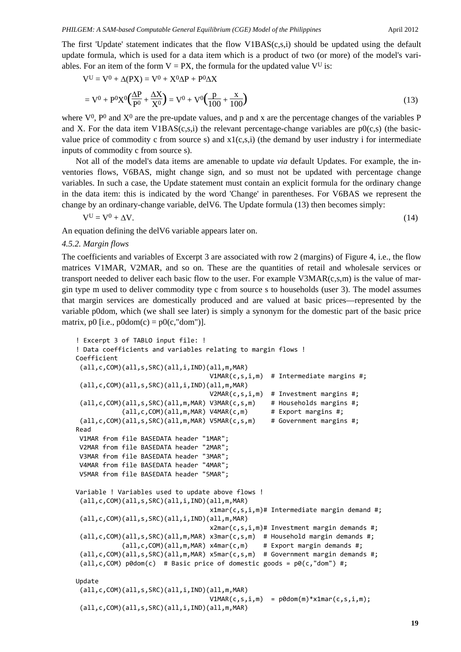The first 'Update' statement indicates that the flow V1BAS(c,s,i) should be updated using the default update formula, which is used for a data item which is a product of two (or more) of the model's variables. For an item of the form  $V = PX$ , the formula for the updated value  $V^U$  is:

$$
V^{U} = V^{0} + \Delta(PX) = V^{0} + X^{0}\Delta P + P^{0}\Delta X
$$
  
= V^{0} + P^{0}X^{0}(\frac{\Delta P}{P^{0}} + \frac{\Delta X}{X^{0}}) = V^{0} + V^{0}(\frac{p}{100} + \frac{x}{100}) (13)

where  $V^0$ ,  $P^0$  and  $X^0$  are the pre-update values, and p and x are the percentage changes of the variables P and X. For the data item V1BAS(c,s,i) the relevant percentage-change variables are  $p0(c,s)$  (the basicvalue price of commodity c from source s) and  $x1(c,s,i)$  (the demand by user industry i for intermediate inputs of commodity c from source s).

Not all of the model's data items are amenable to update *via* default Updates. For example, the inventories flows, V6BAS, might change sign, and so must not be updated with percentage change variables. In such a case, the Update statement must contain an explicit formula for the ordinary change in the data item: this is indicated by the word 'Change' in parentheses. For V6BAS we represent the change by an ordinary-change variable, delV6. The Update formula (13) then becomes simply:

$$
V^U = V^0 + \Delta V. \tag{14}
$$

An equation defining the delV6 variable appears later on.

### *4.5.2. Margin flows*

The coefficients and variables of Excerpt 3 are associated with row 2 (margins) of Figure 4, i.e., the flow matrices V1MAR, V2MAR, and so on. These are the quantities of retail and wholesale services or transport needed to deliver each basic flow to the user. For example  $V3MAR(c,s,m)$  is the value of margin type m used to deliver commodity type c from source s to households (user 3). The model assumes that margin services are domestically produced and are valued at basic prices—represented by the variable p0dom, which (we shall see later) is simply a synonym for the domestic part of the basic price matrix, p0 [i.e.,  $p0\text{dom}(c) = p0(c, \text{dom}'))$ .

```
! Excerpt 3 of TABLO input file: !
! Data coefficients and variables relating to margin flows !
Coefficient
 (all,c,COM)(all,s,SRC)(all,i,IND)(all,m,MAR)
                                                                         V1MAR(c,s,i,m)  # Intermediate margins #;
 (all,c,COM)(all,s,SRC)(all,i,IND)(all,m,MAR)
                                                                         V2MAR(c,s,i,m)  # Investment margins #;
 (all,c,COM)(all,s,SRC)(all,m,MAR) V3MAR(c,s,m)    # Households margins #;
             (all, c, COM)(all, m, MAR) V4MAR(c, m) # Export margins #;
 (all,c,COM)(all,s,SRC)(all,m,MAR) V5MAR(c,s,m)    # Government margins #;
Read
V1MAR from file BASEDATA header "1MAR";
V2MAR from file BASEDATA header "2MAR";
V3MAR from file BASEDATA header "3MAR";
V4MAR from file BASEDATA header "4MAR";
V5MAR from file BASEDATA header "5MAR";
Variable ! Variables used to update above flows !
 (all,c,COM)(all,s,SRC)(all,i,IND)(all,m,MAR)
                                                                         x1mar(c,s,i,m)# Intermediate margin demand #;
 (all,c,COM)(all,s,SRC)(all,i,IND)(all,m,MAR)
                                                                         x2mar(c,s,i,m)# Investment margin demands #;
 (all,c,COM)(all,s,SRC)(all,m,MAR) x3mar(c,s,m)  # Household margin demands #;
             (al, c, COM)(all, m, MAR) x4man(c, m) # Export margin demands #;
 (all,c,COM)(all,s,SRC)(all,m,MAR) x5mar(c,s,m)  # Government margin demands #;
 (all,c,COM) p0dom(c)  # Basic price of domestic goods = p0(c,"dom") #;
Update
 (all,c,COM)(all,s,SRC)(all,i,IND)(all,m,MAR)
                                      V1MAR(c,s,i,m) = p0dom(m)*x1mar(c,s,i,m);(all,c,COM)(all,s,SRC)(all,i,IND)(all,m,MAR)
```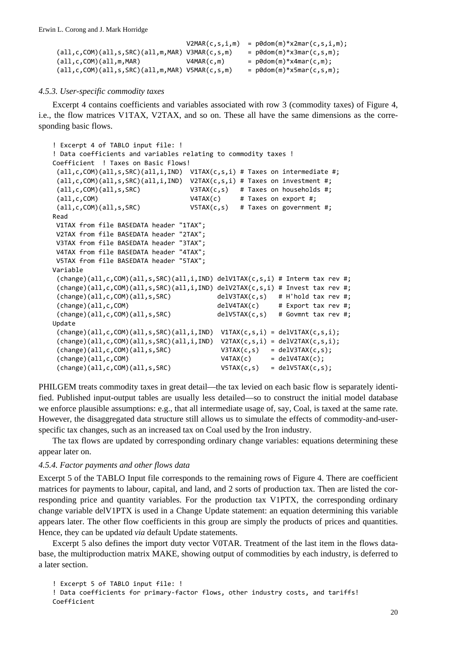|                                                          | V2MAR(c,s,i,m) | = $p\theta$ dom(m)*x2mar(c,s,i,m); |
|----------------------------------------------------------|----------------|------------------------------------|
| $(all,c, COM)(all,s,SRC)(all,m,MAR) V3MAR(c,s,m)$        |                | $=$ p0dom(m)*x3mar(c,s,m);         |
| (all, c, COM)(all, m, MAR)                               | V4MAR(c,m)     | $=$ p0dom(m)*x4mar(c,m);           |
| $(all, c, COM)(all, s, SRC)(all, m, MAR) V5MAR(c, s, m)$ |                | $=$ $p\theta$ dom(m)*x5mar(c,s,m); |

### *4.5.3. User-specific commodity taxes*

Excerpt 4 contains coefficients and variables associated with row 3 (commodity taxes) of Figure 4, i.e., the flow matrices V1TAX, V2TAX, and so on. These all have the same dimensions as the corresponding basic flows.

```
! Excerpt 4 of TABLO input file: !
! Data coefficients and variables relating to commodity taxes !
Coefficient  ! Taxes on Basic Flows!
(all,c,COM)(all,s,SRC)(all,i,IND)  V1TAX(c,s,i) # Taxes on intermediate #;
(al, c, COM)(all, s, SRC)(all, i, IND) V2TAX(c, s, i) # Taxes on investment #;
 (all,c,COM)(all,s,SRC)             V3TAX(c,s)   # Taxes on households #;
 (all,c,COM)                        V4TAX(c)     # Taxes on export #;
 (all,c,COM)(all,s,SRC)             V5TAX(c,s)   # Taxes on government #;
Read
V1TAX from file BASEDATA header "1TAX";
V2TAX from file BASEDATA header "2TAX";
V3TAX from file BASEDATA header "3TAX";
V4TAX from file BASEDATA header "4TAX";
V5TAX from file BASEDATA header "5TAX";
Variable
 (charge)(all,c,COM)(all,s,SRC)(all,i,IND) delV1TAX(c,s,i) # Interm tax rev #;
 (charge)(all,c,COM)(all,s,SRC)(all,i,IND) delV2TAX(c,s,i) # Invest tax rev #;
 (change)(all,c,COM)(all,s,SRC)            delV3TAX(c,s)   # H'hold tax rev #;
 (change)(all,c,COM)                       delV4TAX(c)     # Export tax rev #;
 (change)(all,c,COM)(all,s,SRC)            delV5TAX(c,s)   # Govmnt tax rev #;
Update
 (charge)(all,c,COM)(all,s,SRC)(all,i,IND) VITAX(c,s,i) = delVITAX(c,s,i);(charge)(all,c,COM)(all,s,SRC)(all,i,IND) V2TAX(c,s,i) = delV2TAX(c,s,i);(change)(all,c,COM)(all,s,SRC)             V3TAX(c,s)   = delV3TAX(c,s);
 (change)(all,c,COM)                        V4TAX(c)     = delV4TAX(c);
 (change)(all,c,COM)(all,s,SRC)             V5TAX(c,s)   = delV5TAX(c,s);
```
PHILGEM treats commodity taxes in great detail—the tax levied on each basic flow is separately identified. Published input-output tables are usually less detailed—so to construct the initial model database we enforce plausible assumptions: e.g., that all intermediate usage of, say, Coal, is taxed at the same rate. However, the disaggregated data structure still allows us to simulate the effects of commodity-and-userspecific tax changes, such as an increased tax on Coal used by the Iron industry.

The tax flows are updated by corresponding ordinary change variables: equations determining these appear later on.

### *4.5.4. Factor payments and other flows data*

Excerpt 5 of the TABLO Input file corresponds to the remaining rows of Figure 4. There are coefficient matrices for payments to labour, capital, and land, and 2 sorts of production tax. Then are listed the corresponding price and quantity variables. For the production tax V1PTX, the corresponding ordinary change variable delV1PTX is used in a Change Update statement: an equation determining this variable appears later. The other flow coefficients in this group are simply the products of prices and quantities. Hence, they can be updated *via* default Update statements.

Excerpt 5 also defines the import duty vector V0TAR. Treatment of the last item in the flows database, the multiproduction matrix MAKE, showing output of commodities by each industry, is deferred to a later section.

```
! Excerpt 5 of TABLO input file: !
! Data coefficients for primary‐factor flows, other industry costs, and tariffs!
Coefficient
```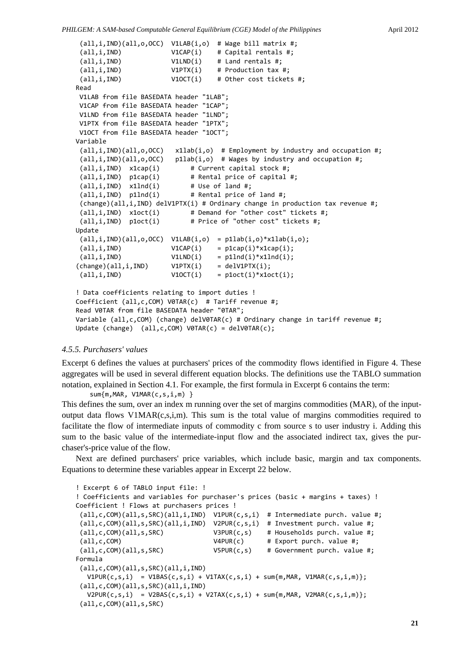```
(all,i,IND)(all,o,OCC)  V1LAB(i,o)  # Wage bill matrix #;
 (a11,i,IND) V1CAP(i) # Capital rentals #;
 \text{(all,i,IND)} \text{V1LND}(i) # Land rentals #;
 \text{(all,i,IND)} \text{V1PTX}(i) # Production tax #;
 all,i,IND) V10CT(i) # Other cost tickets #;
Read
V1LAB from file BASEDATA header "1LAB";
V1CAP from file BASEDATA header "1CAP";
V1LND from file BASEDATA header "1LND";
V1PTX from file BASEDATA header "1PTX";
V1OCT from file BASEDATA header "1OCT";
Variable
 (\text{all}, i, \text{IND})(all, o, \text{OCC}) \times 1lab(i, o) # Employment by industry and occupation #;
 (\text{all}, i, \text{IND})(\text{all}, o, \text{OCC}) pllab(i,o) # Wages by industry and occupation #;
 (all,i,IND)  x1cap(i)        # Current capital stock #;
 (all,i,IND)  p1cap(i)        # Rental price of capital #;
 (\text{all}, i, \text{IND}) x1Ind(i) # Use of land #;
 (all,i,IND)  p1lnd(i)        # Rental price of land #;
 (change)(all,i,IND) delV1PTX(i) # Ordinary change in production tax revenue #;
 (\text{all}, i, \text{IND}) \times \text{1oct}(i) # Demand for "other cost" tickets #;
 (all,i,IND)  p1oct(i)        # Price of "other cost" tickets #;
Update
 (all,i,IND)(all,0,0CC) V1LAB(i,0) = p1lab(i,0)*x1lab(i,0);\text{(all,i,IND)} \text{V1CAP}(i) = \text{p1cap}(i)*\text{x1cap}(i);\text{(all,i,IND)} \text{V1LND}(i) = \text{p1Ind}(i)*x1Ind(i);(charge)(all,i,IND) V1PTX(i) = delV1PTX(i);(\text{all}, i, \text{IND}) \qquad \qquad \text{V10CT}(i) = \text{p1oct}(i) * \text{x1oct}(i);! Data coefficients relating to import duties !
Coefficient (all,c,COM) V0TAR(c)  # Tariff revenue #;
Read V0TAR from file BASEDATA header "0TAR";
Variable (all,c,COM) (change) delV0TAR(c) # Ordinary change in tariff revenue #;
Update (change)  (all,c,COM) V0TAR(c) = delV0TAR(c);
```
### *4.5.5. Purchasers' values*

Excerpt 6 defines the values at purchasers' prices of the commodity flows identified in Figure 4. These aggregates will be used in several different equation blocks. The definitions use the TABLO summation notation, explained in Section 4.1. For example, the first formula in Excerpt 6 contains the term:

sum{m,MAR, V1MAR(c,s,i,m) }

This defines the sum, over an index m running over the set of margins commodities (MAR), of the inputoutput data flows V1MAR(c,s,i,m). This sum is the total value of margins commodities required to facilitate the flow of intermediate inputs of commodity c from source s to user industry i. Adding this sum to the basic value of the intermediate-input flow and the associated indirect tax, gives the purchaser's-price value of the flow.

Next are defined purchasers' price variables, which include basic, margin and tax components. Equations to determine these variables appear in Excerpt 22 below.

```
! Excerpt 6 of TABLO input file: !
! Coefficients and variables for purchaser's prices (basic + margins + taxes) !
Coefficient ! Flows at purchasers prices !
 (\text{all}, \text{c}, \text{COM})(\text{all}, \text{s}, \text{SRC})(\text{all}, \text{i}, \text{IND}) V1PUR(\text{c}, \text{s}, \text{i}) # Intermediate purch. value #;
 (\text{all}, \text{c}, \text{COM})(\text{all}, \text{s}, \text{SRC})(\text{all}, \text{i}, \text{IND}) V2PUR(\text{c}, \text{s}, \text{i}) # Investment purch. value #;
 (all,c,COM)(all,s,SRC)             V3PUR(c,s)    # Households purch. value #;
 (all,c,COM)                        V4PUR(c)      # Export purch. value #;
 (all,c,COM)(all,s,SRC)             V5PUR(c,s)    # Government purch. value #;
Formula
 (all,c,COM)(all,s,SRC)(all,i,IND)
   V1PUR(c,s,i) = V1BAS(c,s,i) + V1TAX(c,s,i) + sum{m,MAR, V1MAR(c,s,i,m)};(all,c,COM)(all,s,SRC)(all,i,IND)
   V2PUR(c,s,i) = V2BAS(c,s,i) + V2TAX(c,s,i) + sum{m,MAR, V2MAR(c,s,i,m)};(all,c,COM)(all,s,SRC)
```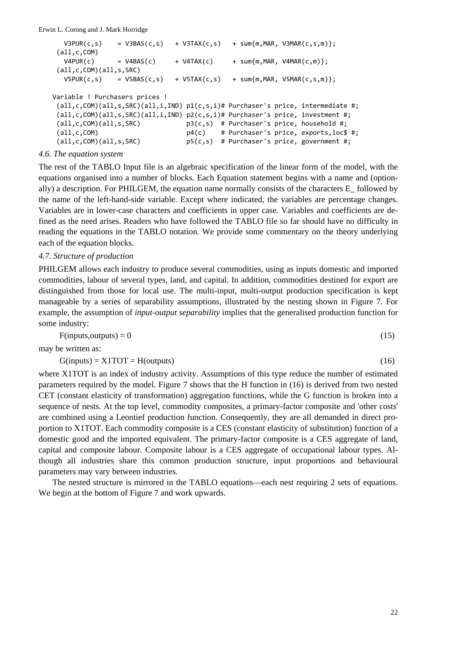Erwin L. Corong and J. Mark Horridge

| V3PUR(c, s)                    | $= V3BAS(c,s)$  | + V3TAX(c,s)   | $+$ sum $\{m, MAR, V3MAR(c,s,m)\};$                                                      |  |
|--------------------------------|-----------------|----------------|------------------------------------------------------------------------------------------|--|
| (all,c,COM)                    |                 |                |                                                                                          |  |
| V4PUR(c)                       | $= VABAS(c)$    | $+$ V4TAX(c)   | $+$ sum $\{m, MAR, V4MAR(c,m)\};$                                                        |  |
| (all,c,COM)(all,s,SRC)         |                 |                |                                                                                          |  |
| V5PUR(c,s)                     | $= V5BAS(c, s)$ | $+ V5TAX(c,s)$ | $+$ sum $\{m, MAR, V5MAR(c, s, m)\};$                                                    |  |
|                                |                 |                |                                                                                          |  |
| Variable ! Purchasers prices ! |                 |                |                                                                                          |  |
|                                |                 |                | $(all,c,COM)(all,s,SRC)(all,i,IND)$ $p1(c,s,i)$ # Purchaser's price, intermediate #;     |  |
|                                |                 |                | $(all, c, COM)(all, s, SRC)(all, i, IND) p2(c, s, i)$ # Purchaser's price, investment #; |  |
| (all,c,COM)(all,s,SRC)         |                 |                | $p3(c, s)$ # Purchaser's price, household #;                                             |  |
| (all,c,COM)                    |                 |                | $p4(c)$ # Purchaser's price, exports, loc\$ #;                                           |  |
| (all,c,COM)(all,s,SRC)         |                 |                | $p5(c,s)$ # Purchaser's price, government #;                                             |  |
| $-1$                           |                 |                |                                                                                          |  |

### *4.6. The equation system*

The rest of the TABLO Input file is an algebraic specification of the linear form of the model, with the equations organised into a number of blocks. Each Equation statement begins with a name and (optionally) a description. For PHILGEM, the equation name normally consists of the characters E\_ followed by the name of the left-hand-side variable. Except where indicated, the variables are percentage changes. Variables are in lower-case characters and coefficients in upper case. Variables and coefficients are defined as the need arises. Readers who have followed the TABLO file so far should have no difficulty in reading the equations in the TABLO notation. We provide some commentary on the theory underlying each of the equation blocks.

### *4.7. Structure of production*

PHILGEM allows each industry to produce several commodities, using as inputs domestic and imported commodities, labour of several types, land, and capital. In addition, commodities destined for export are distinguished from those for local use. The multi-input, multi-output production specification is kept manageable by a series of separability assumptions, illustrated by the nesting shown in Figure 7. For example, the assumption of *input-output separability* implies that the generalised production function for some industry:

$$
F(inputs, outputs) = 0 \tag{15}
$$

may be written as:

 $G(\text{inputs}) = X1\text{TOT} = H(\text{outputs})$  (16)

where X1TOT is an index of industry activity. Assumptions of this type reduce the number of estimated parameters required by the model. Figure 7 shows that the H function in (16) is derived from two nested CET (constant elasticity of transformation) aggregation functions, while the G function is broken into a sequence of nests. At the top level, commodity composites, a primary-factor composite and 'other costs' are combined using a Leontief production function. Consequently, they are all demanded in direct proportion to X1TOT. Each commodity composite is a CES (constant elasticity of substitution) function of a domestic good and the imported equivalent. The primary-factor composite is a CES aggregate of land, capital and composite labour. Composite labour is a CES aggregate of occupational labour types. Although all industries share this common production structure, input proportions and behavioural parameters may vary between industries.

The nested structure is mirrored in the TABLO equations—each nest requiring 2 sets of equations. We begin at the bottom of Figure 7 and work upwards.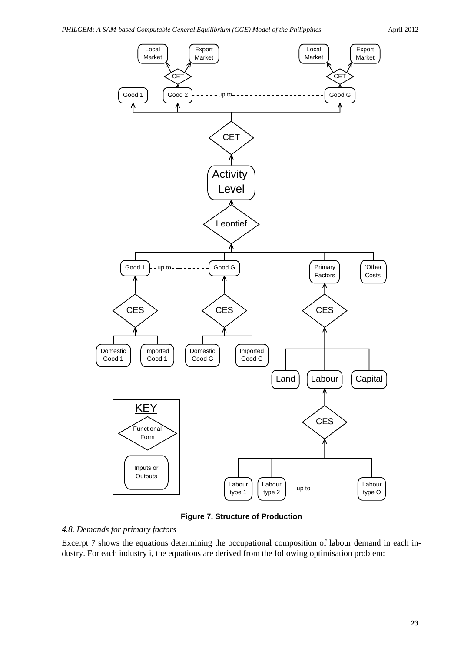

**Figure 7. Structure of Production**

*4.8. Demands for primary factors*

Excerpt 7 shows the equations determining the occupational composition of labour demand in each industry. For each industry i, the equations are derived from the following optimisation problem: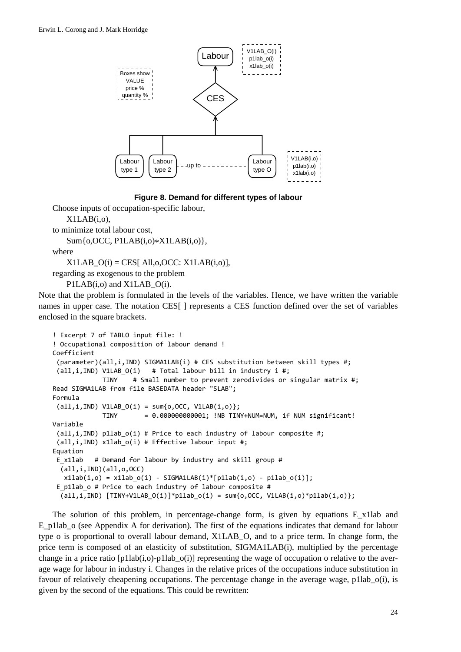

**Figure 8. Demand for different types of labour**

Choose inputs of occupation-specific labour,

```
X1LAB(i,o),
```

```
to minimize total labour cost,
   Sum{o,OCC, P1LAB(i,o)*X1LAB(i,o)},
```
where

 $X1LAB$   $O(i) = CES[$  All,o, OCC:  $X1LAB(i,o)$ ],

regarding as exogenous to the problem

```
P1LAB(i,o) and X1LAB O(i).
```
Note that the problem is formulated in the levels of the variables. Hence, we have written the variable names in upper case. The notation CES[ ] represents a CES function defined over the set of variables enclosed in the square brackets.

```
! Excerpt 7 of TABLO input file: !
! Occupational composition of labour demand !
Coefficient
 (parameter)(all,i,IND) SIGMA1LAB(i) # CES substitution between skill types #;
 (\text{all}, i, \text{IND}) V1LAB O(i) # Total labour bill in industry i #;
                           TINY    # Small number to prevent zerodivides or singular matrix #;
Read SIGMA1LAB from file BASEDATA header "SLAB";
Formula
 all, i, IND) V1LAB O(i) = sum{o, OCC, V1LAB(i,o)};             TINY       = 0.000000000001; !NB TINY+NUM=NUM, if NUM significant!
Variable
 (all,i,IND) p1lab_o(i) # Price to each industry of labour composite #;
 (all,i,IND) x1lab_o(i) # Effective labour input #;
Equation
E_x1lab   # Demand for labour by industry and skill group #
    (all,i,IND)(all,o,OCC)
   x1lab(i, o) = x1lab o(i) - SIGMA1LAB(i)*[p1lab(i, o) - p1lab o(i)];E p1lab o # Price to each industry of labour composite #
  (\text{all}, i, \text{IND}) [TINY+V1LAB_O(i)]*p1lab_o(i) = sum{o,OCC, V1LAB(i,o)*p1lab(i,o)};
```
The solution of this problem, in percentage-change form, is given by equations E\_x1lab and E\_p1lab\_o (see Appendix A for derivation). The first of the equations indicates that demand for labour type o is proportional to overall labour demand, X1LAB\_O, and to a price term. In change form, the price term is composed of an elasticity of substitution, SIGMA1LAB(i), multiplied by the percentage change in a price ratio  $[p1lab(i,o)-p1lab_0(i)]$  representing the wage of occupation o relative to the average wage for labour in industry i. Changes in the relative prices of the occupations induce substitution in favour of relatively cheapening occupations. The percentage change in the average wage, p1lab\_o(i), is given by the second of the equations. This could be rewritten: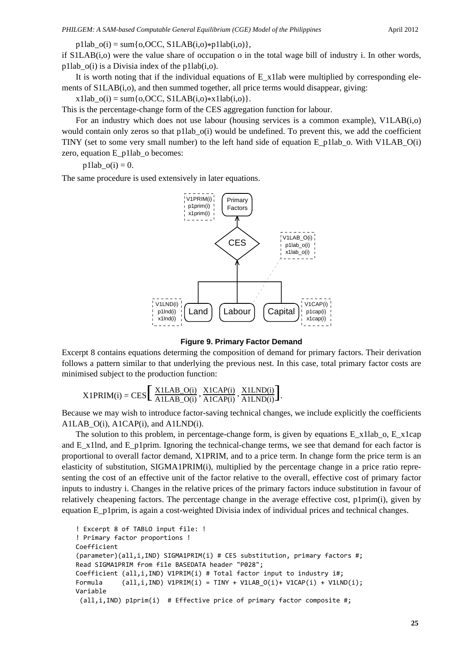$p1lab_0(i) = sum\{o, OCC, S1LAB(i,o)*p1lab(i,o)\},\$ 

if S1LAB(i,o) were the value share of occupation o in the total wage bill of industry i. In other words, p1lab  $o(i)$  is a Divisia index of the p1lab(i,o).

It is worth noting that if the individual equations of E\_x1lab were multiplied by corresponding elements of S1LAB(i,o), and then summed together, all price terms would disappear, giving:

x1lab  $o(i) = sum\{o, OCC, S1LAB(i,o)*x1lab(i,o)\}.$ 

This is the percentage-change form of the CES aggregation function for labour.

For an industry which does not use labour (housing services is a common example), V1LAB(i,o) would contain only zeros so that p1lab<sub>\_0</sub>(i) would be undefined. To prevent this, we add the coefficient TINY (set to some very small number) to the left hand side of equation E\_p1lab\_o. With V1LAB\_O(i) zero, equation E\_p1lab\_o becomes:

p1lab  $o(i) = 0$ .

The same procedure is used extensively in later equations.



**Figure 9. Primary Factor Demand**

Excerpt 8 contains equations determing the composition of demand for primary factors. Their derivation follows a pattern similar to that underlying the previous nest. In this case, total primary factor costs are minimised subject to the production function:

$$
X1PRIM(i) = CES\left[\frac{X1LAB\_O(i)}{A1LAB\_O(i)}, \frac{X1CAP(i)}{A1CAP(i)}, \frac{X1LND(i)}{A1LND(i)}\right].
$$

Because we may wish to introduce factor-saving technical changes, we include explicitly the coefficients A1LAB O(i), A1CAP(i), and A1LND(i).

The solution to this problem, in percentage-change form, is given by equations E\_x1lab\_o, E\_x1cap and E\_x1lnd, and E\_p1prim. Ignoring the technical-change terms, we see that demand for each factor is proportional to overall factor demand, X1PRIM, and to a price term. In change form the price term is an elasticity of substitution, SIGMA1PRIM(i), multiplied by the percentage change in a price ratio representing the cost of an effective unit of the factor relative to the overall, effective cost of primary factor inputs to industry i. Changes in the relative prices of the primary factors induce substitution in favour of relatively cheapening factors. The percentage change in the average effective cost, p1prim(i), given by equation E\_p1prim, is again a cost-weighted Divisia index of individual prices and technical changes.

```
! Excerpt 8 of TABLO input file: !
! Primary factor proportions !
Coefficient
(parameter)(all,i,IND) SIGMA1PRIM(i) # CES substitution, primary factors #;
Read SIGMA1PRIM from file BASEDATA header "P028";
Coefficient (all,i,IND) V1PRIM(i) # Total factor input to industry i#;
Formula \text{(all,i,IND)} V1PRIM\text{(i)} = TINY + V1LAB O(i)+ V1CAP\text{(i)} + V1LND\text{(i)};
Variable
 (all,i,IND) p1prim(i)  # Effective price of primary factor composite #;
```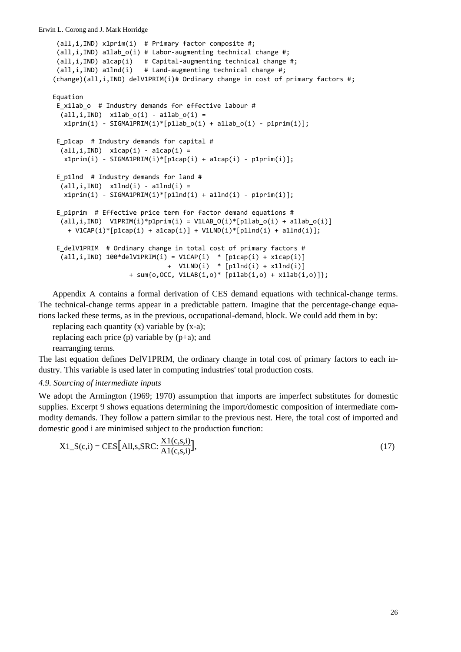```
(all,i,IND) x1prim(i)  # Primary factor composite #;
 (all,i,IND) a1lab o(i) # Labor-augmenting technical change #;
 (all,i,IND) a1cap(i)   # Capital‐augmenting technical change #;
 (all,i,IND) a1lnd(i)   # Land‐augmenting technical change #;
(change)(all,i,IND) delV1PRIM(i)# Ordinary change in cost of primary factors #;
Equation
E x1lab o # Industry demands for effective labour #
 (all,i,IND) x1lab o(i) - a1lab o(i) =
   x1prim(i) - SIGMA1PRIM(i)*[p1labo(i) + a1labo(i) - p1prim(i)];E p1cap # Industry demands for capital #
  (\text{all}, i, \text{IND}) x1cap(i) - \text{alcap}(i) =
   x1prim(i) - SIGMA1PRIM(i)*[p1cap(i) + alcap(i) - p1prim(i)];E_p1lnd  # Industry demands for land #
  (all,i,IND) x1Ind(i) - a1Ind(i) =x1prim(i) - SIGMA1PRIM(i)*[p1Ind(i) + a1Ind(i) - p1prim(i)];E p1prim # Effective price term for factor demand equations #
  (\text{all}, i, \text{IND}) V1PRIM(i)*p1prim(i) = V1LAB O(i)*[p1lab o(i) + a1lab o(i)]
        + V1CAP(i)*[p1cap(i) + a1cap(i)] + V1LND(i)*[p1lnd(i) + a1lnd(i)];
E_delV1PRIM  # Ordinary change in total cost of primary factors #
  (all,i,IND) 100*delV1PRIM(i) = V1CAP(i) * [p1cap(i) + x1cap(i)]                              +  V1LND(i)  * [p1lnd(i) + x1lnd(i)]
                                         + sum{o,OCC, V1LAB(i,o)* [p1lab(i,o) + x1lab(i,o)]};
```
Appendix A contains a formal derivation of CES demand equations with technical-change terms. The technical-change terms appear in a predictable pattern. Imagine that the percentage-change equations lacked these terms, as in the previous, occupational-demand, block. We could add them in by:

replacing each quantity (x) variable by (x-a); replacing each price  $(p)$  variable by  $(p+a)$ ; and rearranging terms.

The last equation defines DelV1PRIM, the ordinary change in total cost of primary factors to each industry. This variable is used later in computing industries' total production costs.

### *4.9. Sourcing of intermediate inputs*

We adopt the Armington (1969; 1970) assumption that imports are imperfect substitutes for domestic supplies. Excerpt 9 shows equations determining the import/domestic composition of intermediate commodity demands. They follow a pattern similar to the previous nest. Here, the total cost of imported and domestic good i are minimised subject to the production function:

$$
X1_S(c,i) = CES[All,s,SRC: \frac{X1(c,s,i)}{A1(c,s,i)}],
$$
\n(17)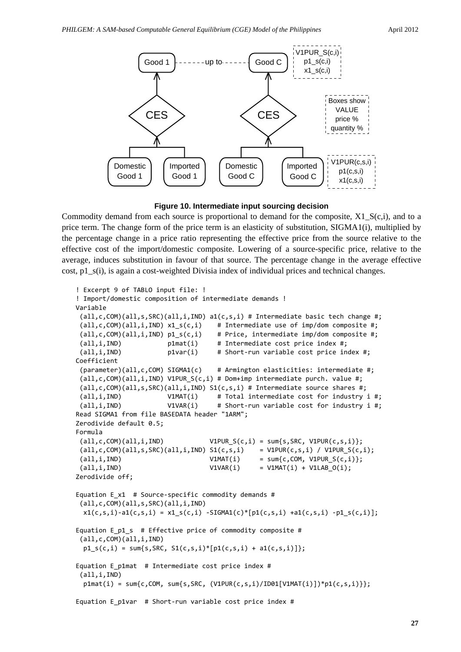

**Figure 10. Intermediate input sourcing decision**

Commodity demand from each source is proportional to demand for the composite, X1\_S(c,i), and to a price term. The change form of the price term is an elasticity of substitution, SIGMA1(i), multiplied by the percentage change in a price ratio representing the effective price from the source relative to the effective cost of the import/domestic composite. Lowering of a source-specific price, relative to the average, induces substitution in favour of that source. The percentage change in the average effective cost, p1  $s(i)$ , is again a cost-weighted Divisia index of individual prices and technical changes.

```
! Excerpt 9 of TABLO input file: !
! Import/domestic composition of intermediate demands !
Variable
 (all,c,COM)(all,s,SRC)(all,i,IND) a1(c,s,i) # Intermediate basic tech change #;
 (all,c,COM)(all,i,IND) x1_s(c,i) # Intermediate use of imp/dom composite #;
 (all,c,COM)(all,i,IND) p1_s(c,i)    # Price, intermediate imp/dom composite #;
 (all,i,IND)            p1mat(i)     # Intermediate cost price index #;
 (all,i,IND)            p1var(i)     # Short‐run variable cost price index #;
Coefficient
 (parameter)(all,c,COM) SIGMA1(c)    # Armington elasticities: intermediate #;
 (all,c,COM)(all,i,IND) V1PUR_S(c,i) # Dom+imp intermediate purch. value #;
 (all,c,COM)(all,s,SRC)(all,i,IND) S1(c,s,i) # Intermediate source shares #;
 (all,i,IND)            V1MAT(i)     # Total intermediate cost for industry i #;
 (all,i,IND)            V1VAR(i)     # Short‐run variable cost for industry i #;
Read SIGMA1 from file BASEDATA header "1ARM";
Zerodivide default 0.5;
Formula
 (all,c,COM)(all,i,IND)            V1PUR_S(c,i) = sum{s,SRC, V1PUR(c,s,i)};
 \text{(all,c,COM)}\text{(all,s,SRC)}\text{(all,i,IND)} \text{S1}(c,s,i) = \text{V1PUR}(c,s,i) / \text{V1PUR}_\text{S}(c,i);(i11, i, IND) V1MAT(i) = sum{c, COM, V1PUR_S(c, i)};(all,i,IND)                       V1VAR(i)     = V1MAT(i) + V1LAB_O(i);
Zerodivide off;
Equation E x1 # Source-specific commodity demands #
 (all,c,COM)(all,s,SRC)(all,i,IND)
  x1(c, s, i) - a1(c, s, i) = x1_s(c, i) - SIGMA1(c)*[p1(c, s, i) + a1(c, s, i) - p1_s(c, i)];
Equation E p1 s # Effective price of commodity composite #
 (all,c,COM)(all,i,IND)
 p1 s(c,i) = sum{s,SRC, S1(c,s,i)*[p1(c,s,i) + a1(c,s,i)]};Equation E_p1mat  # Intermediate cost price index #
 (all,i,IND)
  p1mat(i) = sum{c, COM, sum{s,SRC, (V1PUR(c,s,i)/ID01[V1MAT(i)]) * p1(c,s,i))}};Equation E p1var # Short-run variable cost price index #
```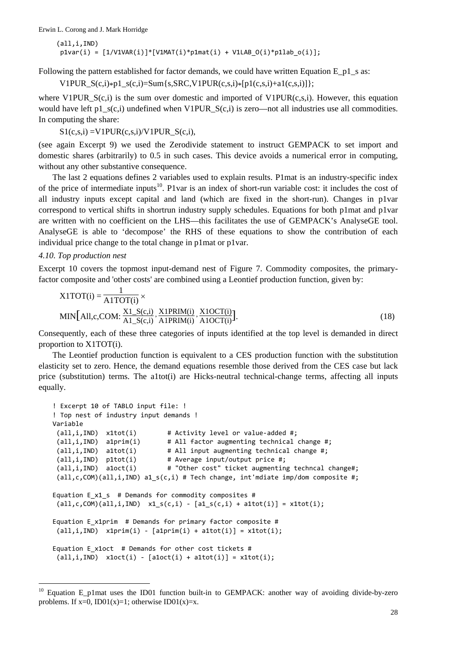Erwin L. Corong and J. Mark Horridge

```
(all,i,IND)
p1var(i) = [1/V1VAR(i)] * [V1MAT(i) * p1mat(i) + V1LAB O(i) * p1lab O(i)];
```
Following the pattern established for factor demands, we could have written Equation E\_p1\_s as:

V1PUR\_S(c,i)\*p1\_s(c,i)=Sum{s,SRC,V1PUR(c,s,i)\*[p1(c,s,i)+a1(c,s,i)]};

where V1PUR  $S(c,i)$  is the sum over domestic and imported of V1PUR(c,s,i). However, this equation would have left p1  $s(c,i)$  undefined when V1PUR  $S(c,i)$  is zero—not all industries use all commodities. In computing the share:

 $S1(c,s,i) = V1PUR(c,s,i)/V1PUR$   $S(c,i)$ ,

(see again Excerpt 9) we used the Zerodivide statement to instruct GEMPACK to set import and domestic shares (arbitrarily) to 0.5 in such cases. This device avoids a numerical error in computing, without any other substantive consequence.

The last 2 equations defines 2 variables used to explain results. P1mat is an industry-specific index of the price of intermediate inputs<sup>10</sup>. P1var is an index of short-run variable cost: it includes the cost of all industry inputs except capital and land (which are fixed in the short-run). Changes in p1var correspond to vertical shifts in shortrun industry supply schedules. Equations for both p1mat and p1var are written with no coefficient on the LHS—this facilitates the use of GEMPACK's AnalyseGE tool. AnalyseGE is able to 'decompose' the RHS of these equations to show the contribution of each individual price change to the total change in p1mat or p1var.

### *4.10. Top production nest*

l

Excerpt 10 covers the topmost input-demand nest of Figure 7. Commodity composites, the primaryfactor composite and 'other costs' are combined using a Leontief production function, given by:

$$
X1TOT(i) = \frac{1}{A1TOT(i)} \times
$$
  
MIN[All,c,COM:  $\frac{X1_S(c,i)}{A1_S(c,i)}$ ,  $\frac{X1PRIM(i)}{A1ORT(i)}$ ,  $\frac{X1OCT(i)}{A1OCT(i)}$ ]. (18)

Consequently, each of these three categories of inputs identified at the top level is demanded in direct proportion to X1TOT(i).

The Leontief production function is equivalent to a CES production function with the substitution elasticity set to zero. Hence, the demand equations resemble those derived from the CES case but lack price (substitution) terms. The a1tot(i) are Hicks-neutral technical-change terms, affecting all inputs equally.

```
! Excerpt 10 of TABLO input file: !
! Top nest of industry input demands !
Variable
 (all,i,IND)  x1tot(i)        # Activity level or value‐added #;
 (all,i,IND) a1prim(i) # All factor augmenting technical change #;
 (all,i,IND) a1tot(i) # All input augmenting technical change #;
 (all,i,IND) p1tot(i) # Average input/output price #;
 (all,i,IND)  a1oct(i)        # "Other cost" ticket augmenting techncal change#;
 (all,c,COM)(all,i,IND) a1_s(c,i) # Tech change, int'mdiate imp/dom composite #;
Equation E_x1_s  # Demands for commodity composites #
 all, c, COM)(all, i, IND) x1_s(c, i) - [a1_s(c, i) + a1tot(i)] = x1tot(i);Equation E x1prim # Demands for primary factor composite #
 all, i, IND) x1prim(i) - [alprim(i) + altot(i)] = x1tot(i);Equation E_x1oct  # Demands for other cost tickets #
 (\text{all}, i, \text{IND}) x1oct(i) - [\text{aloct}(i) + \text{altot}(i)] = \text{x1tot}(i);
```
Equation E\_p1mat uses the ID01 function built-in to GEMPACK: another way of avoiding divide-by-zero problems. If  $x=0$ , ID01(x)=1; otherwise ID01(x)=x.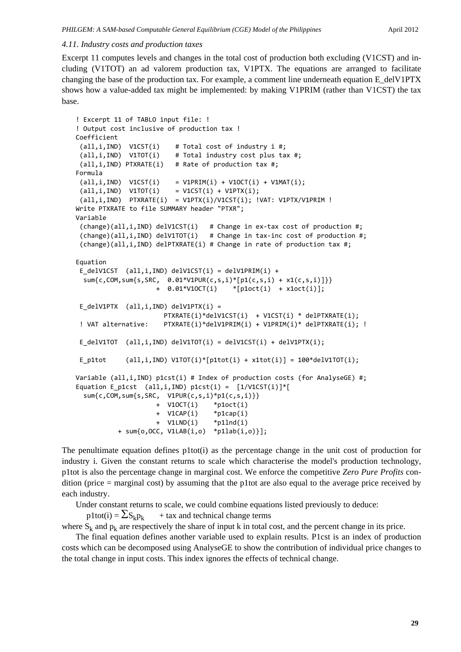### *4.11. Industry costs and production taxes*

Excerpt 11 computes levels and changes in the total cost of production both excluding (V1CST) and including (V1TOT) an ad valorem production tax, V1PTX. The equations are arranged to facilitate changing the base of the production tax. For example, a comment line underneath equation E\_delV1PTX shows how a value-added tax might be implemented: by making V1PRIM (rather than V1CST) the tax base.

```
! Excerpt 11 of TABLO input file: !
! Output cost inclusive of production tax !
Coefficient
 (all,i,IND)  V1CST(i)    # Total cost of industry i #;
 (all,i,IND)  V1TOT(i)    # Total industry cost plus tax #;
 (all,i,IND) PTXRATE(i)   # Rate of production tax #;
Formula
 all, i, IND) V1CST(i) = V1PRIM(i) + V1OCT(i) + V1MAT(i);\text{(all,i,IND)} V1TOT\text{(i)} = V1CST\text{(i)} + V1PTX\text{(i)};
 all,i,IND) PTXRATE(i) = V1PTX(i)/V1CST(i); !VAT: V1PTX/V1PRIM !
Write PTXRATE to file SUMMARY header "PTXR";
Variable
 (change)(all,i,IND) delV1CST(i)   # Change in ex‐tax cost of production #;
 (change)(all,i,IND) delV1TOT(i)   # Change in tax‐inc cost of production #;
 (change)(all,i,IND) delPTXRATE(i) # Change in rate of production tax #;
Equation
 E delV1CST (all,i,IND) delV1CST(i) = delV1PRIM(i) +
    sum{c,COM,sum{s,SRC,  0.01*V1PUR(c,s,i)*[p1(c,s,i) + x1(c,s,i)]}}
                                            +  0.01*V1OCT(i)    *[p1oct(i)  + x1oct(i)];
 E_delV1PTX (all,i,IND) delV1PTX(i) =
                                                PTXRATE(i)*delV1CST(i)  + V1CST(i) * delPTXRATE(i);
 ! VAT alternative: PTXRATE(i)*delV1PRIM(i) + V1PRIM(i)* delPTXRATE(i); !
 E_delV1TOT  (all,i,IND) delV1TOT(i) = delV1CST(i) + delV1PTX(i);
 E_p1tot \text{(all,i,IND)} V1TOT\text{(i)*}[p1tot\text{(i)} + x1tot\text{(i)}] = 100*delV1TOT\text{(i)};
Variable (all,i,IND) p1cst(i) # Index of production costs (for AnalyseGE) #;
Equation E_p1cst (all,i,IND) p1cst(i) = [1/V1CST(i)]*[  sum{c,COM,sum{s,SRC,  V1PUR(c,s,i)*p1(c,s,i)}}
                       + V10CT(i)    *p1oct(i)
                                            +  V1CAP(i)    *p1cap(i)
                                            +  V1LND(i)    *p1lnd(i)
                       + sum{o,OCC, V1LAB(i,o)  *p1lab(i,o)}];
```
The penultimate equation defines p1tot(i) as the percentage change in the unit cost of production for industry i. Given the constant returns to scale which characterise the model's production technology, p1tot is also the percentage change in marginal cost. We enforce the competitive *Zero Pure Profits* condition (price = marginal cost) by assuming that the p1tot are also equal to the average price received by each industry.

Under constant returns to scale, we could combine equations listed previously to deduce:

 $p1tot(i) = \sum S_k p_k$  + tax and technical change terms

where  $S_k$  and  $p_k$  are respectively the share of input k in total cost, and the percent change in its price.

The final equation defines another variable used to explain results. P1cst is an index of production costs which can be decomposed using AnalyseGE to show the contribution of individual price changes to the total change in input costs. This index ignores the effects of technical change.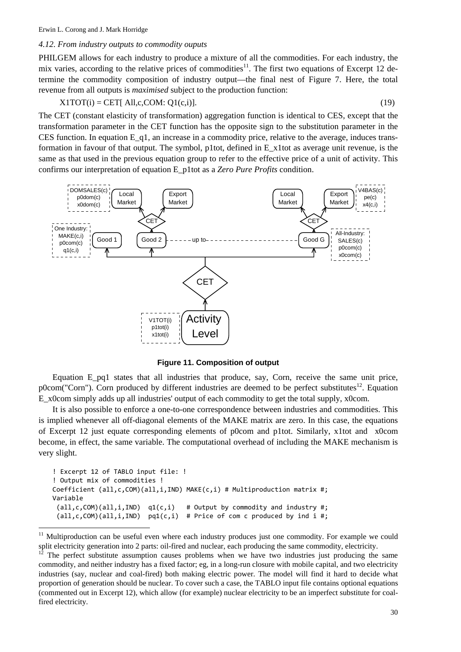l

### *4.12. From industry outputs to commodity ouputs*

PHILGEM allows for each industry to produce a mixture of all the commodities. For each industry, the mix varies, according to the relative prices of commodities<sup>11</sup>. The first two equations of Excerpt 12 determine the commodity composition of industry output—the final nest of Figure 7. Here, the total revenue from all outputs is *maximised* subject to the production function:

$$
X1TOT(i) = CET[AII,c,COM:Q1(c,i)].
$$
\n(19)

The CET (constant elasticity of transformation) aggregation function is identical to CES, except that the transformation parameter in the CET function has the opposite sign to the substitution parameter in the CES function. In equation E\_q1, an increase in a commodity price, relative to the average, induces transformation in favour of that output. The symbol, p1tot, defined in E\_x1tot as average unit revenue, is the same as that used in the previous equation group to refer to the effective price of a unit of activity. This confirms our interpretation of equation E\_p1tot as a *Zero Pure Profits* condition.



**Figure 11. Composition of output**

Equation E pq1 states that all industries that produce, say, Corn, receive the same unit price, p0com("Corn"). Corn produced by different industries are deemed to be perfect substitutes<sup>12</sup>. Equation E\_x0com simply adds up all industries' output of each commodity to get the total supply, x0com.

It is also possible to enforce a one-to-one correspondence between industries and commodities. This is implied whenever all off-diagonal elements of the MAKE matrix are zero. In this case, the equations of Excerpt 12 just equate corresponding elements of p0com and p1tot. Similarly, x1tot and x0com become, in effect, the same variable. The computational overhead of including the MAKE mechanism is very slight.

```
! Excerpt 12 of TABLO input file: !
! Output mix of commodities !
Coefficient (all,c,COM)(all,i,IND) MAKE(c,i) # Multiproduction matrix #;
Variable
 (al1, c, COM)(all, i, IND) q1(c, i) # Output by commodity and industry #;(\text{all}, \text{c}, \text{COM})(\text{all}, \text{i}, \text{IND}) pq1(c, i) # Price of com c produced by ind i #;
```
<sup>&</sup>lt;sup>11</sup> Multiproduction can be useful even where each industry produces just one commodity. For example we could split electricity generation into 2 parts: oil-fired and nuclear, each producing the same commodity, electricity.

The perfect substitute assumption causes problems when we have two industries just producing the same commodity, and neither industry has a fixed factor; eg, in a long-run closure with mobile capital, and two electricity industries (say, nuclear and coal-fired) both making electric power. The model will find it hard to decide what proportion of generation should be nuclear. To cover such a case, the TABLO input file contains optional equations (commented out in Excerpt 12), which allow (for example) nuclear electricity to be an imperfect substitute for coalfired electricity.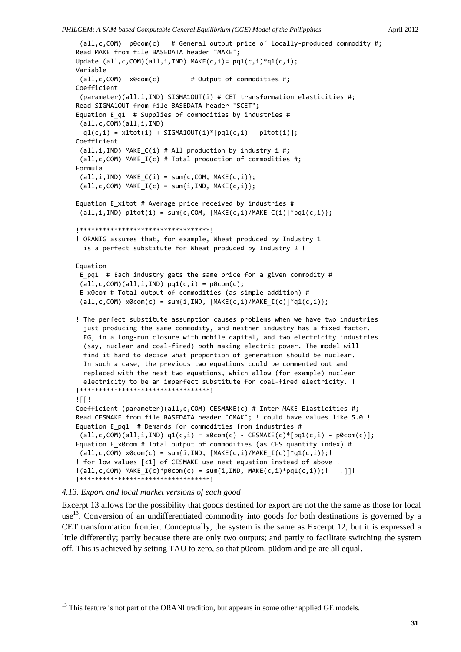```
(all,c,COM)  p0com(c)   # General output price of locally‐produced commodity #;
Read MAKE from file BASEDATA header "MAKE";
Update (al1, c, COM)(all, i, IND) MAKE(c, i) = pq1(c, i)*q1(c, i);Variable
(all,c,COM)  x0com(c)        # Output of commodities #;
Coefficient
 (parameter)(all,i,IND) SIGMA1OUT(i) # CET transformation elasticities #;
Read SIGMA1OUT from file BASEDATA header "SCET";
Equation E_q1  # Supplies of commodities by industries #
 (all,c,COM)(all,i,IND)
  q1(c,i) = x1tot(i) + SIGMA10UT(i)*[pq1(c,i) - p1tot(i)];Coefficient
 (all, i, IND) MAKE C(i) # All production by industry i #;
 (all,c,COM) MAKE I(c) # Total production of commodities #;
Formula
 (al, i, IND) MAKE_C(i) = sum{c,COM, MAKE(c,i)};
 (al, c, COM) MAKE I(c) = sum\{i, IND, MAKE(c, i)\};Equation E_x1tot # Average price received by industries #
 (all,i,IND) p1tot(i) = sum{c,COM, [MAKE(c,i)/MAKE(C(i)]*pq1(c,i)\};
!**********************************!
! ORANIG assumes that, for example, Wheat produced by Industry 1
    is a perfect substitute for Wheat produced by Industry 2 !
Equation
E_pq1  # Each industry gets the same price for a given commodity #
 (all,c,COM)(all,i,IND) pq1(c,i) = p0com(c);E x0com # Total output of commodities (as simple addition) #
 (all, c, COM) x0com(c) = sum[i, IND, [MAKE(c, i)/MAKE_I(c)] * q1(c, i)];! The perfect substitute assumption causes problems when we have two industries
    just producing the same commodity, and neither industry has a fixed factor.
    EG, in a long‐run closure with mobile capital, and two electricity industries
    (say, nuclear and coal‐fired) both making electric power. The model will
    find it hard to decide what proportion of generation should be nuclear.
    In such a case, the previous two equations could be commented out and
    replaced with the next two equations, which allow (for example) nuclear
  electricity to be an imperfect substitute for coal-fired electricity. !
!**********************************!
!Coefficient (parameter)(all,c,COM) CESMAKE(c) # Inter‐MAKE Elasticities #;
Read CESMAKE from file BASEDATA header "CMAK"; ! could have values like 5.0 !
Equation E pq1 # Demands for commodities from industries #
 (all,c,COM)(all,i,IND) q1(c,i) = x0com(c) - CESMAKE(c)*[pq1(c,i) - p0com(c)];Equation E_x0com # Total output of commodities (as CES quantity index) #
(all, c, COM) x0com(c) = sum{i, IND, [MAKE(c, i)/MAKE_I(c)] * q1(c, i)};!! for low values [<1] of CESMAKE use next equation instead of above !
!(all,c,COM) MAKE_I(c)*p0com(c) = sum{i,IND, MAKE(c,i)*pq1(c,i)};!   !]]!
!**********************************!
```
# *4.13. Export and local market versions of each good*

-

Excerpt 13 allows for the possibility that goods destined for export are not the the same as those for local use<sup>13</sup>. Conversion of an undifferentiated commodity into goods for both destinations is governed by a CET transformation frontier. Conceptually, the system is the same as Excerpt 12, but it is expressed a little differently; partly because there are only two outputs; and partly to facilitate switching the system off. This is achieved by setting TAU to zero, so that p0com, p0dom and pe are all equal.

<sup>&</sup>lt;sup>13</sup> This feature is not part of the ORANI tradition, but appears in some other applied GE models.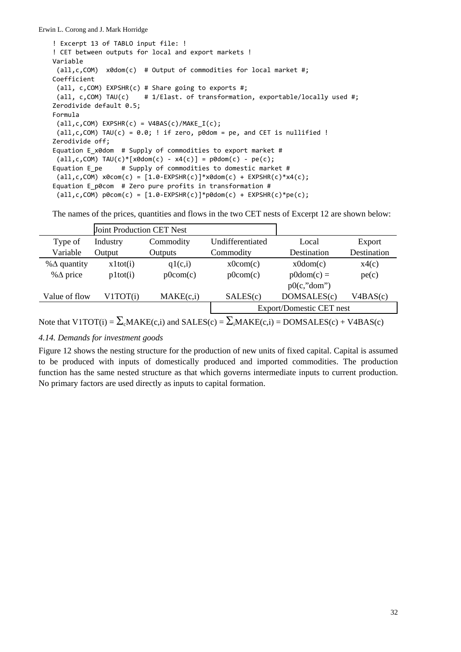! Excerpt 13 of TABLO input file: ! ! CET between outputs for local and export markets ! Variable (all,c,COM) x0dom(c) # Output of commodities for local market #; Coefficient (all, c,COM) EXPSHR(c) # Share going to exports #; (all, c,COM) TAU(c) # 1/Elast. of transformation, exportable/locally used #; Zerodivide default 0.5; Formula  $(all, c, COM) EXPSHR(c) = V4BAS(c)/MAKE IC);$  $(all, c, COM) TAU(c) = 0.0;$  ! if zero, p0dom = pe, and CET is nullified ! Zerodivide off; Equation E x0dom # Supply of commodities to export market #  $all, c, COM) TAU(c)*[xdom(c) - x4(c)] = pdom(c) - pe(c);$ Equation E\_pe # Supply of commodities to domestic market #  $(all, c, COM) x0com(c) = [1.0-EXPSHR(c)]*x0dom(c) + EXPSHR(c)*x4(c);$ Equation E\_p0com # Zero pure profits in transformation #  $(all, c, COM) p0com(c) = [1.0-EXPSHR(c)]*p0dom(c) + EXPSHR(c)*pe(c);$ 

The names of the prices, quantities and flows in the two CET nests of Excerpt 12 are shown below:

|                                                                                                        | <b>Joint Production CET Nest</b> |           |                                 |              |             |
|--------------------------------------------------------------------------------------------------------|----------------------------------|-----------|---------------------------------|--------------|-------------|
| Type of                                                                                                | Industry                         | Commodity | Undifferentiated                | Local        | Export      |
| Variable                                                                                               | Output                           | Outputs   | Commodity                       | Destination  | Destination |
| % $\Delta$ quantity                                                                                    | x1tot(i)                         | q1(c,i)   | x0com(c)                        | x0dom(c)     | x4(c)       |
| % $\Delta$ price                                                                                       | p1tot(i)                         | p0com(c)  | p0com(c)                        | $p0dom(c) =$ | pe(c)       |
|                                                                                                        |                                  |           |                                 | p0(c," dom") |             |
| Value of flow                                                                                          | V <sub>1</sub> TOT(i)            | MAKE(c,i) | SALES(c)                        | DOMSALES(c)  | V4BAS(c)    |
|                                                                                                        |                                  |           | <b>Export/Domestic CET nest</b> |              |             |
| Note that V1TOT(i) = $\Sigma_c$ MAKE(c,i) and SALES(c) = $\Sigma_i$ MAKE(c,i) = DOMSALES(c) + V4BAS(c) |                                  |           |                                 |              |             |

*4.14. Demands for investment goods*

Figure 12 shows the nesting structure for the production of new units of fixed capital. Capital is assumed to be produced with inputs of domestically produced and imported commodities. The production function has the same nested structure as that which governs intermediate inputs to current production. No primary factors are used directly as inputs to capital formation.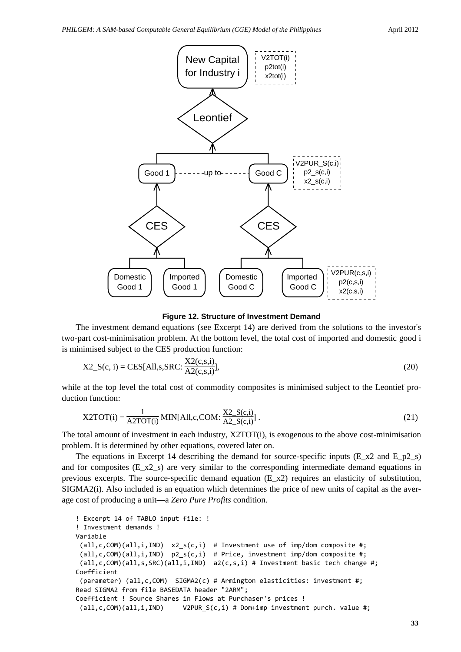

**Figure 12. Structure of Investment Demand**

The investment demand equations (see Excerpt 14) are derived from the solutions to the investor's two-part cost-minimisation problem. At the bottom level, the total cost of imported and domestic good i is minimised subject to the CES production function:

X2\_S(c, i) = CES[All,s,SRC: 
$$
\frac{X2(c,s,i)}{A2(c,s,i)}
$$
], (20)

while at the top level the total cost of commodity composites is minimised subject to the Leontief production function:

X2TOT(i) = 
$$
\frac{1}{A2TOT(i)}
$$
MIN[All,c,COM:  $\frac{X2_S(c,i)}{A2_S(c,i)}$ ]. (21)

The total amount of investment in each industry, X2TOT(i), is exogenous to the above cost-minimisation problem. It is determined by other equations, covered later on.

The equations in Excerpt 14 describing the demand for source-specific inputs (E\_x2 and E\_p2\_s) and for composites (E\_x2\_s) are very similar to the corresponding intermediate demand equations in previous excerpts. The source-specific demand equation  $(E_x z)$  requires an elasticity of substitution, SIGMA2(i). Also included is an equation which determines the price of new units of capital as the average cost of producing a unit—a *Zero Pure Profits* condition.

! Excerpt 14 of TABLO input file: ! ! Investment demands ! Variable  $(all, c, COM)(all, i, IND)$   $x2 s(c,i)$  # Investment use of imp/dom composite #; (all,c,COM)(all,i,IND) p2\_s(c,i) # Price, investment imp/dom composite #; (all,c,COM)(all,s,SRC)(all,i,IND) a2(c,s,i) # Investment basic tech change #; Coefficient (parameter) (all,c,COM) SIGMA2(c) # Armington elasticities: investment #; Read SIGMA2 from file BASEDATA header "2ARM"; Coefficient ! Source Shares in Flows at Purchaser's prices ! (all,c,COM)(all,i,IND) V2PUR\_S(c,i) # Dom+imp investment purch. value #;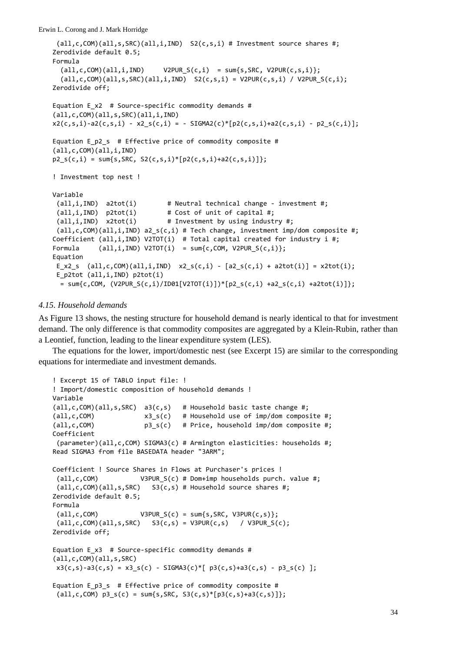```
(all,c,COM)(all,s,SRC)(all,i,IND)  S2(c,s,i) # Investment source shares #;
Zerodivide default 0.5;
Formula
  (all, c, COM)(all, i, IND)     V2PUR_S(c,i) = sum{s,SRC, V2PUR(c,s,i)};
  all,c,COM)(all,s,SRC)(all,i,IND) S2(c,s,i) = V2PUR(c,s,i) / V2PURS(c,i);Zerodivide off;
Equation E x2 # Source-specific commodity demands #
(all,c,COM)(all,s,SRC)(all,i,IND)
x2(c, s, i) - a2(c, s, i) - x2_s(c, i) = - SIGMA2(c)*[p2(c, s, i) + a2(c, s, i) - p2_s(c, i)];Equation E p2 s # Effective price of commodity composite #
(all,c,COM)(all,i,IND)
p2 s(c,i) = sum\{s,SRC, S2(c,s,i)*(p2(c,s,i)+a2(c,s,i))\};! Investment top nest !
Variable
 (all,i,IND)  a2tot(i)        # Neutral technical change ‐ investment #;
 (all,i,IND)  p2tot(i)        # Cost of unit of capital #;
 (all,i,IND) x2tot(i) # Investment by using industry #;
 (al, c, COM)(all, i, IND) a2 s(c,i) # Tech change, investment imp/dom composite #;Coefficient (all,i,IND) V2TOT(i)  # Total capital created for industry i #;
Formula \text{(all,i,IND)} V2TOT(i) = sum{c,COM, V2PUR_S(c,i)};
Equation
E_x2_s (all,c,COM)(all,i,IND) x2_s(c,i) - [a2_s(c,i) + a2tot(i)] = x2tot(i);E_p2tot (all,i,IND) p2tot(i)
  = sum{c,COM, (V2PUR S(c,i)/ID01[V2TOT(i)])*[p2 S(c,i) +a2 S(c,i) +a2tot(i)]};
```
# *4.15. Household demands*

As Figure 13 shows, the nesting structure for household demand is nearly identical to that for investment demand. The only difference is that commodity composites are aggregated by a Klein-Rubin, rather than a Leontief, function, leading to the linear expenditure system (LES).

The equations for the lower, import/domestic nest (see Excerpt 15) are similar to the corresponding equations for intermediate and investment demands.

```
! Excerpt 15 of TABLO input file: !
! Import/domestic composition of household demands !
Variable
(all,c,COM)(all,s,SRC)  a3(c,s)   # Household basic taste change #;
\text{(all,c,COM)} \text{x3 } s(c) # Household use of imp/dom composite #;
(all,c,COM)             p3_s(c)   # Price, household imp/dom composite #;
Coefficient
 (parameter)(all,c,COM) SIGMA3(c) # Armington elasticities: households #;
Read SIGMA3 from file BASEDATA header "3ARM";
Coefficient ! Source Shares in Flows at Purchaser's prices !
 (all,c,COM)           V3PUR_S(c) # Dom+imp households purch. value #;
 (all,c,COM)(all,s,SRC)   S3(c,s) # Household source shares #;
Zerodivide default 0.5;
Formula
 (all,c,COM)           V3PUR_S(c) = sum{s,SRC, V3PUR(c,s)};
 all, c, COM)(all, s, SRC) S3(c, s) = V3PUR(c, s) / V3PUR S(c);Zerodivide off;
Equation E x3 # Source-specific commodity demands #
(all,c,COM)(all,s,SRC)
x3(c,s) - a3(c,s) = x3_s(c) - SIGMA3(c)*[p3(c,s) + a3(c,s) - p3_s(c)];
Equation E_p3_s  # Effective price of commodity composite #
 \{all,c,COM\} p3_s(c) = sum\{s,SRC, S3(c,s)*[p3(c,s)+a3(c,s)]\};
```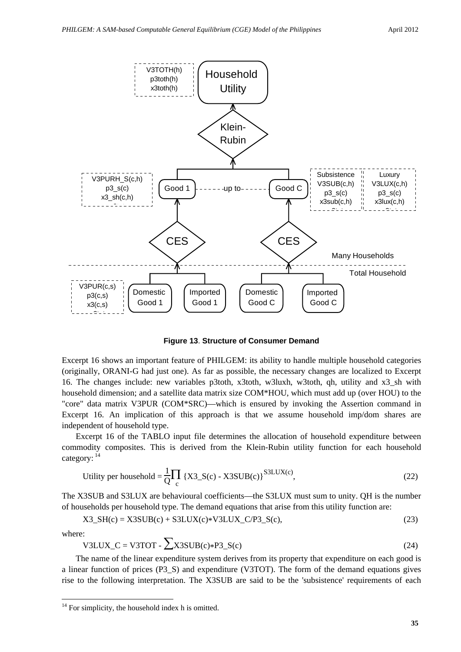

**Figure 13**. **Structure of Consumer Demand**

Excerpt 16 shows an important feature of PHILGEM: its ability to handle multiple household categories (originally, ORANI-G had just one). As far as possible, the necessary changes are localized to Excerpt 16. The changes include: new variables p3toth, x3toth, w3luxh, w3toth, qh, utility and x3\_sh with household dimension; and a satellite data matrix size COM\*HOU, which must add up (over HOU) to the "core" data matrix V3PUR (COM\*SRC)—which is ensured by invoking the Assertion command in Excerpt 16. An implication of this approach is that we assume household imp/dom shares are independent of household type.

Excerpt 16 of the TABLO input file determines the allocation of household expenditure between commodity composites. This is derived from the Klein-Rubin utility function for each household category:  $14$ 

Utility per household = 
$$
\frac{1}{Q} \prod_{c} \{X3\_S(c) - X3SUB(c)\}^{S3LUX(c)}
$$
, (22)

The X3SUB and S3LUX are behavioural coefficients—the S3LUX must sum to unity. QH is the number of households per household type. The demand equations that arise from this utility function are:

$$
X3\_SH(c) = X3SUB(c) + S3LUX(c)*V3LUX\_C/P3_S(c),
$$
\n(23)

where:

-

$$
V3LUX_C = V3TOT - \sum X3SUB(c)*P3_S(c)
$$
 (24)

The name of the linear expenditure system derives from its property that expenditure on each good is a linear function of prices (P3\_S) and expenditure (V3TOT). The form of the demand equations gives rise to the following interpretation. The X3SUB are said to be the 'subsistence' requirements of each

<sup>&</sup>lt;sup>14</sup> For simplicity, the household index h is omitted.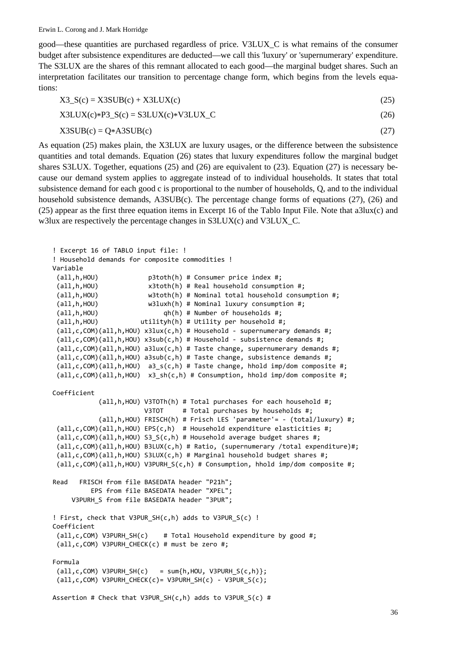good—these quantities are purchased regardless of price. V3LUX\_C is what remains of the consumer budget after subsistence expenditures are deducted—we call this 'luxury' or 'supernumerary' expenditure. The S3LUX are the shares of this remnant allocated to each good—the marginal budget shares. Such an interpretation facilitates our transition to percentage change form, which begins from the levels equations:

$$
X3_S(c) = X3SUB(c) + X3LUX(c)
$$
\n
$$
(25)
$$

 $X3LUX(c)*P3(S(c) = S3LUX(c)*V3LUX(C)$  (26)

 $X3SUB(c) = Q*ASSUB(c)$  (27)

As equation (25) makes plain, the X3LUX are luxury usages, or the difference between the subsistence quantities and total demands. Equation (26) states that luxury expenditures follow the marginal budget shares S3LUX. Together, equations (25) and (26) are equivalent to (23). Equation (27) is necessary because our demand system applies to aggregate instead of to individual households. It states that total subsistence demand for each good c is proportional to the number of households, Q, and to the individual household subsistence demands, A3SUB(c). The percentage change forms of equations (27), (26) and (25) appear as the first three equation items in Excerpt 16 of the Tablo Input File. Note that a3lux(c) and w3lux are respectively the percentage changes in S3LUX(c) and V3LUX\_C.

```
! Excerpt 16 of TABLO input file: !
! Household demands for composite commodities !
Variable
 (all,h,HOU)             p3toth(h) # Consumer price index #;
 (all,h,HOU)             x3toth(h) # Real household consumption #;
 (all,h,HOU)             w3toth(h) # Nominal total household consumption #;
 (\text{all},\text{h},\text{HOU}) \text{w3luxh(h)} # Nominal luxury consumption #;
 \text{(all,h,HOU)} \text{qh(h)} # Number of households #;
 (all,h,HOU) utilityh(h) # Utilityh' per household #;
 (all,c,COM)(all,h,HOU) x3lux(c,h) # Household ‐ supernumerary demands #;
 (all,c,COM)(all,h,HOU) x3sub(c,h) # Household ‐ subsistence demands #;
 (all,c,COM)(all,h,HOU) a3lux(c,h) # Taste change, supernumerary demands #;
 (all,c,COM)(all,h,HOU) a3sub(c,h) # Taste change, subsistence demands #;
 (all,c,COM)(all,h,HOU)  a3_s(c,h) # Taste change, hhold imp/dom composite #;
 (all,c,COM)(all,h,HOU)  x3_sh(c,h) # Consumption, hhold imp/dom composite #;
Coefficient
                        (all,h,HOU) V3TOTh(h) # Total purchases for each household #;
                        V3TOT # Total purchases by households #;
                        (all,h,HOU) FRISCH(h) # Frisch LES 'parameter'= ‐ (total/luxury) #;
 (all,c,COM)(all,h,HOU) EPS(c,h)  # Household expenditure elasticities #;
 (all,c,COM)(all,h,HOU) S3_S(c,h) # Household average budget shares #;
 (all,c,COM)(all,h,HOU) B3LUX(c,h) # Ratio, (supernumerary /total expenditure)#;
 (all,c,COM)(all,h,HOU) S3LUX(c,h) # Marginal household budget shares #;
 (all,c,COM)(all,h,HOU) V3PURH_S(c,h) # Consumption, hhold imp/dom composite #;
Read   FRISCH from file BASEDATA header "P21h";
                    EPS from file BASEDATA header "XPEL";
     V3PURH S from file BASEDATA header "3PUR";
! First, check that V3PUR_SH(c,h) adds to V3PUR_S(c) !
Coefficient
 (all,c,COM) V3PURH_SH(c)    # Total Household expenditure by good #;
 (all,c,COM) V3PURH_CHECK(c) # must be zero #;
Formula
 all, c, COM) V3PURH_SH(c) = sum\{h, HOU, V3PURH_S(c,h)\};all, c, COM) V3PURH CHECK(c)= V3PURH SH(c) - V3PUR S(c);
Assertion # Check that V3PUR_SH(c,h) adds to V3PUR_S(c) #
```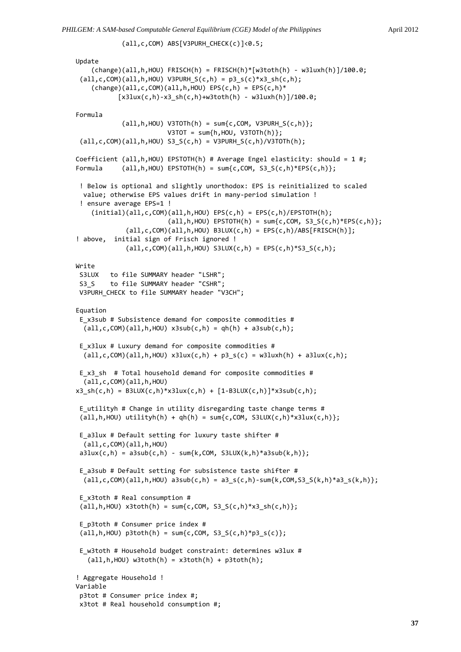```
Update
        (change)(all,h,HOU) FRISCH(h) = FRISCH(h)*[w3toth(h) ‐ w3luxh(h)]/100.0;
 (all,c,COM)(all,h,HOU) V3PURH_S(c,h) = p3_s(c)*x3_s(h(c,h));(charge)(all,c,COM)(all,h,HOU) EPS(c,h) = EPS(c,h)*[x3lux(c,h)-x3-sh(c,h)+w3toth(h) - w3luxh(h)]/100.0;Formula
            (\text{all}, h, \text{HOU}) V3TOTh(h) = \text{sum}\{c, \text{COM}, \text{V3PURH } S(c, h)\};V3TOT = sum{h,HOU, V3TOTh(h)};
 (all,c,COM)(all,h,HOU) S3_S(c,h) = V3PURH_S(c,h)/V3TOTh(h);
Coefficient (all,h,HOU) EPSTOTH(h) # Average Engel elasticity: should = 1 #;
Formula (all,h,HOU) EPSTOTH(h) = sum{c,COM, S3_S(c,h)*EPS(c,h)};
 ! Below is optional and slightly unorthodox: EPS is reinitialized to scaled
   value; otherwise EPS values drift in many‐period simulation !
 ! ensure average EPS=1 !
    (intial)(all,c,COM)(all,h,HOU) EPS(c,h) = EPS(c,h)/EPSTOTH(h);(\text{all}, h, \text{HOU}) EPSTOTH(h) = \text{sum}\{c, \text{COM}, S3 S(c, h)*EPS(c, h)\};(al, c, COM)(all, h, HOU) B3LUX(c, h) = EPS(c, h)/ABS[FRISCH(h)];! above,  initial sign of Frisch ignored !
              (all,c,COM)(all,h,HOU) S3LUX(c,h) = EPS(c,h)*S3_S(c,h);Write
S3LUX   to file SUMMARY header "LSHR";
S3 S    to file SUMMARY header "CSHR";
V3PURH CHECK to file SUMMARY header "V3CH";
Equation
 E_x3sub # Subsistence demand for composite commodities #
  (al, c, COM)(all, h, HOU) x3sub(c, h) = qh(h) + a3sub(c, h);E_x3lux # Luxury demand for composite commodities #
  (all,c,COM)(all,h,HOU) x3lux(c,h) + p3_s(c) = w3lux(h) + a3lux(c,h);E x3 sh # Total household demand for composite commodities #
    (all,c,COM)(all,h,HOU)
x3 \, \text{sh}(c,h) = \text{B3LUX}(c,h)*x3lux(c,h) + [1-B3LUX(c,h)]*x3sub(c,h);E_utilityh # Change in utility disregarding taste change terms #
 (al, h, HOU) utilityh(h) + qh(h) = sum{c,COM, S3LUX(c,h)*x3lux(c,h)};
E_a3lux # Default setting for luxury taste shifter #
   (all,c,COM)(all,h,HOU)
a3lux(c,h) = a3sub(c,h) - sum(k,COM, S3LUX(k,h)*a3sub(k,h));E_a3sub # Default setting for subsistence taste shifter #
 (al, c, COM)(all, h, HOU) a3sub(c, h) = a3 s(c,h)-sum{k,COM,S3 S(k,h)*a3 s(k,h)};
 E_x3toth # Real consumption #
 all,h,H0U) x3toth(h) = sum{c,COM, S3 S(c,h)*x3 sh(c,h)};
E_p3toth # Consumer price index #
 all, h, HOU) p3 \text{toth}(h) = sum{c, COM, S3_S(c, h)*p3_S(c)};E w3toth # Household budget constraint: determines w3lux #
   (\text{all}, h, \text{HOU}) w3toth(h) = x3 \text{toth}(h) + p3 \text{toth}(h);! Aggregate Household !
Variable
p3tot # Consumer price index #;
x3tot # Real household consumption #;
```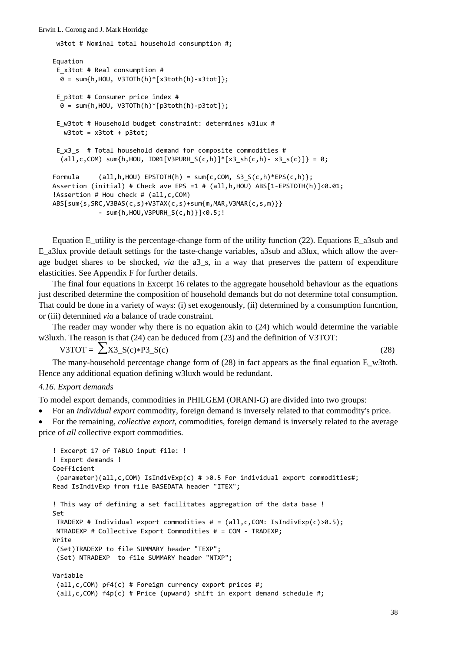```
w3tot # Nominal total household consumption #;
Equation
E_x3tot # Real consumption #
 0 = sum\{h, HOU, V3TOTh(h)*[x3toth(h)-x3totl]\};E_p3tot # Consumer price index #
   0 = sum{h,HOU, V3TOTh(h)*[p3toth(h)‐p3tot]};
E w3tot # Household budget constraint: determines w3lux #
  w3tot = x3tot + p3tot;E x3 s # Total household demand for composite commodities #
  all, c, COM) sum\{h, HOU, ID01[V3PURH_S(c,h)]*[x3_sh(c,h) - x3_s(c)]\} = 0;Formula (all,h,HOU) EPSTOTH(h) = sum{c,COM, S3_S(c,h)*EPS(c,h)};Assertion (initial) # Check ave EPS =1 # (all,h,HOU) ABS[1‐EPSTOTH(h)]<0.01;
!Assertion # Hou check # (all,c,COM)
ABS[sum{s,SRC,V3BAS(c,s)+V3TAX(c,s)+sum{m,MAR,V3MAR(c,s,m)}}
                        ‐ sum{h,HOU,V3PURH_S(c,h)}]<0.5;!
```
Equation E\_utility is the percentage-change form of the utility function (22). Equations E\_a3sub and E\_a3lux provide default settings for the taste-change variables, a3sub and a3lux, which allow the average budget shares to be shocked, *via* the a3\_s, in a way that preserves the pattern of expenditure elasticities. See Appendix F for further details.

The final four equations in Excerpt 16 relates to the aggregate household behaviour as the equations just described determine the composition of household demands but do not determine total consumption. That could be done in a variety of ways: (i) set exogenously, (ii) determined by a consumption funcntion, or (iii) determined *via* a balance of trade constraint.

The reader may wonder why there is no equation akin to (24) which would determine the variable w3luxh. The reason is that (24) can be deduced from (23) and the definition of V3TOT:

V3TOT =  $\sum$  X3 S(c)\*P3 S(c) (28)

The many-household percentage change form of  $(28)$  in fact appears as the final equation E\_w3toth. Hence any additional equation defining w3luxh would be redundant.

# *4.16. Export demands*

To model export demands, commodities in PHILGEM (ORANI-G) are divided into two groups:

• For an *individual export* commodity, foreign demand is inversely related to that commodity's price.

• For the remaining, *collective export*, commodities, foreign demand is inversely related to the average price of *all* collective export commodities.

```
! Excerpt 17 of TABLO input file: !
! Export demands !
Coefficient
 (parameter)(all,c,COM) IsIndivExp(c) # >0.5 For individual export commodities#;
Read IsIndivExp from file BASEDATA header "ITEX";
! This way of defining a set facilitates aggregation of the data base !
Set
 TRADEXP # Individual export commodities # = (al, c, COM: IsIndivexp(c) > 0.5);NTRADEXP # Collective Export Commodities # = COM ‐ TRADEXP;
Write
 (Set)TRADEXP to file SUMMARY header "TEXP";
 (Set) NTRADEXP  to file SUMMARY header "NTXP";
Variable
 (dall, c, COM) pf4(c) # Foreign currency export prices #;
 (all, c, COM) f4p(c) # Price (upward) shift in export demand schedule #;
```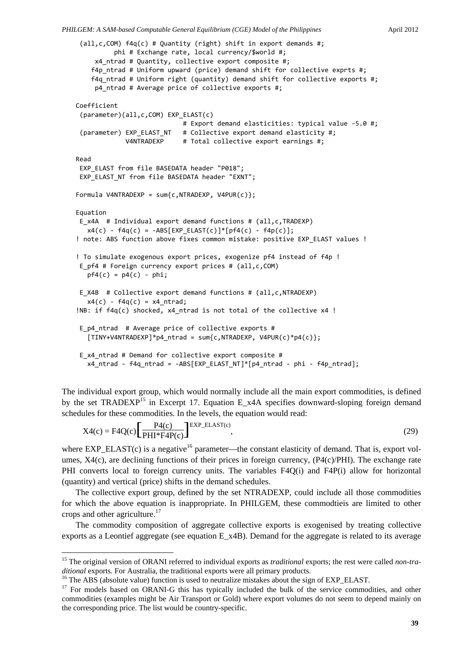```
(all,c,COM) f4q(c) # Quantity (right) shift in export demands #;
                    phi # Exchange rate, local currency/$world #;
          x4_ntrad # Quantity, collective export composite #;
    f4p ntrad # Uniform upward (price) demand shift for collective exprts #;
        f4q_ntrad # Uniform right (quantity) demand shift for collective exports #;
          p4_ntrad # Average price of collective exports #;
Coefficient
 (parameter)(all,c,COM) EXP_ELAST(c)
                                                         # Export demand elasticities: typical value ‐5.0 #;
 (parameter) EXP_ELAST_NT # Collective export demand elasticity #;
                          V4NTRADEXP     # Total collective export earnings #;
Read
 EXP_ELAST from file BASEDATA header "P018";
EXP_ELAST_NT from file BASEDATA header "EXNT";
Formula V4NTRADEXP = sum{c,NTRADEXP, V4PUR(c)};
Equation
E_x4A  # Individual export demand functions # (all,c,TRADEXP)
   x4(c) - f4q(c) = -ABS[EXP_ELAST(c)]*[pf4(c) - f4p(c)];! note: ABS function above fixes common mistake: positive EXP ELAST values !
! To simulate exogenous export prices, exogenize pf4 instead of f4p !
E_pf4 # Foreign currency export prices # (all,c,COM)
   pf4(c) = p4(c) - phi;E X4B # Collective export demand functions # (all,c,NTRADEXP)
   x4(c) - f4q(c) = x4 ntrad;
!NB: if f4q(c) shocked, x4 ntrad is not total of the collective x4 !
 E_p4_ntrad  # Average price of collective exports #
   [TIMY+V4NTRADEXP]*p4_{n1}rtrad = sum{c,NTRADEXP, V4PUR(c)*p4(c)};
 E_x4_ntrad # Demand for collective export composite #
   x4 ntrad - f4q ntrad = -ABS[EXP_ELAST_NT]*[p4_ntrad - phi - f4p_ntrad];
```
The individual export group, which would normally include all the main export commodities, is defined by the set TRADEXP<sup>15</sup> in Excerpt 17. Equation E\_x4A specifies downward-sloping foreign demand schedules for these commodities. In the levels, the equation would read:

$$
X4(c) = F4Q(c)\left[\frac{P4(c)}{PHH^*F4P(c)}\right]^{EXP\_ELAST(c)},
$$
\n(29)

where  $EXP\_ELAST(c)$  is a negative<sup>16</sup> parameter—the constant elasticity of demand. That is, export volumes,  $X4(c)$ , are declining functions of their prices in foreign currency,  $(P4(c)/PHI)$ . The exchange rate PHI converts local to foreign currency units. The variables F4Q(i) and F4P(i) allow for horizontal (quantity) and vertical (price) shifts in the demand schedules.

The collective export group, defined by the set NTRADEXP, could include all those commodities for which the above equation is inappropriate. In PHILGEM, these commodtieis are limited to other crops and other agriculture.17

The commodity composition of aggregate collective exports is exogenised by treating collective exports as a Leontief aggregate (see equation E\_x4B). Demand for the aggregate is related to its average

-

<sup>&</sup>lt;sup>15</sup> The original version of ORANI referred to individual exports as *traditional* exports; the rest were called *non-traditional* exports. For Australia, the traditional exports were all primary products.

<sup>&</sup>lt;sup>16</sup> The ABS (absolute value) function is used to neutralize mistakes about the sign of EXP\_ELAST.

<sup>&</sup>lt;sup>17</sup> For models based on ORANI-G this has typically included the bulk of the service commodities, and other commodities (examples might be Air Transport or Gold) where export volumes do not seem to depend mainly on the corresponding price. The list would be country-specific.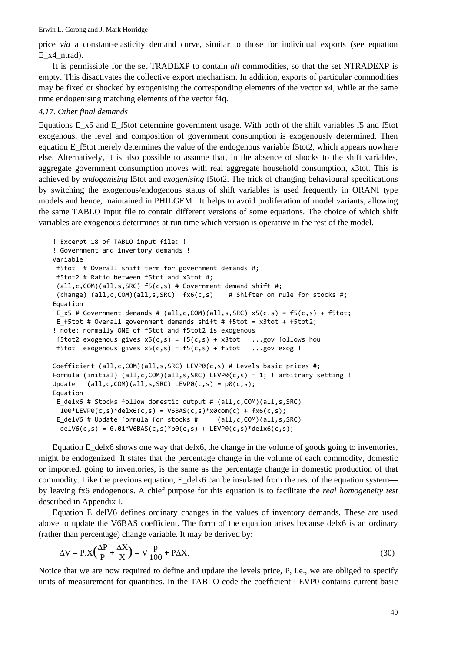price *via* a constant-elasticity demand curve, similar to those for individual exports (see equation E\_x4\_ntrad).

It is permissible for the set TRADEXP to contain *all* commodities, so that the set NTRADEXP is empty. This disactivates the collective export mechanism. In addition, exports of particular commodities may be fixed or shocked by exogenising the corresponding elements of the vector x4, while at the same time endogenising matching elements of the vector f4q.

## *4.17. Other final demands*

Equations E\_x5 and E\_f5tot determine government usage. With both of the shift variables f5 and f5tot exogenous, the level and composition of government consumption is exogenously determined. Then equation E\_f5tot merely determines the value of the endogenous variable f5tot2, which appears nowhere else. Alternatively, it is also possible to assume that, in the absence of shocks to the shift variables, aggregate government consumption moves with real aggregate household consumption, x3tot. This is achieved by *endogenising* f5tot and *exogenising* f5tot2. The trick of changing behavioural specifications by switching the exogenous/endogenous status of shift variables is used frequently in ORANI type models and hence, maintained in PHILGEM . It helps to avoid proliferation of model variants, allowing the same TABLO Input file to contain different versions of some equations. The choice of which shift variables are exogenous determines at run time which version is operative in the rest of the model.

```
! Excerpt 18 of TABLO input file: !
! Government and inventory demands !
Variable
f5tot  # Overall shift term for government demands #;
 f5tot2 # Ratio between f5tot and x3tot #;
 (all,c,COM)(all,s,SRC) f5(c,s) # Government demand shift #;
 (charge) (all,c,COM)(all,s,SRC) fxf(x, s) # Shifter on rule for stocks #;
Equation
 E x5 # Government demands # (all,c,COM)(all,s,SRC) x5(c,s) = f5(c,s) + f5tot;E f5tot # Overall government demands shift # f5tot = x3tot + f5tot2;
! note: normally ONE of f5tot and f5tot2 is exogenous
f5tot2 exogenous gives x5(c, s) = f5(c, s) + x3tot ...gov follows hou
f5tot exogenous gives x5(c, s) = f5(c, s) + f5tot ...gov exog !
Coefficient (all,c,COM)(all,s,SRC) LEVP0(c,s) # Levels basic prices #;
Formula (initial) (all,c,COM)(all,s,SRC) LEVP0(c,s) = 1; ! arbitrary setting !
Update (all, c, COM)(all, s, SRC) LEVP0(c,s) = p0(c, s);
Equation
 E_delx6 # Stocks follow domestic output # (all,c,COM)(all,s,SRC)
 100*LEVP0(c,s)*delx6(c,s) = V6BAS(c,s)*x0com(c) + fx6(c,s);
 E delV6 # Update formula for stocks # (all,c,COM)(all,s,SRC)
 delV6(c,s) = 0.01*V6BAS(c,s)*p0(c,s) + LEVP0(c,s)*delx6(c,s);
```
Equation E\_delx6 shows one way that delx6, the change in the volume of goods going to inventories, might be endogenized. It states that the percentage change in the volume of each commodity, domestic or imported, going to inventories, is the same as the percentage change in domestic production of that commodity. Like the previous equation,  $E$  delx6 can be insulated from the rest of the equation system by leaving fx6 endogenous. A chief purpose for this equation is to facilitate the *real homogeneity test* described in Appendix I.

Equation E\_delV6 defines ordinary changes in the values of inventory demands. These are used above to update the V6BAS coefficient. The form of the equation arises because delx6 is an ordinary (rather than percentage) change variable. It may be derived by:

$$
\Delta V = P.X \left(\frac{\Delta P}{P} + \frac{\Delta X}{X}\right) = V \frac{p}{100} + P\Delta X.
$$
\n(30)

Notice that we are now required to define and update the levels price, P, i.e., we are obliged to specify units of measurement for quantities. In the TABLO code the coefficient LEVP0 contains current basic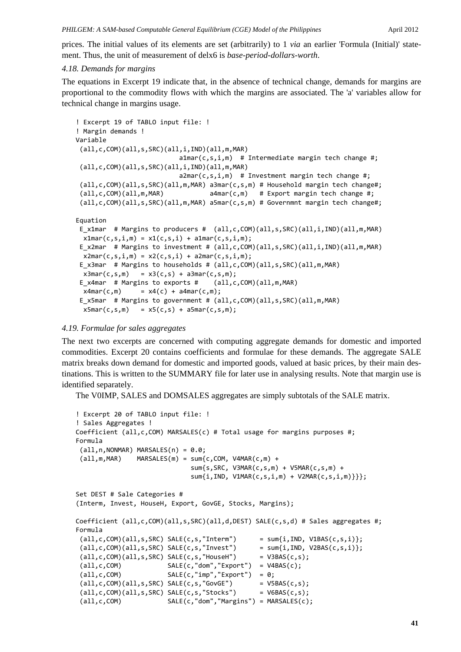prices. The initial values of its elements are set (arbitrarily) to 1 *via* an earlier 'Formula (Initial)' statement. Thus, the unit of measurement of delx6 is *base-period-dollars-worth*.

# *4.18. Demands for margins*

The equations in Excerpt 19 indicate that, in the absence of technical change, demands for margins are proportional to the commodity flows with which the margins are associated. The 'a' variables allow for technical change in margins usage.

```
! Excerpt 19 of TABLO input file: !
! Margin demands !
Variable
 (all,c,COM)(all,s,SRC)(all,i,IND)(all,m,MAR)
                           \texttt{a1mar}(c,s,i,m) # Intermediate margin tech change #;
 (all,c,COM)(all,s,SRC)(all,i,IND)(all,m,MAR)
                           a2mar(c,s,i,m) # Investment margin tech change #;
 (all,c,COM)(all,s,SRC)(all,m,MAR) a3mar(c,s,m) # Household margin tech change#;
 (all,c,COM)(all,m,MAR)            a4mar(c,m)   # Export margin tech change #;
 (all,c,COM)(all,s,SRC)(all,m,MAR) a5mar(c,s,m) # Governmnt margin tech change#;
Equation
 E x1mar # Margins to producers # (al, c, COM)(all, s, SRC)(all, i, IND)(all, m, MAR)x1mar(c, s, i, m) = x1(c, s, i) + a1mar(c, s, i, m);E_x2mar # Margins to investment # (all,c,COM)(all,s,SRC)(all,i,IND)(all,m,MAR)
 x2man(c, s, i, m) = x2(c, s, i) + a2man(c, s, i, m);E x3mar # Margins to households # (all,c,COM)(all,s,SRC)(all,m,MAR)x3mar(c, s, m) = x3(c, s) + a3mar(c, s, m);E x4mar # Margins to exports # (all,c,COM)(all,m,MAR)x4mar(c,m) = x4(c) + a4mar(c,m);E_x5mar  # Margins to government # (all,c,COM)(all,s,SRC)(all,m,MAR)
 x5mar(c, s,m) = x5(c, s) + a5mar(c, s,m);
```
# *4.19. Formulae for sales aggregates*

The next two excerpts are concerned with computing aggregate demands for domestic and imported commodities. Excerpt 20 contains coefficients and formulae for these demands. The aggregate SALE matrix breaks down demand for domestic and imported goods, valued at basic prices, by their main destinations. This is written to the SUMMARY file for later use in analysing results. Note that margin use is identified separately.

The V0IMP, SALES and DOMSALES aggregates are simply subtotals of the SALE matrix.

```
! Excerpt 20 of TABLO input file: !
! Sales Aggregates !
Coefficient (all,c,COM) MARSALES(c) # Total usage for margins purposes #;
Formula
 (\text{all},n,NONMAR) MARSALES(n) = 0.0;(\text{all},\text{m},\text{MAR}) MARSALES(m) = sum{c,COM, V4MAR(c,m) +
                                                              sum{s,SRC, V3MAR(c,s,m) + V5MAR(c,s,m) +
                                                              sum{i,IND, V1MAR(c,s,i,m) + V2MAR(c,s,i,m)}}};
Set DEST # Sale Categories #
(Interm, Invest, HouseH, Export, GovGE, Stocks, Margins);
Coefficient (all,c,COM)(all,s,SRC)(all,d,DEST) SALE(c,s,d) # Sales aggregates #;
Formula
 all, c, COM)(all, s, SRC) SALE(c, s, "Intern") = sum{i, IND, VIBAS(c, s, i)};all, c, COM)(all, s, SRC) SALE(c, s, "Invest") = sum[i, IND, V2BAS(c, s, i)];all, c, COM)(all, s, SRC) SALE(c, s, "HouseH") = V3BAS(c, s);(all,c,COM)            SALE(c,"dom","Export")  = V4BAS(c);
 (all,c,COM)            SALE(c,"imp","Export")  = 0;
 all, c, COM)(all, s, SRC) SALE(c, s, "GOVGE") = V5BAS(c, s);all,c,COM)(all,s,SRC) SALE(c,s,'Stocks") = V6BAS(c,s);(all,c,COM)            SALE(c,"dom","Margins") = MARSALES(c);
```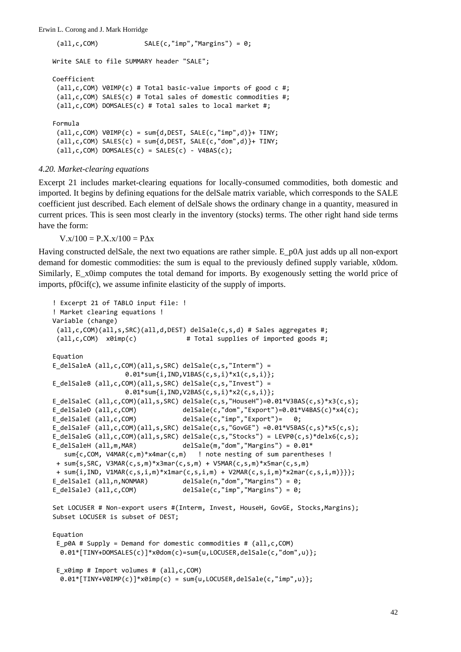```
(all,c,COM)            SALE(c,"imp","Margins") = 0;
```

```
Write SALE to file SUMMARY header "SALE";
Coefficient
 (all,c,COM) V0IMP(c) # Total basic‐value imports of good c #;
 (all,c,COM) SALES(c) # Total sales of domestic commodities #;
(all,c,COM) DOMSALES(c) # Total sales to local market #;
Formula
 (all, c, COM) VØIMP(c) = sum{d, DEST, SALE(c, "imp", d)}+ TINY;all, c, COM) SALES(c) = sum{d, DEST, SALE(c,"dom",d)}+ TINY;
 (all, c, COM) DOMSALES(c) = SALES(c) - V4BAS(c);
```
# *4.20. Market-clearing equations*

Excerpt 21 includes market-clearing equations for locally-consumed commodities, both domestic and imported. It begins by defining equations for the delSale matrix variable, which corresponds to the SALE coefficient just described. Each element of delSale shows the ordinary change in a quantity, measured in current prices. This is seen most clearly in the inventory (stocks) terms. The other right hand side terms have the form:

 $V.x/100 = P.X.x/100 = P\Delta x$ 

Having constructed delSale, the next two equations are rather simple. E\_p0A just adds up all non-export demand for domestic commodities: the sum is equal to the previously defined supply variable, x0dom. Similarly, E\_x0imp computes the total demand for imports. By exogenously setting the world price of imports, pf0cif(c), we assume infinite elasticity of the supply of imports.

```
! Excerpt 21 of TABLO input file: !
! Market clearing equations !
Variable (change)
 (all,c,COM)(all,s,SRC)(all,d,DEST) delSale(c,s,d) # Sales aggregates #;
 \text{(all,c,COM)} \quad \text{x0imp(c)} \quad \text{# Total supplies of imported goods #};Equation
E delSaleA (all,c,COM)(all,s,SRC) delSale(c,s,"Interm") =
                    0.01*sum{i,IND,V1BAS(c,s,i)*x1(c,s,i)};
E_delSaleB (all,c,COM)(all,s,SRC) delSale(c,s,"Invest") =
                                       0.01*sum{i,IND,V2BAS(c,s,i)*x2(c,s,i)};
E_delSaleC (all,c,COM)(all,s,SRC) delSale(c,s,"HouseH")=0.01*V3BAS(c,s)*x3(c,s);
E_delSaleD (all,c,COM) \qquad \qquad delSale(c,"dom","Export")=0.01*V4BAS(c)*x4(c);<br>E delSaleE (all,c,COM) \qquad \qquad delSale(c,"imp","Export")= 0;
                                    delSafe(c,'imp", "Export") = 0;E_delSaleF (all,c,COM)(all,s,SRC) delSale(c,s,"GovGE") =0.01*V5BAS(c,s)*x5(c,s);
E delSaleG (all,c,COM)(all,s,SRC) delSale(c,s,"Stocks") = LEVP0(c,s)*delx6(c,s);
E_delSaleH (all,m,MAR)            delSale(m,"dom","Margins") = 0.01*
      sum{c,COM, V4MAR(c,m)*x4mar(c,m)   ! note nesting of sum parentheses !
 + sum{s,SRC, V3MAR(c,s,m)*x3mar(c,s,m) + V5MAR(c,s,m)*x5mar(c,s,m)
 + sum{i,IND, V1MAR(c,s,i,m)*x1mar(c,s,i,m) + V2MAR(c,s,i,m)*x2mar(c,s,i,m)}}};
E_delSaleI (all,n,NONMAR)         delSale(n,"dom","Margins") = 0;
E_delSaleJ (all,c,COM)            delSale(c,"imp","Margins") = 0;
Set LOCUSER # Non‐export users #(Interm, Invest, HouseH, GovGE, Stocks,Margins);
Subset LOCUSER is subset of DEST;
Equation
 E p0A # Supply = Demand for domestic commodities # (all,c,COM)
    0.01*[TINY+DOMSALES(c)]*x0dom(c)=sum{u,LOCUSER,delSale(c,"dom",u)};
 E x0imp # Import volumes # (all,c,COM)
  0.01*[TINY+V0IMP(c)]*x0imp(c) = sum{u,LOCUSER,delSale(c,"imp",u)};
```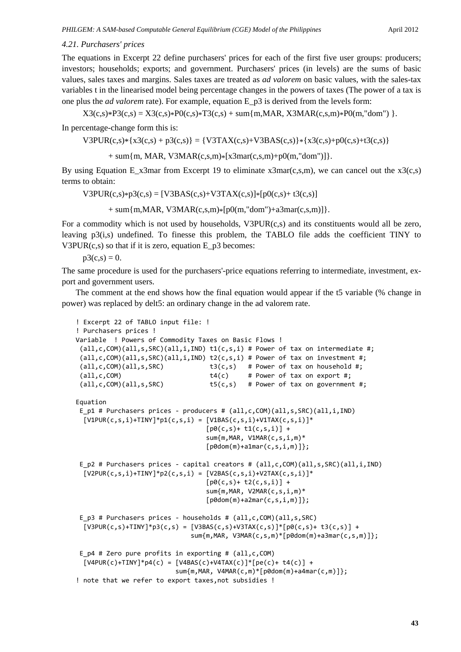## *4.21. Purchasers' prices*

The equations in Excerpt 22 define purchasers' prices for each of the first five user groups: producers; investors; households; exports; and government. Purchasers' prices (in levels) are the sums of basic values, sales taxes and margins. Sales taxes are treated as *ad valorem* on basic values, with the sales-tax variables t in the linearised model being percentage changes in the powers of taxes (The power of a tax is one plus the *ad valorem* rate). For example, equation E\_p3 is derived from the levels form:

 $X3(c,s)*P3(c,s) = X3(c,s)*P0(c,s)*T3(c,s) + sum{m,MAR, X3MAR(c,s,m)*P0(m,"dom")}.$ 

In percentage-change form this is:

$$
V3PUR(c,s)*{x3(c,s) + p3(c,s)} = {V3TAX(c,s) + V3BAS(c,s)} * {x3(c,s) + p0(c,s) + t3(c,s)}
$$

+ sum{m, MAR, V3MAR(c,s,m)\*[x3mar(c,s,m)+p0(m,"dom")]}.

By using Equation E\_x3mar from Excerpt 19 to eliminate  $x3mar(c,s,m)$ , we can cancel out the  $x3(c,s)$ terms to obtain:

 $V3PUR(c,s)*p3(c,s) = [V3BAS(c,s)+V3TAX(c,s)]*[p0(c,s)+t3(c,s)]$ 

+ sum{m, MAR, V3MAR(c,s,m)\*[p0(m,"dom")+a3mar(c,s,m)]}.

For a commodity which is not used by households, V3PUR(c,s) and its constituents would all be zero, leaving p3(i,s) undefined. To finesse this problem, the TABLO file adds the coefficient TINY to V3PUR $(c,s)$  so that if it is zero, equation  $E_p^3$  becomes:

 $p3(c,s) = 0.$ 

The same procedure is used for the purchasers'-price equations referring to intermediate, investment, export and government users.

The comment at the end shows how the final equation would appear if the t5 variable (% change in power) was replaced by delt5: an ordinary change in the ad valorem rate.

```
! Excerpt 22 of TABLO input file: !
! Purchasers prices !
Variable  ! Powers of Commodity Taxes on Basic Flows !
 (all, c, COM)(all, s, SRC)(all, i, IND) t1(c, s, i) # Power of tax on intermediate #;(all,c,COM)(all,s,SRC)(all,i,IND) t2(c,s,i) # Power of tax on investment #;
 (all,c,COM)(all,s,SRC)            t3(c,s)   # Power of tax on household #;
 (all,c,COM)                       t4(c)     # Power of tax on export #;
 (all,c,COM)(all,s,SRC)            t5(c,s)   # Power of tax on government #;
Equation
 E p1 # Purchasers prices - producers # (all,c,COM)(all,s,SRC)(all,i,IND)
  [V1PUR(c,s,i)+TINY]*p1(c,s,i) = [V1BAS(c,s,i)+V1TAX(c,s,i)]*[p0(c, s) + t1(c, s, i)] +                                  sum{m,MAR, V1MAR(c,s,i,m)*
                                      [p0dom(m)+a1mar(c,s,i,m)];
 E_p2 # Purchasers prices ‐ capital creators # (all,c,COM)(all,s,SRC)(all,i,IND)
  [V2PUR(c, s, i) + TINV] * p2(c, s, i) = [V2BAS(c, s, i) + V2TAX(c, s, i)] *[p0(c, s) + t2(c, s, i)] +                                  sum{m,MAR, V2MAR(c,s,i,m)*
                                      [p0dom(m)+a2mar(c,s,i,m)];
 E_p3 # Purchasers prices ‐ households # (all,c,COM)(all,s,SRC)
  [V3PUR(c,s)+TINY]*p3(c,s) = [V3BAS(c,s)+V3TAX(c,s)]*[p0(c,s)+t3(c,s)] +                              sum{m,MAR, V3MAR(c,s,m)*[p0dom(m)+a3mar(c,s,m)]};
 E p4 # Zero pure profits in exporting # (all,c,COM)
  [V4PUR(c)+TINY]*p4(c) = [V4BAS(c)+V4TAX(c)]*[pe(c)+t4(c)] +                          sum{m,MAR, V4MAR(c,m)*[p0dom(m)+a4mar(c,m)]};
! note that we refer to export taxes,not subsidies !
```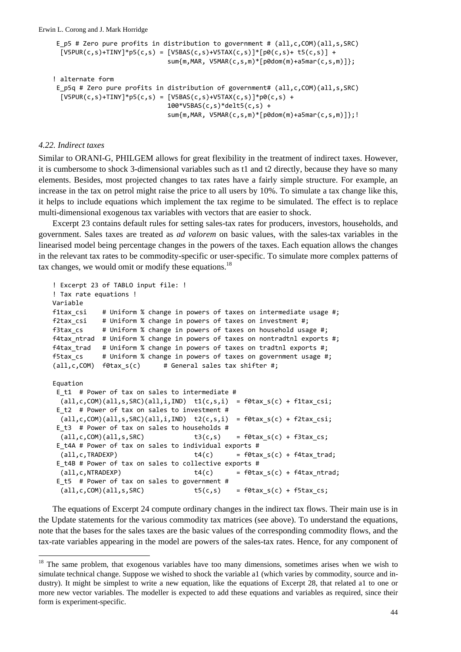```
E p5 # Zero pure profits in distribution to government # (all,c,COM)(all,s,SRC)[V5PUR(c,s)+TINY]^*p5(c,s) = [V5BAS(c,s)+V5TAX(c,s)]*[p0(c,s)+t5(c,s)] +                              sum{m,MAR, V5MAR(c,s,m)*[p0dom(m)+a5mar(c,s,m)]};
! alternate form
E_p5q # Zero pure profits in distribution of government# (all,c,COM)(all,s,SRC)
  [V5PUR(c,s)+TINY]*p5(c,s) = [V5BAS(c,s)+V5TAX(c,s)]*p0(c,s) +                              100*V5BAS(c,s)*delt5(c,s) +
                                                                  sum{m,MAR, V5MAR(c,s,m)*[p0dom(m)+a5mar(c,s,m)]};!
```
#### *4.22. Indirect taxes*

 $\overline{a}$ 

Similar to ORANI-G, PHILGEM allows for great flexibility in the treatment of indirect taxes. However, it is cumbersome to shock 3-dimensional variables such as t1 and t2 directly, because they have so many elements. Besides, most projected changes to tax rates have a fairly simple structure. For example, an increase in the tax on petrol might raise the price to all users by 10%. To simulate a tax change like this, it helps to include equations which implement the tax regime to be simulated. The effect is to replace multi-dimensional exogenous tax variables with vectors that are easier to shock.

Excerpt 23 contains default rules for setting sales-tax rates for producers, investors, households, and government. Sales taxes are treated as *ad valorem* on basic values, with the sales-tax variables in the linearised model being percentage changes in the powers of the taxes. Each equation allows the changes in the relevant tax rates to be commodity-specific or user-specific. To simulate more complex patterns of tax changes, we would omit or modify these equations.<sup>18</sup>

```
! Excerpt 23 of TABLO input file: !
! Tax rate equations !
Variable
f1tax_csi    # Uniform % change in powers of taxes on intermediate usage #;
f2tax csi # Uniform % change in powers of taxes on investment #;
f3tax_cs     # Uniform % change in powers of taxes on household usage #;
f4tax_ntrad  # Uniform % change in powers of taxes on nontradtnl exports #;
f4tax_trad   # Uniform % change in powers of taxes on tradtnl exports #;
f5tax_cs     # Uniform % change in powers of taxes on government usage #;
(all,c,COM)  f0tax_s(c)      # General sales tax shifter #;
Equation
E_t1  # Power of tax on sales to intermediate #
 (all,c,COM)(all,s,SRC)(all,i,IND) tl(c,s,i) = f0tax_s(c) + f1tax_csi;
 E_t2  # Power of tax on sales to investment #
 (all,c,COM)(all,s,SRC)(all,i,IND) t2(c,s,i) = f0tax_s(c) + f2tax_csi;
 E t3 # Power of tax on sales to households #
   (all,c,COM)(all,s,SRC)             t3(c,s)    = f0tax_s(c) + f3tax_cs;
 E_t4A # Power of tax on sales to individual exports #
   (all,c,TRADEXP)                    t4(c)      = f0tax_s(c) + f4tax_trad;
 E_t4B # Power of tax on sales to collective exports #
    (all,c,NTRADEXP)                   t4(c)      = f0tax_s(c) + f4tax_ntrad;
 E_t5  # Power of tax on sales to government #
    (all,c,COM)(all,s,SRC)             t5(c,s)    = f0tax_s(c) + f5tax_cs;
```
The equations of Excerpt 24 compute ordinary changes in the indirect tax flows. Their main use is in the Update statements for the various commodity tax matrices (see above). To understand the equations, note that the bases for the sales taxes are the basic values of the corresponding commodity flows, and the tax-rate variables appearing in the model are powers of the sales-tax rates. Hence, for any component of

<sup>&</sup>lt;sup>18</sup> The same problem, that exogenous variables have too many dimensions, sometimes arises when we wish to simulate technical change. Suppose we wished to shock the variable a1 (which varies by commodity, source and industry). It might be simplest to write a new equation, like the equations of Excerpt 28, that related a1 to one or more new vector variables. The modeller is expected to add these equations and variables as required, since their form is experiment-specific.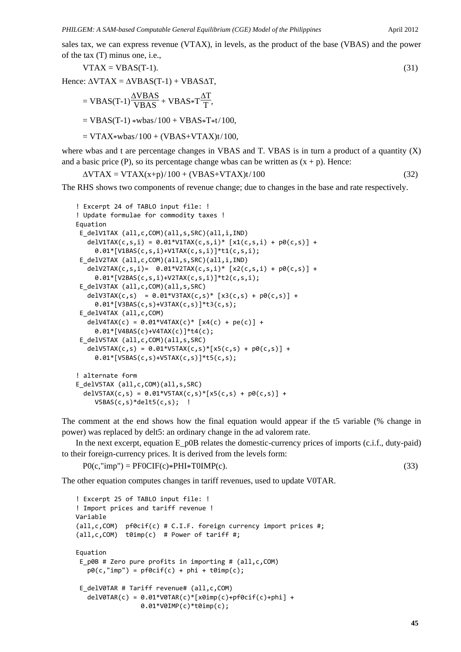sales tax, we can express revenue (VTAX), in levels, as the product of the base (VBAS) and the power of the tax (T) minus one, i.e.,

$$
VTAX = VBAS(T-1). \tag{31}
$$

Hence:  $\triangle V\text{TAX} = \triangle V\text{BAS(T-1)} + \text{VBASAT}$ ,

$$
= \text{VBAS}(\text{T-1})\frac{\Delta \text{VBAS}}{\text{VBAS}} + \text{VBAS}*\text{T}\frac{\Delta \text{T}}{\text{T}},
$$

$$
= \text{VBAS}(\text{T-1}) * \text{wbas}/100 + \text{VBAS}*\text{T} * t/100,
$$

$$
= VTAX*wbas/100 + (VBAS+VTAX)t/100,
$$

where wbas and t are percentage changes in VBAS and T. VBAS is in turn a product of a quantity (X) and a basic price (P), so its percentage change wbas can be written as  $(x + p)$ . Hence:

$$
\Delta VTAX = VTAX(x+p)/100 + (VBAS+VTAX)t/100
$$
\n(32)

The RHS shows two components of revenue change; due to changes in the base and rate respectively.

```
! Excerpt 24 of TABLO input file: !
! Update formulae for commodity taxes !
Equation
E_delV1TAX (all,c,COM)(all,s,SRC)(all,i,IND)
   delV1TAX(c,s,i) = 0.01*V1TAX(c,s,i)* [x1(c,s,i) + p0(c,s)] +     0.01*[V1BAS(c,s,i)+V1TAX(c,s,i)]*t1(c,s,i);
 E_delV2TAX (all,c,COM)(all,s,SRC)(all,i,IND)
   delV2TAX(c,s,i)= 0.01*V2TAX(c,s,i)* [x2(c,s,i) + p0(c,s)] +     0.01*[V2BAS(c,s,i)+V2TAX(c,s,i)]*t2(c,s,i);
 E_delV3TAX (all,c,COM)(all,s,SRC)
   delV3TAX(c,s) = 0.01*V3TAX(c,s)* [x3(c,s) + p0(c,s)] +     0.01*[V3BAS(c,s)+V3TAX(c,s)]*t3(c,s);
 E_delV4TAX (all,c,COM)
   delV4TAX(c) = 0.01*V4TAX(c)* [x4(c) + pe(c)] +     0.01*[V4BAS(c)+V4TAX(c)]*t4(c);
 E_delV5TAX (all,c,COM)(all,s,SRC)
   delV5TAX(c,s) = 0.01*V5TAX(c,s)*[x5(c,s) + p0(c,s)] +     0.01*[V5BAS(c,s)+V5TAX(c,s)]*t5(c,s);
! alternate form
E_delV5TAX (all,c,COM)(all,s,SRC)
  delV5TAX(c,s) = 0.01*V5TAX(c,s)*[x5(c,s) + p0(c,s)] +V5BAS(c,s)*delta(c,s); !
```
The comment at the end shows how the final equation would appear if the t5 variable (% change in power) was replaced by delt5: an ordinary change in the ad valorem rate.

In the next excerpt, equation E\_p0B relates the domestic-currency prices of imports (c.i.f., duty-paid) to their foreign-currency prices. It is derived from the levels form:

```
P0(c, "imp") = PF0CIF(c)*PHI*TOIMP(c). (33)
```
The other equation computes changes in tariff revenues, used to update V0TAR.

```
! Excerpt 25 of TABLO input file: !
! Import prices and tariff revenue !
Variable
(all,c,COM)  pf0cif(c) # C.I.F. foreign currency import prices #;
(all,c,COM) t0imp(c) # Power of tariff #;
Equation
E_p0B # Zero pure profits in importing # (all,c,COM)
   p\theta(c, "imp") = pf\theta(c) + phi + t\thetaimp(c);E_delV0TAR # Tariff revenue# (all,c,COM)
   delV0TAR(c) = 0.01*V0TAR(c)*[x0imp(c)+pf0cif(c)+phi] +                 0.01*V0IMP(c)*t0imp(c);
```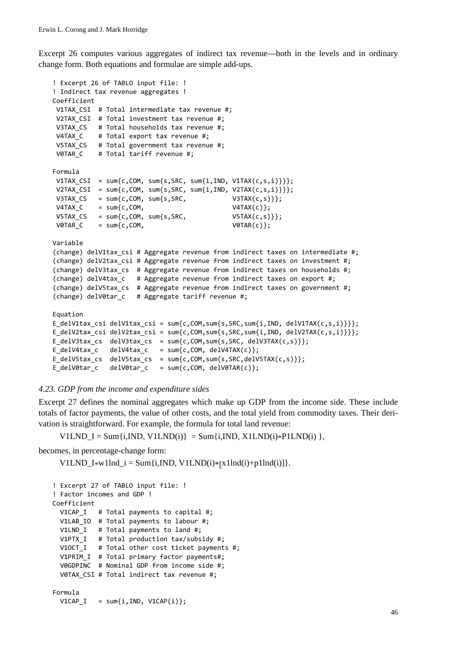Excerpt 26 computes various aggregates of indirect tax revenue—both in the levels and in ordinary change form. Both equations and formulae are simple add-ups.

```
! Excerpt 26 of TABLO input file: !
! Indirect tax revenue aggregates !
Coefficient
V1TAX_CSI  # Total intermediate tax revenue #;
V2TAX CSI # Total investment tax revenue #;
V3TAX_CS   # Total households tax revenue #;
V4TAX C # Total export tax revenue #;
V5TAX CS # Total government tax revenue #;
V0TAR C # Total tariff revenue #;
Formula
V1TAX_CSI  = sum{c,COM, sum{s,SRC, sum{i,IND, V1TAX(c,s,i)}}};
V2TAX_CSI  = sum{c,COM, sum{s,SRC, sum{i,IND, V2TAX(c,s,i)}}};
V3TAX_CS = sum\{c, COM, sum\{s,SRC,<br>V3TAX(c,s)\}\};V4TAX_C = sum\{c, COM, V4TAX(c)\};V5TAX_CS = sum\{c, COM, sum\{s,SRC,<br>V5TAX(c,s)\}\};V0TAR C = sum{c, COM}, V0TAR(c);
Variable
(change) delV1tax_csi # Aggregate revenue from indirect taxes on intermediate #;
(change) delV2tax_csi # Aggregate revenue from indirect taxes on investment #;
(change) delV3tax_cs  # Aggregate revenue from indirect taxes on households #;
(change) delV4tax_c   # Aggregate revenue from indirect taxes on export #;
(change) delV5tax_cs  # Aggregate revenue from indirect taxes on government #;
(change) delV0tar_c   # Aggregate tariff revenue #;
Equation
E_delV1tax_csi delV1tax_csi = sum{c,COM,sum{s,SRC,sum{i,IND, delV1TAX(c,s,i)}}};
E_delV2tax_csi delV2tax_csi = sum{c,COM,sum{s,SRC,sum{i,IND, delV2TAX(c,s,i)}}};
E_delV3tax_cs  delV3tax_cs  = sum{c,COM,sum{s,SRC, delV3TAX(c,s)}};
E_delV4tax_c   delV4tax_c   = sum{c,COM, delV4TAX(c)};
E_delV5tax_cs  delV5tax_cs  = sum{c,COM,sum{s,SRC,delV5TAX(c,s)}};
E delV0tar_c   delV0tar_c   = sum{c,COM, delV0TAR(c)};
```
# *4.23. GDP from the income and expenditure sides*

Excerpt 27 defines the nominal aggregates which make up GDP from the income side. These include totals of factor payments, the value of other costs, and the total yield from commodity taxes. Their derivation is straightforward. For example, the formula for total land revenue:

V1LND\_I = Sum{i,IND, V1LND(i) } = Sum{i,IND, X1LND(i)\*P1LND(i) },

becomes, in percentage-change form:

V1LND  $I*w1Ind$   $i = Sum{i, IND, V1LND(i)*[x1Ind(i)+p1Ind(i)]}.$ 

```
! Excerpt 27 of TABLO input file: !
! Factor incomes and GDP !
Coefficient
   V1CAP_I   # Total payments to capital #;
   V1LAB_IO  # Total payments to labour #;
 V1LND I # Total payments to land #;
  V1PTX_I   # Total production tax/subsidy #;
  V1OCT_I   # Total other cost ticket payments #;
   V1PRIM_I  # Total primary factor payments#;
   V0GDPINC  # Nominal GDP from income side #;
   V0TAX_CSI # Total indirect tax revenue #;
Formula
 V1CAP_I = sum\{i, IND, V1CAP(i)\};
```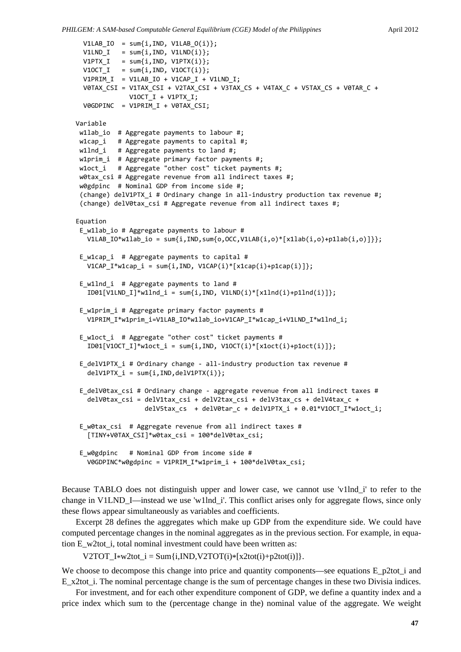```
V1LAB_IO = sum{i, IND, V1LAB_0(i)};V1LND_I = sum[i,IND, V1LND(i)];V1PTX_I = sum{i,IND, V1PTX(i)};
  V10CT_I = sum\{i, IND, V10CT(i)\};  V1PRIM_I  = V1LAB_IO + V1CAP_I + V1LND_I;
    V0TAX_CSI = V1TAX_CSI + V2TAX_CSI + V3TAX_CS + V4TAX_C + V5TAX_CS + V0TAR_C +
                           V1OCT_I + V1PTX_I;
    V0GDPINC  = V1PRIM_I + V0TAX_CSI;
Variable
w1lab io # Aggregate payments to labour #;
w1cap_i   # Aggregate payments to capital #;
w1lnd_i # Aggregate payments to land #;
w1prim_i  # Aggregate primary factor payments #;
w1oct_i   # Aggregate "other cost" ticket payments #;
w0tax_csi # Aggregate revenue from all indirect taxes #;
w0gdpinc  # Nominal GDP from income side #;
 (change) delV1PTX_i # Ordinary change in all‐industry production tax revenue #;
 (change) delV0tax_csi # Aggregate revenue from all indirect taxes #;
Equation
 E w1lab io # Aggregate payments to labour #
  V1LAB_IO*w1lab_io = sum{i,IND,sum{o,OCC,V1LAB(i,o)*[x1lab(i,o)+p1lab(i,o)]}};
E_w1cap_i  # Aggregate payments to capital #
     V1CAP_I*w1cap_i = sum{i,IND, V1CAP(i)*[x1cap(i)+p1cap(i)]};
 E w1lnd i # Aggregate payments to land #
   ID01[V1LND_I]*w1Ind_i = sum(i,IND, V1LND(i)*[x1Ind(i)+p1Ind(i)]);E w1prim i # Aggregate primary factor payments #
  V1PRIM_I*w1prim_i=V1LAB_IO*w1lab_io+V1CAP_I*w1cap_i+V1LND_I*w1lnd_i;
 E_w1oct_i  # Aggregate "other cost" ticket payments #
  ID01[V10CT_I]*W1oct_i = sum[i,IND, V10CT(i)*[x1oct(i)+p1oct(i)]];E delV1PTX i # Ordinary change - all-industry production tax revenue #
   delV1PTX i = sum\{i, IND, delV1PTX(i)\};E delV0tax csi # Ordinary change - aggregate revenue from all indirect taxes #
      delV0tax_csi = delV1tax_csi + delV2tax_csi + delV3tax_cs + delV4tax_c +
                                    delV5tax_cs  + delV0tar_c + delV1PTX_i + 0.01*V1OCT_I*w1oct_i;
 E w0tax csi # Aggregate revenue from all indirect taxes #
      [TINY+V0TAX_CSI]*w0tax_csi = 100*delV0tax_csi;
 E w0gdpinc # Nominal GDP from income side #
     V0GDPINC*w0gdpinc = V1PRIM_I*w1prim_i + 100*delV0tax_csi;
```
Because TABLO does not distinguish upper and lower case, we cannot use 'v1lnd\_i' to refer to the change in V1LND\_I—instead we use 'w1lnd\_i'. This conflict arises only for aggregate flows, since only these flows appear simultaneously as variables and coefficients.

Excerpt 28 defines the aggregates which make up GDP from the expenditure side. We could have computed percentage changes in the nominal aggregates as in the previous section. For example, in equation E\_w2tot\_i, total nominal investment could have been written as:

V2TOT  $I*w2tot$   $i = Sum{i, IND, V2TOT(i)*[x2tot(i)+p2tot(i)]}.$ 

We choose to decompose this change into price and quantity components—see equations E\_p2tot\_i and E\_x2tot i. The nominal percentage change is the sum of percentage changes in these two Divisia indices.

For investment, and for each other expenditure component of GDP, we define a quantity index and a price index which sum to the (percentage change in the) nominal value of the aggregate. We weight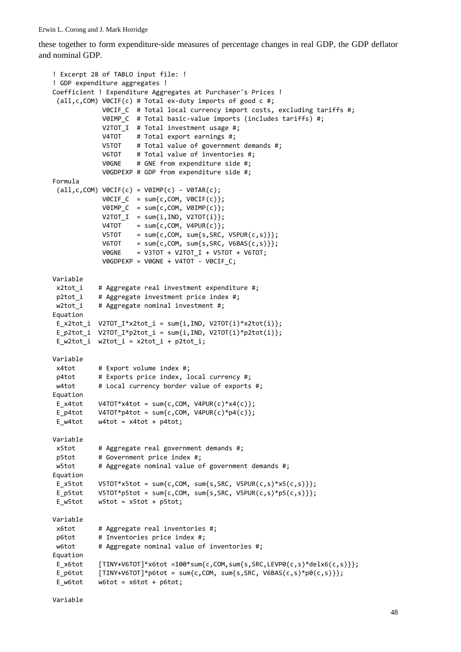these together to form expenditure-side measures of percentage changes in real GDP, the GDP deflator and nominal GDP.

```
! Excerpt 28 of TABLO input file: !
! GDP expenditure aggregates !
Coefficient ! Expenditure Aggregates at Purchaser's Prices !
 (all,c,COM) V0CIF(c) # Total ex‐duty imports of good c #;
                          V0CIF_C  # Total local currency import costs, excluding tariffs #;
                          V0IMP_C  # Total basic‐value imports (includes tariffs) #;
             V2TOT I # Total investment usage #;
             V4TOT # Total export earnings #;
                          V5TOT    # Total value of government demands #;
                          V6TOT    # Total value of inventories #;
                          V0GNE    # GNE from expenditure side #;
                          V0GDPEXP # GDP from expenditure side #;
Formula
 (all, c, COM) VØCIF(c) = VØIMP(c) - VØTAR(c);VØCIF_C = sum{c, COM, VØCIF(c)};V0IMP C = sum\{c, COM, V0IMP(c)\};V2TOT\_I = sum{i, IND, V2TOT(i)};
V4TOT = sum\{c, COM, V4PUR(c)\};<code>V5TOT = sum{c,COM, sum{s,SRC, V5PUR(c,s)}};</code>
\texttt{V6TOT} = \texttt{sum}\{\texttt{c},\texttt{COM},\ \texttt{sum}\{\texttt{s},\texttt{SRC},\ \texttt{V6BAS}(\texttt{c},\texttt{s})\}\}             V0GNE    = V3TOT + V2TOT_I + V5TOT + V6TOT;
             VØGDPEXP = VØGNE + V4TOT - VØCIF C;Variable
x2tot i # Aggregate real investment expenditure #;
p2tot i # Aggregate investment price index #;
w2tot i # Aggregate nominal investment #;
Equation
E x2tot i V2TOT I*x2tot i = sum{i,IND, V2TOT(i)*x2tot(i)};
 E p2tot i V2TOT I*p2tot i = sum{i,IND, V2TOT(i)*p2tot(i)};
 E w2tot i w2tot i = x2tot i + p2tot i;
Variable
x4tot # Export volume index #;
p4tot      # Exports price index, local currency #;
w4tot # Local currency border value of exports #;
Equation
E x4tot    V4TOT*x4tot = sum{c,COM, V4PUR(c)*x4(c)};
E p4tot    V4TOT*p4tot = sum{c,COM, V4PUR(c)*p4(c)};
E w4tot = x4tot + p4tot;
Variable
x5tot      # Aggregate real government demands #;
p5tot      # Government price index #;
w5tot # Aggregate nominal value of government demands #;
Equation
E_x5tot    V5TOT*x5tot = sum{c,COM, sum{s,SRC, V5PUR(c,s)*x5(c,s)}};
E_p5tot    V5TOT*p5tot = sum{c,COM, sum{s,SRC, V5PUR(c,s)*p5(c,s)}};
 E w5tot w5tot = x5tot + p5tot;Variable
x6tot      # Aggregate real inventories #;
 p6tot # Inventories price index #;
w6tot # Aggregate nominal value of inventories #;
Equation
E_x6tot [TINY+V6TOT]*x6tot =100*sum{c, COM, sum{s, SRC, LEVP0(c, s)*del{x6(c, s)}}};E_p6tot \{TINY+V6TOT\}^*p6tot = sum{c, COM, sum{s,SRC, V6BAS(c,s)*p0(c,s)}};E w6tot w6tot = x6tot + p6tot;
```

```
Variable
```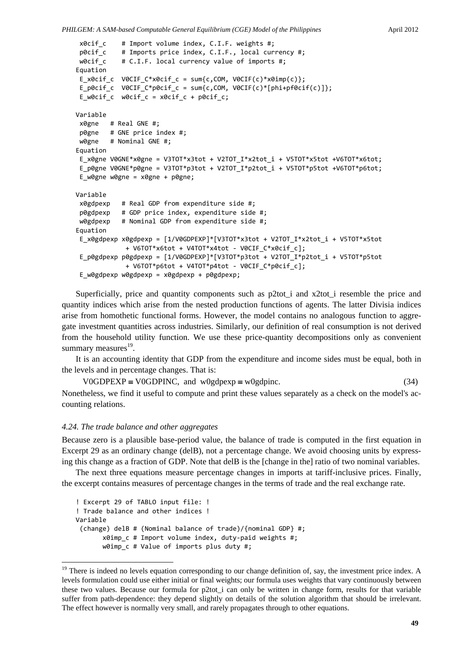```
x0cif_c    # Import volume index, C.I.F. weights #;
 p0cif c # Imports price index, C.I.F., local currency #;
w0cif c # C.I.F. local currency value of imports #;
Equation
E_x0cif_c  V0CIF_C*x0cif_c = sum{c,COM, V0CIF(c)*x0imp(c)};
 E_p0cif_c V0CIF_C*p0cif_c = sum{c,COM, V0CIF(c)*[phi+pf0cif(c)]};
 E_w0cif_c w0cif_c = x0cif_c + p0cif_c;
Variable
x0gne   # Real GNE #;
p0gne   # GNE price index #;
w0gne # Nominal GNE #;
Equation
E x0gne V0GNE*x0gne = V3TOT*x3tot + V2TOT I*x2tot i + V5TOT*x5tot +V6TOT*x6tot;
 E_p0gne V0GNE*p0gne = V3TOT*p3tot + V2TOT_I*p2tot_i + V5TOT*p5tot +V6TOT*p6tot;
 E_w0gne w0gne = x0gne + p0gne;
Variable
 x0gdpexp   # Real GDP from expenditure side #;
 p0gdpexp   # GDP price index, expenditure side #;
w0gdpexp   # Nominal GDP from expenditure side #;
Equation
 E_x0gdpexp x0gdpexp = [1/V0GDPEXP]*[V3TOT*x3tot + V2TOT_I*x2tot_i + V5TOT*x5tot
                          + V6TOT*x6tot + V4TOT*x4tot ‐ V0CIF_C*x0cif_c];
 E_p0gdpexp p0gdpexp = [1/V0GDPEXP]*[V3TOT*p3tot + V2TOT_I*p2tot_i + V5TOT*p5tot
                          + V6TOT*p6tot + V4TOT*p4tot ‐ V0CIF_C*p0cif_c];
 E_w0gdpexp w0gdpexp = x0gdpexp + p0gdpexp;
```
Superficially, price and quantity components such as p2tot\_i and x2tot\_i resemble the price and quantity indices which arise from the nested production functions of agents. The latter Divisia indices arise from homothetic functional forms. However, the model contains no analogous function to aggregate investment quantities across industries. Similarly, our definition of real consumption is not derived from the household utility function. We use these price-quantity decompositions only as convenient summary measures $^{19}$ .

It is an accounting identity that GDP from the expenditure and income sides must be equal, both in the levels and in percentage changes. That is:

V0GDPEXP  $\equiv$  V0GDPINC, and w0gdpexp  $\equiv$  w0gdpinc. (34) Nonetheless, we find it useful to compute and print these values separately as a check on the model's accounting relations.

# *4.24. The trade balance and other aggregates*

-

Because zero is a plausible base-period value, the balance of trade is computed in the first equation in Excerpt 29 as an ordinary change (delB), not a percentage change. We avoid choosing units by expressing this change as a fraction of GDP. Note that delB is the [change in the] ratio of two nominal variables.

The next three equations measure percentage changes in imports at tariff-inclusive prices. Finally, the excerpt contains measures of percentage changes in the terms of trade and the real exchange rate.

```
! Excerpt 29 of TABLO input file: !
! Trade balance and other indices !
Variable
 (change) delB # (Nominal balance of trade)/{nominal GDP} #;
              x0imp_c # Import volume index, duty‐paid weights #;
              w0imp_c # Value of imports plus duty #;
```
<sup>&</sup>lt;sup>19</sup> There is indeed no levels equation corresponding to our change definition of, say, the investment price index. A levels formulation could use either initial or final weights; our formula uses weights that vary continuously between these two values. Because our formula for p2tot\_i can only be written in change form, results for that variable suffer from path-dependence: they depend slightly on details of the solution algorithm that should be irrelevant. The effect however is normally very small, and rarely propagates through to other equations.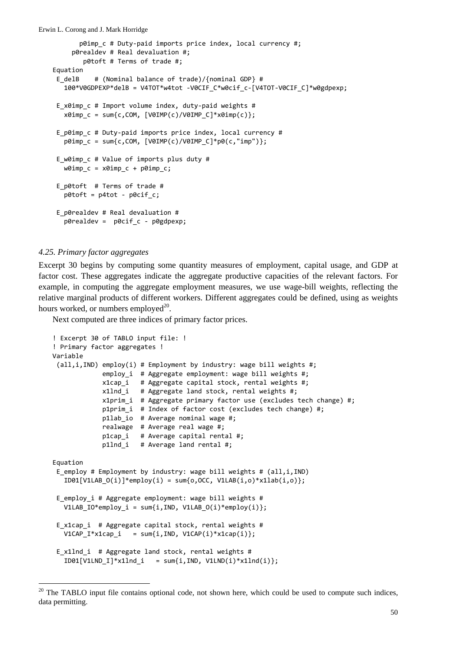```
Erwin L. Corong and J. Mark Horridge
                  p0imp_c # Duty‐paid imports price index, local currency #;
              p0realdev # Real devaluation #;
                    p0toft # Terms of trade #;
   Equation
    E_delB    # (Nominal balance of trade)/{nominal GDP} #
          100*V0GDPEXP*delB = V4TOT*w4tot ‐V0CIF_C*w0cif_c‐[V4TOT‐V0CIF_C]*w0gdpexp;
    E x0imp c # Import volume index, duty-paid weights #
       x0imp c = sum{c,COM, [V0IMP(c)/V0IMP_C]*x0imp(c)};
    E p0imp c # Duty-paid imports price index, local currency #
       p0imp_c = sum\{c, COM, [V0IMP(c)/V0IMP_C]*p0(c, "imp");\}E w0imp c # Value of imports plus duty #
         w0imp_c = x0imp_c + p0imp_c;
    E_p0toft  # Terms of trade #
          p0toft = p4tot ‐ p0cif_c;
    E_p0realdev # Real devaluation #
          p0realdev =  p0cif_c ‐ p0gdpexp;
```
# *4.25. Primary factor aggregates*

 $\overline{a}$ 

Excerpt 30 begins by computing some quantity measures of employment, capital usage, and GDP at factor cost. These aggregates indicate the aggregate productive capacities of the relevant factors. For example, in computing the aggregate employment measures, we use wage-bill weights, reflecting the relative marginal products of different workers. Different aggregates could be defined, using as weights hours worked, or numbers employed $^{20}$ .

Next computed are three indices of primary factor prices.

```
! Excerpt 30 of TABLO input file: !
! Primary factor aggregates !
Variable
 (\text{all}, i, \text{IND}) employ(i) # Employment by industry: wage bill weights #;
                           employ_i  # Aggregate employment: wage bill weights #;
                           x1cap_i   # Aggregate capital stock, rental weights #;
                           x1lnd_i   # Aggregate land stock, rental weights #;
                           x1prim_i  # Aggregate primary factor use (excludes tech change) #;
                           p1prim_i  # Index of factor cost (excludes tech change) #;
                           p1lab_io  # Average nominal wage #;
                           realwage  # Average real wage #;
                           p1cap_i   # Average capital rental #;
              p1lnd i # Average land rental #;
Equation
 E employ # Employment by industry: wage bill weights # (all,i,IND)
   ID01[V1LAB_0(i)]*employ(i) = sum{o,OCC, V1LAB(i,o)*x1lab(i,o)};
 E employ i # Aggregate employment: wage bill weights #
      V1LAB_IO*employ_i = sum{i,IND, V1LAB_O(i)*employ(i)};
 E x1cap i # Aggregate capital stock, rental weights #
   V1CAP_I* x1cap_i = sum\{i, IND, V1CAP(i)* x1cap(i)\};E x1lnd i # Aggregate land stock, rental weights #
   ID01[V1LND_I]*x1Ind_i = sum\{i, IND, V1LND(i)*x1Ind(i)\};
```
<sup>&</sup>lt;sup>20</sup> The TABLO input file contains optional code, not shown here, which could be used to compute such indices, data permitting.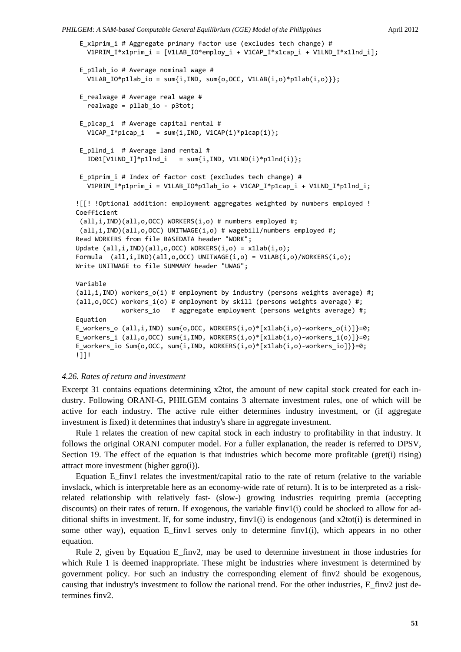*PHILGEM: A SAM-based Computable General Equilibrium (CGE) Model of the Philippines* April 2012

```
E x1prim i # Aggregate primary factor use (excludes tech change) #
      V1PRIM_I*x1prim_i = [V1LAB_IO*employ_i + V1CAP_I*x1cap_i + V1LND_I*x1lnd_i];
 E_p1lab_io # Average nominal wage #
   V1LAB_IO*p1lab_io = sum{i,IND, sum{o,OCC, V1LAB(i,o)*p1lab(i,o)}};
 E_realwage # Average real wage #
      realwage = p1lab_io ‐ p3tot;
 E p1cap i # Average capital rental #
   V1CAP I^*p1cap i = sum{i,IND, V1CAP(i)*p1cap(i)};
 E_p1lnd_i  # Average land rental #
   ID01[V1LND I]*p1lnd i = sum{i,IND, V1LND(i)*p1lnd(i)};
 E_p1prim_i # Index of factor cost (excludes tech change) #
   V1PRIM I*p1prim i = V1LAB IO*p1lab io + V1CAP I*p1cap i + V1LND I*p1lnd i;
![[! !Optional addition: employment aggregates weighted by numbers employed !
Coefficient
 (all,i,IND)(all,o,OCC) WORKERS(i,o) # numbers employed #;
 (all,i,IND)(all,o,OCC) UNITWAGE(i,o) # wagebill/numbers employed #;
Read WORKERS from file BASEDATA header "WORK";
Update (all,i,IND)(all,o,OCC) WORKERS(i,o) = x1lab(i,o);
Formula  (all,i,IND)(all,o,OCC) UNITWAGE(i,o) = V1LAB(i,o)/WORKERS(i,o);
Write UNITWAGE to file SUMMARY header "UWAG";
Variable
(all,i,IND) workers o(i) # employment by industry (persons weights average) #;
(all, o, OCC) workers i(o) # employment by skill (persons weights average) #;
            workers io # aggregate employment (persons weights average) #;
Equation
E_workers_o (all,i,IND) sum{o,OCC, WORKERS(i,o)*[x1lab(i,o)‐workers_o(i)]}=0;
E workers i (all,o,OCC) sum{i,IND, WORKERS(i,o)*[x1lab(i,o)-workers i(o)]}=0;
E_workers_io Sum{o,OCC, sum{i,IND, WORKERS(i,o)*[x1lab(i,o)‐workers_io]}}=0;
!]]!
```
# *4.26. Rates of return and investment*

Excerpt 31 contains equations determining x2tot, the amount of new capital stock created for each industry. Following ORANI-G, PHILGEM contains 3 alternate investment rules, one of which will be active for each industry. The active rule either determines industry investment, or (if aggregate investment is fixed) it determines that industry's share in aggregate investment.

Rule 1 relates the creation of new capital stock in each industry to profitability in that industry. It follows the original ORANI computer model. For a fuller explanation, the reader is referred to DPSV, Section 19. The effect of the equation is that industries which become more profitable (gret(i) rising) attract more investment (higher ggro(i)).

Equation E\_finv1 relates the investment/capital ratio to the rate of return (relative to the variable invslack, which is interpretable here as an economy-wide rate of return). It is to be interpreted as a riskrelated relationship with relatively fast- (slow-) growing industries requiring premia (accepting discounts) on their rates of return. If exogenous, the variable finv1(i) could be shocked to allow for additional shifts in investment. If, for some industry,  $finv1(i)$  is endogenous (and x2tot(i) is determined in some other way), equation E finv1 serves only to determine finv1(i), which appears in no other equation.

Rule 2, given by Equation E\_finv2, may be used to determine investment in those industries for which Rule 1 is deemed inappropriate. These might be industries where investment is determined by government policy. For such an industry the corresponding element of finv2 should be exogenous, causing that industry's investment to follow the national trend. For the other industries, E\_finv2 just determines finv2.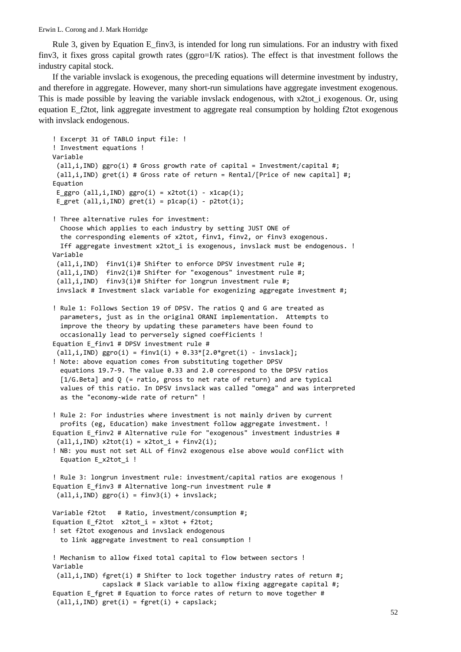Rule 3, given by Equation E\_finv3, is intended for long run simulations. For an industry with fixed finv3, it fixes gross capital growth rates (ggro=I/K ratios). The effect is that investment follows the industry capital stock.

If the variable invslack is exogenous, the preceding equations will determine investment by industry, and therefore in aggregate. However, many short-run simulations have aggregate investment exogenous. This is made possible by leaving the variable invslack endogenous, with x2tot i exogenous. Or, using equation E\_f2tot, link aggregate investment to aggregate real consumption by holding f2tot exogenous with invslack endogenous.

```
! Excerpt 31 of TABLO input file: !
! Investment equations !
Variable
 (all,i,IND) ggro(i) # Gross growth rate of capital = Investment/capital #;
 (\text{all}, i, \text{IND}) gret(i) # Gross rate of return = Rental/[Price of new capital] #;
Equation
 E_ggro (all,i,IND) ggro(i) = x2tot(i) - x1cap(i);E gret (all,i,IND) gret(i) = p1cap(i) - p2tot(i);
! Three alternative rules for investment:
    Choose which applies to each industry by setting JUST ONE of
    the corresponding elements of x2tot, finv1, finv2, or finv3 exogenous.
    Iff aggregate investment x2tot_i is exogenous, invslack must be endogenous. !
Variable
 (all,i,IND)  finv1(i)# Shifter to enforce DPSV investment rule #;
 (all,i,IND)  finv2(i)# Shifter for "exogenous" investment rule #;
 (all,i,IND)  finv3(i)# Shifter for longrun investment rule #;
 invslack # Investment slack variable for exogenizing aggregate investment #;
! Rule 1: Follows Section 19 of DPSV. The ratios Q and G are treated as
    parameters, just as in the original ORANI implementation.  Attempts to
    improve the theory by updating these parameters have been found to
    occasionally lead to perversely signed coefficients !
Equation E finv1 # DPSV investment rule #
 all, i, IND ggro(i) = finv1(i) + 0.33*[2.0*gret(i) - invslack];
! Note: above equation comes from substituting together DPSV
    equations 19.7‐9. The value 0.33 and 2.0 correspond to the DPSV ratios
    [1/G.Beta] and Q (= ratio, gross to net rate of return) and are typical
    values of this ratio. In DPSV invslack was called "omega" and was interpreted
    as the "economy‐wide rate of return" !
! Rule 2: For industries where investment is not mainly driven by current
    profits (eg, Education) make investment follow aggregate investment. !
Equation E_finv2 # Alternative rule for "exogenous" investment industries #
 (\text{all}, i, \text{IND}) x2\text{tot}(i) = x2\text{tot}_i + \text{finv2}(i);! NB: you must not set ALL of finv2 exogenous else above would conflict with
    Equation E_x2tot_i !
! Rule 3: longrun investment rule: investment/capital ratios are exogenous !
Equation E_finv3 # Alternative long‐run investment rule #
 (all,i,IND) ggro(i) = finv3(i) + invslack;
Variable f2tot   # Ratio, investment/consumption #;
Equation E_f2tot x2tot_i = x3tot + f2tot;
! set f2tot exogenous and invslack endogenous
    to link aggregate investment to real consumption !
! Mechanism to allow fixed total capital to flow between sectors !
Variable
 (all,i,IND) fgret(i) # Shifter to lock together industry rates of return #;
                          capslack # Slack variable to allow fixing aggregate capital #;
Equation E fgret # Equation to force rates of return to move together #
 (all,i,IND) gret(i) = fgret(i) + capslack;
```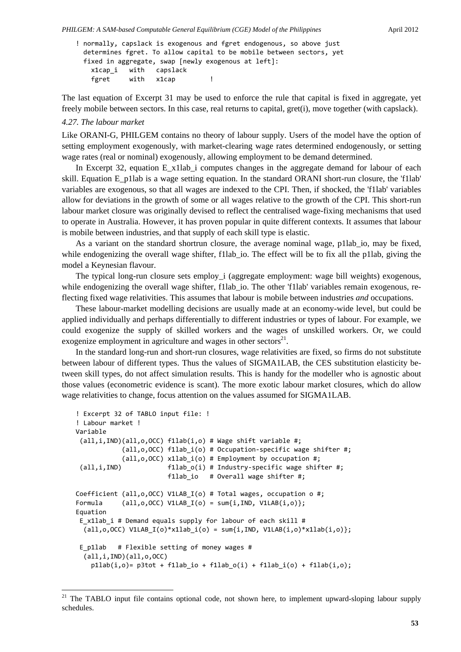```
! normally, capslack is exogenous and fgret endogenous, so above just
   determines fgret. To allow capital to be mobile between sectors, yet
   fixed in aggregate, swap [newly exogenous at left]:
   x1cap i with   capslack
   fgret with x1cap !
```
The last equation of Excerpt 31 may be used to enforce the rule that capital is fixed in aggregate, yet freely mobile between sectors. In this case, real returns to capital, gret(i), move together (with capslack).

# *4.27. The labour market*

-

Like ORANI-G, PHILGEM contains no theory of labour supply. Users of the model have the option of setting employment exogenously, with market-clearing wage rates determined endogenously, or setting wage rates (real or nominal) exogenously, allowing employment to be demand determined.

In Excerpt 32, equation E\_x1lab\_i computes changes in the aggregate demand for labour of each skill. Equation E\_p1lab is a wage setting equation. In the standard ORANI short-run closure, the 'f1lab' variables are exogenous, so that all wages are indexed to the CPI. Then, if shocked, the 'f1lab' variables allow for deviations in the growth of some or all wages relative to the growth of the CPI. This short-run labour market closure was originally devised to reflect the centralised wage-fixing mechanisms that used to operate in Australia. However, it has proven popular in quite different contexts. It assumes that labour is mobile between industries, and that supply of each skill type is elastic.

As a variant on the standard shortrun closure, the average nominal wage, p1lab io, may be fixed, while endogenizing the overall wage shifter, f1lab<sub>10</sub>. The effect will be to fix all the p1lab, giving the model a Keynesian flavour.

The typical long-run closure sets employ i (aggregate employment: wage bill weights) exogenous, while endogenizing the overall wage shifter, f1lab\_io. The other 'f1lab' variables remain exogenous, reflecting fixed wage relativities. This assumes that labour is mobile between industries *and* occupations.

These labour-market modelling decisions are usually made at an economy-wide level, but could be applied individually and perhaps differentially to different industries or types of labour. For example, we could exogenize the supply of skilled workers and the wages of unskilled workers. Or, we could exogenize employment in agriculture and wages in other sectors<sup>21</sup>.

In the standard long-run and short-run closures, wage relativities are fixed, so firms do not substitute between labour of different types. Thus the values of SIGMA1LAB, the CES substitution elasticity between skill types, do not affect simulation results. This is handy for the modeller who is agnostic about those values (econometric evidence is scant). The more exotic labour market closures, which do allow wage relativities to change, focus attention on the values assumed for SIGMA1LAB.

```
! Excerpt 32 of TABLO input file: !
! Labour market !
Variable
 (all,i,IND)(all,o,OCC) f1lab(i,o) # Wage shift variable #;
                         (all,o,OCC) f1lab_i(o) # Occupation‐specific wage shifter #;
                         (all,o,OCC) x1lab_i(o) # Employment by occupation #;
 \text{(all,i,IND)} f1lab o(i) # Industry-specific wage shifter #;
                          f1lab io # Overall wage shifter #;
Coefficient (all,o,OCC) V1LAB_I(o) # Total wages, occupation o #;
Formula \text{(all, o, OCC)} \text{ V1LAB}_I(o) = \text{sum}\{i, \text{IND}, \text{ V1LAB}(i, o)\};Equation
 E x1lab i # Demand equals supply for labour of each skill #
  all, o, OCC) V1LAB I(o)*x1lab i(o) = sum{i, IND, V1LAB(i,o)*x1lab(i,o)};E p1lab # Flexible setting of money wages #
    (all,i,IND)(all,o,OCC)
    p1lab(i, o) = p3tot + f1lab_io + f1lab_0(i) + f1lab_io) + f1lab(i, o);
```
<sup>&</sup>lt;sup>21</sup> The TABLO input file contains optional code, not shown here, to implement upward-sloping labour supply schedules.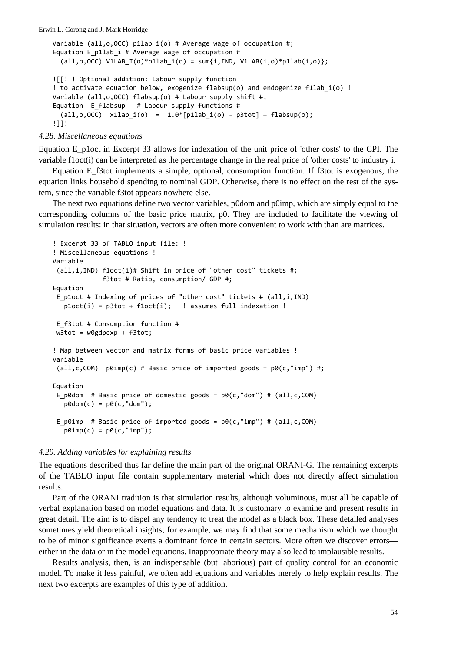```
Variable (all,o,OCC) p1lab_i(o) # Average wage of occupation #;
Equation E p1lab i # Average wage of occupation #
  (all, o, OCC) V1LAB_I(o)*p1lab_i(o) = sum{i,IND, V1LAB(i,o)*p1lab(i,o)};
![[! ! Optional addition: Labour supply function !
! to activate equation below, exogenize flabsup(o) and endogenize f1lab_i(o) !
Variable (all,o,OCC) flabsup(o) # Labour supply shift #;
Equation E flabsup # Labour supply functions #all, o, OCC) x1lab_i(o) = 1.0*[p1lab_i(o) - p3tot] + flabsup(o);!]]!
```
*4.28. Miscellaneous equations*

Equation E\_p1oct in Excerpt 33 allows for indexation of the unit price of 'other costs' to the CPI. The variable f1oct(i) can be interpreted as the percentage change in the real price of 'other costs' to industry i.

Equation E\_f3tot implements a simple, optional, consumption function. If f3tot is exogenous, the equation links household spending to nominal GDP. Otherwise, there is no effect on the rest of the system, since the variable f3tot appears nowhere else.

The next two equations define two vector variables, p0dom and p0imp, which are simply equal to the corresponding columns of the basic price matrix, p0. They are included to facilitate the viewing of simulation results: in that situation, vectors are often more convenient to work with than are matrices.

```
! Excerpt 33 of TABLO input file: !
! Miscellaneous equations !
Variable
(all,i,IND) f1oct(i)# Shift in price of "other cost" tickets #;
                          f3tot # Ratio, consumption/ GDP #;
Equation
E_p1oct # Indexing of prices of "other cost" tickets # (all,i,IND)
  plot(i) = plot + float(i); ! assumes full indexation !
E_f3tot # Consumption function #
w3tot = w0gdpexp + f3tot;
! Map between vector and matrix forms of basic price variables !
Variable
 (all,c,COM) p0imp(c) # Basic price of imported goods = p0(c, "imp") #;
Equation
E p0dom # Basic price of domestic goods = p0(c, "dom") # (all,c,COM)
      p0dom(c) = p0(c,"dom");
E p0imp # Basic price of imported goods = p0(c, "imo") # (all,c,COM)
   p0imp(c) = p0(c, "imp");
```
# *4.29. Adding variables for explaining results*

The equations described thus far define the main part of the original ORANI-G. The remaining excerpts of the TABLO input file contain supplementary material which does not directly affect simulation results.

Part of the ORANI tradition is that simulation results, although voluminous, must all be capable of verbal explanation based on model equations and data. It is customary to examine and present results in great detail. The aim is to dispel any tendency to treat the model as a black box. These detailed analyses sometimes yield theoretical insights; for example, we may find that some mechanism which we thought to be of minor significance exerts a dominant force in certain sectors. More often we discover errors either in the data or in the model equations. Inappropriate theory may also lead to implausible results.

Results analysis, then, is an indispensable (but laborious) part of quality control for an economic model. To make it less painful, we often add equations and variables merely to help explain results. The next two excerpts are examples of this type of addition.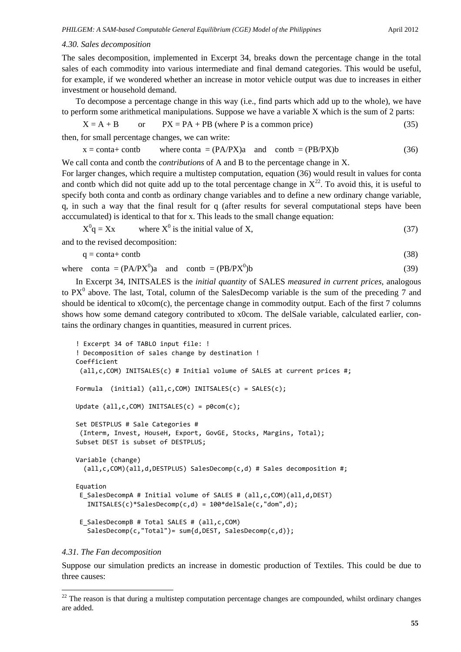# *4.30. Sales decomposition*

The sales decomposition, implemented in Excerpt 34, breaks down the percentage change in the total sales of each commodity into various intermediate and final demand categories. This would be useful, for example, if we wondered whether an increase in motor vehicle output was due to increases in either investment or household demand.

To decompose a percentage change in this way (i.e., find parts which add up to the whole), we have to perform some arithmetical manipulations. Suppose we have a variable X which is the sum of 2 parts:

$$
X = A + B \qquad \text{or} \qquad PX = PA + PB \text{ (where } P \text{ is a common price)} \tag{35}
$$

then, for small percentage changes, we can write:

 $x = \text{conta} + \text{contb}$  where conta =  $(PA/PX)a$  and contb =  $(PB/PX)b$  (36)

We call conta and contb the *contributions* of A and B to the percentage change in X.

For larger changes, which require a multistep computation, equation (36) would result in values for conta and contb which did not quite add up to the total percentage change in  $X^{22}$ . To avoid this, it is useful to specify both conta and contb as ordinary change variables and to define a new ordinary change variable, q, in such a way that the final result for q (after results for several computational steps have been acccumulated) is identical to that for x. This leads to the small change equation:

 $X^0q = Xx$  $q = Xx$  where  $X^0$  is the initial value of X, (37)

and to the revised decomposition:

 $q = \text{conta} + \text{contb}$  (38)

```
where conta = (PA/PX^0)a and contb = (PB/PX^0))b (39)
```
In Excerpt 34, INITSALES is the *initial quantity* of SALES *measured in current prices*, analogous to  $PX^0$  above. The last, Total, column of the SalesDecomp variable is the sum of the preceding 7 and should be identical to x0com(c), the percentage change in commodity output. Each of the first 7 columns shows how some demand category contributed to x0com. The delSale variable, calculated earlier, contains the ordinary changes in quantities, measured in current prices.

```
! Excerpt 34 of TABLO input file: !
! Decomposition of sales change by destination !
Coefficient
 (all,c,COM) INITSALES(c) # Initial volume of SALES at current prices #;
Formula  (initial) (all,c,COM) INITSALES(c) = SALES(c);
Update (al, c, COM) INITSALES(c) = p0com(c);Set DESTPLUS # Sale Categories #
 (Interm, Invest, HouseH, Export, GovGE, Stocks, Margins, Total);
Subset DEST is subset of DESTPLUS;
Variable (change)
    (all,c,COM)(all,d,DESTPLUS) SalesDecomp(c,d) # Sales decomposition #;
Equation
 E_SalesDecompA # Initial volume of SALES # (all,c,COM)(all,d,DEST)
      INITSALES(c)*SalesDecomp(c,d) = 100*delSale(c,"dom",d);
 E_SalesDecompB # Total SALES # (all,c,COM)
      SalesDecomp(c,"Total")= sum{d,DEST, SalesDecomp(c,d)};
```
## *4.31. The Fan decomposition*

-

Suppose our simulation predicts an increase in domestic production of Textiles. This could be due to three causes:

<sup>&</sup>lt;sup>22</sup> The reason is that during a multistep computation percentage changes are compounded, whilst ordinary changes are added.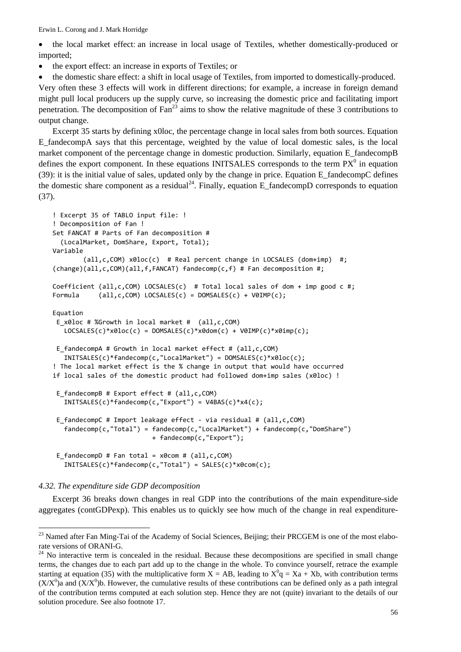• the local market effect: an increase in local usage of Textiles, whether domestically-produced or imported;

• the export effect: an increase in exports of Textiles; or

• the domestic share effect: a shift in local usage of Textiles, from imported to domestically-produced.

Very often these 3 effects will work in different directions; for example, a increase in foreign demand might pull local producers up the supply curve, so increasing the domestic price and facilitating import penetration. The decomposition of  $Fan^{23}$  aims to show the relative magnitude of these 3 contributions to output change.

Excerpt 35 starts by defining x0loc, the percentage change in local sales from both sources. Equation E\_fandecompA says that this percentage, weighted by the value of local domestic sales, is the local market component of the percentage change in domestic production. Similarly, equation E\_fandecompB defines the export component. In these equations INITSALES corresponds to the term  $PX^0$  in equation (39): it is the initial value of sales, updated only by the change in price. Equation E\_fandecompC defines the domestic share component as a residual<sup>24</sup>. Finally, equation E\_fandecompD corresponds to equation (37).

```
! Excerpt 35 of TABLO input file: !
! Decomposition of Fan !
Set FANCAT # Parts of Fan decomposition #
    (LocalMarket, DomShare, Export, Total);
Variable
                (all,c,COM) x0loc(c)  # Real percent change in LOCSALES (dom+imp)  #;
(change)(all,c,COM)(all,f,FANCAT) fandecomp(c,f) # Fan decomposition #;
Coefficient (all,c,COM) LOCSALES(c) # Total local sales of dom + imp good c #;
Formula (all,c,COM) LOCSALES(c) = DOMSALES(c) + V0IMP(c);
Equation
E x0loc # %Growth in local market # (all,c,COM)
      LOCSALES(c)*x0loc(c) = DOMSALES(c)*x0dom(c) + V0IMP(c)*x0imp(c);
E fandecompA # Growth in local market effect # (all,c,COM)
      INITSALES(c)*fandecomp(c,"LocalMarket") = DOMSALES(c)*x0loc(c);
! The local market effect is the % change in output that would have occurred
if local sales of the domestic product had followed dom+imp sales (x0loc) !
E fandecompB # Export effect # (all,c,COM)
      INITSALES(c)*fandecomp(c,"Export") = V4BAS(c)*x4(c);
 E fandecompC # Import leakage effect - via residual # (all,c,COM)
      fandecomp(c,"Total") = fandecomp(c,"LocalMarket") + fandecomp(c,"DomShare")
                                                     + fandecomp(c,"Export");
E fandecompD # Fan total = x0com # (all,c,COM)
      INITSALES(c)*fandecomp(c,"Total") = SALES(c)*x0com(c);
```
*4.32. The expenditure side GDP decomposition*

 $\overline{a}$ 

Excerpt 36 breaks down changes in real GDP into the contributions of the main expenditure-side aggregates (contGDPexp). This enables us to quickly see how much of the change in real expenditure-

<sup>&</sup>lt;sup>23</sup> Named after Fan Ming-Tai of the Academy of Social Sciences, Beijing; their PRCGEM is one of the most elaborate versions of ORANI-G.

<sup>&</sup>lt;sup>24</sup> No interactive term is concealed in the residual. Because these decompositions are specified in small change terms, the changes due to each part add up to the change in the whole. To convince yourself, retrace the example starting at equation (35) with the multiplicative form  $X = AB$ , leading to  $X^0q = Xa + Xb$ , with contribution terms  $(X/X<sup>0</sup>)$ a and  $(X/X<sup>0</sup>)$ b. However, the cumulative results of these contributions can be defined only as a path integral of the contribution terms computed at each solution step. Hence they are not (quite) invariant to the details of our solution procedure. See also footnote 17.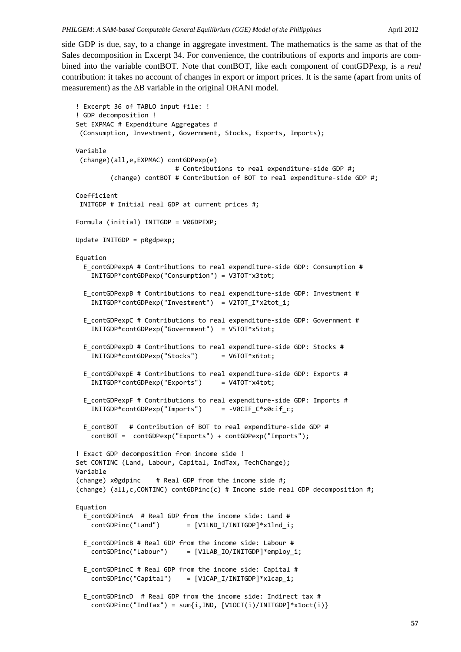side GDP is due, say, to a change in aggregate investment. The mathematics is the same as that of the Sales decomposition in Excerpt 34. For convenience, the contributions of exports and imports are combined into the variable contBOT. Note that contBOT, like each component of contGDPexp, is a *real* contribution: it takes no account of changes in export or import prices. It is the same (apart from units of measurement) as the ΔB variable in the original ORANI model.

```
! Excerpt 36 of TABLO input file: !
! GDP decomposition !
Set EXPMAC # Expenditure Aggregates #
 (Consumption, Investment, Government, Stocks, Exports, Imports);
Variable
 (change)(all,e,EXPMAC) contGDPexp(e)
                                                     # Contributions to real expenditure‐side GDP #;
                  (change) contBOT # Contribution of BOT to real expenditure‐side GDP #;
Coefficient
INITGDP # Initial real GDP at current prices #;
Formula (initial) INITGDP = V0GDPEXP;
Update INITGDP = p0gdpexp;
Equation
    E_contGDPexpA # Contributions to real expenditure‐side GDP: Consumption #
        INITGDP*contGDPexp("Consumption") = V3TOT*x3tot;
    E_contGDPexpB # Contributions to real expenditure‐side GDP: Investment #
        INITGDP*contGDPexp("Investment")  = V2TOT_I*x2tot_i;
    E_contGDPexpC # Contributions to real expenditure‐side GDP: Government #
        INITGDP*contGDPexp("Government")  = V5TOT*x5tot;
    E_contGDPexpD # Contributions to real expenditure‐side GDP: Stocks #
        INITGDP*contGDPexp("Stocks")      = V6TOT*x6tot;
    E_contGDPexpE # Contributions to real expenditure‐side GDP: Exports #
        INITGDP*contGDPexp("Exports")     = V4TOT*x4tot;
    E_contGDPexpF # Contributions to real expenditure‐side GDP: Imports #
        INITGDP*contGDPexp("Imports")     = ‐V0CIF_C*x0cif_c;
    E_contBOT   # Contribution of BOT to real expenditure‐side GDP #
        contBOT =  contGDPexp("Exports") + contGDPexp("Imports");
! Exact GDP decomposition from income side !
Set CONTINC (Land, Labour, Capital, IndTax, TechChange);
Variable
(change) x0gdpinc    # Real GDP from the income side #;
(change) (all,c,CONTINC) contGDPinc(c) # Income side real GDP decomposition #;
Equation
    E_contGDPincA  # Real GDP from the income side: Land #
    contGDPinc("Land") = [V1LND I/INITGDP]*x1Ind i;  E_contGDPincB # Real GDP from the income side: Labour #
    contGDPinc("Labour") = [V1LAB_IO/INITGDP]*employ_i;
  E contGDPincC # Real GDP from the income side: Capital #
        contGDPinc("Capital")    = [V1CAP_I/INITGDP]*x1cap_i;
  E contGDPincD # Real GDP from the income side: Indirect tax #
    contGDPinc("IndTax") = sum[i,IND, [V1OCT(i)/INITGDP]*x1oct(i)]
```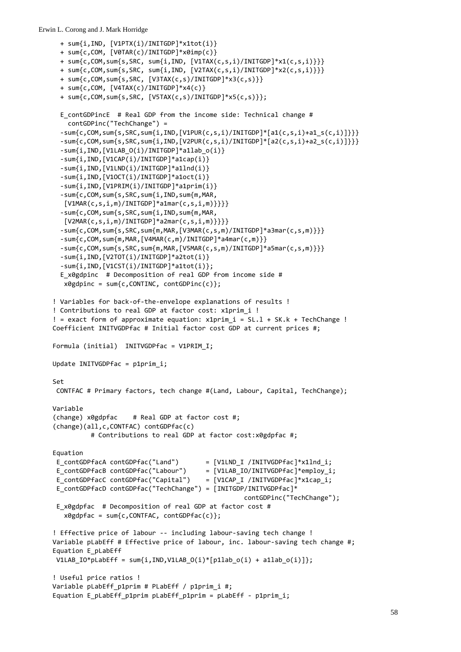```
  + sum{i,IND, [V1PTX(i)/INITGDP]*x1tot(i)}
   + sum{c,COM, [V0TAR(c)/INITGDP]*x0imp(c)}
   + sum{c,COM,sum{s,SRC, sum{i,IND, [V1TAX(c,s,i)/INITGDP]*x1(c,s,i)}}}
   + sum{c,COM,sum{s,SRC, sum{i,IND, [V2TAX(c,s,i)/INITGDP]*x2(c,s,i)}}}
   + sum{c,COM,sum{s,SRC, [V3TAX(c,s)/INITGDP]*x3(c,s)}}
   + sum{c,COM, [V4TAX(c)/INITGDP]*x4(c)}
    + sum{c,COM,sum{s,SRC, [V5TAX(c,s)/INITGDP]*x5(c,s)}};
 E contGDPincE # Real GDP from the income side: Technical change #
       contGDPinc("TechChange") =
    ‐sum{c,COM,sum{s,SRC,sum{i,IND,[V1PUR(c,s,i)/INITGDP]*[a1(c,s,i)+a1_s(c,i)]}}}
    ‐sum{c,COM,sum{s,SRC,sum{i,IND,[V2PUR(c,s,i)/INITGDP]*[a2(c,s,i)+a2_s(c,i)]}}}
    ‐sum{i,IND,[V1LAB_O(i)/INITGDP]*a1lab_o(i)}
    ‐sum{i,IND,[V1CAP(i)/INITGDP]*a1cap(i)}
    ‐sum{i,IND,[V1LND(i)/INITGDP]*a1lnd(i)}
    ‐sum{i,IND,[V1OCT(i)/INITGDP]*a1oct(i)}
    ‐sum{i,IND,[V1PRIM(i)/INITGDP]*a1prim(i)}
    ‐sum{c,COM,sum{s,SRC,sum{i,IND,sum{m,MAR,
   [V1MAR(c,s,i,m)/INITGDP]*a1mar(c,s,i,m)]}}}
    ‐sum{c,COM,sum{s,SRC,sum{i,IND,sum{m,MAR,
      [V2MAR(c,s,i,m)/INITGDP]*a2mar(c,s,i,m)}}}}
    ‐sum{c,COM,sum{s,SRC,sum{m,MAR,[V3MAR(c,s,m)/INITGDP]*a3mar(c,s,m)}}}
    ‐sum{c,COM,sum{m,MAR,[V4MAR(c,m)/INITGDP]*a4mar(c,m)}}
    ‐sum{c,COM,sum{s,SRC,sum{m,MAR,[V5MAR(c,s,m)/INITGDP]*a5mar(c,s,m)}}}
    ‐sum{i,IND,[V2TOT(i)/INITGDP]*a2tot(i)}
    ‐sum{i,IND,[V1CST(i)/INITGDP]*a1tot(i)};
    E_x0gdpinc  # Decomposition of real GDP from income side #
   x0gdpinc = sum{c,CONTINC, contGDPinc(c)};
! Variables for back‐of‐the‐envelope explanations of results !
! Contributions to real GDP at factor cost: x1prim_i !
!= exact form of approximate equation: x1prim i = SL.1 + SK.k + TechChange !
Coefficient INITVGDPfac # Initial factor cost GDP at current prices #;
Formula (initial)    INITVGDPfac = V1PRIM I;
Update INITVGDPfac = p1prim_i;
Set
CONTFAC # Primary factors, tech change #(Land, Labour, Capital, TechChange);
Variable
(change) x0gdpfac    # Real GDP at factor cost #;
(change)(all,c,CONTFAC) contGDPfac(c)
                    # Contributions to real GDP at factor cost:x0gdpfac #;
Equation
E_contGDPfacA contGDPfac("Land")       = [V1LND_I /INITVGDPfac]*x1lnd_i;
E_contGDPfacB_contGDPfac("Labour") = [V1LAB_IO/INITVGDPfac]*employ_i;
E_contGDPfacC contGDPfac("Capital") = [V1CAP_I /INITVGDPfac]*x1cap_i;
E_contGDPfacD contGDPfac("TechChange") = [INITGDP/INITVGDPfac]*
                                                                                                      contGDPinc("TechChange");
E x0gdpfac # Decomposition of real GDP at factor cost #
   x0gdpfac = sum{c,CONTFAC, contGDPfac(c)};
! Effective price of labour ‐‐ including labour‐saving tech change !
Variable pLabEff # Effective price of labour, inc. labour‐saving tech change #;
Equation E_pLabEff
V1LAB IO^*pLabEff = sum{i,IND,V1LAB O(i)^*[p1lab o(i) + a1lab o(i)]};
! Useful price ratios !
Variable pLabEff p1prim # PLabEff / p1prim i #;
Equation E_pLabEff_p1prim pLabEff_p1prim = pLabEff ‐ p1prim_i;
```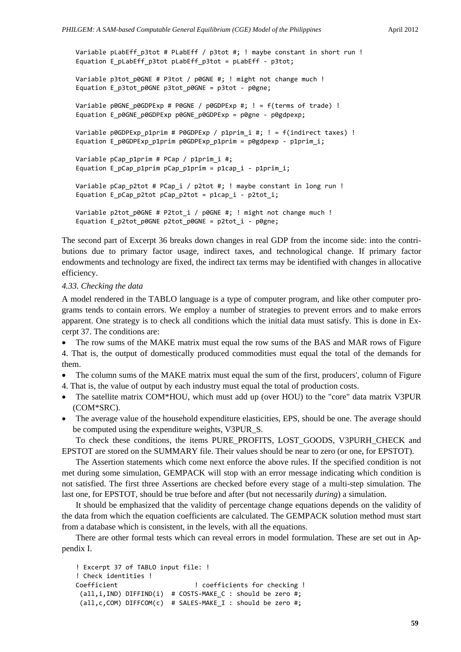```
Variable pLabEff p3tot # PLabEff / p3tot #; ! maybe constant in short run !
Equation E pLabEff p3tot pLabEff p3tot = pLabEff - p3tot;
Variable p3tot_p0GNE # P3tot / p0GNE #; ! might not change much !
Equation E_p3tot_p0GNE p3tot_p0GNE = p3tot ‐ p0gne;
Variable p0GNE p0GDPExp # P0GNE / p0GDPExp #; ! = f(terms of trade) !
Equation E_p0GNE_p0GDPExp p0GNE_p0GDPExp = p0gne - p0gdpexp;
Variable p0GDPExp p1prim # P0GDPExp / p1prim i #; ! = f(indirect taxes) !
Equation E_p0GDPExp_p1prim p0GDPExp_p1prim = p0gdpexp ‐ p1prim_i;
Variable pCap p1prim # PCap / p1prim i #;
Equation E_pCap_p1prim pCap_p1prim = p1cap_i ‐ p1prim_i;
Variable pCap p2tot # PCap i / p2tot #; ! maybe constant in long run !
Equation E_pCap_p2tot pCap_p2tot = p1cap_i ‐ p2tot_i;
Variable p2tot p0GNE # P2tot i / p0GNE #; ! might not change much !
Equation E_p2tot_p0GNE p2tot_p0GNE = p2tot_i ‐ p0gne;
```
The second part of Excerpt 36 breaks down changes in real GDP from the income side: into the contributions due to primary factor usage, indirect taxes, and technological change. If primary factor endowments and technology are fixed, the indirect tax terms may be identified with changes in allocative efficiency.

## *4.33. Checking the data*

A model rendered in the TABLO language is a type of computer program, and like other computer programs tends to contain errors. We employ a number of strategies to prevent errors and to make errors apparent. One strategy is to check all conditions which the initial data must satisfy. This is done in Excerpt 37. The conditions are:

• The row sums of the MAKE matrix must equal the row sums of the BAS and MAR rows of Figure 4. That is, the output of domestically produced commodities must equal the total of the demands for them.

- The column sums of the MAKE matrix must equal the sum of the first, producers', column of Figure 4. That is, the value of output by each industry must equal the total of production costs.
- The satellite matrix COM\*HOU, which must add up (over HOU) to the "core" data matrix V3PUR (COM\*SRC).
- The average value of the household expenditure elasticities, EPS, should be one. The average should be computed using the expenditure weights, V3PUR\_S.

To check these conditions, the items PURE\_PROFITS, LOST\_GOODS, V3PURH\_CHECK and EPSTOT are stored on the SUMMARY file. Their values should be near to zero (or one, for EPSTOT).

The Assertion statements which come next enforce the above rules. If the specified condition is not met during some simulation, GEMPACK will stop with an error message indicating which condition is not satisfied. The first three Assertions are checked before every stage of a multi-step simulation. The last one, for EPSTOT, should be true before and after (but not necessarily *during*) a simulation.

It should be emphasized that the validity of percentage change equations depends on the validity of the data from which the equation coefficients are calculated. The GEMPACK solution method must start from a database which is consistent, in the levels, with all the equations.

There are other formal tests which can reveal errors in model formulation. These are set out in Appendix I.

```
! Excerpt 37 of TABLO input file: !
! Check identities !
Coefficient                    ! coefficients for checking !
 (all,i,IND) DIFFIND(i)  # COSTS‐MAKE_C : should be zero #;
 (all,c,COM) DIFFCOM(c)  # SALES‐MAKE_I : should be zero #;
```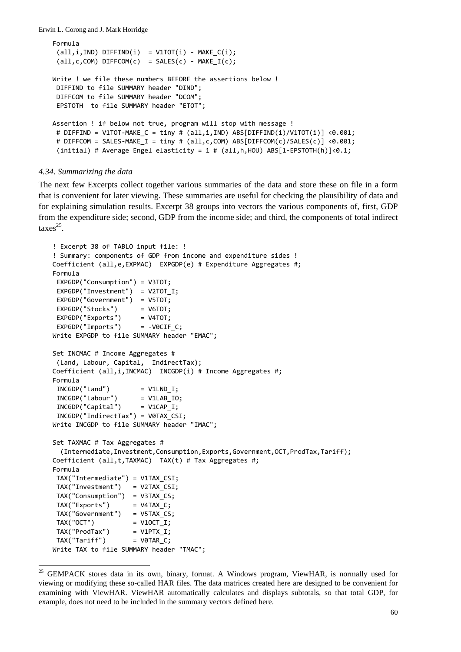```
Formula
 (\text{all}, i, \text{IND}) DIFFIND(i) = V1TOT(i) - MAKE C(i);(all, c, COM) DIFFCOM(c) = SALES(c) - MAKE_I(c);Write ! we file these numbers BEFORE the assertions below !
DIFFIND to file SUMMARY header "DIND";
DIFFCOM to file SUMMARY header "DCOM";
EPSTOTH  to file SUMMARY header "ETOT";
Assertion ! if below not true, program will stop with message !
# DIFFIND = V1TOT-MAKE C = tiny # (all,i,IND) ABS[DIFFIND(i)/V1TOT(i)] <0.001;
# DIFFCOM = SALES‐MAKE_I = tiny # (all,c,COM) ABS[DIFFCOM(c)/SALES(c)] <0.001;
 (initial) # Average Engel elasticity = 1 # (all,h,HOU) ABS[1‐EPSTOTH(h)]<0.1;
```
#### *4.34. Summarizing the data*

 $\overline{a}$ 

The next few Excerpts collect together various summaries of the data and store these on file in a form that is convenient for later viewing. These summaries are useful for checking the plausibility of data and for explaining simulation results. Excerpt 38 groups into vectors the various components of, first, GDP from the expenditure side; second, GDP from the income side; and third, the components of total indirect  $\arccos^{25}$ .

```
! Excerpt 38 of TABLO input file: !
! Summary: components of GDP from income and expenditure sides !
Coefficient (all,e,EXPMAC)  EXPGDP(e) # Expenditure Aggregates #;
Formula
EXPGDP("Consumption") = V3TOT;
EXPGDP("Investment")  = V2TOT_I;
EXPGDP("Government")  = V5TOT;
EXPGDP("Stocks") = V6TOT;
EXPGDP("Exports") = V4TOT;
EXPGDP("Imports") = -VOCIF C;Write EXPGDP to file SUMMARY header "EMAC";
Set INCMAC # Income Aggregates #
 (Land, Labour, Capital,  IndirectTax);
Coefficient (all,i,INCMAC)  INCGDP(i) # Income Aggregates #;
Formula
INCGDP("Land") = V1LND I;
INCGDP("Labour")      = V1LAB_IO;
INCGDP("Capital") = V1CAP I;
INCGDP("IndirectTax") = V0TAX_CSI;
Write INCGDP to file SUMMARY header "IMAC";
Set TAXMAC # Tax Aggregates #
    (Intermediate,Investment,Consumption,Exports,Government,OCT,ProdTax,Tariff);
Coefficient (all,t,TAXMAC)  TAX(t) # Tax Aggregates #;
Formula
TAX("Intermediate") = V1TAX_CSI;
TAX("Investment")   = V2TAX_CSI;
TAX("Consumption")  = V3TAX_CS;
TAX('Express'') = V4TAX C;TAX("Government")   = V5TAX_CS;
TAX("OCT") = V1OCT I;TAX('Product') = V1 ProdTax" = V1 PTX I;
TAX('Tariff") = V0TAR C;
Write TAX to file SUMMARY header "TMAC";
```
<sup>&</sup>lt;sup>25</sup> GEMPACK stores data in its own, binary, format. A Windows program, ViewHAR, is normally used for viewing or modifying these so-called HAR files. The data matrices created here are designed to be convenient for examining with ViewHAR. ViewHAR automatically calculates and displays subtotals, so that total GDP, for example, does not need to be included in the summary vectors defined here.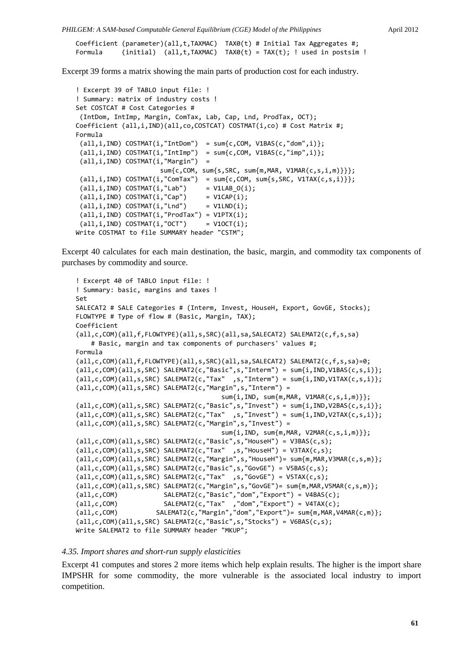*PHILGEM: A SAM-based Computable General Equilibrium (CGE) Model of the Philippines* April 2012

Coefficient (parameter)(all,t,TAXMAC) TAX0(t) # Initial Tax Aggregates #; Formula (initial)  $(al, t, TAXMAC)$   $TAX@(t) = TAX(t);$  ! used in postsim !

Excerpt 39 forms a matrix showing the main parts of production cost for each industry.

```
! Excerpt 39 of TABLO input file: !
! Summary: matrix of industry costs !
Set COSTCAT # Cost Categories #
 (IntDom, IntImp, Margin, ComTax, Lab, Cap, Lnd, ProdTax, OCT);
Coefficient (all,i,IND)(all,co,COSTCAT) COSTMAT(i,co) # Cost Matrix #;
Formula
 all,i,IND) COSTMAT(i,"IntDom") = sum{c,COM, V1BAS(c,"dom",i)};
 (all,i,IND) COSTMAT(i, "IntImp") = sum{c, COM, V1BAS(c, "imp", i)};(all,i,IND) COSTMAT(i,"Margin")  =
                                                sum{c,COM, sum{s,SRC, sum{m,MAR, V1MAR(c,s,i,m)}}};
 (\text{all}, i, \text{IND}) \text{COSTMAT}(i, \text{''Commax")} = \text{sum}\{c, \text{COM}, \text{sum}\{s, \text{SRC}, \text{V1TAX}(c, s, i)\}\};(\text{all}, i, \text{IND}) COSTMAT(i, "Lab") = V1LAB_O(i);(\text{all}, i, \text{IND}) COSTMAT(i, \text{``Cap''}) = V1CAP(i);(\text{all}, i, \text{IND}) COSTMAT(i, "Lnd") = V1LND(i);(all,i,IND) COSTMAT(i,"ProdTax") = V1PTX(i);
 (\text{all}, i, \text{IND}) COSTMAT(i, \text{"OCT"}) = V1OCT(i);Write COSTMAT to file SUMMARY header "CSTM";
```
Excerpt 40 calculates for each main destination, the basic, margin, and commodity tax components of purchases by commodity and source.

```
! Excerpt 40 of TABLO input file: !
! Summary: basic, margins and taxes !
Set
SALECAT2 # SALE Categories # (Interm, Invest, HouseH, Export, GovGE, Stocks);
FLOWTYPE # Type of flow # (Basic, Margin, TAX);
Coefficient
(all,c,COM)(all,f,FLOWTYPE)(all,s,SRC)(all,sa,SALECAT2) SALEMAT2(c,f,s,sa)
        # Basic, margin and tax components of purchasers' values #;
Formula
(all,c,COM)(all,f,FLOWTYPE)(all,s,SRC)(all,sa,SALECAT2) SALEMAT2(c,f,s,sa)=0;
(all,c,COM)(all,s,SRC) SALEMAT2(c,"Basic",s,"Interm") = sum{i,IND,V1BAS(c,s,i)};
(all,c,COM)(all,s,SRC) SALEMAT2(c,"Tax"  ,s,"Interm") = sum{i,IND,V1TAX(c,s,i)};
(all,c,COM)(all,s,SRC) SALEMAT2(c,"Margin",s,"Interm") =
                                                                              sum{i,IND, sum{m,MAR, V1MAR(c,s,i,m)}};
(all,c,COM)(all,s,SRC) SALEMAT2(c,"Basic",s,"Invest") = sum{i,IND,V2BAS(c,s,i)};
(all,c,COM)(all,s,SRC) SALEMAT2(c,"Tax" ,s,"Invest") = sum{i,IND,V2TAX(c,s,i)};
(all,c,COM)(all,s,SRC) SALEMAT2(c,"Margin",s,"Invest") =
                                                                              sum{i,IND, sum{m,MAR, V2MAR(c,s,i,m)}};
(all,c,COM)(all,s,SRC) SALEMAT2(c,"Basic",s,"HouseH") = V3BAS(c,s);
(all,c,COM)(all,s,SRC) SALEMAT2(c,"Tax"  ,s,"HouseH") = V3TAX(c,s);
(all,c,COM)(all,s,SRC) SALEMAT2(c,"Margin",s,"HouseH")= sum{m,MAR,V3MAR(c,s,m)};
(all,c,COM)(all,s,SRC) SALEMAT2(c,"Basic",s,"GovGE") = V5BAS(c,s);
(all,c,COM)(all,s,SRC) SALEMAT2(c,"Tax"  ,s,"GovGE") = V5TAX(c,s);
(all,c,COM)(all,s,SRC) SALEMAT2(c,"Margin",s,"GovGE")= sum{m,MAR,V5MAR(c,s,m)};
(all,c,COM)            SALEMAT2(c,"Basic","dom","Export") = V4BAS(c);
(all,c,COM)            SALEMAT2(c,"Tax"  ,"dom","Export") = V4TAX(c);
(all,c,COM)          SALEMAT2(c,"Margin","dom","Export")= sum{m,MAR,V4MAR(c,m)};
(all,c,COM)(all,s,SRC) SALEMAT2(c,"Basic",s,"Stocks") = V6BAS(c,s);
Write SALEMAT2 to file SUMMARY header "MKUP";
```
#### *4.35. Import shares and short-run supply elasticities*

Excerpt 41 computes and stores 2 more items which help explain results. The higher is the import share IMPSHR for some commodity, the more vulnerable is the associated local industry to import competition.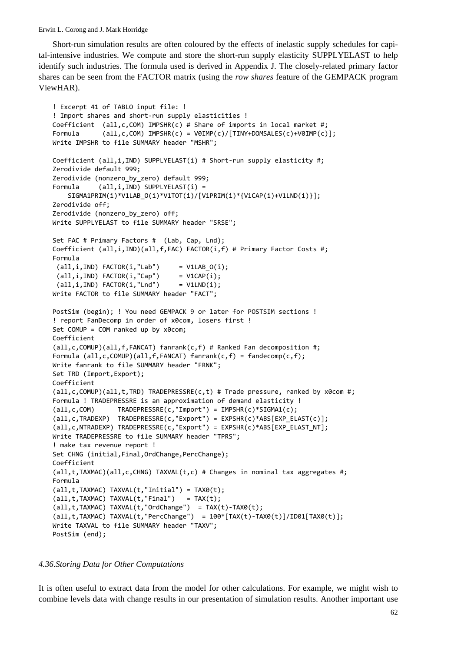Short-run simulation results are often coloured by the effects of inelastic supply schedules for capital-intensive industries. We compute and store the short-run supply elasticity SUPPLYELAST to help identify such industries. The formula used is derived in Appendix J. The closely-related primary factor shares can be seen from the FACTOR matrix (using the *row shares* feature of the GEMPACK program ViewHAR).

```
! Excerpt 41 of TABLO input file: !
! Import shares and short‐run supply elasticities !
Coefficient  (all,c,COM) IMPSHR(c) # Share of imports in local market #;
Formula      (all,c,COM) IMPSHR(c) = V0IMP(c)/[TINY+DOMSALES(c)+V0IMP(c)];
Write IMPSHR to file SUMMARY header "MSHR";
Coefficient (all,i,IND) SUPPLYELAST(i) # Short-run supply elasticity #;
Zerodivide default 999;
Zerodivide (nonzero_by_zero) default 999;
Formula (all,i,IND) SUPPLYELAST(i) =
        SIGMA1PRIM(i)*V1LAB_O(i)*V1TOT(i)/[V1PRIM(i)*{V1CAP(i)+V1LND(i)}];
Zerodivide off;
Zerodivide (nonzero_by_zero) off;
Write SUPPLYELAST to file SUMMARY header "SRSE";
Set FAC # Primary Factors #  (Lab, Cap, Lnd);
Coefficient (all,i,IND)(all,f,FAC) FACTOR(i,f) # Primary Factor Costs #;
Formula
 (\text{all}, i, \text{IND}) FACTOR(i, "Lab") = V1LAB O(i);(\text{all}, i, \text{IND}) FACTOR(i, \text{"Cap"} = V1CAP(i);(\text{all}, i, \text{IND}) FACTOR(i, "Lnd") = V1LND(i);Write FACTOR to file SUMMARY header "FACT";
PostSim (begin); ! You need GEMPACK 9 or later for POSTSIM sections !
! report FanDecomp in order of x0com, losers first !
Set COMUP = COM ranked up by x0com;
Coefficient
(all, c, COMUP)(all, f, FANCAT) fanrank(c, f) # Ranked Fan decomposition #;
Formula (all,c,COMUP)(all,f,FANCAT) fanrank(c,f) = fandecomp(c,f);
Write fanrank to file SUMMARY header "FRNK";
Set TRD (Import,Export);
Coefficient
(all,c,COMUP)(all,t,TRD) TRADEPRESSRE(c,t) # Trade pressure, ranked by x0com #;
Formula ! TRADEPRESSRE is an approximation of demand elasticity !
(all,c,COM)      TRADEPRESSRE(c,"Import") = IMPSHR(c)*SIGMA1(c);
(all,c,TRADEXP)  TRADEPRESSRE(c,"Export") = EXPSHR(c)*ABS[EXP_ELAST(c)];
(all,c,NTRADEXP) TRADEPRESSRE(c,"Export") = EXPSHR(c)*ABS[EXP_ELAST_NT];
Write TRADEPRESSRE to file SUMMARY header "TPRS";
! make tax revenue report !
Set CHNG (initial, Final, OrdChange, PercChange);
Coefficient
(all, t, TAXMAC)(all, c, CHNG) TAXVAL(t, c) # Changes in nominal tax aggregates #;
Formula
(all,t,TAXMAC) TAXVAL(t,"Initial") = TAX0(t);
(\text{all}, t, TAXMAC) TAXVAL(t, "Final") = TAX(t);
(all,t,TAXMAC) TAXVAL(t,"OrdChange")  = TAX(t)‐TAX0(t);
(all,t,TAXMAC) TAXVAL(t,"PercChange")  = 100*[TAX(t)‐TAX0(t)]/ID01[TAX0(t)];
Write TAXVAL to file SUMMARY header "TAXV";
PostSim (end);
```
#### *4.36.Storing Data for Other Computations*

It is often useful to extract data from the model for other calculations. For example, we might wish to combine levels data with change results in our presentation of simulation results. Another important use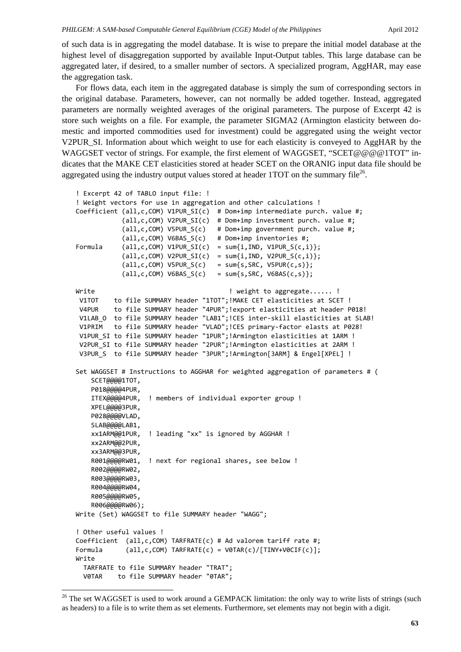of such data is in aggregating the model database. It is wise to prepare the initial model database at the highest level of disaggregation supported by available Input-Output tables. This large database can be aggregated later, if desired, to a smaller number of sectors. A specialized program, AggHAR, may ease the aggregation task.

For flows data, each item in the aggregated database is simply the sum of corresponding sectors in the original database. Parameters, however, can not normally be added together. Instead, aggregated parameters are normally weighted averages of the original parameters. The purpose of Excerpt 42 is store such weights on a file. For example, the parameter SIGMA2 (Armington elasticity between domestic and imported commodities used for investment) could be aggregated using the weight vector V2PUR\_SI. Information about which weight to use for each elasticity is conveyed to AggHAR by the WAGGSET vector of strings. For example, the first element of WAGGSET, "SCET@@@@1TOT" indicates that the MAKE CET elasticities stored at header SCET on the ORANIG input data file should be aggregated using the industry output values stored at header 1TOT on the summary file<sup>26</sup>.

```
! Excerpt 42 of TABLO input file: !
! Weight vectors for use in aggregation and other calculations !
Coefficient (all,c,COM) V1PUR SI(c) # Dom+imp intermediate purch. value #;
                        (all,c,COM) V2PUR_SI(c)  # Dom+imp investment purch. value #;
            all,c,COM) V5PUR S(c) # Dom+imp government purch. value #;
            (a11, c, COM) V6BAS S(c) # Dom+imp inventories #;
Formula (all,c,COM) V1PUR_SI(c) = sum{i,IND, V1PUR_S(c,i)};
            all, c, COM) V2PUR SI(c) = sum{i,IND, V2PUR S(c,i)};
            (all,c,COM) V5PUR_S(c)   = sum{s,SRC, V5PUR(c,s)};
            (all,c,COM) V6BAS_S(c)   = sum{s,SRC, V6BAS(c,s)};
Write Whene With the Set of the Unite of the United States of the United States of the United States of the U
V1TOT    to file SUMMARY header "1TOT";!MAKE CET elasticities at SCET !
V4PUR    to file SUMMARY header "4PUR";!export elasticities at header P018!
V1LAB 0 to file SUMMARY header "LAB1";!CES inter-skill elasticities at SLAB!
V1PRIM   to file SUMMARY header "VLAD";!CES primary‐factor elasts at P028!
V1PUR SI to file SUMMARY header "1PUR"; !Armington elasticities at 1ARM !
V2PUR SI to file SUMMARY header "2PUR"; !Armington elasticities at 2ARM !
V3PUR S to file SUMMARY header "3PUR"; !Armington[3ARM] & Engel[XPEL] !
Set WAGGSET # Instructions to AGGHAR for weighted aggregation of parameters # (
        SCET@@@@1TOT,
        P018@@@@4PUR,
        ITEX@@@@4PUR,  ! members of individual exporter group !
        XPEL@@@@3PUR,
    P028@@@@VLAD,
        SLAB@@@@LAB1,
        xx1ARM@@1PUR,  ! leading "xx" is ignored by AGGHAR !
        xx2ARM@@2PUR,
        xx3ARM@@3PUR,
        R001@@@@RW01,  ! next for regional shares, see below !
        R002@@@@RW02,
        R003@@@@RW03,
        R004@@@@RW04,
        R005@@@@RW05,
        R006@@@@RW06);
Write (Set) WAGGSET to file SUMMARY header "WAGG";
! Other useful values !
Coefficient  (all,c,COM) TARFRATE(c) # Ad valorem tariff rate #;
Formula (all,c,COM) TARFRATE(c) = VØTAR(c)/[TINY+VØCIF(c)];
Write
    TARFRATE to file SUMMARY header "TRAT";
    V0TAR    to file SUMMARY header "0TAR";
```
-

<sup>&</sup>lt;sup>26</sup> The set WAGGSET is used to work around a GEMPACK limitation: the only way to write lists of strings (such as headers) to a file is to write them as set elements. Furthermore, set elements may not begin with a digit.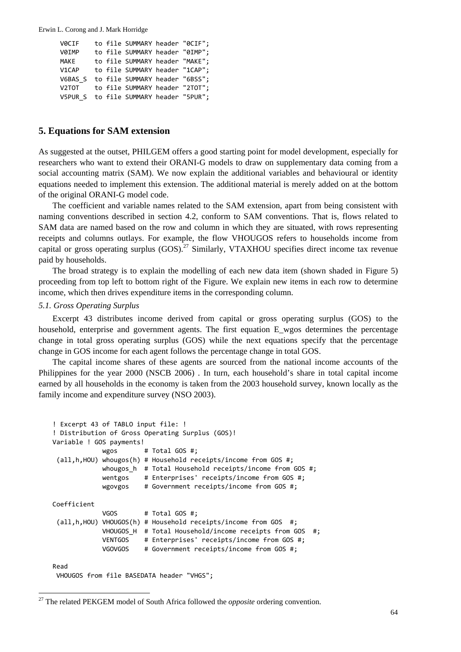```
  V0CIF    to file SUMMARY header "0CIF";
  V0IMP    to file SUMMARY header "0IMP";
MAKE to file SUMMARY header "MAKE";
  V1CAP    to file SUMMARY header "1CAP";
  V6BAS_S  to file SUMMARY header "6BSS";
  V2TOT    to file SUMMARY header "2TOT";
  V5PUR_S  to file SUMMARY header "5PUR";
```
# **5. Equations for SAM extension**

As suggested at the outset, PHILGEM offers a good starting point for model development, especially for researchers who want to extend their ORANI-G models to draw on supplementary data coming from a social accounting matrix (SAM). We now explain the additional variables and behavioural or identity equations needed to implement this extension. The additional material is merely added on at the bottom of the original ORANI-G model code.

The coefficient and variable names related to the SAM extension, apart from being consistent with naming conventions described in section 4.2, conform to SAM conventions. That is, flows related to SAM data are named based on the row and column in which they are situated, with rows representing receipts and columns outlays. For example, the flow VHOUGOS refers to households income from capital or gross operating surplus  $(GOS)$ .<sup>27</sup> Similarly, VTAXHOU specifies direct income tax revenue paid by households.

The broad strategy is to explain the modelling of each new data item (shown shaded in Figure 5) proceeding from top left to bottom right of the Figure. We explain new items in each row to determine income, which then drives expenditure items in the corresponding column.

# *5.1. Gross Operating Surplus*

 $\overline{a}$ 

Excerpt 43 distributes income derived from capital or gross operating surplus (GOS) to the household, enterprise and government agents. The first equation E\_wgos determines the percentage change in total gross operating surplus (GOS) while the next equations specify that the percentage change in GOS income for each agent follows the percentage change in total GOS.

The capital income shares of these agents are sourced from the national income accounts of the Philippines for the year 2000 (NSCB 2006) . In turn, each household's share in total capital income earned by all households in the economy is taken from the 2003 household survey, known locally as the family income and expenditure survey (NSO 2003).

```
! Excerpt 43 of TABLO input file: !
! Distribution of Gross Operating Surplus (GOS)!
Variable ! GOS payments!
             wgos # Total GOS #;
 (all,h,HOU) whougos(h) # Household receipts/income from GOS #;
                          whougos_h  # Total Household receipts/income from GOS #;
             wentgos # Enterprises' receipts/income from GOS #;
                          wgovgos    # Government receipts/income from GOS #;
Coefficient
             VGOS # Total GOS #;
 (all,h,HOU) VHOUGOS(h) # Household receipts/income from GOS  #;
             VHOUGOS H # Total Household/income receipts from GOS #;
                          VENTGOS    # Enterprises' receipts/income from GOS #;
                          VGOVGOS    # Government receipts/income from GOS #;
Read
VHOUGOS from file BASEDATA header "VHGS";
```
<sup>&</sup>lt;sup>27</sup> The related PEKGEM model of South Africa followed the *opposite* ordering convention.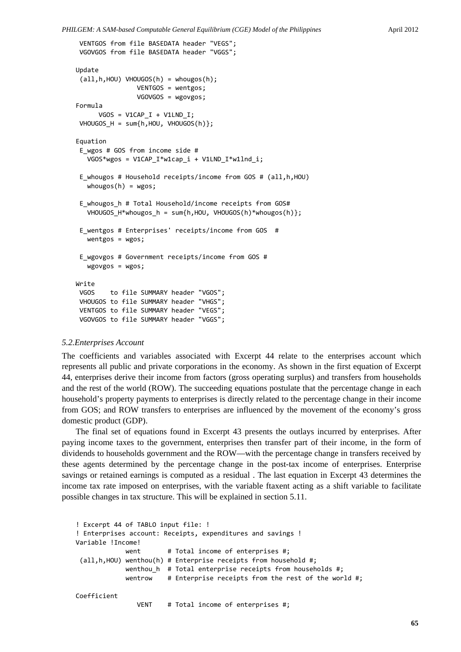```
VENTGOS from file BASEDATA header "VEGS";
VGOVGOS from file BASEDATA header "VGGS";
Update
 (all,h,HOU) VHOUGOS(h) = whougos(h);
                                VENTGOS = wentgos;
                                VGOVGOS = wgovgos;
Formula
      VGOS = V1CAP_I + V1LND_I;VHOUGOS H = sum{h, HOU, VHOUGOS(h)};
Equation
 E_wgos # GOS from income side #
   VGOS*wgos = V1CAP I*w1cap i + V1LND I*w1lnd i;
 E_whougos # Household receipts/income from GOS # (all,h,HOU)
   whougos(h) = wgos;E whougos h # Total Household/income receipts from GOS#
   VHOUGOS H^*whougos h = sum{h, HOU, VHOUGOS(h)*whougos(h)};E_wentgos # Enterprises' receipts/income from GOS  #
      wentgos = wgos;
 E_wgovgos # Government receipts/income from GOS #
      wgovgos = wgos;
Write
VGOS    to file SUMMARY header "VGOS";
VHOUGOS to file SUMMARY header "VHGS";
VENTGOS to file SUMMARY header "VEGS";
VGOVGOS to file SUMMARY header "VGGS";
```
#### *5.2.Enterprises Account*

The coefficients and variables associated with Excerpt 44 relate to the enterprises account which represents all public and private corporations in the economy. As shown in the first equation of Excerpt 44, enterprises derive their income from factors (gross operating surplus) and transfers from households and the rest of the world (ROW). The succeeding equations postulate that the percentage change in each household's property payments to enterprises is directly related to the percentage change in their income from GOS; and ROW transfers to enterprises are influenced by the movement of the economy's gross domestic product (GDP).

The final set of equations found in Excerpt 43 presents the outlays incurred by enterprises. After paying income taxes to the government, enterprises then transfer part of their income, in the form of dividends to households government and the ROW—with the percentage change in transfers received by these agents determined by the percentage change in the post-tax income of enterprises. Enterprise savings or retained earnings is computed as a residual . The last equation in Excerpt 43 determines the income tax rate imposed on enterprises, with the variable ftaxent acting as a shift variable to facilitate possible changes in tax structure. This will be explained in section 5.11.

```
! Excerpt 44 of TABLO input file: !
! Enterprises account: Receipts, expenditures and savings !
Variable !Income!
             went # Total income of enterprises #;
 (all,h,HOU) wenthou(h) # Enterprise receipts from household #;
             wenthou h # Total enterprise receipts from households #;
             wentrow # Enterprise receipts from the rest of the world #;
Coefficient
                                VENT    # Total income of enterprises #;
```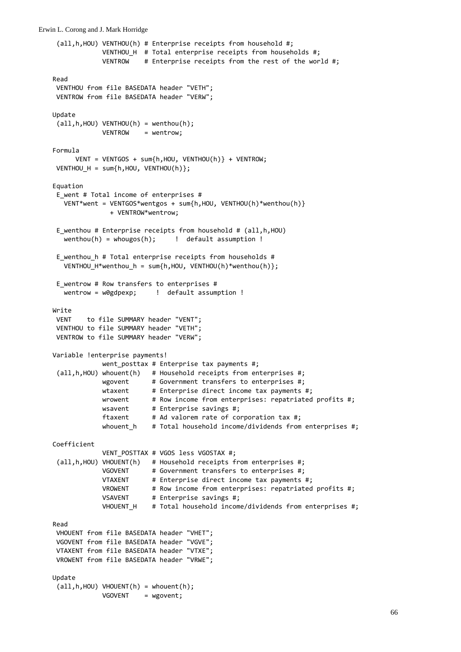```
(all,h,HOU) VENTHOU(h) # Enterprise receipts from household #;
             VENTHOU H # Total enterprise receipts from households #;
             VENTROW # Enterprise receipts from the rest of the world #;
Read
VENTHOU from file BASEDATA header "VETH";
VENTROW from file BASEDATA header "VERW";
Update
(\text{all}, h, \text{HOU}) VENTHOU(h) = wenthou(h);
             VENTROW = wentrow;
Formula
      VENT = VENTGOS + sum\{h, HOU, VENTHOU(h)\} + VENTROW;VENTHOU_H = sum{h,HOU, VENTHOU(h)};
Equation
E_went # Total income of enterprises #
     VENT*went = VENTGOS*wentgos + sum{h,HOU, VENTHOU(h)*wenthou(h)}
                              + VENTROW*wentrow;
E wenthou # Enterprise receipts from household # (all,h,HOU)
   wenthou(h) = whougos(h); \qquad ! default assumption !
E wenthou h # Total enterprise receipts from households #
      VENTHOU_H*wenthou_h = sum{h,HOU, VENTHOU(h)*wenthou(h)};
E_wentrow # Row transfers to enterprises #
      wentrow = w0gdpexp;     !  default assumption !
Write
VENT    to file SUMMARY header "VENT";
VENTHOU to file SUMMARY header "VETH";
VENTROW to file SUMMARY header "VERW";
Variable !enterprise payments!
             went posttax # Enterprise tax payments #;
 (all,h,HOU) whouent(h)   # Household receipts from enterprises #;
             wgovent      # Government transfers to enterprises #;
             wtaxent      # Enterprise direct income tax payments #;
             wrowent # Row income from enterprises: repatriated profits #;
             wsavent # Enterprise savings #;<br>ftaxent # Ad valorem rate of CO
             ftaxent # Ad valorem rate of corporation tax #;
             whouent h # Total household income/dividends from enterprises #;
Coefficient
                          VENT_POSTTAX # VGOS less VGOSTAX #;
 (all,h,HOU) VHOUENT(h)   # Household receipts from enterprises #;
                          VGOVENT      # Government transfers to enterprises #;
             VTAXENT      # Enterprise direct income tax payments #;
             VROWENT      # Row income from enterprises: repatriated profits #;
             VSAVENT      # Enterprise savings #;
             VHOUENT H # Total household income/dividends from enterprises #:
Read
VHOUENT from file BASEDATA header "VHET";
VGOVENT from file BASEDATA header "VGVE";
VTAXENT from file BASEDATA header "VTXE";
VROWENT from file BASEDATA header "VRWE";
Update
(\text{all}, h, \text{HOU}) VHOUENT(h) = whouent(h);
             VGOVENT = wgovent;
```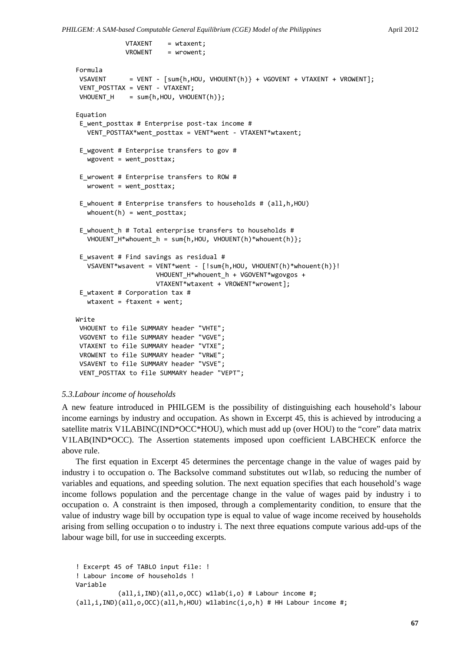```
VTAXENT = wtaxent;
                          VROWENT    = wrowent;
Formula
VSAVENT      = VENT ‐ [sum{h,HOU, VHOUENT(h)} + VGOVENT + VTAXENT + VROWENT];
VENT_POSTTAX = VENT ‐ VTAXENT;
VHOUENT_H = sum\{h, HOU, VHOUENT(h)};
Equation
 E went posttax # Enterprise post-tax income #
   VENT_POSTTAX*went_posttax = VENT*went - VTAXENT*wtaxent;
 E wgovent # Enterprise transfers to gov #
   wgovent = went posttax;E_wrowent # Enterprise transfers to ROW #
   wrowent = went posttax;E_whouent # Enterprise transfers to households # (all,h,HOU)
   whouent(h) = went posttax;E whouent h # Total enterprise transfers to households #
   VHOUENT H^*whouent h = sum{h,HOU, VHOUENT(h)*whouent(h)};
 E_wsavent # Find savings as residual #
      VSAVENT*wsavent = VENT*went ‐ [!sum{h,HOU, VHOUENT(h)*whouent(h)}!
                                           VHOUENT_H*whouent_h + VGOVENT*wgovgos +
                                           VTAXENT*wtaxent + VROWENT*wrowent];
 E_wtaxent # Corporation tax #
      wtaxent = ftaxent + went;
Write
VHOUENT to file SUMMARY header "VHTE";
VGOVENT to file SUMMARY header "VGVE";
VTAXENT to file SUMMARY header "VTXE";
VROWENT to file SUMMARY header "VRWE";
VSAVENT to file SUMMARY header "VSVE";
VENT_POSTTAX to file SUMMARY header "VEPT";
```
#### *5.3.Labour income of households*

A new feature introduced in PHILGEM is the possibility of distinguishing each household's labour income earnings by industry and occupation. As shown in Excerpt 45, this is achieved by introducing a satellite matrix V1LABINC(IND\*OCC\*HOU), which must add up (over HOU) to the "core" data matrix V1LAB(IND\*OCC). The Assertion statements imposed upon coefficient LABCHECK enforce the above rule.

The first equation in Excerpt 45 determines the percentage change in the value of wages paid by industry i to occupation o. The Backsolve command substitutes out w1lab, so reducing the number of variables and equations, and speeding solution. The next equation specifies that each household's wage income follows population and the percentage change in the value of wages paid by industry i to occupation o. A constraint is then imposed, through a complementarity condition, to ensure that the value of industry wage bill by occupation type is equal to value of wage income received by households arising from selling occupation o to industry i. The next three equations compute various add-ups of the labour wage bill, for use in succeeding excerpts.

```
! Excerpt 45 of TABLO input file: !
! Labour income of households !
Variable
           (all,i,IND)(all,o,OCC) wllab(i,o) # Labour income #;
(all,i,IND)(all,o,OCC)(all,h,HOU) w1labinc(i,o,h) # HH Labour income #;
```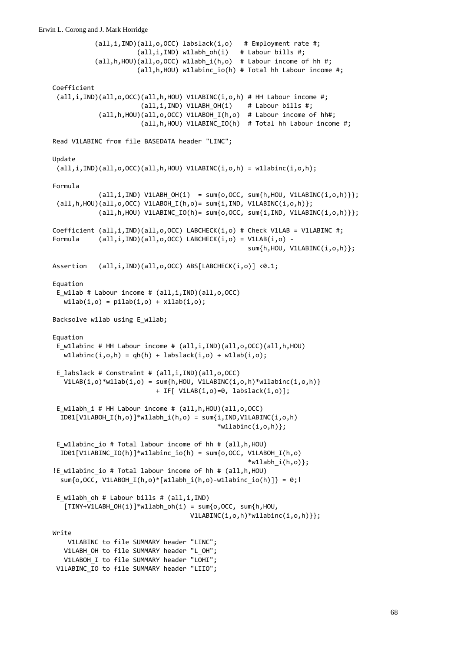(all,i,IND)(all,o,OCC) labslack(i,o) # Employment rate #; (all,i,IND) w1labh\_oh(i) # Labour bills #; (all,h,HOU)(all,o,OCC) w1labh\_i(h,o) # Labour income of hh #; (all,h,HOU) w1labinc\_io(h) # Total hh Labour income #; Coefficient (all,i,IND)(all,o,OCC)(all,h,HOU) V1LABINC(i,o,h) # HH Labour income #;  $(\text{all}, i, \text{IND})$  V1LABH OH $(i)$  # Labour bills #; (all,h,HOU)(all,o,OCC) V1LABOH\_I(h,o) # Labour income of hh#; (all,h,HOU) V1LABINC\_IO(h) # Total hh Labour income #; Read V1LABINC from file BASEDATA header "LINC"; Update  $(all,i,IND)(all,o,OCC)(all,h,HOU) V1LABINC(i,o,h) = w1labinc(i,o,h);$ Formula  $\text{(all,i,IND)}$  V1LABH\_OH $(i)$  = sum $\{o,$ OCC, sum $\{\text{h,HOU},$  V1LABINC $(i,o,h)\}\};$  $(all,h,HOU)(all,o,OCC) V1LABOH I(h,o)= sum{i,IND, V1LABINC(i,o,h)};$  $\{all,h,HOU\}$  V1LABINC  $IO(h)= sum{o,OCC}$ , sum $\{i,IND,$  V1LABINC $(i,o,h)\};$ Coefficient  $(all,i,IND)(all,o,OCC)$  LABCHECK $(i,o)$  # Check V1LAB = V1LABINC #; Formula  $(all,i,IND)(all,o,OCC) LABCHECK(i,o) = V1LAB(i,o) -$  sum{h,HOU, V1LABINC(i,o,h)}; Assertion (all,i,IND)(all,o,OCC) ABS[LABCHECK(i,o)] <0.1; Equation E\_w1lab # Labour income # (all,i,IND)(all,o,OCC)  $w1lab(i, o) = p1lab(i, o) + x1lab(i, o);$ Backsolve w1lab using E w1lab; Equation E w1labinc # HH Labour income # (all,i,IND)(all,o,OCC)(all,h,HOU)  $w1$ labinc(i,o,h) = qh(h) + labslack(i,o) + w1lab(i,o); E labslack # Constraint #  $(all,i,IND)(all,o,OCC)$  $V1LAB(i, o)*w1lab(i, o) = sum\{h, HOU, V1LABINC(i, o, h)*w1labinc(i, o, h)\}$  + IF[ V1LAB(i,o)=0, labslack(i,o)]; E w1labh i # HH Labour income # (all,h,HOU)(all,o,OCC) ID01[V1LABOH I(h,o)]\*w1labh i(h,o) = sum{i,IND,V1LABINC(i,o,h)  $*$ w1labinc $(i, o, h)$ ; E\_w1labinc\_io # Total labour income of hh # (all,h,HOU) ID01[V1LABINC\_IO(h)]\*w1labinc\_io(h) = sum{o,OCC, V1LABOH\_I(h,o)  $*$ w1labh\_i(h,o)}; !E\_w1labinc\_io # Total labour income of hh # (all,h,HOU) sum{o, OCC, V1LABOH I(h,o)\*[w1labh i(h,o)-w1labinc io(h)]} = 0;! E w1labh oh # Labour bills #  $(all,i,IND)$  $[TINV+V1LABH OH(i)]*w1labh oh(i) = sum{o,OCC, sum{h,HOU,}}$  $V1LABINC(i, o, h)*w1labinc(i, o, h)$  }; Write V1LABINC to file SUMMARY header "LINC"; V1LABH\_OH to file SUMMARY header "L\_OH"; V1LABOH I to file SUMMARY header "LOHI"; V1LABINC\_IO to file SUMMARY header "LIIO";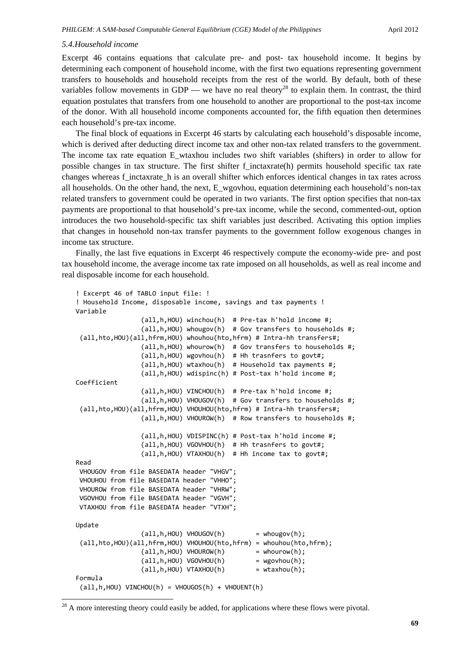#### *5.4.Household income*

-

Excerpt 46 contains equations that calculate pre- and post- tax household income. It begins by determining each component of household income, with the first two equations representing government transfers to households and household receipts from the rest of the world. By default, both of these variables follow movements in GDP — we have no real theory<sup>28</sup> to explain them. In contrast, the third equation postulates that transfers from one household to another are proportional to the post-tax income of the donor. With all household income components accounted for, the fifth equation then determines each household's pre-tax income.

The final block of equations in Excerpt 46 starts by calculating each household's disposable income, which is derived after deducting direct income tax and other non-tax related transfers to the government. The income tax rate equation E\_wtaxhou includes two shift variables (shifters) in order to allow for possible changes in tax structure. The first shifter f\_inctaxrate(h) permits household specific tax rate changes whereas f\_inctaxrate\_h is an overall shifter which enforces identical changes in tax rates across all households. On the other hand, the next, E\_wgovhou, equation determining each household's non-tax related transfers to government could be operated in two variants. The first option specifies that non-tax payments are proportional to that household's pre-tax income, while the second, commented-out, option introduces the two household-specific tax shift variables just described. Activating this option implies that changes in household non-tax transfer payments to the government follow exogenous changes in income tax structure.

Finally, the last five equations in Excerpt 46 respectively compute the economy-wide pre- and post tax household income, the average income tax rate imposed on all households, as well as real income and real disposable income for each household.

```
! Excerpt 46 of TABLO input file: !
! Household Income, disposable income, savings and tax payments !
Variable
                                     (all,h,HOU) winchou(h)  # Pre‐tax h'hold income #;
                                     (all,h,HOU) whougov(h)  # Gov transfers to households #;
 (all,hto,HOU)(all,hfrm,HOU) whouhou(hto,hfrm) # Intra‐hh transfers#;
                                     (all,h,HOU) whourow(h)  # Gov transfers to households #;
                                     (all,h,HOU) wgovhou(h)  # Hh trasnfers to govt#;
                                     (all,h,HOU) wtaxhou(h)  # Household tax payments #;
                                     (all,h,HOU) wdispinc(h) # Post‐tax h'hold income #;
Coefficient
                                     (all,h,HOU) VINCHOU(h)  # Pre‐tax h'hold income #;
                                     (all,h,HOU) VHOUGOV(h)  # Gov transfers to households #;
 (all,hto,HOU)(all,hfrm,HOU) VHOUHOU(hto,hfrm) # Intra‐hh transfers#;
                                     (all,h,HOU) VHOUROW(h)  # Row transfers to households #;
                                     (all,h,HOU) VDISPINC(h) # Post‐tax h'hold income #;
                                     (all,h,HOU) VGOVHOU(h)  # Hh trasnfers to govt#;
                                     (all,h,HOU) VTAXHOU(h)  # Hh income tax to govt#;
Read
VHOUGOV from file BASEDATA header "VHGV";
VHOUHOU from file BASEDATA header "VHHO";
VHOUROW from file BASEDATA header "VHRW";
VGOVHOU from file BASEDATA header "VGVH";
VTAXHOU from file BASEDATA header "VTXH";
Update
                    (\text{all}, h, \text{HOU}) VHOUGOV(h) = whougov(h);
 (all,hto,HOU)(all,hfrm,HOU) VHOUHOU(hto,hfrm) = whouhou(hto,hfrm);
                    (\text{all}, h, \text{HOU}) VHOUROW(h) = whourow(h);
                    (\text{all}, h, \text{HOU}) VGOVHOU(h) = wgovhou(h);
                    (\text{all}, h, \text{HOU}) VTAXHOU(h) = wtaxhou(h);
Formula
 (all,h,HOU) VINCHOU(h) = VHOUGOS(h) + VHOUENT(h)
```
<sup>28</sup> A more interesting theory could easily be added, for applications where these flows were pivotal.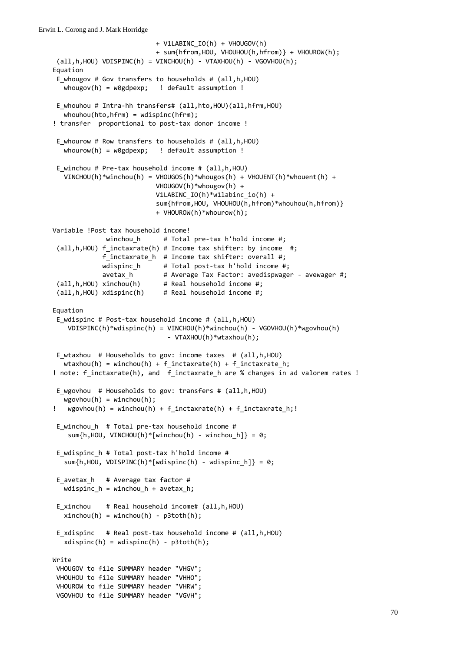```
                           + V1LABINC_IO(h) + VHOUGOV(h)
                                                         + sum{hfrom,HOU, VHOUHOU(h,hfrom)} + VHOUROW(h);
 all, h, HOU) VDISPINC(h) = VINCHOU(h) - VTAXHOU(h) - VGOVHOU(h);Equation
 E_whougov # Gov transfers to households # (all,h,HOU)
   whougov(h) = w\theta g\varphi exp; ! default assumption !
 E whouhou # Intra-hh transfers# (all,hto,HOU)(all,hfrm,HOU)
   whouhou(hto,hfrm) = wdispinc(hfrm);! transfer  proportional to post‐tax donor income !
 E_whourow # Row transfers to households # (all,h,HOU)
      whourow(h) = w0gdpexp;   ! default assumption !
 E_winchou # Pre‐tax household income # (all,h,HOU)
      VINCHOU(h)*winchou(h) = VHOUGOS(h)*whougos(h) + VHOUENT(h)*whouent(h) +
                                                         VHOUGOV(h)*whougov(h) +
                                                         V1LABINC_IO(h)*w1labinc_io(h) +
                                                         sum{hfrom,HOU, VHOUHOU(h,hfrom)*whouhou(h,hfrom)}
                                                         + VHOUROW(h)*whourow(h);
Variable !Post tax household income!
                             winchou_h      # Total pre‐tax h'hold income #;
 (all,h,HOU) f_inctaxrate(h) # Income tax shifter: by income  #;
                           f_inctaxrate_h  # Income tax shifter: overall #;
                           wdispinc_h      # Total post‐tax h'hold income #;
             avetax_h        # Average Tax Factor: avedispwager ‐ avewager #;
 (all,h,HOU) xinchou(h)      # Real household income #;
 (all,h,HOU) xdispinc(h)     # Real household income #;
Equation
 E wdispinc # Post-tax household income # (all,h,HOU)
        VDISPINC(h)*wdispinc(h) = VINCHOU(h)*winchou(h) ‐ VGOVHOU(h)*wgovhou(h)
                                                               ‐ VTAXHOU(h)*wtaxhou(h);
 E_wtaxhou  # Households to gov: income taxes  # (all,h,HOU)
   wtaxhou(h) = winchou(h) + finctaxrate(h) + finctaxrate(h)! note: f_inctaxrate(h), and f_inctaxrate_h are % changes in ad valorem rates !
 E_wgovhou  # Households to gov: transfers # (all,h,HOU)
   wgovhou(h) = winchou(h);wgovhou(h) = winchou(h) + f_inctaxrate(h) + f_inctaxrate_h;!
 E winchou h # Total pre-tax household income #
    sum\{h, H 0 U, V IN CH O U(h) * [win chou(h) - win chou_h]\} = 0;E_wdispinc_h # Total post‐tax h'hold income #
      sum{h,HOU, VDISPINC(h)*[wdispinc(h) ‐ wdispinc_h]} = 0;
 E avetax h # Average tax factor #
   wdispinc h = winchou h + avetax h;
 E_xinchou    # Real household income# (all,h,HOU)
   xinchou(h) = winchou(h) - p3toth(h);E xdispinc # Real post-tax household income # (all,h,HOU)
   xdisplay(h) = wdispinc(h) - p3toth(h);Write
VHOUGOV to file SUMMARY header "VHGV";
VHOUHOU to file SUMMARY header "VHHO";
VHOUROW to file SUMMARY header "VHRW";
 VGOVHOU to file SUMMARY header "VGVH";
```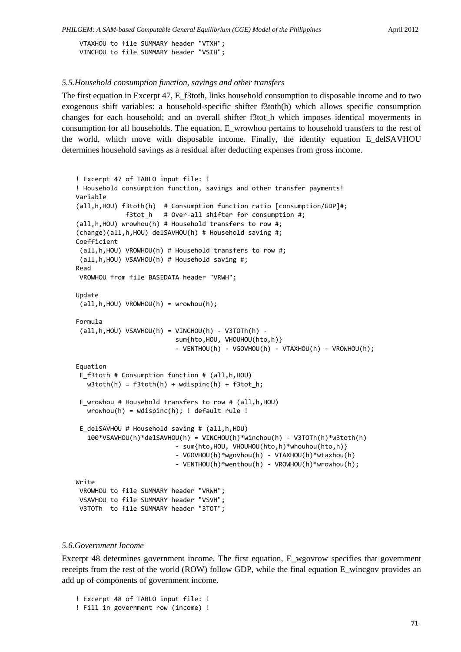VTAXHOU to file SUMMARY header "VTXH"; VINCHOU to file SUMMARY header "VSIH";

#### *5.5.Household consumption function, savings and other transfers*

The first equation in Excerpt 47, E\_f3toth, links household consumption to disposable income and to two exogenous shift variables: a household-specific shifter f3toth(h) which allows specific consumption changes for each household; and an overall shifter f3tot\_h which imposes identical moverments in consumption for all households. The equation, E\_wrowhou pertains to household transfers to the rest of the world, which move with disposable income. Finally, the identity equation E\_delSAVHOU determines household savings as a residual after deducting expenses from gross income.

```
! Excerpt 47 of TABLO input file: !
! Household consumption function, savings and other transfer payments!
Variable
(all,h,HOU) f3toth(h)  # Consumption function ratio [consumption/GDP]#;
              f3tot h   # Over-all shifter for consumption #;
(all,h,HOU) wrowhou(h) # Household transfers to row #;
(change)(all,h,HOU) delSAVHOU(h) # Household saving #;
Coefficient
 (all,h,HOU) VROWHOU(h) # Household transfers to row #;
 (all,h,HOU) VSAVHOU(h) # Household saving #;
Read
VROWHOU from file BASEDATA header "VRWH";
Update
 (all,h,HOU) VROWHOU(h) = wrowhou(h);
Formula
 (iall,h,HOU) VSAVHOU(h) = VINCHOU(h) - V3TOTh(h) -
                                                      sum{hto,HOU, VHOUHOU(hto,h)}
                                                       ‐ VENTHOU(h) ‐ VGOVHOU(h) ‐ VTAXHOU(h) ‐ VROWHOU(h);
Equation
 E f3toth # Consumption function # (all,h,HOU)
   w3toth(h) = f3toth(h) + wdispinc(h) + f3tot_h;
 E_wrowhou # Household transfers to row # (all,h,HOU)
   wrowhou(h) = wdispinc(h); ! default rule!E_delSAVHOU # Household saving # (all,h,HOU)
      100*VSAVHOU(h)*delSAVHOU(h) = VINCHOU(h)*winchou(h) ‐ V3TOTh(h)*w3toth(h)
                                                       ‐ sum{hto,HOU, VHOUHOU(hto,h)*whouhou(hto,h)}
                                                       ‐ VGOVHOU(h)*wgovhou(h) ‐ VTAXHOU(h)*wtaxhou(h)
                                                       ‐ VENTHOU(h)*wenthou(h) ‐ VROWHOU(h)*wrowhou(h);
Write
VROWHOU to file SUMMARY header "VRWH";
VSAVHOU to file SUMMARY header "VSVH";
V3TOTh  to file SUMMARY header "3TOT";
```
#### *5.6.Government Income*

Excerpt 48 determines government income. The first equation, E\_wgovrow specifies that government receipts from the rest of the world (ROW) follow GDP, while the final equation E\_wincgov provides an add up of components of government income.

- ! Excerpt 48 of TABLO input file: !
- ! Fill in government row (income) !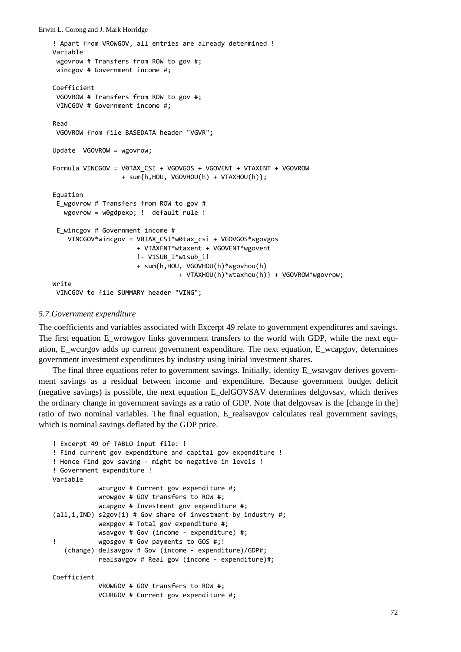```
Erwin L. Corong and J. Mark Horridge
```

```
! Apart from VROWGOV, all entries are already determined !
Variable
 wgovrow # Transfers from ROW to gov #;
 wincgov # Government income #;
Coefficient
 VGOVROW # Transfers from ROW to gov #;
 VINCGOV # Government income #;
Read
 VGOVROW from file BASEDATA header "VGVR";
Update  VGOVROW = wgovrow;
Formula VINCGOV = V0TAX_CSI + VGOVGOS + VGOVENT + VTAXENT + VGOVROW
                                       + sum{h,HOU, VGOVHOU(h) + VTAXHOU(h)};
Equation
 E wgovrow # Transfers from ROW to gov #
      wgovrow = w0gdpexp; !  default rule !
 E_wincgov # Government income #
        VINCGOV*wincgov = V0TAX_CSI*w0tax_csi + VGOVGOS*wgovgos
                                                + VTAXENT*wtaxent + VGOVENT*wgovent
                                                !‐ V1SUB_I*w1sub_i!
                                                + sum{h,HOU, VGOVHOU(h)*wgovhou(h)
                                                                       + VTAXHOU(h)*wtaxhou(h)} + VGOVROW*wgovrow;
Write
 VINCGOV to file SUMMARY header "VING";
```
#### *5.7.Government expenditure*

The coefficients and variables associated with Excerpt 49 relate to government expenditures and savings. The first equation E\_wrowgov links government transfers to the world with GDP, while the next equation, E\_wcurgov adds up current government expenditure. The next equation, E\_wcapgov, determines government investment expenditures by industry using initial investment shares.

The final three equations refer to government savings. Initially, identity E\_wsavgov derives government savings as a residual between income and expenditure. Because government budget deficit (negative savings) is possible, the next equation E\_delGOVSAV determines delgovsav, which derives the ordinary change in government savings as a ratio of GDP. Note that delgovsav is the [change in the] ratio of two nominal variables. The final equation, E\_realsavgov calculates real government savings, which is nominal savings deflated by the GDP price.

```
! Excerpt 49 of TABLO input file: !
! Find current gov expenditure and capital gov expenditure !
! Hence find gov saving ‐ might be negative in levels !
! Government expenditure !
Variable
                          wcurgov # Current gov expenditure #;
                          wrowgov # GOV transfers to ROW #;
                         wcapgov # Investment gov expenditure #;
(\text{all}, i, \text{IND}) s2gov(i) # Gov share of investment by industry #;
                          wexpgov # Total gov expenditure #;
                         wsavgov # Gov (income ‐ expenditure) #;
! Wegosgov # Gov payments to GOS #;!
      (change) delsavgov # Gov (income ‐ expenditure)/GDP#;
                          realsavgov # Real gov (income ‐ expenditure)#;
Coefficient
                          VROWGOV # GOV transfers to ROW #;
                          VCURGOV # Current gov expenditure #;
```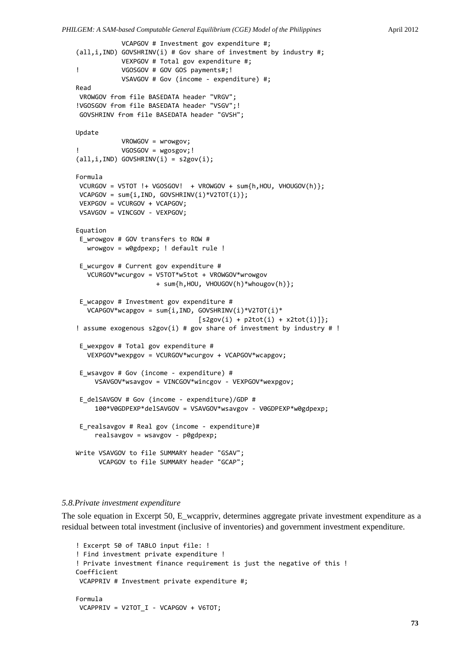```
            VCAPGOV # Investment gov expenditure #;
(all,i,IND) GOVSHRINV(i) # Gov share of investment by industry #;
                        VEXPGOV # Total gov expenditure #;
!           VGOSGOV # GOV GOS payments#;!
                        VSAVGOV # Gov (income ‐ expenditure) #;
Read
VROWGOV from file BASEDATA header "VRGV";
!VGOSGOV from file BASEDATA header "VSGV";!
GOVSHRINV from file BASEDATA header "GVSH";
Update
                        VROWGOV = wrowgov;
!           VGOSGOV = wgosgov;!
(all,i,IND) GOVSHRINV(i) = s2gov(i);
Formula
VCURGOV = V5TOT !+ VGOSGOV!  + VROWGOV + sum{h,HOU, VHOUGOV(h)};
VCAPGOV = sum{i,IND, GOVSHRINV(i)*V2TOT(i)};
VEXPGOV = VCURGOV + VCAPGOV;
VSAVGOV = VINCGOV - VEXPGOV;
Equation
E_wrowgov # GOV transfers to ROW #
      wrowgov = w0gdpexp; ! default rule !
E_wcurgov # Current gov expenditure #
      VCURGOV*wcurgov = V5TOT*w5tot + VROWGOV*wrowgov
                                           + sum{h,HOU, VHOUGOV(h)*whougov(h)};
 E_wcapgov # Investment gov expenditure #
      VCAPGOV*wcapgov = sum{i,IND, GOVSHRINV(i)*V2TOT(i)*
                                  [s2gov(i) + p2tot(i) + x2tot(i)]};
! assume exogenous s2gov(i) # gov share of investment by industry # !
 E_wexpgov # Total gov expenditure #
      VEXPGOV*wexpgov = VCURGOV*wcurgov + VCAPGOV*wcapgov;
 E wsavgov # Gov (income - expenditure) #
          VSAVGOV*wsavgov = VINCGOV*wincgov ‐ VEXPGOV*wexpgov;
 E delSAVGOV # Gov (income - expenditure)/GDP #
          100*V0GDPEXP*delSAVGOV = VSAVGOV*wsavgov ‐ V0GDPEXP*w0gdpexp;
 E_realsavgov # Real gov (income ‐ expenditure)#
          realsavgov = wsavgov ‐ p0gdpexp;
Write VSAVGOV to file SUMMARY header "GSAV";
            VCAPGOV to file SUMMARY header "GCAP";
```
#### *5.8.Private investment expenditure*

The sole equation in Excerpt 50, E\_wcappriv, determines aggregate private investment expenditure as a residual between total investment (inclusive of inventories) and government investment expenditure.

```
! Excerpt 50 of TABLO input file: !
! Find investment private expenditure !
! Private investment finance requirement is just the negative of this !
Coefficient
VCAPPRIV # Investment private expenditure #;
Formula
VCAPPRIV = V2TOT I - VCAPGOV + V6TOT;
```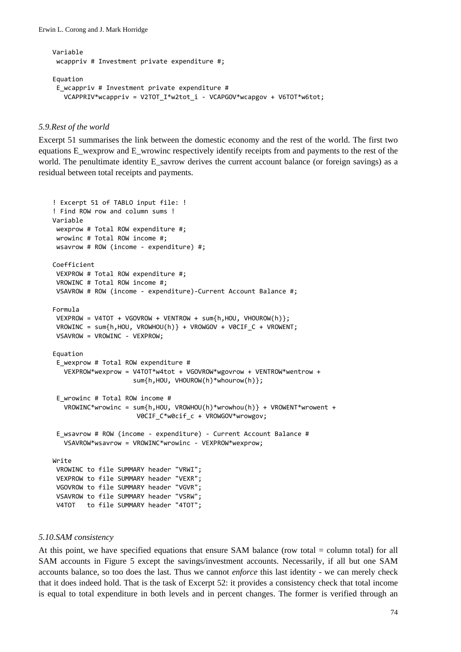```
Variable
wcappriv # Investment private expenditure #;
Equation
E_wcappriv # Investment private expenditure #
      VCAPPRIV*wcappriv = V2TOT_I*w2tot_i ‐ VCAPGOV*wcapgov + V6TOT*w6tot;
```
#### *5.9.Rest of the world*

Excerpt 51 summarises the link between the domestic economy and the rest of the world. The first two equations E\_wexprow and E\_wrowinc respectively identify receipts from and payments to the rest of the world. The penultimate identity E\_savrow derives the current account balance (or foreign savings) as a residual between total receipts and payments.

```
! Excerpt 51 of TABLO input file: !
! Find ROW row and column sums !
Variable
wexprow # Total ROW expenditure #;
wrowinc # Total ROW income #;
wsavrow # ROW (income ‐ expenditure) #;
Coefficient
VEXPROW # Total ROW expenditure #;
 VROWINC # Total ROW income #;
VSAVROW # ROW (income ‐ expenditure)‐Current Account Balance #;
Formula
VEXPROW = V4TOT + VGOVROW + VENTROW + sum{h,HOU, VHOUROW(h)};
VROWINC = sum{h,HOU, VROWHOU(h)} + VROWGOV + VØCIF C + VROWENT;VSAVROW = VROWINC ‐ VEXPROW;
Equation
 E_wexprow # Total ROW expenditure #
     VEXPROW*wexprow = V4TOT*w4tot + VGOVROW*wgovrow + VENTROW*wentrow +
                                          sum{h,HOU, VHOUROW(h)*whourow(h)};
 E_wrowinc # Total ROW income #
     VROWINC*wrowinc = sum{h,HOU, VROWHOU(h)*wrowhou(h)} + VROWENT*wrowent +
                      V0CIF C*w0cif c + VROWGOV*wrowgov;
 E_wsavrow # ROW (income ‐ expenditure) ‐ Current Account Balance #
     VSAVROW*wsavrow = VROWINC*wrowinc ‐ VEXPROW*wexprow;
Write
VROWINC to file SUMMARY header "VRWI";
VEXPROW to file SUMMARY header "VEXR";
VGOVROW to file SUMMARY header "VGVR";
VSAVROW to file SUMMARY header "VSRW";
V4TOT   to file SUMMARY header "4TOT";
```
#### *5.10.SAM consistency*

At this point, we have specified equations that ensure SAM balance (row total  $=$  column total) for all SAM accounts in Figure 5 except the savings/investment accounts. Necessarily, if all but one SAM accounts balance, so too does the last. Thus we cannot *enforce* this last identity - we can merely check that it does indeed hold. That is the task of Excerpt 52: it provides a consistency check that total income is equal to total expenditure in both levels and in percent changes. The former is verified through an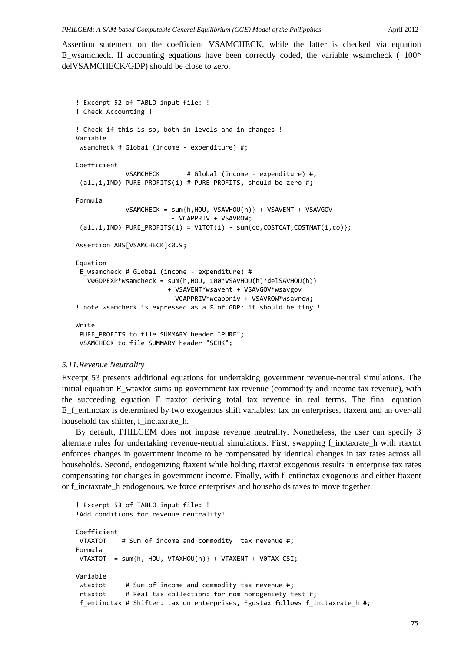Assertion statement on the coefficient VSAMCHECK, while the latter is checked via equation E\_wsamcheck. If accounting equations have been correctly coded, the variable wsamcheck  $(=100<sup>*</sup>)$ delVSAMCHECK/GDP) should be close to zero.

```
! Excerpt 52 of TABLO input file: !
! Check Accounting !
! Check if this is so, both in levels and in changes !
Variable
wsamcheck # Global (income ‐ expenditure) #;
Coefficient
                           VSAMCHECK       # Global (income ‐ expenditure) #;
 (a11,i,IND) PURE PROFITS(i) # PURE PROFITS, should be zero #;
Formula
                           VSAMCHECK = sum{h,HOU, VSAVHOU(h)} + VSAVENT + VSAVGOV
                                                     ‐ VCAPPRIV + VSAVROW;
 (all,i,IND) PURE_PROFITS(i) = V1TOT(i) - sum{co, COSTCAT, COSTMAT(i, co)};Assertion ABS[VSAMCHECK]<0.9;
Equation
 E wsamcheck # Global (income - expenditure) #
      V0GDPEXP*wsamcheck = sum{h,HOU, 100*VSAVHOU(h)*delSAVHOU(h)}
                                                   + VSAVENT*wsavent + VSAVGOV*wsavgov
                                                   ‐ VCAPPRIV*wcappriv + VSAVROW*wsavrow;
! note wsamcheck is expressed as a % of GDP: it should be tiny !
Write
 PURE_PROFITS to file SUMMARY header "PURE";
VSAMCHECK to file SUMMARY header "SCHK";
```
#### *5.11.Revenue Neutrality*

Excerpt 53 presents additional equations for undertaking government revenue-neutral simulations. The initial equation E\_wtaxtot sums up government tax revenue (commodity and income tax revenue), with the succeeding equation E\_rtaxtot deriving total tax revenue in real terms. The final equation E\_f\_entinctax is determined by two exogenous shift variables: tax on enterprises, ftaxent and an over-all household tax shifter, f\_inctaxrate\_h.

By default, PHILGEM does not impose revenue neutrality. Nonetheless, the user can specify 3 alternate rules for undertaking revenue-neutral simulations. First, swapping f\_inctaxrate\_h with rtaxtot enforces changes in government income to be compensated by identical changes in tax rates across all households. Second, endogenizing ftaxent while holding rtaxtot exogenous results in enterprise tax rates compensating for changes in government income. Finally, with f\_entinctax exogenous and either ftaxent or f\_inctaxrate\_h endogenous, we force enterprises and households taxes to move together.

```
! Excerpt 53 of TABLO input file: !
!Add conditions for revenue neutrality!
Coefficient
VTAXTOT    # Sum of income and commodity  tax revenue #;
Formula
VTAXTOT  = sum{h, HOU, VTAXHOU(h)} + VTAXENT + V0TAX_CSI;
Variable
wtaxtot # Sum of income and commodity tax revenue #;
rtaxtot     # Real tax collection: for nom homogeniety test #;
f_entinctax # Shifter: tax on enterprises, Fgostax follows f_inctaxrate_h #;
```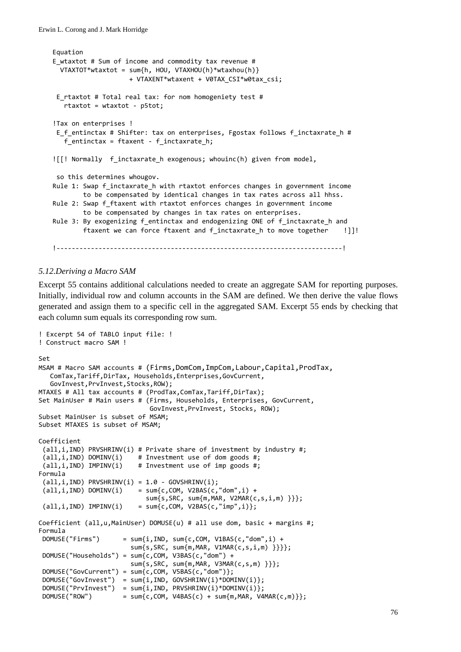```
Equation
E_wtaxtot # Sum of income and commodity tax revenue #
   VTAXTOT*wtaxtot = sum{h, HOU, VTAXHOU(h)*wtaxhou(h)}
                                        + VTAXENT*wtaxent + V0TAX_CSI*w0tax_csi;
E_rtaxtot # Total real tax: for nom homogeniety test #
      rtaxtot = wtaxtot ‐ p5tot;
!Tax on enterprises !
E f entinctax # Shifter: tax on enterprises, Fgostax follows f inctaxrate h #
   f entinctax = ftaxent - f inctaxrate h;
![[! Normally  f_inctaxrate_h exogenous; whouinc(h) given from model,
so this determines whougov.
Rule 1: Swap f inctaxrate h with rtaxtot enforces changes in government income
                to be compensated by identical changes in tax rates across all hhss.
Rule 2: Swap f ftaxent with rtaxtot enforces changes in government income
                to be compensated by changes in tax rates on enterprises.
Rule 3: By exogenizing f_entinctax and endogenizing ONE of f_inctaxrate_h and
        ftaxent we can force ftaxent and f inctaxrate h to move together []]!
!‐‐‐‐‐‐‐‐‐‐‐‐‐‐‐‐‐‐‐‐‐‐‐‐‐‐‐‐‐‐‐‐‐‐‐‐‐‐‐‐‐‐‐‐‐‐‐‐‐‐‐‐‐‐‐‐‐‐‐‐‐‐‐‐‐‐‐‐‐‐‐‐‐‐‐!
```
#### *5.12.Deriving a Macro SAM*

Excerpt 55 contains additional calculations needed to create an aggregate SAM for reporting purposes. Initially, individual row and column accounts in the SAM are defined. We then derive the value flows generated and assign them to a specific cell in the aggregated SAM. Excerpt 55 ends by checking that each column sum equals its corresponding row sum.

```
! Excerpt 54 of TABLO input file: !
! Construct macro SAM !
Set
MSAM # Macro SAM accounts # (Firms,DomCom,ImpCom,Labour,Capital,ProdTax,
      ComTax,Tariff,DirTax, Households,Enterprises,GovCurrent,
      GovInvest,PrvInvest,Stocks,ROW);
MTAXES # All tax accounts # (ProdTax,ComTax,Tariff,DirTax);
Set MainUser # Main users # (Firms, Households, Enterprises, GovCurrent,
                                                             GovInvest,PrvInvest, Stocks, ROW);
Subset MainUser is subset of MSAM;
Subset MTAXES is subset of MSAM;
Coefficient
 (all,i,IND) PRVSHRINV(i) # Private share of investment by industry #;
 (all,i,IND) DOMINV(i)    # Investment use of dom goods #;
 (all,i,IND) IMPINV(i)    # Investment use of imp goods #;
Formula
 (iall,i,IND) PRVSHRINV(i) = 1.0 - GOVSHRINV(i);
 \overrightarrow{(all,i,IND)} DOMINV(i) = sum{c,COM, V2BAS(c, "dom", i) +}sum\{s,SRC, sum\{m,MAR, V2MAR(c,s,i,m) \} \};<br>(all.i.IND) IMPINV(i) = sum{c.COM, V2BAS(c."imp".i)};
                             = sum{c, COM, V2BAS(c,"imp",i)};Coefficient (all,u,MainUser) DOMUSE(u) # all use dom, basic + margins #;
Formula
 DOMUSE("Firms") = sum{i, IND, sum{c, COM, V1BAS(c, "dom", i) +}                        sum{s,SRC, sum{m,MAR, V1MAR(c,s,i,m) }}}};
 DOMUSE("Households") = sum{c,COM, V3BAS(c,"dom") +
                                                   sum{s,SRC, sum{m,MAR, V3MAR(c,s,m) }}};
 DOMUSE("GovCurrent") = sum{c, COM, V5BAS(c, "dom")};DOMUSE("GovInvest")  = sum{i,IND, GOVSHRINV(i)*DOMINV(i)};
 DOMUSE("PrvInvest") = sum{i,IND, PRVSHRINV(i)*DOMINV(i)};<br>DOMUSE("ROW") = sum{c,COM, V4BAS(c) + sum{m,MAR, V4
                        = sum{c, COM, V4BAS(c) + sum{m, MAR, V4MAR(c,m)}};
```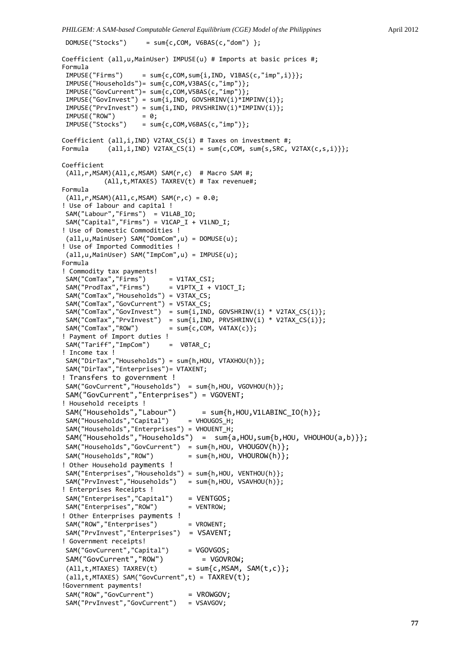*PHILGEM: A SAM-based Computable General Equilibrium (CGE) Model of the Philippines* April 2012

```
DOMUSE("Stocks") = sum{c,COM, V6BAS(c,"dom") };
```

```
Coefficient (all,u,MainUser) IMPUSE(u) # Imports at basic prices #;
Formula
IMPUSE("Firms") = sum{c, COM, sum{i, IND, V1BAS(c,"imp", i)}};IMPUSE("Households")= sum{c,COM,V3BAS(c,"imp")};
 IMPUSE("GovCurrent")= sum{c,COM,V5BAS(c,"imp")};
 IMPUSE("GovInvest") = sum{i,IND, GOVSHRINV(i)*IMPINV(i)};
IMPUSE("PrvInvest") = sum{i,IND, PRVSHRINV(i)*IMPINV(i)};<br>IMPUSE("ROW") = 0;
IMPUSE("ROW")<br>IMPUSE("Stocks")
                     = sum{c, COM, V6BAS(c,"imp")};Coefficient (all,i,IND) V2TAX CS(i) # Taxes on investment #;
Formula  \text{(all,i,IND)} \text{ V2TAX}_CS(i) = \text{sum}\{c,COM, \text{ sum}\{s,SRC, \text{ V2TAX}(c,s,i)\}\};Coefficient
(All,r,MSAM)(All,c,MSAM) SAM(r,c)  # Macro SAM #;
                      (All,t,MTAXES) TAXREV(t) # Tax revenue#;
Formula
(A11,r,MSAM)(All,c,MSAM) SAM(r,c) = 0.0;! Use of labour and capital !
SAM("Labour","Firms")  = V1LAB_IO;
SAM("Capital", "Firms") = V1CAP_I + V1LND_I;! Use of Domestic Commodities !
(all,u,MainUser) SAM("DomCom",u) = DOMUSE(u);
! Use of Imported Commodities !
(all,u,MainUser) SAM("ImpCom",u) = IMPUSE(u);
Formula
! Commodity tax payments!
 SAM("ComTax","Firms")      = V1TAX_CSI;
 SAM("ProdTax","Firms")     = V1PTX_I + V1OCT_I;
 SAM("ComTax","Households") = V3TAX_CS;
 SAM("ComTax","GovCurrent") = V5TAX_CS;
 SAM("ComTax","GovInvest")  = sum{i,IND, GOVSHRINV(i) * V2TAX_CS(i)};
 SAM("ComTax","PrvInvest")  = sum{i,IND, PRVSHRINV(i) * V2TAX_CS(i)};
 SAM("ComTax","ROW")        = sum{c,COM, V4TAX(c)};
! Payment of Import duties !
SAM("Tariff", "ImpCom") = VØTAR_C;! Income tax !
 SAM("DirTax","Households") = sum{h,HOU, VTAXHOU(h)};
 SAM("DirTax","Enterprises")= VTAXENT;
! Transfers to government !
SAM("GovCurrent","Households")  = sum{h,HOU, VGOVHOU(h)};
SAM("GovCurrent","Enterprises") = VGOVENT;
! Household receipts !
SAM("Households","Labour")      = sum{h,HOU,V1LABINC_IO(h)};
 SAM("Households","Capital")     = VHOUGOS_H;
 SAM("Households","Enterprises") = VHOUENT_H;
SAM("Households","Households") = \sin\{a, H0U, \sin\{b, H0U, VH0UH0U(a, b)\}\};SAM("Households","GovCurrent")  = sum{h,HOU, VHOUGOV(h)};
 SAM("Households","ROW")         = sum{h,HOU, VHOUROW(h)};
! Other Household payments !
SAM("Enterprises", "Households") = sum(h, HOU, VENTHOU(h));<br>SAM("PrivInvest", "Households") = sum(h, HOU, VSAVHOU(h));SAM("PrvInvest","Households")
! Enterprises Receipts !
 SAM("Enterprises","Capital")    = VENTGOS;
 SAM("Enterprises","ROW")        = VENTROW;
! Other Enterprises payments !
SAM("ROW","Enterprises") = VROWENT;
SAM("PrvInvest","Enterprises")  = VSAVENT;
! Government receipts!
SAM("GovCurrent","Capital") = VGOVGOS;
SAM("GovCurrent","ROW") = VGOVROW;
(A11, t, MTAXES) TAXREV(t) = sum{c,MSAM, SAM(t,c)};
 (all,t,MTAXES) SAM("GovCurrent",t) = TAXREV(t);
!Government payments!
SAM("ROW","GovCurrent") = VROWGOV;
SAM("PrvInvest","GovCurrent")   = VSAVGOV;
```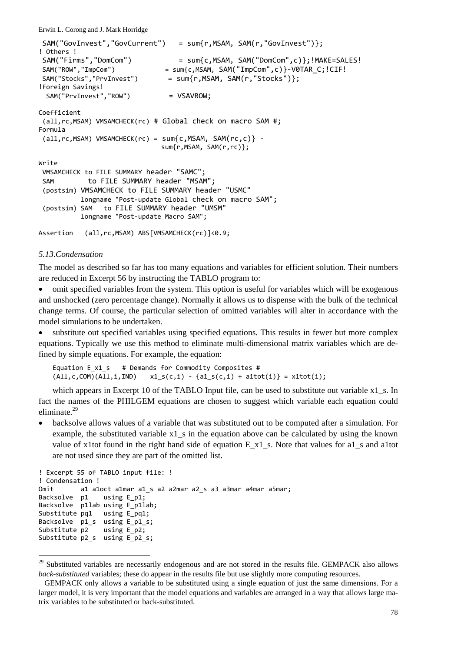```
SAM("GovInvest","GovCurrent")   = sum{r,MSAM, SAM(r,"GovInvest")};
! Others !
SAM("Firms","DomCom")           = sum{c,MSAM, SAM("DomCom",c)};!MAKE=SALES!
SAM("ROW","ImpCom")             = sum{c,MSAM, SAM("ImpCom",c)}‐V0TAR_C;!CIF!
SAM("Stocks","PrvInvest")       = sum{r,MSAM, SAM(r,"Stocks")};
!Foreign Savings!
 SAM("PrvInvest","ROW") = VSAVROW;
Coefficient
 (all,rc,MSAM) VMSAMCHECK(rc) # Global check on macro SAM #;
Formula
 all, rc, MSAM) VMSAMCHECK(rc) = sum{c, MSAM, SAM(rc, c)} -
                                                                sum{r,MSAM, SAM(r,rc)};
Write
VMSAMCHECK to FILE SUMMARY header "SAMC";
SAM to FILE SUMMARY header "MSAM";
 (postsim) VMSAMCHECK to FILE SUMMARY header "USMC"
                      longname "Post‐update Global check on macro SAM";
 (postsim) SAM   to FILE SUMMARY header "UMSM"
                      longname "Post‐update Macro SAM";
Assertion (all,rc,MSAM) ABS[VMSAMCHECK(rc)]<0.9;
```
#### *5.13.Condensation*

l

The model as described so far has too many equations and variables for efficient solution. Their numbers are reduced in Excerpt 56 by instructing the TABLO program to:

• omit specified variables from the system. This option is useful for variables which will be exogenous and unshocked (zero percentage change). Normally it allows us to dispense with the bulk of the technical change terms. Of course, the particular selection of omitted variables will alter in accordance with the model simulations to be undertaken.

• substitute out specified variables using specified equations. This results in fewer but more complex equations. Typically we use this method to eliminate multi-dimensional matrix variables which are defined by simple equations. For example, the equation:

```
Equation E x1 s # Demands for Commodity Composites #
(A11, c, COM)(All, i, IND)   x1_s(c, i) - {a1_s(c, i) + a1tot(i)} = x1tot(i);
```
which appears in Excerpt 10 of the TABLO Input file, can be used to substitute out variable x1 s. In fact the names of the PHILGEM equations are chosen to suggest which variable each equation could eliminate.<sup>29</sup>

• backsolve allows values of a variable that was substituted out to be computed after a simulation. For example, the substituted variable  $x1$  s in the equation above can be calculated by using the known value of x1tot found in the right hand side of equation E\_x1\_s. Note that values for a1\_s and a1tot are not used since they are part of the omitted list.

```
! Excerpt 55 of TABLO input file: !
! Condensation !
Omit al aloct almar al s a2 a2mar a2 s a3 a3mar a4mar a5mar;
Backsolve  p1    using E p1;
Backsolve p1lab using E_p1lab;<br>Substitute pq1 using E_pq1;
Substitute pq1
Backsolve p1 s using E p1 s;
Substitute p2 using E p2;
Substitute p2_s  using E_p2_s;
```
<sup>&</sup>lt;sup>29</sup> Substituted variables are necessarily endogenous and are not stored in the results file. GEMPACK also allows *back-substituted* variables; these do appear in the results file but use slightly more computing resources.

GEMPACK only allows a variable to be substituted using a single equation of just the same dimensions. For a larger model, it is very important that the model equations and variables are arranged in a way that allows large matrix variables to be substituted or back-substituted.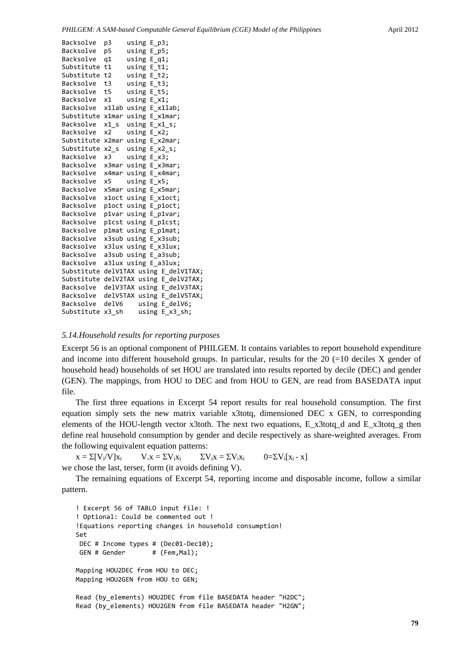| Backsolve        | p3     | using E p3;      |                                       |  |
|------------------|--------|------------------|---------------------------------------|--|
| Backsolve        | p5     | using E p5;      |                                       |  |
| Backsolve        | q1     | using E_q1;      |                                       |  |
| Substitute       | t1     | using $E$ t1;    |                                       |  |
| Substitute       | t2     | using E_t2;      |                                       |  |
| Backsolve        | t3     | using E_t3;      |                                       |  |
| Backsolve        | t5     | using E_t5;      |                                       |  |
| Backsolve        | x1     | using $E$ $x1$ ; |                                       |  |
| Backsolve        | x1lab  |                  | using $E$ $x1$ lab;                   |  |
| Substitute x1mar |        |                  | using E_x1mar;                        |  |
| Backsolve        | $x1_s$ |                  | using $E_x1_s$ ;                      |  |
| Backsolve        | x2     | using $E_x^2$ ;  |                                       |  |
| Substitute       | x2mar  |                  | using E_x2mar;                        |  |
| Substitute       | $x2_s$ |                  | using E x2 s;                         |  |
| Backsolve        | x3     | $using E_x3;$    |                                       |  |
| Backsolve        | x3mar  |                  | using E_x3mar;                        |  |
| Backsolve        | x4mar  |                  | using E_x4mar;                        |  |
| Backsolve        | x5     | using $E_X5$ ;   |                                       |  |
| Backsolve        | x5mar  |                  | using E x5mar;                        |  |
| Backsolve        | x1oct  |                  | using E_x1oct;                        |  |
| Backsolve        |        |                  | ploct using E_ploct;                  |  |
| Backsolve        |        |                  | p1var using E_p1var;                  |  |
| Backsolve        | p1cst  |                  | using E p1cst;                        |  |
| Backsolve        |        |                  | p1mat using E p1mat;                  |  |
| Backsolve        |        |                  | x3sub using E_x3sub;                  |  |
| Backsolve        |        |                  | x3lux using E_x3lux;                  |  |
| Backsolve        | a3sub  |                  | using E_a3sub;                        |  |
| Backsolve        | a3lux  |                  | using $E_a$ 3lux;                     |  |
|                  |        |                  | Substitute delV1TAX using E_delV1TAX; |  |
|                  |        |                  | Substitute delV2TAX using E_delV2TAX; |  |
| Backsolve        |        |                  | delV3TAX using E_delV3TAX;            |  |
| Backsolve        |        |                  | delV5TAX using E_delV5TAX;            |  |
| Backsolve        | delV6  |                  | using E_delV6;                        |  |
| Substitute       | x3 sh  |                  | using<br>$E$ $x3$ $sh$ ;              |  |

### *5.14.Household results for reporting purposes*

Excerpt 56 is an optional component of PHILGEM. It contains variables to report household expenditure and income into different household groups. In particular, results for the  $20$  (=10 deciles X gender of household head) households of set HOU are translated into results reported by decile (DEC) and gender (GEN). The mappings, from HOU to DEC and from HOU to GEN, are read from BASEDATA input file.

The first three equations in Excerpt 54 report results for real household consumption. The first equation simply sets the new matrix variable x3totq, dimensioned DEC x GEN, to corresponding elements of the HOU-length vector x3toth. The next two equations, E\_x3totq\_d and E\_x3totq\_g then define real household consumption by gender and decile respectively as share-weighted averages. From the following equivalent equation patterns:

 $x = \sum [V_i/V]x_i$   $V.x = \sum V_i x_i$   $\Sigma V_i x = \sum V_i x_i$   $0=\sum V_i [x_i - x]$ we chose the last, terser, form (it avoids defining V).

The remaining equations of Excerpt 54, reporting income and disposable income, follow a similar pattern.

! Excerpt 56 of TABLO input file: ! ! Optional: Could be commented out ! !Equations reporting changes in household consumption! Set DEC # Income types # (Dec01-Dec10); GEN # Gender # (Fem, Mal); Mapping HOU2DEC from HOU to DEC; Mapping HOU2GEN from HOU to GEN; Read (by\_elements) HOU2DEC from file BASEDATA header "H2DC"; Read (by elements) HOU2GEN from file BASEDATA header "H2GN";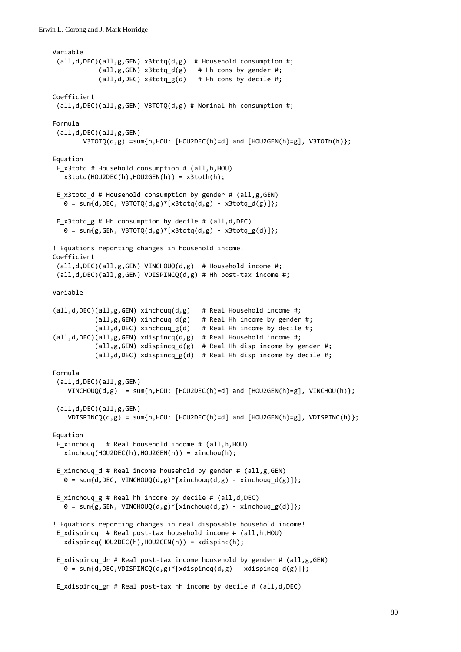```
Variable
 (all,d,DEC)(all,g,GEN) x3totq(d,g)  # Household consumption #;
             (all,g,GEN) x3totq_d(g) # Hh cons by gender #;
             (al, d, DEC) x3totqg(d) # Hh cons by decile #;
Coefficient
 (all,d,DEC)(all,g,GEN) V3TOTQ(d,g) # Nominal hh consumption #;
Formula
 (all,d,DEC)(all,g,GEN)
        V3TOTQ(d,g) = sum{h, HOU: [HOU2DEC(h)=d] and [HOU2GEN(h)=g], V3TOTh(h)};Equation
E_x3totq # Household consumption # (all,h,HOU)
      x3totq(HOU2DEC(h),HOU2GEN(h)) = x3toth(h);
 E_x3totq_d # Household consumption by gender # (all,g,GEN)
   \theta = sum{d,DEC, V3TOTQ(d,g)*[x3totq(d,g) - x3totq d(g)]};
 E_x3totq_g # Hh consumption by decile # (all,d,DEC)
   0 = sum{g, GEN, V3TOTQ(d,g)*[x3totq(d,g) - x3totq_g(d)]};! Equations reporting changes in household income!
Coefficient
 (all,d,DEC)(all,g,GEN) VINCHOUQ(d,g)  # Household income #;
 (all,d,DEC)(all,g,GEN) VDISPINCQ(d,g) # Hh post‐tax income #;
Variable
(\text{all},\text{d},\text{DEC})(\text{all},g,\text{GEN}) xinchoug(d,g) # Real Household income #;
                       (all,g,GEN) xinchouq_d(g)   # Real Hh income by gender #;
                       (all,d,DEC) xinchouq_g(d)   # Real Hh income by decile #;
(all,d,DEC)(all,g,GEN) xdispincq(d,g)  # Real Household income #;
            (al,g,GEN) xdispincq_d(g) # Real Hh disp income by gender #;
                       (all,d,DEC) xdispincq_g(d)  # Real Hh disp income by decile #;
Formula
 (all,d,DEC)(all,g,GEN)
    VINCHOUQ(d,g) = sum{h,HOU: [HOU2DEC(h)=d] and [HOU2GEN(h)=g], VINCHOU(h)};(all,d,DEC)(all,g,GEN)
    VDISPINCQ(d,g) = sum{h,HOU: [HOU2DEC(h)=d] and [HOU2GEN(h)=g], VDISPINC(h)};Equation
E xinchouq # Real household income # (all,h,HOU)
      xinchouq(HOU2DEC(h),HOU2GEN(h)) = xinchou(h);
 E xinchouq d # Real income household by gender # (all,g,GEN)\theta = \text{sum}\{d, \text{DEC}, \text{VINCHOUQ}(d,g) * [\text{xinchouq}(d,g) - \text{xinchouq}(d(g))\};E xinchoug g \# Real hh income by decile \# (all,d,DEC)
   \theta = sum{g,GEN, VINCHOUQ(d,g)*[xinchouq(d,g) - xinchouq_g(d)]};
! Equations reporting changes in real disposable household income!
 E xdispincq # Real post-tax household income # (all,h,HOU)
      xdispincq(HOU2DEC(h),HOU2GEN(h)) = xdispinc(h);
 E xdispincq dr # Real post-tax income household by gender # (all,g,GEN)
   0 = sum{d, DEC, VDISPINCQ(d,g)*[xdisplay(d,g) - xdisplay(dspincq(d(g))];E xdispincq gr # Real post-tax hh income by decile # (all,d,DEC)
```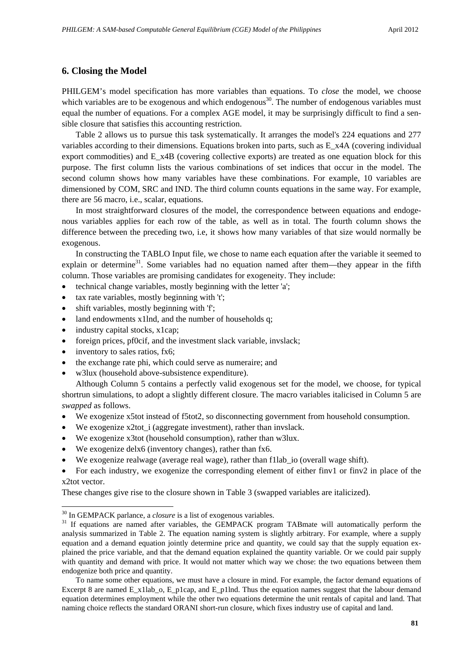# **6. Closing the Model**

PHILGEM's model specification has more variables than equations. To *close* the model, we choose which variables are to be exogenous and which endogenous<sup>30</sup>. The number of endogenous variables must equal the number of equations. For a complex AGE model, it may be surprisingly difficult to find a sensible closure that satisfies this accounting restriction.

Table 2 allows us to pursue this task systematically. It arranges the model's 224 equations and 277 variables according to their dimensions. Equations broken into parts, such as E\_x4A (covering individual export commodities) and E\_x4B (covering collective exports) are treated as one equation block for this purpose. The first column lists the various combinations of set indices that occur in the model. The second column shows how many variables have these combinations. For example, 10 variables are dimensioned by COM, SRC and IND. The third column counts equations in the same way. For example, there are 56 macro, i.e., scalar, equations.

In most straightforward closures of the model, the correspondence between equations and endogenous variables applies for each row of the table, as well as in total. The fourth column shows the difference between the preceding two, i.e, it shows how many variables of that size would normally be exogenous.

In constructing the TABLO Input file, we chose to name each equation after the variable it seemed to explain or determine<sup>31</sup>. Some variables had no equation named after them—they appear in the fifth column. Those variables are promising candidates for exogeneity. They include:

- technical change variables, mostly beginning with the letter 'a';
- tax rate variables, mostly beginning with 't';
- shift variables, mostly beginning with 'f';
- land endowments x1lnd, and the number of households q;
- industry capital stocks, x1cap;
- foreign prices, pf0cif, and the investment slack variable, invslack;
- inventory to sales ratios, fx6;

1

- the exchange rate phi, which could serve as numeraire; and
- w3lux (household above-subsistence expenditure).

Although Column 5 contains a perfectly valid exogenous set for the model, we choose, for typical shortrun simulations, to adopt a slightly different closure. The macro variables italicised in Column 5 are *swapped* as follows.

- We exogenize x5tot instead of f5tot2, so disconnecting government from household consumption.
- We exogenize  $x2tot_i$  (aggregate investment), rather than invslack.
- We exogenize x3tot (household consumption), rather than w3lux.
- We exogenize delx6 (inventory changes), rather than fx6.
- We exogenize realwage (average real wage), rather than f1lab\_io (overall wage shift).
- For each industry, we exogenize the corresponding element of either finv1 or finv2 in place of the x2tot vector.

These changes give rise to the closure shown in Table 3 (swapped variables are italicized).

<sup>&</sup>lt;sup>30</sup> In GEMPACK parlance, a *closure* is a list of exogenous variables.

<sup>&</sup>lt;sup>31</sup> If equations are named after variables, the GEMPACK program TABmate will automatically perform the analysis summarized in Table 2. The equation naming system is slightly arbitrary. For example, where a supply equation and a demand equation jointly determine price and quantity, we could say that the supply equation explained the price variable, and that the demand equation explained the quantity variable. Or we could pair supply with quantity and demand with price. It would not matter which way we chose: the two equations between them endogenize both price and quantity.

To name some other equations, we must have a closure in mind. For example, the factor demand equations of Excerpt 8 are named E\_x1lab\_o, E\_p1cap, and E\_p1lnd. Thus the equation names suggest that the labour demand equation determines employment while the other two equations determine the unit rentals of capital and land. That naming choice reflects the standard ORANI short-run closure, which fixes industry use of capital and land.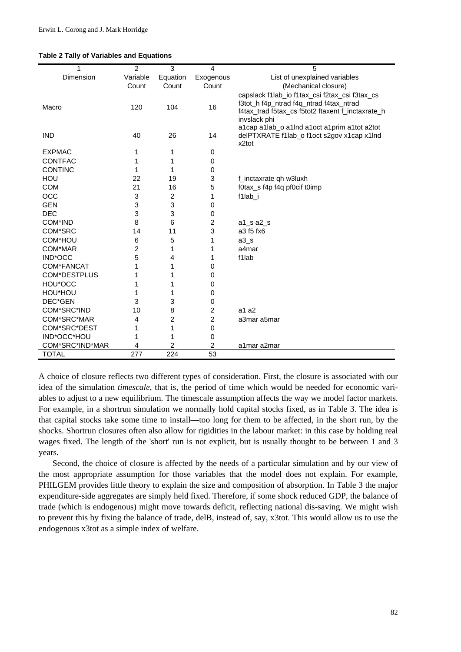|  |  |  |  |  |  | <b>Table 2 Tally of Variables and Equations</b> |
|--|--|--|--|--|--|-------------------------------------------------|
|--|--|--|--|--|--|-------------------------------------------------|

| 1                   | 2                | 3                | $\overline{\mathbf{4}}$ | 5                                                                                                                                                              |
|---------------------|------------------|------------------|-------------------------|----------------------------------------------------------------------------------------------------------------------------------------------------------------|
| Dimension           | Variable         | Equation         | Exogenous               | List of unexplained variables                                                                                                                                  |
|                     | Count            | Count            | Count                   | (Mechanical closure)                                                                                                                                           |
| Macro               | 120              | 104              | 16                      | capslack f1lab_io f1tax_csi f2tax_csi f3tax_cs<br>f3tot_h f4p_ntrad f4q_ntrad f4tax_ntrad<br>f4tax_trad f5tax_cs f5tot2 ftaxent f_inctaxrate_h<br>invslack phi |
| <b>IND</b>          | 40               | 26               | 14                      | a1cap a1lab_o a1lnd a1oct a1prim a1tot a2tot<br>delPTXRATE f1lab_o f1oct s2gov x1cap x1lnd<br>x2tot                                                            |
| <b>EXPMAC</b>       | 1                | 1                | 0                       |                                                                                                                                                                |
| <b>CONTFAC</b>      | 1                |                  | 0                       |                                                                                                                                                                |
| <b>CONTINC</b>      | 1                | 1                | 0                       |                                                                                                                                                                |
| <b>HOU</b>          | 22               | 19               | 3                       | f_inctaxrate qh w3luxh                                                                                                                                         |
| <b>COM</b>          | 21               | 16               | 5                       | f0tax_s f4p f4q pf0cif t0imp                                                                                                                                   |
| OCC                 | 3                | $\boldsymbol{2}$ | 1                       | f1lab_i                                                                                                                                                        |
| <b>GEN</b>          | 3                | 3                | 0                       |                                                                                                                                                                |
| <b>DEC</b>          | 3                | 3                | 0                       |                                                                                                                                                                |
| COM*IND             | 8                | 6                | 2                       | $a1$ _s $a2$ _s                                                                                                                                                |
| COM*SRC             | 14               | 11               | 3                       | a3 f5 fx6                                                                                                                                                      |
| COM*HOU             | 6                | 5                | 1                       | $a3_s$                                                                                                                                                         |
| COM*MAR             | 2                | 1                | 1                       | a4mar                                                                                                                                                          |
| IND*OCC             | 5                | 4                | 1                       | f1lab                                                                                                                                                          |
| COM*FANCAT          | 1                | 1                | 0                       |                                                                                                                                                                |
| <b>COM*DESTPLUS</b> | 1                |                  | 0                       |                                                                                                                                                                |
| HOU*OCC             | 1                |                  | 0                       |                                                                                                                                                                |
| HOU*HOU             | 1                | 1                | 0                       |                                                                                                                                                                |
| DEC*GEN             | 3                | 3                | 0                       |                                                                                                                                                                |
| COM*SRC*IND         | 10               | 8                | $\overline{c}$          | a1a2                                                                                                                                                           |
| COM*SRC*MAR         | 4                | 2                | $\overline{c}$          | a3mar a5mar                                                                                                                                                    |
| COM*SRC*DEST        | 1                | 1                | 0                       |                                                                                                                                                                |
| IND*OCC*HOU         | 1                |                  | 0                       |                                                                                                                                                                |
| COM*SRC*IND*MAR     | 4                | 2                | 2                       | a1mar a2mar                                                                                                                                                    |
| TOTAL               | $\overline{277}$ | $\overline{224}$ | $\overline{53}$         |                                                                                                                                                                |

A choice of closure reflects two different types of consideration. First, the closure is associated with our idea of the simulation *timescale*, that is, the period of time which would be needed for economic variables to adjust to a new equilibrium. The timescale assumption affects the way we model factor markets. For example, in a shortrun simulation we normally hold capital stocks fixed, as in Table 3. The idea is that capital stocks take some time to install—too long for them to be affected, in the short run, by the shocks. Shortrun closures often also allow for rigidities in the labour market: in this case by holding real wages fixed. The length of the 'short' run is not explicit, but is usually thought to be between 1 and 3 years.

Second, the choice of closure is affected by the needs of a particular simulation and by our view of the most appropriate assumption for those variables that the model does not explain. For example, PHILGEM provides little theory to explain the size and composition of absorption. In Table 3 the major expenditure-side aggregates are simply held fixed. Therefore, if some shock reduced GDP, the balance of trade (which is endogenous) might move towards deficit, reflecting national dis-saving. We might wish to prevent this by fixing the balance of trade, delB, instead of, say, x3tot. This would allow us to use the endogenous x3tot as a simple index of welfare.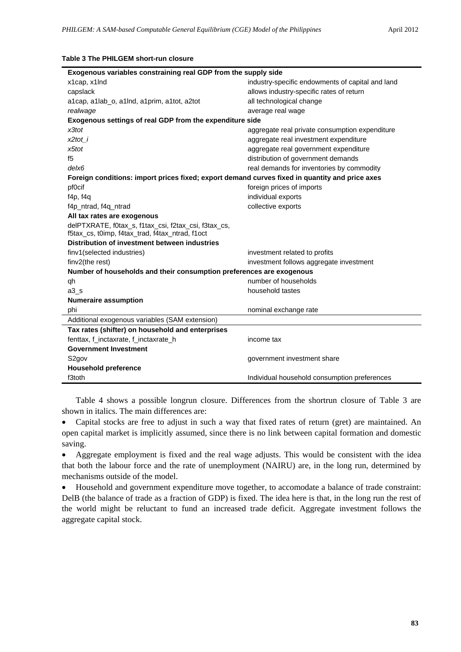|  | Table 3 The PHILGEM short-run closure |  |
|--|---------------------------------------|--|
|  |                                       |  |

| Exogenous variables constraining real GDP from the supply side                                          |                                                  |  |  |
|---------------------------------------------------------------------------------------------------------|--------------------------------------------------|--|--|
| x1cap, x1lnd                                                                                            | industry-specific endowments of capital and land |  |  |
| capslack                                                                                                | allows industry-specific rates of return         |  |  |
| a1cap, a1lab_o, a1lnd, a1prim, a1tot, a2tot                                                             | all technological change                         |  |  |
| realwage                                                                                                | average real wage                                |  |  |
| Exogenous settings of real GDP from the expenditure side                                                |                                                  |  |  |
| x3tot                                                                                                   | aggregate real private consumption expenditure   |  |  |
| x2tot i                                                                                                 | aggregate real investment expenditure            |  |  |
| x5tot                                                                                                   | aggregate real government expenditure            |  |  |
| f5                                                                                                      | distribution of government demands               |  |  |
| $de$ $k$ 6                                                                                              | real demands for inventories by commodity        |  |  |
| Foreign conditions: import prices fixed; export demand curves fixed in quantity and price axes          |                                                  |  |  |
| pf0cif                                                                                                  | foreign prices of imports                        |  |  |
| f4p, f4q                                                                                                | individual exports                               |  |  |
| f4p_ntrad, f4q_ntrad                                                                                    | collective exports                               |  |  |
| All tax rates are exogenous                                                                             |                                                  |  |  |
| delPTXRATE, f0tax_s, f1tax_csi, f2tax_csi, f3tax_cs,<br>f5tax_cs, t0imp, f4tax_trad, f4tax_ntrad, f1oct |                                                  |  |  |
| Distribution of investment between industries                                                           |                                                  |  |  |
| finv1(selected industries)                                                                              | investment related to profits                    |  |  |
| finv2(the rest)                                                                                         | investment follows aggregate investment          |  |  |
| Number of households and their consumption preferences are exogenous                                    |                                                  |  |  |
| qh                                                                                                      | number of households                             |  |  |
| $a3_s$                                                                                                  | household tastes                                 |  |  |
| <b>Numeraire assumption</b>                                                                             |                                                  |  |  |
| phi                                                                                                     | nominal exchange rate                            |  |  |
| Additional exogenous variables (SAM extension)                                                          |                                                  |  |  |
| Tax rates (shifter) on household and enterprises                                                        |                                                  |  |  |
| fenttax, f_inctaxrate, f_inctaxrate_h                                                                   | income tax                                       |  |  |
| <b>Government Investment</b>                                                                            |                                                  |  |  |
| S <sub>2</sub> gov                                                                                      | government investment share                      |  |  |
| <b>Household preference</b>                                                                             |                                                  |  |  |
| f3toth                                                                                                  | Individual household consumption preferences     |  |  |

Table 4 shows a possible longrun closure. Differences from the shortrun closure of Table 3 are shown in italics. The main differences are:

• Capital stocks are free to adjust in such a way that fixed rates of return (gret) are maintained. An open capital market is implicitly assumed, since there is no link between capital formation and domestic saving.

• Aggregate employment is fixed and the real wage adjusts. This would be consistent with the idea that both the labour force and the rate of unemployment (NAIRU) are, in the long run, determined by mechanisms outside of the model.

• Household and government expenditure move together, to accomodate a balance of trade constraint: DelB (the balance of trade as a fraction of GDP) is fixed. The idea here is that, in the long run the rest of the world might be reluctant to fund an increased trade deficit. Aggregate investment follows the aggregate capital stock.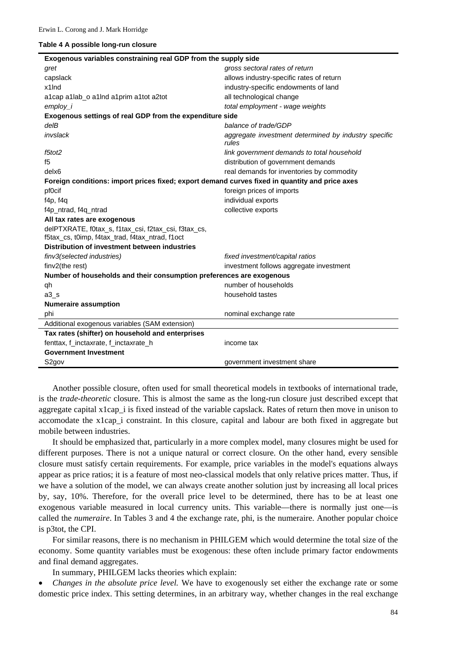#### **Table 4 A possible long-run closure**

| Exogenous variables constraining real GDP from the supply side                                          |                                                               |  |  |  |
|---------------------------------------------------------------------------------------------------------|---------------------------------------------------------------|--|--|--|
| gret                                                                                                    | gross sectoral rates of return                                |  |  |  |
| capslack                                                                                                | allows industry-specific rates of return                      |  |  |  |
| x1lnd                                                                                                   | industry-specific endowments of land                          |  |  |  |
| a1cap a1lab_o a1lnd a1prim a1tot a2tot                                                                  | all technological change                                      |  |  |  |
| employ_i                                                                                                | total employment - wage weights                               |  |  |  |
| Exogenous settings of real GDP from the expenditure side                                                |                                                               |  |  |  |
| delB                                                                                                    | balance of trade/GDP                                          |  |  |  |
| invslack                                                                                                | aggregate investment determined by industry specific<br>rules |  |  |  |
| f5tot2                                                                                                  | link government demands to total household                    |  |  |  |
| f5                                                                                                      | distribution of government demands                            |  |  |  |
| delx <sub>6</sub>                                                                                       | real demands for inventories by commodity                     |  |  |  |
| Foreign conditions: import prices fixed; export demand curves fixed in quantity and price axes          |                                                               |  |  |  |
| pf0cif                                                                                                  | foreign prices of imports                                     |  |  |  |
| f4p, f4q                                                                                                | individual exports                                            |  |  |  |
| f4p ntrad, f4q ntrad                                                                                    | collective exports                                            |  |  |  |
| All tax rates are exogenous                                                                             |                                                               |  |  |  |
| delPTXRATE, f0tax_s, f1tax_csi, f2tax_csi, f3tax_cs,<br>f5tax_cs, t0imp, f4tax_trad, f4tax_ntrad, f1oct |                                                               |  |  |  |
| Distribution of investment between industries                                                           |                                                               |  |  |  |
| finv3(selected industries)                                                                              | fixed investment/capital ratios                               |  |  |  |
| finv2(the rest)                                                                                         | investment follows aggregate investment                       |  |  |  |
| Number of households and their consumption preferences are exogenous                                    |                                                               |  |  |  |
| qh                                                                                                      | number of households                                          |  |  |  |
| $a3_s$                                                                                                  | household tastes                                              |  |  |  |
| <b>Numeraire assumption</b>                                                                             |                                                               |  |  |  |
| phi                                                                                                     | nominal exchange rate                                         |  |  |  |
| Additional exogenous variables (SAM extension)                                                          |                                                               |  |  |  |
| Tax rates (shifter) on household and enterprises                                                        |                                                               |  |  |  |
| fenttax, f_inctaxrate, f_inctaxrate_h                                                                   | income tax                                                    |  |  |  |
| <b>Government Investment</b>                                                                            |                                                               |  |  |  |
| S2gov                                                                                                   | government investment share                                   |  |  |  |

Another possible closure, often used for small theoretical models in textbooks of international trade, is the *trade-theoretic* closure. This is almost the same as the long-run closure just described except that aggregate capital x1cap\_i is fixed instead of the variable capslack. Rates of return then move in unison to accomodate the x1cap\_i constraint. In this closure, capital and labour are both fixed in aggregate but mobile between industries.

It should be emphasized that, particularly in a more complex model, many closures might be used for different purposes. There is not a unique natural or correct closure. On the other hand, every sensible closure must satisfy certain requirements. For example, price variables in the model's equations always appear as price ratios; it is a feature of most neo-classical models that only relative prices matter. Thus, if we have a solution of the model, we can always create another solution just by increasing all local prices by, say, 10%. Therefore, for the overall price level to be determined, there has to be at least one exogenous variable measured in local currency units. This variable—there is normally just one—is called the *numeraire*. In Tables 3 and 4 the exchange rate, phi, is the numeraire. Another popular choice is p3tot, the CPI.

For similar reasons, there is no mechanism in PHILGEM which would determine the total size of the economy. Some quantity variables must be exogenous: these often include primary factor endowments and final demand aggregates.

In summary, PHILGEM lacks theories which explain:

• *Changes in the absolute price level.* We have to exogenously set either the exchange rate or some domestic price index. This setting determines, in an arbitrary way, whether changes in the real exchange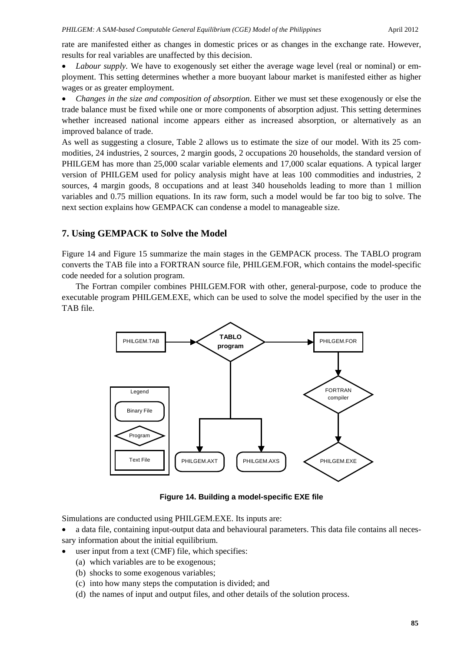rate are manifested either as changes in domestic prices or as changes in the exchange rate. However, results for real variables are unaffected by this decision.

• *Labour supply.* We have to exogenously set either the average wage level (real or nominal) or employment. This setting determines whether a more buoyant labour market is manifested either as higher wages or as greater employment.

• *Changes in the size and composition of absorption.* Either we must set these exogenously or else the trade balance must be fixed while one or more components of absorption adjust. This setting determines whether increased national income appears either as increased absorption, or alternatively as an improved balance of trade.

As well as suggesting a closure, Table 2 allows us to estimate the size of our model. With its 25 commodities, 24 industries, 2 sources, 2 margin goods, 2 occupations 20 households, the standard version of PHILGEM has more than 25,000 scalar variable elements and 17,000 scalar equations. A typical larger version of PHILGEM used for policy analysis might have at leas 100 commodities and industries, 2 sources, 4 margin goods, 8 occupations and at least 340 households leading to more than 1 million variables and 0.75 million equations. In its raw form, such a model would be far too big to solve. The next section explains how GEMPACK can condense a model to manageable size.

## **7. Using GEMPACK to Solve the Model**

Figure 14 and Figure 15 summarize the main stages in the GEMPACK process. The TABLO program converts the TAB file into a FORTRAN source file, PHILGEM.FOR, which contains the model-specific code needed for a solution program.

The Fortran compiler combines PHILGEM.FOR with other, general-purpose, code to produce the executable program PHILGEM.EXE, which can be used to solve the model specified by the user in the TAB file.



**Figure 14. Building a model-specific EXE file**

Simulations are conducted using PHILGEM.EXE. Its inputs are:

- a data file, containing input-output data and behavioural parameters. This data file contains all necessary information about the initial equilibrium.
- user input from a text (CMF) file, which specifies:
	- (a) which variables are to be exogenous;
	- (b) shocks to some exogenous variables;
	- (c) into how many steps the computation is divided; and
	- (d) the names of input and output files, and other details of the solution process.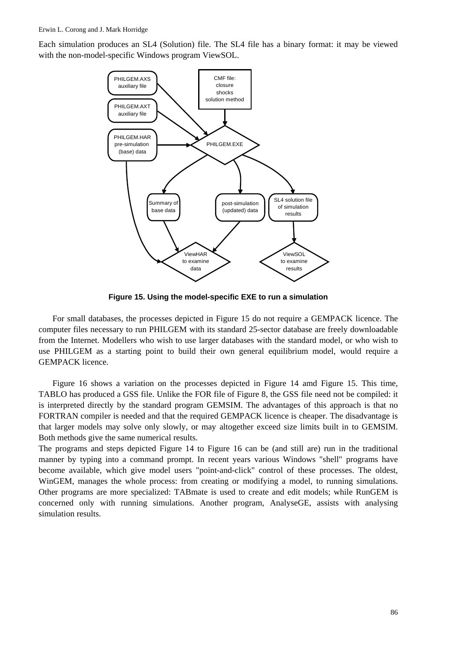Each simulation produces an SL4 (Solution) file. The SL4 file has a binary format: it may be viewed with the non-model-specific Windows program ViewSOL.



**Figure 15. Using the model-specific EXE to run a simulation**

For small databases, the processes depicted in Figure 15 do not require a GEMPACK licence. The computer files necessary to run PHILGEM with its standard 25-sector database are freely downloadable from the Internet. Modellers who wish to use larger databases with the standard model, or who wish to use PHILGEM as a starting point to build their own general equilibrium model, would require a GEMPACK licence.

Figure 16 shows a variation on the processes depicted in Figure 14 amd Figure 15. This time, TABLO has produced a GSS file. Unlike the FOR file of Figure 8, the GSS file need not be compiled: it is interpreted directly by the standard program GEMSIM. The advantages of this approach is that no FORTRAN compiler is needed and that the required GEMPACK licence is cheaper. The disadvantage is that larger models may solve only slowly, or may altogether exceed size limits built in to GEMSIM. Both methods give the same numerical results.

The programs and steps depicted Figure 14 to Figure 16 can be (and still are) run in the traditional manner by typing into a command prompt. In recent years various Windows "shell" programs have become available, which give model users "point-and-click" control of these processes. The oldest, WinGEM, manages the whole process: from creating or modifying a model, to running simulations. Other programs are more specialized: TABmate is used to create and edit models; while RunGEM is concerned only with running simulations. Another program, AnalyseGE, assists with analysing simulation results.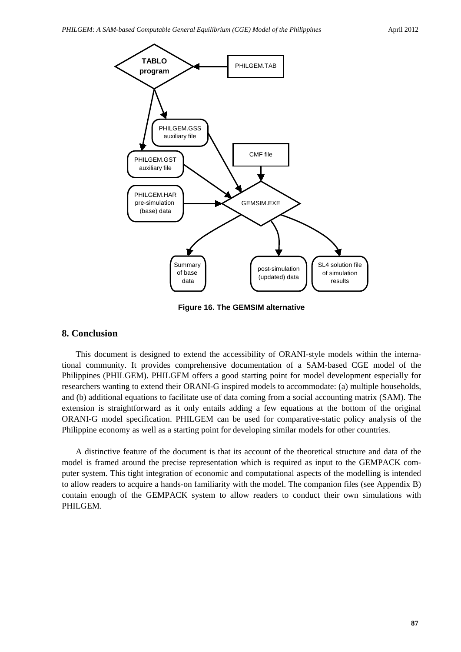

**Figure 16. The GEMSIM alternative**

# **8. Conclusion**

This document is designed to extend the accessibility of ORANI-style models within the international community. It provides comprehensive documentation of a SAM-based CGE model of the Philippines (PHILGEM). PHILGEM offers a good starting point for model development especially for researchers wanting to extend their ORANI-G inspired models to accommodate: (a) multiple households, and (b) additional equations to facilitate use of data coming from a social accounting matrix (SAM). The extension is straightforward as it only entails adding a few equations at the bottom of the original ORANI-G model specification. PHILGEM can be used for comparative-static policy analysis of the Philippine economy as well as a starting point for developing similar models for other countries.

A distinctive feature of the document is that its account of the theoretical structure and data of the model is framed around the precise representation which is required as input to the GEMPACK computer system. This tight integration of economic and computational aspects of the modelling is intended to allow readers to acquire a hands-on familiarity with the model. The companion files (see Appendix B) contain enough of the GEMPACK system to allow readers to conduct their own simulations with PHILGEM.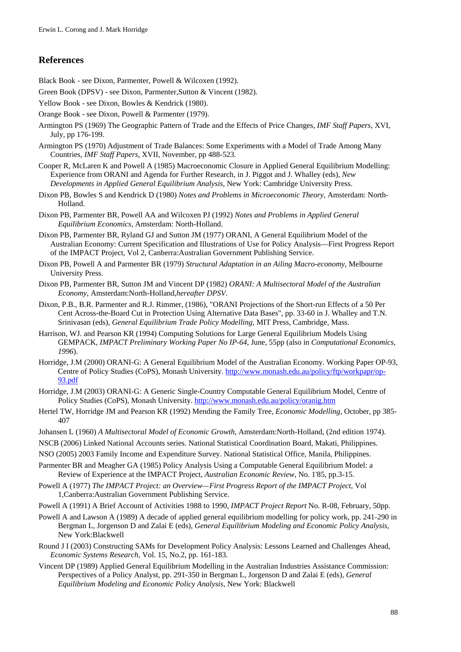## **References**

Black Book - see Dixon, Parmenter, Powell & Wilcoxen (1992).

- Green Book (DPSV) see Dixon, Parmenter,Sutton & Vincent (1982).
- Yellow Book see Dixon, Bowles & Kendrick (1980).
- Orange Book see Dixon, Powell & Parmenter (1979).
- Armington PS (1969) The Geographic Pattern of Trade and the Effects of Price Changes, *IMF Staff Papers*, XVI, July, pp 176-199.
- Armington PS (1970) Adjustment of Trade Balances: Some Experiments with a Model of Trade Among Many Countries, *IMF Staff Papers*, XVII, November, pp 488-523.
- Cooper R, McLaren K and Powell A (1985) Macroeconomic Closure in Applied General Equilibrium Modelling: Experience from ORANI and Agenda for Further Research, in J. Piggot and J. Whalley (eds), *New Developments in Applied General Equilibrium Analysis*, New York: Cambridge University Press.
- Dixon PB, Bowles S and Kendrick D (1980) *Notes and Problems in Microeconomic Theory*, Amsterdam: North-Holland.
- Dixon PB, Parmenter BR, Powell AA and Wilcoxen PJ (1992) *Notes and Problems in Applied General Equilibrium Economics*, Amsterdam: North-Holland.
- Dixon PB, Parmenter BR, Ryland GJ and Sutton JM (1977) ORANI, A General Equilibrium Model of the Australian Economy: Current Specification and Illustrations of Use for Policy Analysis—First Progress Report of the IMPACT Project, Vol 2, Canberra:Australian Government Publishing Service.
- Dixon PB, Powell A and Parmenter BR (1979) *Structural Adaptation in an Ailing Macro-economy*, Melbourne University Press.
- Dixon PB, Parmenter BR, Sutton JM and Vincent DP (1982) *ORANI: A Multisectoral Model of the Australian Economy*, Amsterdam:North-Holland,*hereafter DPSV*.
- Dixon, P.B., B.R. Parmenter and R.J. Rimmer, (1986), "ORANI Projections of the Short-run Effects of a 50 Per Cent Across-the-Board Cut in Protection Using Alternative Data Bases", pp. 33-60 in J. Whalley and T.N. Srinivasan (eds), *General Equilibrium Trade Policy Modelling,* MIT Press, Cambridge, Mass.
- Harrison, WJ. and Pearson KR (1994) Computing Solutions for Large General Equilibrium Models Using GEMPACK, *IMPACT Preliminary Working Paper No IP-64*, June, 55pp (also in *Computational Economics, 1996*).
- Horridge, J.M (2000) ORANI-G: A General Equilibrium Model of the Australian Economy. Working Paper OP-93, Centre of Policy Studies (CoPS), Monash University. http://www.monash.edu.au/policy/ftp/workpapr/op-93.pdf
- Horridge, J.M (2003) ORANI-G: A Generic Single-Country Computable General Equilibrium Model, Centre of Policy Studies (CoPS), Monash University. http://www.monash.edu.au/policy/oranig.htm
- Hertel TW, Horridge JM and Pearson KR (1992) Mending the Family Tree, *Economic Modelling*, October, pp 385- 407
- Johansen L (1960) *A Multisectoral Model of Economic Growth*, Amsterdam:North-Holland, (2nd edition 1974).
- NSCB (2006) Linked National Accounts series. National Statistical Coordination Board, Makati, Philippines.
- NSO (2005) 2003 Family Income and Expenditure Survey. National Statistical Office, Manila, Philippines.
- Parmenter BR and Meagher GA (1985) Policy Analysis Using a Computable General Equilibrium Model: a Review of Experience at the IMPACT Project, *Australian Economic Review*, No. 1'85, pp.3-15.
- Powell A (1977) *The IMPACT Project: an Overview—First Progress Report of the IMPACT Project*, Vol 1,Canberra:Australian Government Publishing Service.
- Powell A (1991) A Brief Account of Activities 1988 to 1990, *IMPACT Project Report* No. R-08, February, 50pp.
- Powell A and Lawson A (1989) A decade of applied general equilibrium modelling for policy work, pp. 241-290 in Bergman L, Jorgenson D and Zalai E (eds), *General Equilibrium Modeling and Economic Policy Analysis*, New York:Blackwell
- Round J I (2003) Constructing SAMs for Development Policy Analysis: Lessons Learned and Challenges Ahead, *Economic Systems Research*, Vol. 15, No.2, pp. 161-183.
- Vincent DP (1989) Applied General Equilibrium Modelling in the Australian Industries Assistance Commission: Perspectives of a Policy Analyst, pp. 291-350 in Bergman L, Jorgenson D and Zalai E (eds), *General Equilibrium Modeling and Economic Policy Analysis*, New York: Blackwell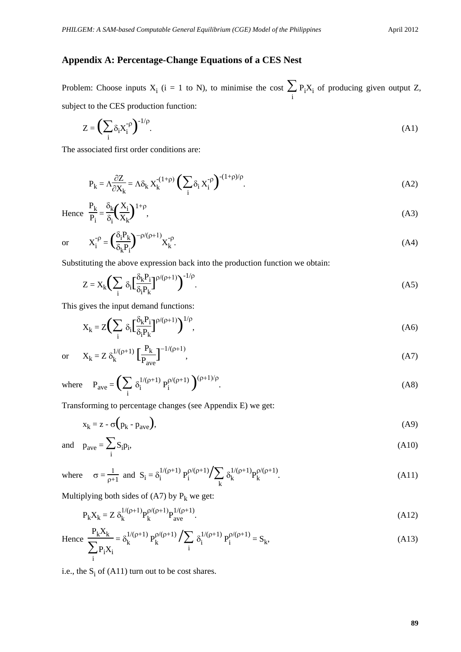# **Appendix A: Percentage-Change Equations of a CES Nest**

Problem: Choose inputs  $X_i$  (i = 1 to N), to minimise the cost  $\sum$  $\sum_i$  P<sub>i</sub>X<sub>i</sub> of producing given output Z, subject to the CES production function:

$$
Z = \left(\sum_{i} \delta_i X_i^{-\rho}\right)^{-1/\rho}.\tag{A1}
$$

The associated first order conditions are:

$$
P_k = \Lambda \frac{\partial Z}{\partial X_k} = \Lambda \delta_k X_k^{(1+\rho)} \left(\sum_i \delta_i X_i^{-\rho}\right)^{-(1+\rho)/\rho}.
$$
 (A2)

Hence 
$$
\frac{P_k}{P_i} = \frac{\delta_k}{\delta_i} \left(\frac{X_i}{X_k}\right)^{1+\rho},
$$
 (A3)

or 
$$
X_i^{-\rho} = \left(\frac{\delta_i P_k}{\delta_k P_i}\right)^{-\rho/(\rho+1)} X_k^{-\rho}.
$$
 (A4)

Substituting the above expression back into the production function we obtain:

$$
Z = X_k \left( \sum_i \delta_i \left[ \frac{\delta_k P_i}{\delta_i P_k} \right]^{p/(p+1)} \right)^{-1/p}.
$$
 (A5)

This gives the input demand functions:

$$
X_k = Z \left( \sum_i \delta_i \left[ \frac{\delta_k P_i}{\delta_i P_k} \right]^{p/(p+1)} \right)^{1/p},\tag{A6}
$$

or 
$$
X_k = Z \delta_k^{1/(\rho+1)} \left[ \frac{P_k}{P_{ave}} \right]^{-1/(\rho+1)},
$$
 (A7)

where 
$$
P_{ave} = \left(\sum_{i} \delta_i^{1/(\rho+1)} P_i^{\rho/(\rho+1)}\right)^{(\rho+1)/\rho}
$$
. (A8)

Transforming to percentage changes (see Appendix E) we get:

$$
x_k = z - \sigma(p_k - p_{ave}),
$$
 (A9)

and 
$$
p_{\text{ave}} = \sum_{i} S_i p_i,
$$
 (A10)

where 
$$
\sigma = \frac{1}{\rho + 1}
$$
 and  $S_i = \delta_i^{1/(\rho + 1)} P_i^{\rho/(\rho + 1)} / \sum_k \delta_k^{1/(\rho + 1)} P_k^{\rho/(\rho + 1)}$ . (A11)

Multiplying both sides of (A7) by  $P_k$  we get:

$$
P_k X_k = Z \delta_k^{1/(\rho+1)} P_k^{\rho/(\rho+1)} P_{ave}^{1/(\rho+1)}.
$$
 (A12)

Hence 
$$
\frac{P_k X_k}{\sum_{i} P_i X_i} = \delta_k^{1/(\rho+1)} P_k^{\rho/(\rho+1)} / \sum_{i} \delta_i^{1/(\rho+1)} P_i^{\rho/(\rho+1)} = S_k,
$$
 (A13)

i.e., the  $S_i$  of  $(A11)$  turn out to be cost shares.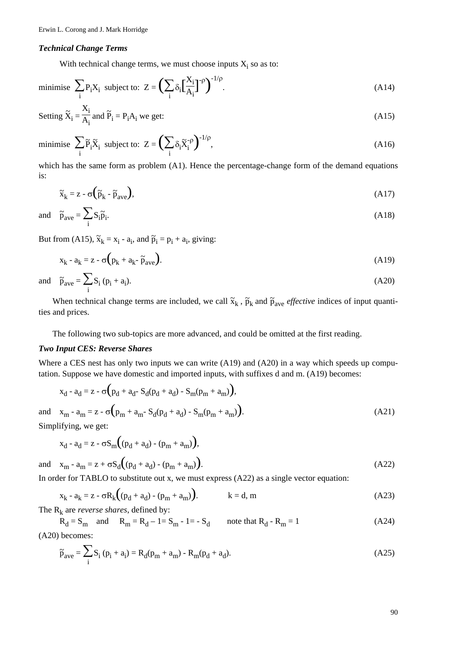#### *Technical Change Terms*

With technical change terms, we must choose inputs  $X_i$  so as to:

minimise 
$$
\sum_{i} P_i X_i
$$
 subject to:  $Z = \left(\sum_{i} \delta_i \left[\frac{X_i}{A_i}\right]^{-\rho}\right)^{-1/\rho}$ . (A14)

Setting 
$$
\tilde{X}_i = \frac{X_i}{A_i}
$$
 and  $\tilde{P}_i = P_i A_i$  we get: 
$$
(A15)
$$

minimise 
$$
\sum_{i} \tilde{P}_{i} \tilde{X}_{i}
$$
 subject to:  $Z = \left(\sum_{i} \delta_{i} \tilde{X}_{i}^{\rho}\right)^{-1/\rho}$ , (A16)

which has the same form as problem (A1). Hence the percentage-change form of the demand equations is:

$$
\tilde{\mathbf{x}}_{k} = \mathbf{z} - \sigma \left( \tilde{\mathbf{p}}_{k} - \tilde{\mathbf{p}}_{ave} \right),\tag{A17}
$$

and 
$$
\tilde{p}_{ave} = \sum_{i} S_i \tilde{p}_i
$$
. (A18)

But from (A15),  $\tilde{x}_k = x_i - a_i$ , and  $\tilde{p}_i = p_i + a_i$ , giving:

$$
x_k - a_k = z - \sigma \left( p_k + a_k - \tilde{p}_{ave} \right). \tag{A19}
$$

and 
$$
\tilde{p}_{ave} = \sum_{i} S_i (p_i + a_i).
$$
 (A20)

When technical change terms are included, we call  $\tilde{x}_k$ ,  $\tilde{p}_k$  and  $\tilde{p}_{ave}$  *effective* indices of input quantities and prices.

The following two sub-topics are more advanced, and could be omitted at the first reading.

### *Two Input CES: Reverse Shares*

Where a CES nest has only two inputs we can write (A19) and (A20) in a way which speeds up computation. Suppose we have domestic and imported inputs, with suffixes d and m. (A19) becomes:

$$
x_{d} - a_{d} = z - \sigma (p_{d} + a_{d} - S_{d}(p_{d} + a_{d}) - S_{m}(p_{m} + a_{m}))
$$
\nand 
$$
x_{m} - a_{m} = z - \sigma (p_{m} + a_{m} - S_{d}(p_{d} + a_{d}) - S_{m}(p_{m} + a_{m}))
$$
\n(A21)

Simplifying, we get:

$$
x_d - a_d = z - \sigma S_m ((p_d + a_d) - (p_m + a_m)),
$$

and  $x_m - a_m = z + \sigma S_d((p_d + a_d) - (p_m + a_m)).$  (A22)

In order for TABLO to substitute out x, we must express (A22) as a single vector equation:

$$
x_k - a_k = z - \sigma R_k ((p_d + a_d) - (p_m + a_m)).
$$
 k = d, m (A23)

The  $R_k$  are *reverse shares*, defined by:

 $R_d = S_m$  and  $R_m = R_d - 1 = S_m - 1 = -S_d$  note that  $R_d - R_m = 1$  (A24) (A20) becomes:

$$
\tilde{p}_{ave} = \sum_{i} S_i (p_i + a_i) = R_d (p_m + a_m) - R_m (p_d + a_d).
$$
\n(A25)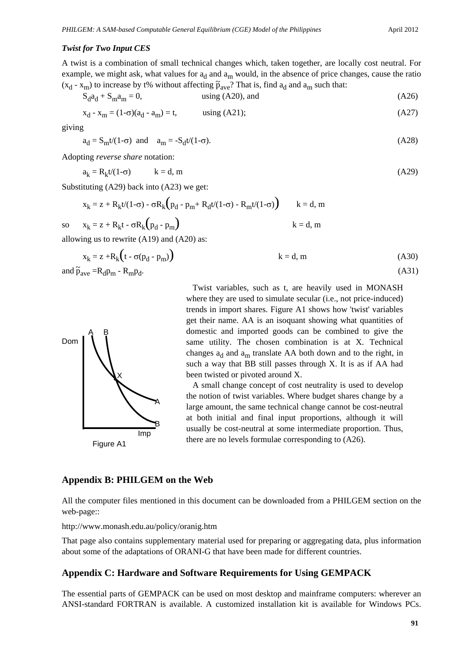#### *Twist for Two Input CES*

A twist is a combination of small technical changes which, taken together, are locally cost neutral. For example, we might ask, what values for  $a_d$  and  $a_m$  would, in the absence of price changes, cause the ratio  $(x_d - x_m)$  to increase by t% without affecting  $\tilde{p}_{ave}$ ? That is, find  $a_d$  and  $a_m$  such that:

$$
S_d a_d + S_m a_m = 0, \qquad \text{using (A20), and} \qquad (A26)
$$

$$
x_d - x_m = (1 - \sigma)(a_d - a_m) = t, \qquad \text{using (A21)}; \tag{A27}
$$

giving

$$
a_d = S_m t/(1-\sigma) \quad \text{and} \quad a_m = -S_d t/(1-\sigma). \tag{A28}
$$

Adopting *reverse share* notation:

$$
a_k = R_k t/(1-\sigma) \qquad k = d, m \tag{A29}
$$

Substituting (A29) back into (A23) we get:

$$
x_k = z + R_k t/(1-\sigma) - \sigma R_k \left( p_d - p_m + R_d t/(1-\sigma) - R_m t/(1-\sigma) \right) \qquad k = d, m
$$
  

$$
x_k = z + R_k t - \sigma R_k \left( p_d - p_m \right) \qquad k = d, m
$$

so 
$$
x_k = z + R_k t - \sigma I
$$

allowing us to rewrite (A19) and (A20) as:

$$
x_k = z + R_k(t - \sigma(p_d - p_m))
$$
 (A30)  
and  $\tilde{p}_{ave} = R_d p_m - R_m p_d$ .



Figure A1

 Twist variables, such as t, are heavily used in MONASH where they are used to simulate secular (i.e., not price-induced) trends in import shares. Figure A1 shows how 'twist' variables get their name. AA is an isoquant showing what quantities of domestic and imported goods can be combined to give the same utility. The chosen combination is at X. Technical changes  $a_d$  and  $a_m$  translate AA both down and to the right, in such a way that BB still passes through X. It is as if AA had been twisted or pivoted around X.

 A small change concept of cost neutrality is used to develop the notion of twist variables. Where budget shares change by a large amount, the same technical change cannot be cost-neutral at both initial and final input proportions, although it will usually be cost-neutral at some intermediate proportion. Thus, there are no levels formulae corresponding to (A26).

## **Appendix B: PHILGEM on the Web**

All the computer files mentioned in this document can be downloaded from a PHILGEM section on the web-page::

http://www.monash.edu.au/policy/oranig.htm

That page also contains supplementary material used for preparing or aggregating data, plus information about some of the adaptations of ORANI-G that have been made for different countries.

#### **Appendix C: Hardware and Software Requirements for Using GEMPACK**

The essential parts of GEMPACK can be used on most desktop and mainframe computers: wherever an ANSI-standard FORTRAN is available. A customized installation kit is available for Windows PCs.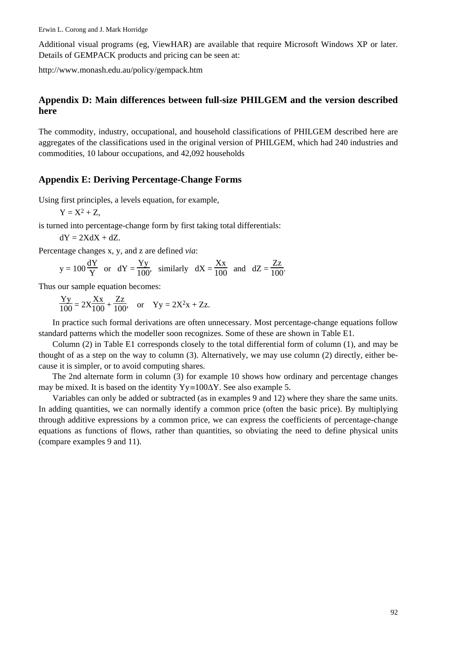Additional visual programs (eg, ViewHAR) are available that require Microsoft Windows XP or later. Details of GEMPACK products and pricing can be seen at:

http://www.monash.edu.au/policy/gempack.htm

# **Appendix D: Main differences between full-size PHILGEM and the version described here**

The commodity, industry, occupational, and household classifications of PHILGEM described here are aggregates of the classifications used in the original version of PHILGEM, which had 240 industries and commodities, 10 labour occupations, and 42,092 households

### **Appendix E: Deriving Percentage-Change Forms**

Using first principles, a levels equation, for example,

$$
Y = X^2 + Z,
$$

is turned into percentage-change form by first taking total differentials:

 $dY = 2XdX + dZ$ .

Percentage changes x, y, and z are defined *via*:

$$
y = 100 \frac{dY}{Y}
$$
 or  $dY = \frac{Yy}{100}$ , similarly  $dX = \frac{Xx}{100}$  and  $dZ = \frac{Zz}{100}$ .

Thus our sample equation becomes:

$$
\frac{Yy}{100} = 2X\frac{Xx}{100} + \frac{Zz}{100}, \text{ or } Yy = 2X^2x + Zz.
$$

In practice such formal derivations are often unnecessary. Most percentage-change equations follow standard patterns which the modeller soon recognizes. Some of these are shown in Table E1.

Column (2) in Table E1 corresponds closely to the total differential form of column (1), and may be thought of as a step on the way to column (3). Alternatively, we may use column (2) directly, either because it is simpler, or to avoid computing shares.

The 2nd alternate form in column (3) for example 10 shows how ordinary and percentage changes may be mixed. It is based on the identity  $Yy \equiv 100\Delta Y$ . See also example 5.

Variables can only be added or subtracted (as in examples 9 and 12) where they share the same units. In adding quantities, we can normally identify a common price (often the basic price). By multiplying through additive expressions by a common price, we can express the coefficients of percentage-change equations as functions of flows, rather than quantities, so obviating the need to define physical units (compare examples 9 and 11).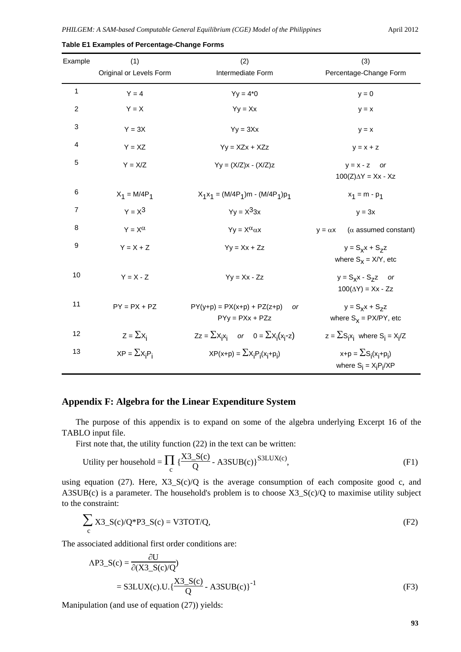| Example        | (1)                     | (2)                                                      | (3)                                                     |
|----------------|-------------------------|----------------------------------------------------------|---------------------------------------------------------|
|                | Original or Levels Form | Intermediate Form                                        | Percentage-Change Form                                  |
| 1              | $Y = 4$                 | $Yy = 4*0$                                               | $y = 0$                                                 |
| $\overline{c}$ | $Y = X$                 | $Yy = Xx$                                                | $y = x$                                                 |
| 3              | $Y = 3X$                | $Yy = 3Xx$                                               | $y = x$                                                 |
| 4              | $Y = XZ$                | $Yy = XZx + XZz$                                         | $y = x + z$                                             |
| 5              | $Y = X/Z$               | $Yy = (X/Z)x - (X/Z)z$                                   | $y = x - z$ or<br>$100(Z)\Delta Y = Xx - Xz$            |
| 6              | $X_1 = M/4P_1$          | $X_1X_1 = (M/4P_1)m - (M/4P_1)p_1$                       | $x_1 = m - p_1$                                         |
| 7              | $Y = X^3$               | $Yv = X^33x$                                             | $y = 3x$                                                |
| 8              | $Y = X^{\alpha}$        | $Yy = X^{\alpha} \alpha x$                               | $(\alpha$ assumed constant)<br>$y = \alpha x$           |
| 9              | $Y = X + Z$             | $Yy = Xx + Zz$                                           | $y = S_x x + S_z z$<br>where $S_x = X/Y$ , etc          |
| 10             | $Y = X - Z$             | $Yy = Xx - Zz$                                           | $y = S_x x - S_z z$ or<br>$100(\Delta Y) = Xx - Zz$     |
| 11             | $PY = PX + PZ$          | $PY(y+p) = PX(x+p) + PZ(z+p)$<br>or<br>$PYy = PXx + PZz$ | $y = S_x x + S_z z$<br>where $S_x = PX/PY$ , etc        |
| 12             | $Z = \sum X_i$          | $Zz = \sum x_i x_i$ or $0 = \sum x_i (x_i - z)$          | $z = \sum S_i x_i$ where $S_i = X_i/Z$                  |
| 13             | $XP = \sum X_i P_i$     | $XP(x+p) = \sum X_i P_i(x_i+p_i)$                        | $x+p = \sum S_i(x_i+p_i)$<br>where $S_i = X_i P_i / XP$ |

**Table E1 Examples of Percentage-Change Forms**

## **Appendix F: Algebra for the Linear Expenditure System**

The purpose of this appendix is to expand on some of the algebra underlying Excerpt 16 of the TABLO input file.

First note that, the utility function (22) in the text can be written:

Utility per household = 
$$
\prod_{c} {\frac{X3_S(c)}{Q}} - A3SUB(c) \cdot \frac{S3LUX(c)}{S}
$$
 (F1)

using equation (27). Here,  $X3_S(c)/Q$  is the average consumption of each composite good c, and A3SUB(c) is a parameter. The household's problem is to choose X3\_S(c)/Q to maximise utility subject to the constraint:

$$
\sum_{c} X3 \_S(c)/Q^*P3 \_S(c) = V3TOT/Q,
$$
 (F2)

The associated additional first order conditions are:

$$
\begin{aligned} \text{AP3\_S(c)} &= \frac{\partial \text{U}}{\partial (\text{X3\_S(c)/Q})} \\ &= \text{S3LUX(c).U.} \{\frac{\text{X3\_S(c)}}{\text{Q}} - \text{A3SUB(c)}\}^{-1} \end{aligned} \tag{F3}
$$

Manipulation (and use of equation (27)) yields: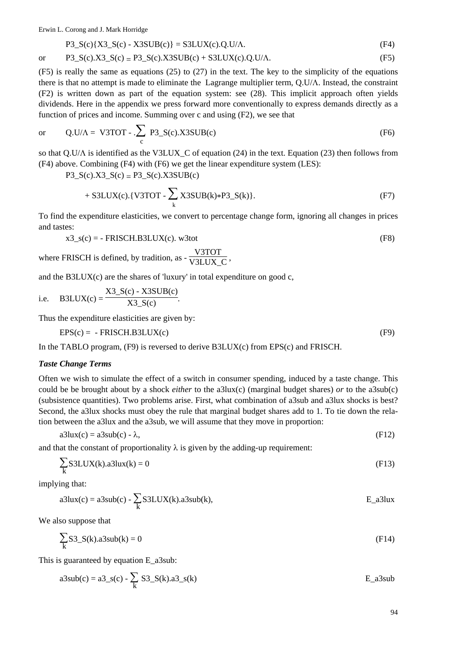Erwin L. Corong and J. Mark Horridge

$$
P3_S(c){X3_S(c) - X3SUB(c)} = S3LUX(c).Q.U/A.
$$
 (F4)

or 
$$
P3_S(c).X3_S(c) = P3_S(c).X3SUB(c) + S3LUX(c).Q.U/\Lambda.
$$
 (F5)

(F5) is really the same as equations (25) to (27) in the text. The key to the simplicity of the equations there is that no attempt is made to eliminate the Lagrange multiplier term, Q.U/Λ. Instead, the constraint (F2) is written down as part of the equation system: see (28). This implicit approach often yields dividends. Here in the appendix we press forward more conventionally to express demands directly as a function of prices and income. Summing over c and using (F2), we see that

or 
$$
Q.U/A = V3TOT - \sum_{c} P3_S(c).X3SUB(c)
$$
 (F6)

so that Q.U/Λ is identified as the V3LUX\_C of equation (24) in the text. Equation (23) then follows from (F4) above. Combining (F4) with (F6) we get the linear expenditure system (LES):

P3\_S(c).X3\_S(c) = P3\_S(c).X3SUB(c)

$$
+ S3LUX(c). \{V3TOT - \sum_{k} X3SUB(k)*P3_S(k)\}.
$$
 (F7)

To find the expenditure elasticities, we convert to percentage change form, ignoring all changes in prices and tastes:

$$
x3_s(c) = -FRISCH.B3LUX(c). w3tot
$$
 (F8)

where FRISCH is defined, by tradition, as  $-\frac{V3TOT}{V3LUX_C}$ ,

and the  $B3LUX(c)$  are the shares of 'luxury' in total expenditure on good c,

i.e. B3LUX(c) = 
$$
\frac{X3_S(c) - X3SUB(c)}{X3_S(c)}
$$
.

Thus the expenditure elasticities are given by:

$$
EPS(c) = -FRISCH.B3LUX(c)
$$
 (F9)

In the TABLO program,  $(F9)$  is reversed to derive B3LUX(c) from EPS(c) and FRISCH.

#### *Taste Change Terms*

Often we wish to simulate the effect of a switch in consumer spending, induced by a taste change. This could be be brought about by a shock *either* to the a3lux(c) (marginal budget shares) *or* to the a3sub(c) (subsistence quantities). Two problems arise. First, what combination of a3sub and a3lux shocks is best? Second, the a3lux shocks must obey the rule that marginal budget shares add to 1. To tie down the relation between the a3lux and the a3sub, we will assume that they move in proportion:

$$
a3lux(c) = a3sub(c) - \lambda, \tag{F12}
$$

and that the constant of proportionality  $\lambda$  is given by the adding-up requirement:

$$
\sum_{k} SJLUX(k).a3lux(k) = 0
$$
 (F13)

implying that:

$$
a3lux(c) = a3sub(c) - \sum_{k} S3LUX(k).a3sub(k),
$$
 E\_a3lux

We also suppose that

$$
\sum_{k} S3_{-}S(k).a3sub(k) = 0
$$
 (F14)

This is guaranteed by equation E\_a3sub:

a3sub(c) = a3\_s(c) - 
$$
\sum_k
$$
 S3\_s(k).a3\_s(k)  
E\_a3sub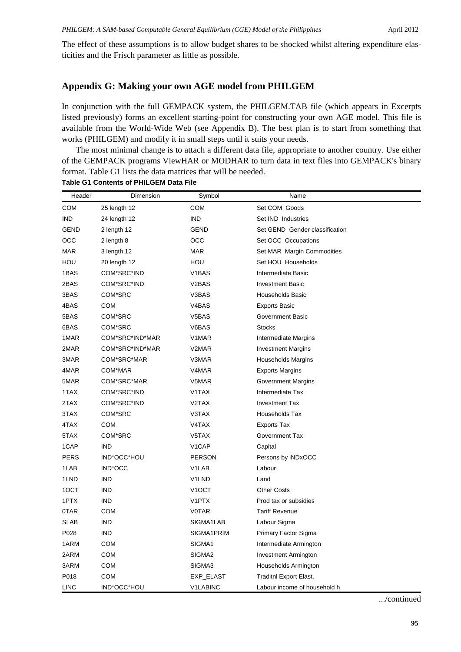The effect of these assumptions is to allow budget shares to be shocked whilst altering expenditure elasticities and the Frisch parameter as little as possible.

# **Appendix G: Making your own AGE model from PHILGEM**

In conjunction with the full GEMPACK system, the PHILGEM.TAB file (which appears in Excerpts listed previously) forms an excellent starting-point for constructing your own AGE model. This file is available from the World-Wide Web (see Appendix B). The best plan is to start from something that works (PHILGEM) and modify it in small steps until it suits your needs.

The most minimal change is to attach a different data file, appropriate to another country. Use either of the GEMPACK programs ViewHAR or MODHAR to turn data in text files into GEMPACK's binary format. Table G1 lists the data matrices that will be needed.

| Header      | Dimension       | Symbol             | Name                           |  |
|-------------|-----------------|--------------------|--------------------------------|--|
| <b>COM</b>  | 25 length 12    | <b>COM</b>         | Set COM Goods                  |  |
| <b>IND</b>  | 24 length 12    | <b>IND</b>         | Set IND Industries             |  |
| <b>GEND</b> | 2 length 12     | <b>GEND</b>        | Set GEND Gender classification |  |
| OCC         | 2 length 8      | OCC                | Set OCC Occupations            |  |
| <b>MAR</b>  | 3 length 12     | <b>MAR</b>         | Set MAR Margin Commodities     |  |
| HOU         | 20 length 12    | HOU                | Set HOU Households             |  |
| 1BAS        | COM*SRC*IND     | V <sub>1</sub> BAS | Intermediate Basic             |  |
| 2BAS        | COM*SRC*IND     | V <sub>2</sub> BAS | <b>Investment Basic</b>        |  |
| 3BAS        | COM*SRC         | V3BAS              | <b>Households Basic</b>        |  |
| 4BAS        | <b>COM</b>      | V <sub>4</sub> BAS | <b>Exports Basic</b>           |  |
| 5BAS        | COM*SRC         | V5BAS              | Government Basic               |  |
| 6BAS        | COM*SRC         | V6BAS              | <b>Stocks</b>                  |  |
| 1MAR        | COM*SRC*IND*MAR | V1MAR              | Intermediate Margins           |  |
| 2MAR        | COM*SRC*IND*MAR | V2MAR              | <b>Investment Margins</b>      |  |
| 3MAR        | COM*SRC*MAR     | V3MAR              | Households Margins             |  |
| 4MAR        | COM*MAR         | V4MAR              | <b>Exports Margins</b>         |  |
| 5MAR        | COM*SRC*MAR     | V5MAR              | <b>Government Margins</b>      |  |
| 1TAX        | COM*SRC*IND     | V1TAX              | Intermediate Tax               |  |
| 2TAX        | COM*SRC*IND     | V <sub>2</sub> TAX | <b>Investment Tax</b>          |  |
| 3TAX        | COM*SRC         | V3TAX              | Households Tax                 |  |
| 4TAX        | <b>COM</b>      | V4TAX              | <b>Exports Tax</b>             |  |
| 5TAX        | COM*SRC         | V5TAX              | Government Tax                 |  |
| 1CAP        | <b>IND</b>      | V1CAP              | Capital                        |  |
| <b>PERS</b> | IND*OCC*HOU     | <b>PERSON</b>      | Persons by iNDxOCC             |  |
| 1LAB        | IND*OCC         | V1LAB              | Labour                         |  |
| 1LND        | <b>IND</b>      | V <sub>1</sub> LND | Land                           |  |
| 1OCT        | <b>IND</b>      | V <sub>1</sub> OCT | <b>Other Costs</b>             |  |
| 1PTX        | <b>IND</b>      | V <sub>1</sub> PTX | Prod tax or subsidies          |  |
| 0TAR        | <b>COM</b>      | <b>V0TAR</b>       | <b>Tariff Revenue</b>          |  |
| <b>SLAB</b> | <b>IND</b>      | SIGMA1LAB          | Labour Sigma                   |  |
| P028        | <b>IND</b>      | SIGMA1PRIM         | Primary Factor Sigma           |  |
| 1ARM        | <b>COM</b>      | SIGMA1             | Intermediate Armington         |  |
| 2ARM        | <b>COM</b>      | SIGMA <sub>2</sub> | <b>Investment Armington</b>    |  |
| 3ARM        | <b>COM</b>      | SIGMA3             | Households Armington           |  |
| P018        | <b>COM</b>      | EXP_ELAST          | <b>Traditnl Export Elast.</b>  |  |
| LINC        | IND*OCC*HOU     | V1LABINC           | Labour income of household h   |  |

**Table G1 Contents of PHILGEM Data File**

.../continued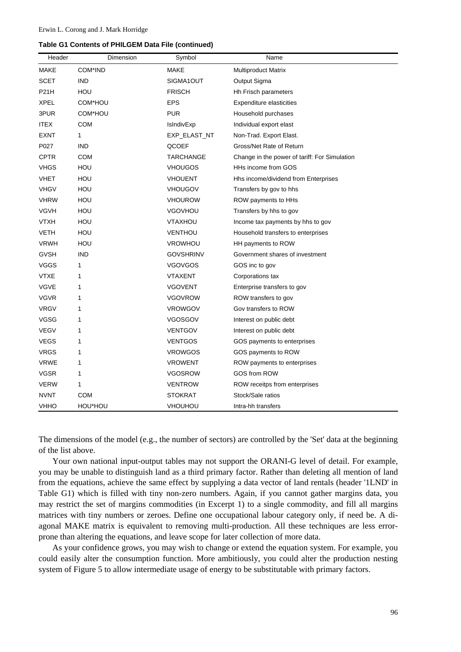|  |  |  |  |  | Table G1 Contents of PHILGEM Data File (continued) |
|--|--|--|--|--|----------------------------------------------------|
|--|--|--|--|--|----------------------------------------------------|

| Header      | Dimension  | Symbol           | Name                                          |
|-------------|------------|------------------|-----------------------------------------------|
| MAKE        | COM*IND    | <b>MAKE</b>      | <b>Multiproduct Matrix</b>                    |
| SCET        | <b>IND</b> | SIGMA1OUT        | Output Sigma                                  |
| <b>P21H</b> | <b>HOU</b> | <b>FRISCH</b>    | Hh Frisch parameters                          |
| <b>XPEL</b> | COM*HOU    | <b>EPS</b>       | <b>Expenditure elasticities</b>               |
| 3PUR        | COM*HOU    | <b>PUR</b>       | Household purchases                           |
| <b>ITEX</b> | <b>COM</b> | IsIndivExp       | Individual export elast                       |
| <b>EXNT</b> | 1          | EXP_ELAST_NT     | Non-Trad. Export Elast.                       |
| P027        | <b>IND</b> | QCOEF            | Gross/Net Rate of Return                      |
| <b>CPTR</b> | <b>COM</b> | TARCHANGE        | Change in the power of tariff: For Simulation |
| <b>VHGS</b> | HOU        | VHOUGOS          | HHs income from GOS                           |
| VHET        | HOU        | VHOUENT          | Hhs income/dividend from Enterprises          |
| <b>VHGV</b> | HOU        | VHOUGOV          | Transfers by gov to hhs                       |
| <b>VHRW</b> | HOU        | <b>VHOUROW</b>   | ROW payments to HHs                           |
| <b>VGVH</b> | HOU        | <b>VGOVHOU</b>   | Transfers by hhs to gov                       |
| <b>VTXH</b> | HOU        | VTAXHOU          | Income tax payments by hhs to gov             |
| VETH        | HOU        | VENTHOU          | Household transfers to enterprises            |
| <b>VRWH</b> | HOU        | VROWHOU          | HH payments to ROW                            |
| <b>GVSH</b> | <b>IND</b> | <b>GOVSHRINV</b> | Government shares of investment               |
| VGGS        | 1          | <b>VGOVGOS</b>   | GOS inc to gov                                |
| <b>VTXE</b> | 1          | <b>VTAXENT</b>   | Corporations tax                              |
| <b>VGVE</b> | 1          | <b>VGOVENT</b>   | Enterprise transfers to gov                   |
| <b>VGVR</b> | 1          | <b>VGOVROW</b>   | ROW transfers to gov                          |
| <b>VRGV</b> | 1          | <b>VROWGOV</b>   | Gov transfers to ROW                          |
| <b>VGSG</b> | 1          | VGOSGOV          | Interest on public debt                       |
| <b>VEGV</b> | 1          | <b>VENTGOV</b>   | Interest on public debt                       |
| VEGS        | 1          | <b>VENTGOS</b>   | GOS payments to enterprises                   |
| <b>VRGS</b> | 1          | <b>VROWGOS</b>   | GOS payments to ROW                           |
| <b>VRWE</b> | 1          | <b>VROWENT</b>   | ROW payments to enterprises                   |
| VGSR        | 1          | VGOSROW          | GOS from ROW                                  |
| <b>VERW</b> | 1          | <b>VENTROW</b>   | ROW receitps from enterprises                 |
| NVNT        | <b>COM</b> | <b>STOKRAT</b>   | Stock/Sale ratios                             |
| VHHO        | HOU*HOU    | VHOUHOU          | Intra-hh transfers                            |

The dimensions of the model (e.g., the number of sectors) are controlled by the 'Set' data at the beginning of the list above.

Your own national input-output tables may not support the ORANI-G level of detail. For example, you may be unable to distinguish land as a third primary factor. Rather than deleting all mention of land from the equations, achieve the same effect by supplying a data vector of land rentals (header '1LND' in Table G1) which is filled with tiny non-zero numbers. Again, if you cannot gather margins data, you may restrict the set of margins commodities (in Excerpt 1) to a single commodity, and fill all margins matrices with tiny numbers or zeroes. Define one occupational labour category only, if need be. A diagonal MAKE matrix is equivalent to removing multi-production. All these techniques are less errorprone than altering the equations, and leave scope for later collection of more data.

As your confidence grows, you may wish to change or extend the equation system. For example, you could easily alter the consumption function. More ambitiously, you could alter the production nesting system of Figure 5 to allow intermediate usage of energy to be substitutable with primary factors.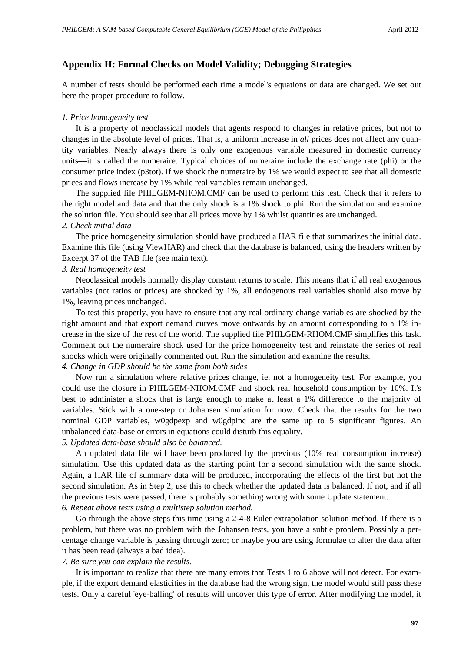## **Appendix H: Formal Checks on Model Validity; Debugging Strategies**

A number of tests should be performed each time a model's equations or data are changed. We set out here the proper procedure to follow.

## *1. Price homogeneity test*

It is a property of neoclassical models that agents respond to changes in relative prices, but not to changes in the absolute level of prices. That is, a uniform increase in *all* prices does not affect any quantity variables. Nearly always there is only one exogenous variable measured in domestic currency units—it is called the numeraire. Typical choices of numeraire include the exchange rate (phi) or the consumer price index (p3tot). If we shock the numeraire by 1% we would expect to see that all domestic prices and flows increase by 1% while real variables remain unchanged.

The supplied file PHILGEM-NHOM.CMF can be used to perform this test. Check that it refers to the right model and data and that the only shock is a 1% shock to phi. Run the simulation and examine the solution file. You should see that all prices move by 1% whilst quantities are unchanged. *2. Check initial data*

The price homogeneity simulation should have produced a HAR file that summarizes the initial data. Examine this file (using ViewHAR) and check that the database is balanced, using the headers written by Excerpt 37 of the TAB file (see main text).

#### *3. Real homogeneity test*

Neoclassical models normally display constant returns to scale. This means that if all real exogenous variables (not ratios or prices) are shocked by 1%, all endogenous real variables should also move by 1%, leaving prices unchanged.

To test this properly, you have to ensure that any real ordinary change variables are shocked by the right amount and that export demand curves move outwards by an amount corresponding to a 1% increase in the size of the rest of the world. The supplied file PHILGEM-RHOM.CMF simplifies this task. Comment out the numeraire shock used for the price homogeneity test and reinstate the series of real shocks which were originally commented out. Run the simulation and examine the results. *4. Change in GDP should be the same from both sides*

Now run a simulation where relative prices change, ie, not a homogeneity test. For example, you could use the closure in PHILGEM-NHOM.CMF and shock real household consumption by 10%. It's best to administer a shock that is large enough to make at least a 1% difference to the majority of variables. Stick with a one-step or Johansen simulation for now. Check that the results for the two nominal GDP variables, w0gdpexp and w0gdpinc are the same up to 5 significant figures. An unbalanced data-base or errors in equations could disturb this equality.

#### *5. Updated data-base should also be balanced.*

An updated data file will have been produced by the previous (10% real consumption increase) simulation. Use this updated data as the starting point for a second simulation with the same shock. Again, a HAR file of summary data will be produced, incorporating the effects of the first but not the second simulation. As in Step 2, use this to check whether the updated data is balanced. If not, and if all the previous tests were passed, there is probably something wrong with some Update statement. *6. Repeat above tests using a multistep solution method.*

Go through the above steps this time using a 2-4-8 Euler extrapolation solution method. If there is a problem, but there was no problem with the Johansen tests, you have a subtle problem. Possibly a percentage change variable is passing through zero; or maybe you are using formulae to alter the data after it has been read (always a bad idea).

*7. Be sure you can explain the results.*

It is important to realize that there are many errors that Tests 1 to 6 above will not detect. For example, if the export demand elasticities in the database had the wrong sign, the model would still pass these tests. Only a careful 'eye-balling' of results will uncover this type of error. After modifying the model, it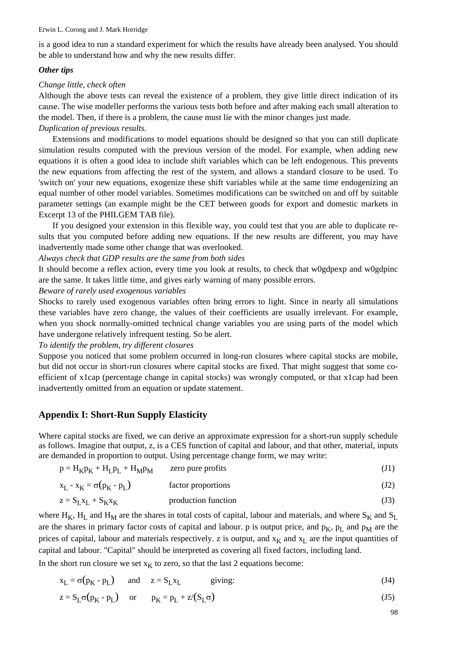is a good idea to run a standard experiment for which the results have already been analysed. You should be able to understand how and why the new results differ.

## *Other tips*

## *Change little, check often*

Although the above tests can reveal the existence of a problem, they give little direct indication of its cause. The wise modeller performs the various tests both before and after making each small alteration to the model. Then, if there is a problem, the cause must lie with the minor changes just made.

# *Duplication of previous results.*

Extensions and modifications to model equations should be designed so that you can still duplicate simulation results computed with the previous version of the model. For example, when adding new equations it is often a good idea to include shift variables which can be left endogenous. This prevents the new equations from affecting the rest of the system, and allows a standard closure to be used. To 'switch on' your new equations, exogenize these shift variables while at the same time endogenizing an equal number of other model variables. Sometimes modifications can be switched on and off by suitable parameter settings (an example might be the CET between goods for export and domestic markets in Excerpt 13 of the PHILGEM TAB file).

If you designed your extension in this flexible way, you could test that you are able to duplicate results that you computed before adding new equations. If the new results are different, you may have inadvertently made some other change that was overlooked.

## *Always check that GDP results are the same from both sides*

It should become a reflex action, every time you look at results, to check that w0gdpexp and w0gdpinc are the same. It takes little time, and gives early warning of many possible errors.

## *Beware of rarely used exogenous variables*

Shocks to rarely used exogenous variables often bring errors to light. Since in nearly all simulations these variables have zero change, the values of their coefficients are usually irrelevant. For example, when you shock normally-omitted technical change variables you are using parts of the model which have undergone relatively infrequent testing. So be alert.

*To identify the problem, try different closures*

Suppose you noticed that some problem occurred in long-run closures where capital stocks are mobile, but did not occur in short-run closures where capital stocks are fixed. That might suggest that some coefficient of x1cap (percentage change in capital stocks) was wrongly computed, or that x1cap had been inadvertently omitted from an equation or update statement.

## **Appendix I: Short-Run Supply Elasticity**

Where capital stocks are fixed, we can derive an approximate expression for a short-run supply schedule as follows. Imagine that output, z, is a CES function of capital and labour, and that other, material, inputs are demanded in proportion to output. Using percentage change form, we may write:

| $p = H_K p_K + H_L p_L + H_M p_M$ | zero pure profits   |      |
|-----------------------------------|---------------------|------|
| $x_L - x_K = \sigma(p_K - p_L)$   | factor proportions  | (J2) |
| $z = S_L x_L + S_K x_K$           | production function | (J3) |

where H<sub>K</sub>, H<sub>L</sub> and H<sub>M</sub> are the shares in total costs of capital, labour and materials, and where S<sub>K</sub> and S<sub>L</sub> are the shares in primary factor costs of capital and labour. p is output price, and  $p<sub>K</sub>$ ,  $p<sub>L</sub>$  and  $p<sub>M</sub>$  are the prices of capital, labour and materials respectively. z is output, and  $x_K$  and  $x_L$  are the input quantities of capital and labour. "Capital" should be interpreted as covering all fixed factors, including land.

In the short run closure we set  $x_k$  to zero, so that the last 2 equations become:

$$
x_L = \sigma(p_K - p_L) \quad \text{and} \quad z = S_L x_L \quad \text{giving:} \tag{J4}
$$

$$
z = S_{L}\sigma(p_{K} - p_{L}) \quad \text{or} \quad p_{K} = p_{L} + z/(S_{L}\sigma)
$$
 (J5)

98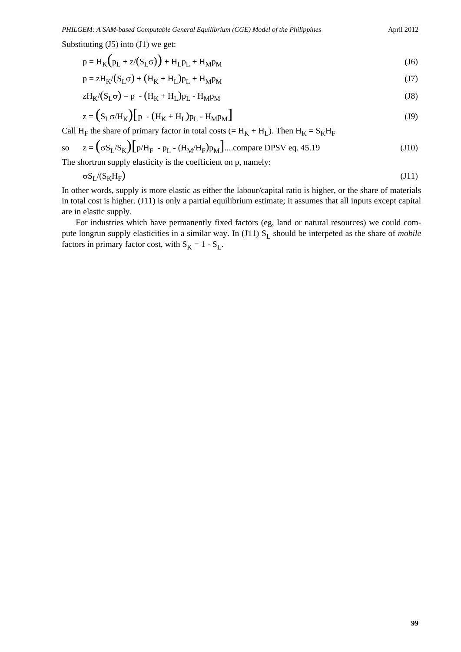Substituting  $(J5)$  into  $(J1)$  we get:

$$
p = HK(pL + z/(SL\sigma)) + HLpL + HMpM
$$
 (J6)

$$
p = zHK/(SL\sigma) + (HK + HL)pL + HMpM
$$
\n(J7)

$$
zHK/(SL\sigma) = p - (HK + HL)pL - HMpM
$$
 (J8)

$$
z = (S_{L}\sigma/H_{K})\left[p - (H_{K} + H_{L})p_{L} - H_{M}p_{M}\right]
$$
\n(J9)

Call H<sub>F</sub> the share of primary factor in total costs (= H<sub>K</sub> + H<sub>L</sub>). Then H<sub>K</sub> = S<sub>K</sub>H<sub>F</sub>

so 
$$
z = (\sigma S_L/S_K)[p/H_F - p_L - (H_M/H_F)p_M]
$$
...(compare DPSV eq. 45.19 (J10)  
The shortrun supply elasticity is the coefficient on p, namely:

The shortrun supply elasticity is the coefficient on p, namely:

$$
\sigma S_{L}/(S_{K}H_{F})
$$
\n(J11)

In other words, supply is more elastic as either the labour/capital ratio is higher, or the share of materials in total cost is higher. (J11) is only a partial equilibrium estimate; it assumes that all inputs except capital are in elastic supply.

For industries which have permanently fixed factors (eg, land or natural resources) we could compute longrun supply elasticities in a similar way. In (J11) S<sub>L</sub> should be interpeted as the share of *mobile* factors in primary factor cost, with  $S_K = 1 - S_L$ .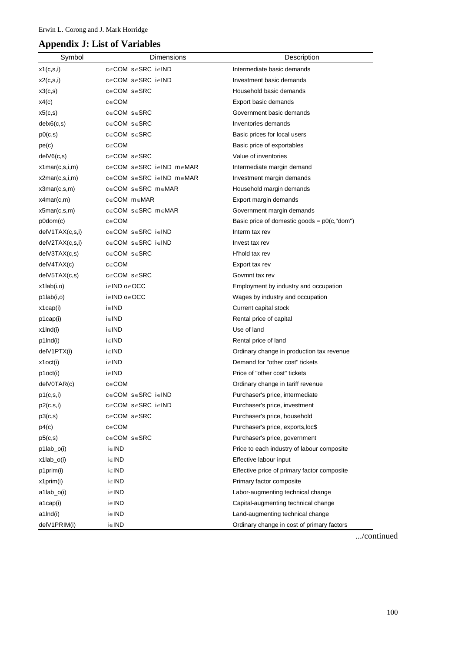# **Appendix J: List of Variables**

| Symbol            | Dimensions                          | Description                                    |
|-------------------|-------------------------------------|------------------------------------------------|
| x1(c,s,i)         | c∈COM s∈SRC i∈IND                   | Intermediate basic demands                     |
| x2(c,s,i)         | c∈COM s∈SRC i∈IND                   | Investment basic demands                       |
| x3(c,s)           | c∈COM s∈SRC                         | Household basic demands                        |
| x4(c)             | $c \in COM$                         | Export basic demands                           |
| x5(c,s)           | $c \in COM \; s \in SRC$            | Government basic demands                       |
| delx6(c,s)        | c∈COM s∈SRC                         | Inventories demands                            |
| p0(c,s)           | $c \in COM$ s $\in$ SRC             | Basic prices for local users                   |
| pe(c)             | $c \in COM$                         | Basic price of exportables                     |
| delV6(c,s)        | $c \in COM \; s \in SRC$            | Value of inventories                           |
| x1mar(c,s,i,m)    | c∈COM s∈SRC i∈IND m∈MAR             | Intermediate margin demand                     |
| x2mar(c,s,i,m)    | c∈COM s∈SRC i∈IND m∈MAR             | Investment margin demands                      |
| x3mar(c,s,m)      | c∈COM s∈SRC m∈MAR                   | Household margin demands                       |
| x4mar(c,m)        | $c \in COM$ m $\in$ MAR             | Export margin demands                          |
| x5mar(c,s,m)      | c∈COM s∈SRC m∈MAR                   | Government margin demands                      |
| p0dom(c)          | $c \in COM$                         | Basic price of domestic goods = $p0(c, "dom")$ |
| delV1TAX(c,s,i)   | $c \in COM$ s $\in$ SRC i $\in$ IND | Interm tax rev                                 |
| delV2TAX(c,s,i)   | c∈COM s∈SRC i∈IND                   | Invest tax rev                                 |
| delV3TAX(c,s)     | $c \in COM \; s \in SRC$            | H'hold tax rev                                 |
| delV4TAX(c)       | $c \in COM$                         | Export tax rev                                 |
| delV5TAX(c,s)     | $c \in COM \; s \in SRC$            | Govmnt tax rev                                 |
| $x1$ lab $(i, o)$ | i∈IND o∈OCC                         | Employment by industry and occupation          |
| p1lab(i,o)        | i∈IND o∈OCC                         | Wages by industry and occupation               |
| x1cap(i)          | $i \in \mathsf{IND}$                | Current capital stock                          |
| p1cap(i)          | i∈IND                               | Rental price of capital                        |
| x1lnd(i)          | i∈IND                               | Use of land                                    |
| p1lnd(i)          | $i \in \mathsf{IND}$                | Rental price of land                           |
| delV1PTX(i)       | i∈IND                               | Ordinary change in production tax revenue      |
| x1oct(i)          | $i \in \mathsf{IND}$                | Demand for "other cost" tickets                |
| p1oct(i)          | $i \in \mathsf{IND}$                | Price of "other cost" tickets                  |
| delV0TAR(c)       | $c \in COM$                         | Ordinary change in tariff revenue              |
| p1(c,s,i)         | c∈COM s∈SRC i∈IND                   | Purchaser's price, intermediate                |
| p2(c,s,i)         | c∈COM s∈SRC i∈IND                   | Purchaser's price, investment                  |
| p3(c,s)           | c∈COM s∈SRC                         | Purchaser's price, household                   |
| p4(c)             | $c \in COM$                         | Purchaser's price, exports, loc\$              |
| p5(c,s)           | c∈COM s∈SRC                         | Purchaser's price, government                  |
| $p1$ lab_o(i)     | i∈IND                               | Price to each industry of labour composite     |
| $x1$ lab_o(i)     | i∈IND                               | Effective labour input                         |
| p1prim(i)         | i∈IND                               | Effective price of primary factor composite    |
| x1prim(i)         | i∈IND                               | Primary factor composite                       |
| a1lab_o(i)        | i∈IND                               | Labor-augmenting technical change              |
| a1cap(i)          | i∈IND                               | Capital-augmenting technical change            |
| a1lnd(i)          | i∈IND                               | Land-augmenting technical change               |
| delV1PRIM(i)      | i∈IND                               | Ordinary change in cost of primary factors     |

.../continued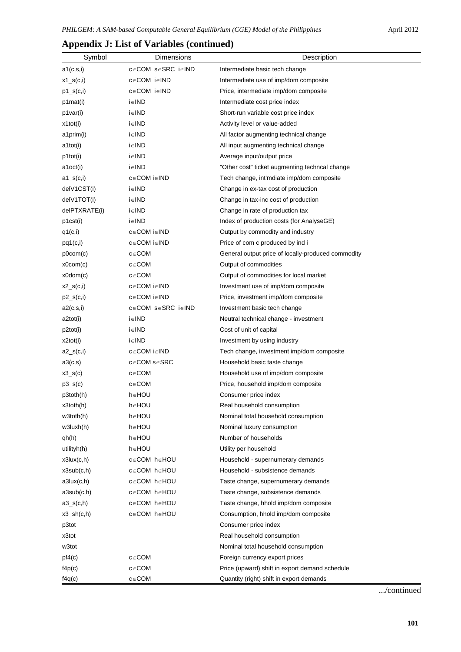| Symbol           | Dimensions        | Description                                        |
|------------------|-------------------|----------------------------------------------------|
| a1(c,s,i)        | c∈COM s∈SRC i∈IND | Intermediate basic tech change                     |
| $x1_s(c,i)$      | c∈COM i∈IND       | Intermediate use of imp/dom composite              |
| $p1_{S}(c,i)$    | c∈COM i∈IND       | Price, intermediate imp/dom composite              |
| p1mat(i)         | i∈IND             | Intermediate cost price index                      |
| p1var(i)         | i∈IND             | Short-run variable cost price index                |
| x1tot(i)         | i∈IND             | Activity level or value-added                      |
| a1prim(i)        | i∈IND             | All factor augmenting technical change             |
| a1tot(i)         | i∈IND             | All input augmenting technical change              |
| p1tot(i)         | i∈IND             | Average input/output price                         |
| a1oct(i)         | i∈IND             | "Other cost" ticket augmenting techncal change     |
| $a1_s(c,i)$      | c∈COM i∈IND       | Tech change, int'mdiate imp/dom composite          |
| delV1CST(i)      | i∈IND             | Change in ex-tax cost of production                |
| delV1TOT(i)      | i∈IND             | Change in tax-inc cost of production               |
| delPTXRATE(i)    | i∈IND             | Change in rate of production tax                   |
| p1cst(i)         | i∈IND             | Index of production costs (for AnalyseGE)          |
| q1(c,i)          | c∈COM i∈IND       | Output by commodity and industry                   |
| pq1(c,i)         | c∈COM i∈IND       | Price of com c produced by ind i                   |
| p0com(c)         | c∈COM             | General output price of locally-produced commodity |
| x0com(c)         | $c \in COM$       | Output of commodities                              |
| x0dom(c)         | $c \in COM$       | Output of commodities for local market             |
| $x2_s(c,i)$      | c∈COM i∈IND       | Investment use of imp/dom composite                |
| $p2_s(c,i)$      | c∈COM i∈IND       | Price, investment imp/dom composite                |
| a2(c,s,i)        | c∈COM s∈SRC i∈IND | Investment basic tech change                       |
| a2tot(i)         | i∈IND             | Neutral technical change - investment              |
| p2tot(i)         | i∈IND             | Cost of unit of capital                            |
| x2tot(i)         | i∈IND             | Investment by using industry                       |
| $a2_s(c,i)$      | c∈COM i∈IND       | Tech change, investment imp/dom composite          |
| a3(c,s)          | c∈COM s∈SRC       | Household basic taste change                       |
| $x3_S(c)$        | c∈COM             | Household use of imp/dom composite                 |
| $p3_s(c)$        | $c \in COM$       | Price, household imp/dom composite                 |
| p3toth(h)        | h∈HOU             | Consumer price index                               |
| $x3$ toth $(h)$  | h∈HOU             | Real household consumption                         |
| w3toth(h)        | h∈HOU             | Nominal total household consumption                |
| w3luxh(h)        | h∈HOU             | Nominal luxury consumption                         |
| qh(h)            | h∈HOU             | Number of households                               |
| utilityh(h)      | h∈HOU             | Utility per household                              |
| x3lux(c,h)       | c∈COM h∈HOU       | Household - supernumerary demands                  |
| x3sub(c,h)       | c∈COM h∈HOU       | Household - subsistence demands                    |
| a3lux(c,h)       | c∈COM h∈HOU       | Taste change, supernumerary demands                |
| a3sub(c,h)       | c∈COM h∈HOU       | Taste change, subsistence demands                  |
| $a3_s(c,h)$      | c∈COM h∈HOU       | Taste change, hhold imp/dom composite              |
| $x3$ _sh $(c,h)$ | c∈COM h∈HOU       | Consumption, hhold imp/dom composite               |
| p3tot            |                   | Consumer price index                               |
| x3tot            |                   | Real household consumption                         |
| w3tot            |                   | Nominal total household consumption                |
| pf4(c)           | c∈COM             | Foreign currency export prices                     |
| f4p(c)           | c∈COM             | Price (upward) shift in export demand schedule     |
| f4q(c)           | $c \in COM$       | Quantity (right) shift in export demands           |

# **Appendix J: List of Variables (continued)**

.../continued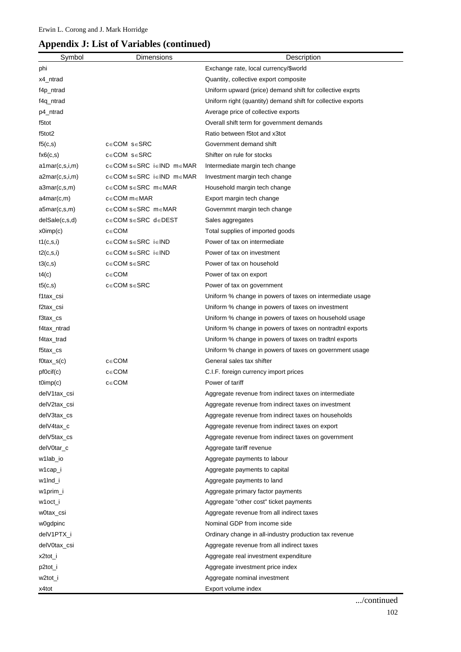# **Appendix J: List of Variables (continued)**

| Symbol           | Dimensions               | Description                                                  |
|------------------|--------------------------|--------------------------------------------------------------|
| phi              |                          | Exchange rate, local currency/\$world                        |
| x4_ntrad         |                          | Quantity, collective export composite                        |
| f4p_ntrad        |                          | Uniform upward (price) demand shift for collective exprts    |
| f4q_ntrad        |                          | Uniform right (quantity) demand shift for collective exports |
| p4_ntrad         |                          | Average price of collective exports                          |
| f5tot            |                          | Overall shift term for government demands                    |
| f5tot2           |                          | Ratio between f5tot and x3tot                                |
| f5(c,s)          | $c \in COM \; s \in SRC$ | Government demand shift                                      |
| fx6(c,s)         | $c \in COM$ s $\in$ SRC  | Shifter on rule for stocks                                   |
| a1mar(c,s,i,m)   | c∈COM s∈SRC i∈IND m∈MAR  | Intermediate margin tech change                              |
| a2mar(c,s,i,m)   | c∈COM s∈SRC i∈IND m∈MAR  | Investment margin tech change                                |
| a3mar(c,s,m)     | c∈COM s∈SRC m∈MAR        | Household margin tech change                                 |
| a4mar(c,m)       | c∈COM m∈MAR              | Export margin tech change                                    |
| a5mar(c,s,m)     | c∈COM s∈SRC m∈MAR        | Governmnt margin tech change                                 |
| delSale(c,s,d)   | c∈COM s∈SRC d∈DEST       | Sales aggregates                                             |
| x0imp(c)         | $c \in COM$              | Total supplies of imported goods                             |
| t1(c,s,i)        | c∈COM s∈SRC i∈IND        | Power of tax on intermediate                                 |
| t2(c,s,i)        | c∈COM s∈SRC i∈IND        | Power of tax on investment                                   |
| t3(c,s)          | $c \in COM$ s $\in$ SRC  | Power of tax on household                                    |
| t4(c)            | $c \in COM$              | Power of tax on export                                       |
| t5(c,s)          | $c \in COM$ s $\in$ SRC  | Power of tax on government                                   |
| f1tax_csi        |                          | Uniform % change in powers of taxes on intermediate usage    |
| f2tax_csi        |                          | Uniform % change in powers of taxes on investment            |
| f3tax_cs         |                          | Uniform % change in powers of taxes on household usage       |
| f4tax_ntrad      |                          | Uniform % change in powers of taxes on nontradtnl exports    |
| f4tax_trad       |                          | Uniform % change in powers of taxes on tradtnl exports       |
| f5tax_cs         |                          | Uniform % change in powers of taxes on government usage      |
| $f0$ tax_s $(c)$ | $c \in COM$              | General sales tax shifter                                    |
| pf0cif(c)        | $c \in COM$              | C.I.F. foreign currency import prices                        |
| tOimp(c)         | $c \in COM$              | Power of tariff                                              |
| delV1tax_csi     |                          | Aggregate revenue from indirect taxes on intermediate        |
| delV2tax_csi     |                          | Aggregate revenue from indirect taxes on investment          |
| delV3tax_cs      |                          | Aggregate revenue from indirect taxes on households          |
| delV4tax_c       |                          | Aggregate revenue from indirect taxes on export              |
| delV5tax_cs      |                          | Aggregate revenue from indirect taxes on government          |
| delV0tar_c       |                          | Aggregate tariff revenue                                     |
| w1lab_io         |                          | Aggregate payments to labour                                 |
| w1cap_i          |                          | Aggregate payments to capital                                |
| w1lnd_i          |                          | Aggregate payments to land                                   |
| w1prim_i         |                          | Aggregate primary factor payments                            |
| w1oct_i          |                          | Aggregate "other cost" ticket payments                       |
| w0tax_csi        |                          | Aggregate revenue from all indirect taxes                    |
| w0gdpinc         |                          | Nominal GDP from income side                                 |
| delV1PTX_i       |                          | Ordinary change in all-industry production tax revenue       |
| delV0tax_csi     |                          | Aggregate revenue from all indirect taxes                    |
| x2tot_i          |                          | Aggregate real investment expenditure                        |
| p2tot_i          |                          | Aggregate investment price index                             |
| w2tot_i          |                          | Aggregate nominal investment                                 |
| x4tot            |                          | Export volume index                                          |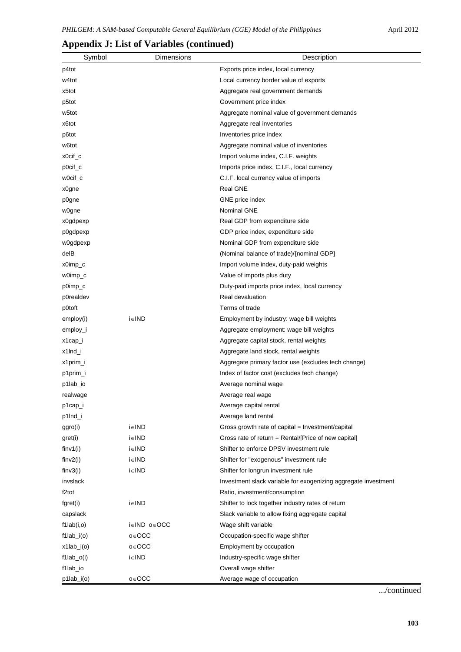|                   | Symbol | Dimensions           | Description                                                    |
|-------------------|--------|----------------------|----------------------------------------------------------------|
| p4tot             |        |                      | Exports price index, local currency                            |
| w4tot             |        |                      | Local currency border value of exports                         |
| x5tot             |        |                      | Aggregate real government demands                              |
| p5tot             |        |                      | Government price index                                         |
| w5tot             |        |                      | Aggregate nominal value of government demands                  |
| x6tot             |        |                      | Aggregate real inventories                                     |
| p6tot             |        |                      | Inventories price index                                        |
| w6tot             |        |                      | Aggregate nominal value of inventories                         |
| x0cif_c           |        |                      | Import volume index, C.I.F. weights                            |
| $p0$ cif $_c$     |        |                      | Imports price index, C.I.F., local currency                    |
| w0cif_c           |        |                      | C.I.F. local currency value of imports                         |
| x0gne             |        |                      | <b>Real GNE</b>                                                |
| p0gne             |        |                      | GNE price index                                                |
| w0gne             |        |                      | Nominal GNE                                                    |
| x0gdpexp          |        |                      | Real GDP from expenditure side                                 |
| p0gdpexp          |        |                      | GDP price index, expenditure side                              |
| w0gdpexp          |        |                      | Nominal GDP from expenditure side                              |
| delB              |        |                      | (Nominal balance of trade)/{nominal GDP}                       |
| x0imp_c           |        |                      | Import volume index, duty-paid weights                         |
| w0imp_c           |        |                      | Value of imports plus duty                                     |
| p0imp_c           |        |                      | Duty-paid imports price index, local currency                  |
| p0realdev         |        |                      | Real devaluation                                               |
| p0toft            |        |                      | Terms of trade                                                 |
| employ(i)         |        | i∈IND                | Employment by industry: wage bill weights                      |
| employ_i          |        |                      | Aggregate employment: wage bill weights                        |
| x1cap_i           |        |                      | Aggregate capital stock, rental weights                        |
| x1lnd_i           |        |                      | Aggregate land stock, rental weights                           |
| x1prim_i          |        |                      | Aggregate primary factor use (excludes tech change)            |
| p1prim_i          |        |                      | Index of factor cost (excludes tech change)                    |
| p1lab_io          |        |                      | Average nominal wage                                           |
| realwage          |        |                      | Average real wage                                              |
| p1cap_i           |        |                      | Average capital rental                                         |
| p1lnd_i           |        |                      | Average land rental                                            |
| ggro(i)           |        | $i \in \mathsf{IND}$ | Gross growth rate of capital = Investment/capital              |
| gret(i)           |        | $i \in \mathsf{IND}$ | Gross rate of return = Rental/[Price of new capital]           |
| finv1(i)          |        | i∈IND                | Shifter to enforce DPSV investment rule                        |
| finv2(i)          |        | i∈IND                | Shifter for "exogenous" investment rule                        |
| finv3(i)          |        | $i \in \mathsf{IND}$ | Shifter for longrun investment rule                            |
| invslack          |        |                      | Investment slack variable for exogenizing aggregate investment |
| f2tot             |        |                      | Ratio, investment/consumption                                  |
| fgret(i)          |        | $i \in \mathsf{IND}$ | Shifter to lock together industry rates of return              |
| capslack          |        |                      | Slack variable to allow fixing aggregate capital               |
| f1lab(i,0)        |        | i∈IND o∈OCC          | Wage shift variable                                            |
| $f1$ lab_ $i$ (o) |        | o∈OCC                | Occupation-specific wage shifter                               |
| $x1$ lab_ $i$ (o) |        | $o \in OCC$          | Employment by occupation                                       |
| $f1$ lab_o(i)     |        | i∈IND                | Industry-specific wage shifter                                 |
| f1lab_io          |        |                      | Overall wage shifter                                           |
| p1lab_i(o)        |        | $o \in OCC$          | Average wage of occupation                                     |

## **Appendix J: List of Variables (continued)**

.../continued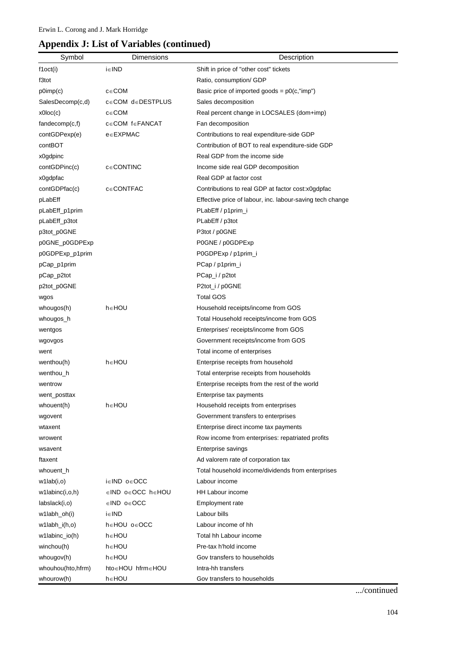## **Appendix J: List of Variables (continued)**

| Symbol                  | Dimensions                 | Description                                               |
|-------------------------|----------------------------|-----------------------------------------------------------|
| f1oct(i)                | i∈IND                      | Shift in price of "other cost" tickets                    |
| f3tot                   |                            | Ratio, consumption/ GDP                                   |
| $p0$ imp $(c)$          | $c \in COM$                | Basic price of imported goods = $p0(c, "imp")$            |
| SalesDecomp(c,d)        | $c \in COM$ de DESTPLUS    | Sales decomposition                                       |
| x0loc(c)                | $c \in COM$                | Real percent change in LOCSALES (dom+imp)                 |
| fandecomp(c,f)          | $c \in COM$ f $\in$ FANCAT | Fan decomposition                                         |
| contGDPexp(e)           | $e \in EXPMAC$             | Contributions to real expenditure-side GDP                |
| contBOT                 |                            | Contribution of BOT to real expenditure-side GDP          |
| x0gdpinc                |                            | Real GDP from the income side                             |
| contGDPinc(c)           | $c \in$ CONTINC            | Income side real GDP decomposition                        |
| x0gdpfac                |                            | Real GDP at factor cost                                   |
| contGDPfac(c)           | $c \in \text{CONTFAC}$     | Contributions to real GDP at factor cost:x0gdpfac         |
| pLabEff                 |                            | Effective price of labour, inc. labour-saving tech change |
| pLabEff_p1prim          |                            | PLabEff / p1prim_i                                        |
| pLabEff_p3tot           |                            | PLabEff / p3tot                                           |
| p3tot_p0GNE             |                            | P3tot / p0GNE                                             |
| p0GNE_p0GDPExp          |                            | P0GNE / p0GDPExp                                          |
| p0GDPExp_p1prim         |                            | P0GDPExp / p1prim_i                                       |
| pCap_p1prim             |                            | PCap / p1prim_i                                           |
| pCap_p2tot              |                            | PCap_i / p2tot                                            |
| p2tot_p0GNE             |                            | P2tot_i / p0GNE                                           |
| wgos                    |                            | <b>Total GOS</b>                                          |
| whougos(h)              | h∈HOU                      | Household receipts/income from GOS                        |
| whougos_h               |                            | Total Household receipts/income from GOS                  |
| wentgos                 |                            | Enterprises' receipts/income from GOS                     |
| wgovgos                 |                            | Government receipts/income from GOS                       |
| went                    |                            | Total income of enterprises                               |
| wenthou(h)              | h∈HOU                      | Enterprise receipts from household                        |
| wenthou_h               |                            | Total enterprise receipts from households                 |
| wentrow                 |                            | Enterprise receipts from the rest of the world            |
| went_posttax            |                            | Enterprise tax payments                                   |
| whouent(h)              | h∈HOU                      | Household receipts from enterprises                       |
| wgovent                 |                            | Government transfers to enterprises                       |
| wtaxent                 |                            | Enterprise direct income tax payments                     |
| wrowent                 |                            | Row income from enterprises: repatriated profits          |
| wsavent                 |                            | Enterprise savings                                        |
| ftaxent                 |                            | Ad valorem rate of corporation tax                        |
| whouent_h               |                            | Total household income/dividends from enterprises         |
| w1lab(i,0)              | i∈IND o∈OCC                | Labour income                                             |
| $w1$ labinc $(i, o, h)$ | ∈IND o∈OCC h∈HOU           | HH Labour income                                          |
| labslack(i,o)           | ∈IND o∈OCC                 | Employment rate                                           |
| w1labh_oh(i)            | i∈IND                      | Labour bills                                              |
| w1labh_i(h,o)           | h∈HOU o∈OCC                | Labour income of hh                                       |
| w1labinc_io(h)          | h∈HOU                      | Total hh Labour income                                    |
| winchou(h)              | h∈HOU                      | Pre-tax h'hold income                                     |
| whougov(h)              | h∈HOU                      | Gov transfers to households                               |
| whouhou(hto,hfrm)       | hto∈HOU hfrm∈HOU           | Intra-hh transfers                                        |
| whourow(h)              | h∈HOU                      | Gov transfers to households                               |

.../continued